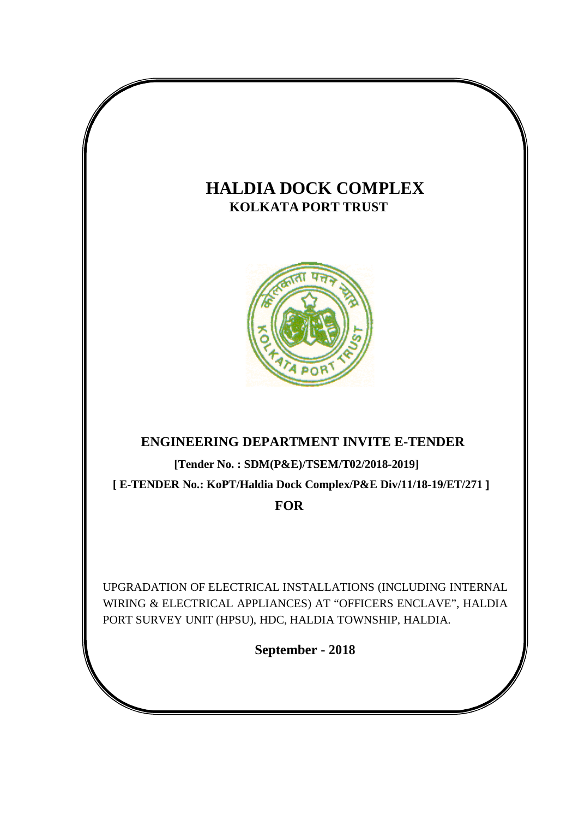## **HALDIA DOCK COMPLEX KOLKATA PORT TRUST**



## **ENGINEERING DEPARTMENT INVITE E-TENDER**

 **[Tender No. : SDM(P&E)/TSEM/T02/2018-2019]** 

 **[ E-TENDER No.: KoPT/Haldia Dock Complex/P&E Div/11/18-19/ET/271 ]** 

**FOR**

UPGRADATION OF ELECTRICAL INSTALLATIONS (INCLUDING INTERNAL WIRING & ELECTRICAL APPLIANCES) AT "OFFICERS ENCLAVE", HALDIA PORT SURVEY UNIT (HPSU), HDC, HALDIA TOWNSHIP, HALDIA.

**September - 2018**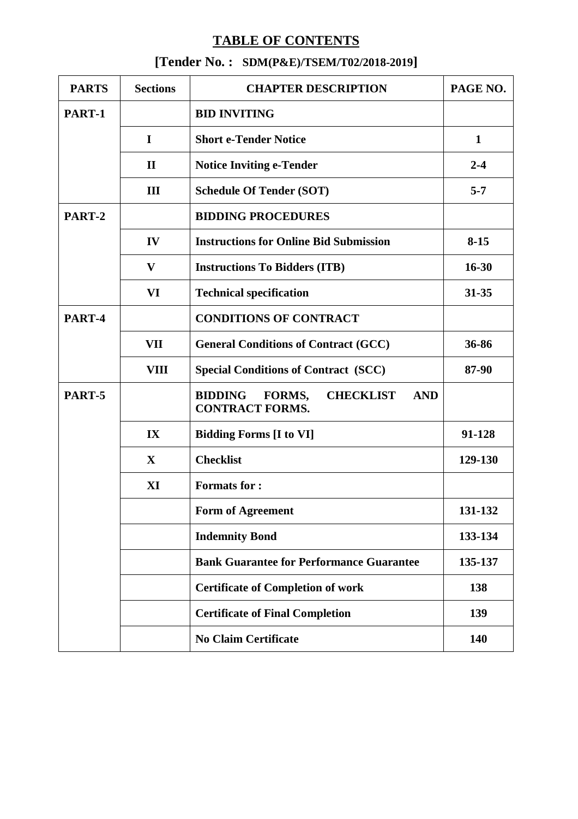## **TABLE OF CONTENTS**

## **[Tender No. : SDM(P&E)/TSEM/T02/2018-2019]**

| <b>PARTS</b> | <b>Sections</b> | <b>CHAPTER DESCRIPTION</b>                                                           | PAGE NO.     |
|--------------|-----------------|--------------------------------------------------------------------------------------|--------------|
| PART-1       |                 | <b>BID INVITING</b>                                                                  |              |
|              | $\mathbf I$     | <b>Short e-Tender Notice</b>                                                         | $\mathbf{1}$ |
|              | $\mathbf{I}$    | <b>Notice Inviting e-Tender</b>                                                      | $2 - 4$      |
|              | III             | <b>Schedule Of Tender (SOT)</b>                                                      | $5 - 7$      |
| PART-2       |                 | <b>BIDDING PROCEDURES</b>                                                            |              |
|              | IV              | <b>Instructions for Online Bid Submission</b>                                        | $8 - 15$     |
|              | $\mathbf{V}$    | <b>Instructions To Bidders (ITB)</b>                                                 | $16 - 30$    |
|              | VI              | <b>Technical specification</b>                                                       | $31 - 35$    |
| PART-4       |                 | <b>CONDITIONS OF CONTRACT</b>                                                        |              |
|              | <b>VII</b>      | <b>General Conditions of Contract (GCC)</b>                                          | 36-86        |
|              | <b>VIII</b>     | <b>Special Conditions of Contract (SCC)</b>                                          | 87-90        |
| PART-5       |                 | <b>BIDDING</b><br>FORMS,<br><b>CHECKLIST</b><br><b>AND</b><br><b>CONTRACT FORMS.</b> |              |
|              | IX              | <b>Bidding Forms [I to VI]</b>                                                       | 91-128       |
|              | $\mathbf{X}$    | <b>Checklist</b>                                                                     | 129-130      |
|              | XI              | <b>Formats for:</b>                                                                  |              |
|              |                 | <b>Form of Agreement</b>                                                             | 131-132      |
|              |                 | <b>Indemnity Bond</b>                                                                | 133-134      |
|              |                 | <b>Bank Guarantee for Performance Guarantee</b>                                      | 135-137      |
|              |                 | <b>Certificate of Completion of work</b>                                             | 138          |
|              |                 | <b>Certificate of Final Completion</b>                                               | 139          |
|              |                 | <b>No Claim Certificate</b>                                                          | 140          |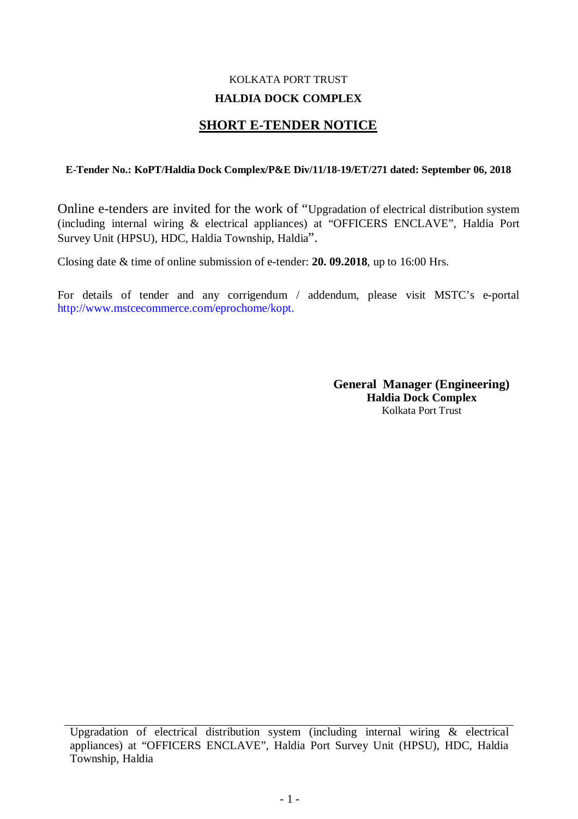## KOLKATA PORT TRUST **HALDIA DOCK COMPLEX**

### **SHORT E-TENDER NOTICE**

#### **E-Tender No.: KoPT/Haldia Dock Complex/P&E Div/11/18-19/ET/271 dated: September 06, 2018**

Online e-tenders are invited for the work of "Upgradation of electrical distribution system (including internal wiring & electrical appliances) at "OFFICERS ENCLAVE", Haldia Port Survey Unit (HPSU), HDC, Haldia Township, Haldia".

Closing date & time of online submission of e-tender: **20. 09.2018**, up to 16:00 Hrs.

For details of tender and any corrigendum / addendum, please visit MSTC's e-portal http://www.mstcecommerce.com/eprochome/kopt.

> **General Manager (Engineering) Haldia Dock Complex** Kolkata Port Trust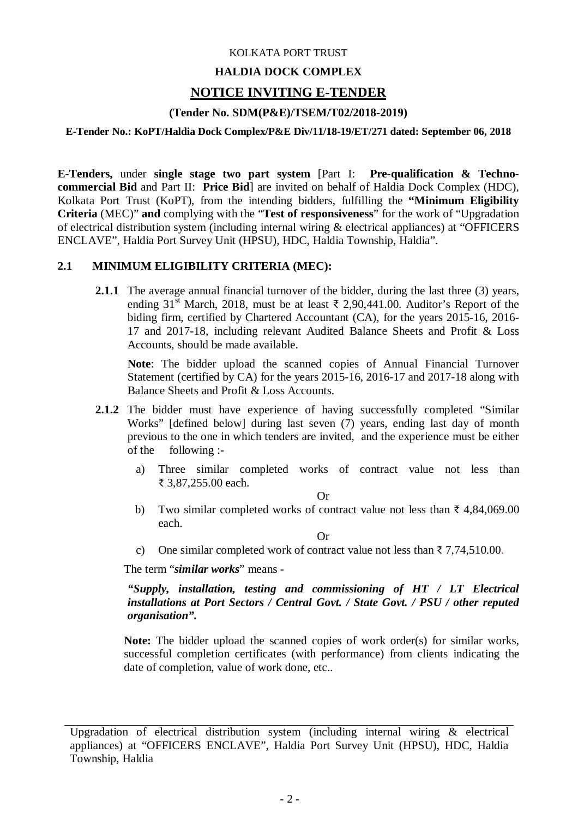#### KOLKATA PORT TRUST

#### **HALDIA DOCK COMPLEX**

#### **NOTICE INVITING E-TENDER**

#### **(Tender No. SDM(P&E)/TSEM/T02/2018-2019)**

#### **E-Tender No.: KoPT/Haldia Dock Complex/P&E Div/11/18-19/ET/271 dated: September 06, 2018**

**E-Tenders,** under **single stage two part system** [Part I: **Pre-qualification & Technocommercial Bid** and Part II: **Price Bid**] are invited on behalf of Haldia Dock Complex (HDC), Kolkata Port Trust (KoPT), from the intending bidders, fulfilling the **"Minimum Eligibility Criteria** (MEC)" **and** complying with the "**Test of responsiveness**" for the work of "Upgradation of electrical distribution system (including internal wiring & electrical appliances) at "OFFICERS ENCLAVE", Haldia Port Survey Unit (HPSU), HDC, Haldia Township, Haldia".

#### **2.1 MINIMUM ELIGIBILITY CRITERIA (MEC):**

**2.1.1** The average annual financial turnover of the bidder, during the last three (3) years, ending  $31^{st}$  March, 2018, must be at least  $\bar{\tau}$  2,90,441.00. Auditor's Report of the biding firm, certified by Chartered Accountant (CA), for the years 2015-16, 2016-17 and 2017-18, including relevant Audited Balance Sheets and Profit & Loss Accounts, should be made available.

**Note**: The bidder upload the scanned copies of Annual Financial Turnover Statement (certified by CA) for the years 2015-16, 2016-17 and 2017-18 along with Balance Sheets and Profit & Loss Accounts.

- **2.1.2** The bidder must have experience of having successfully completed "Similar Works" [defined below] during last seven (7) years, ending last day of month previous to the one in which tenders are invited, and the experience must be either of the following :
	- a) Three similar completed works of contract value not less than ₹ 3,87,255.00 each.

Or

b) Two similar completed works of contract value not less than  $\bar{\tau}$  4,84,069.00 each.

Or

c) One similar completed work of contract value not less than  $\bar{\tau}$  7,74,510.00.

The term "*similar works*" means -

*"Supply, installation, testing and commissioning of HT / LT Electrical installations at Port Sectors / Central Govt. / State Govt. / PSU / other reputed organisation".*

**Note:** The bidder upload the scanned copies of work order(s) for similar works, successful completion certificates (with performance) from clients indicating the date of completion, value of work done, etc..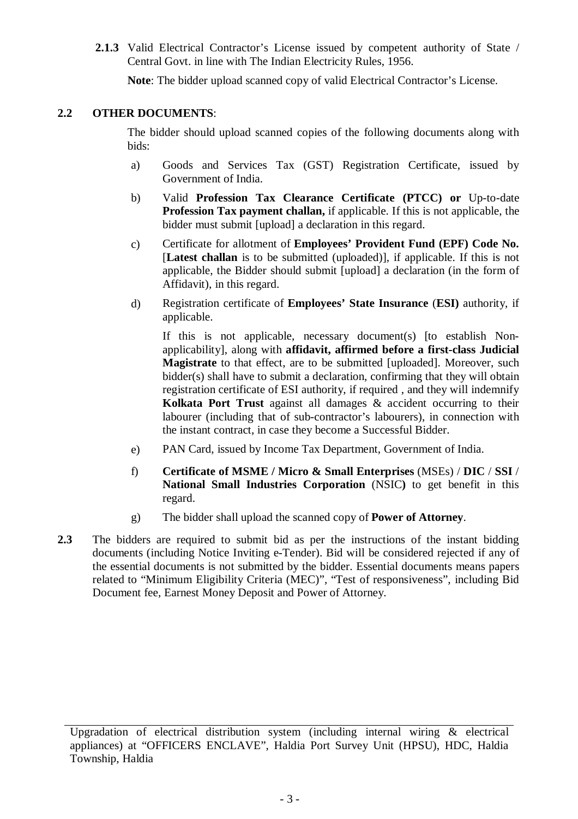**2.1.3** Valid Electrical Contractor's License issued by competent authority of State / Central Govt. in line with The Indian Electricity Rules, 1956.

**Note**: The bidder upload scanned copy of valid Electrical Contractor's License.

#### **2.2 OTHER DOCUMENTS**:

The bidder should upload scanned copies of the following documents along with bids:

- a) Goods and Services Tax (GST) Registration Certificate, issued by Government of India.
- b) Valid **Profession Tax Clearance Certificate (PTCC) or** Up-to-date **Profession Tax payment challan,** if applicable. If this is not applicable, the bidder must submit [upload] a declaration in this regard.
- c) Certificate for allotment of **Employees' Provident Fund (EPF) Code No.**  [**Latest challan** is to be submitted (uploaded)], if applicable. If this is not applicable, the Bidder should submit [upload] a declaration (in the form of Affidavit), in this regard.
- d) Registration certificate of **Employees' State Insurance** (**ESI)** authority, if applicable.

If this is not applicable, necessary document(s) [to establish Nonapplicability], along with **affidavit, affirmed before a first-class Judicial Magistrate** to that effect, are to be submitted [uploaded]. Moreover, such bidder(s) shall have to submit a declaration, confirming that they will obtain registration certificate of ESI authority, if required , and they will indemnify **Kolkata Port Trust** against all damages & accident occurring to their labourer (including that of sub-contractor's labourers), in connection with the instant contract, in case they become a Successful Bidder.

- e) PAN Card, issued by Income Tax Department, Government of India.
- f) **Certificate of MSME / Micro & Small Enterprises** (MSEs) / **DIC** / **SSI** / **National Small Industries Corporation** (NSIC**)** to get benefit in this regard.
- g) The bidder shall upload the scanned copy of **Power of Attorney**.
- **2.3** The bidders are required to submit bid as per the instructions of the instant bidding documents (including Notice Inviting e-Tender). Bid will be considered rejected if any of the essential documents is not submitted by the bidder. Essential documents means papers related to "Minimum Eligibility Criteria (MEC)", "Test of responsiveness", including Bid Document fee, Earnest Money Deposit and Power of Attorney.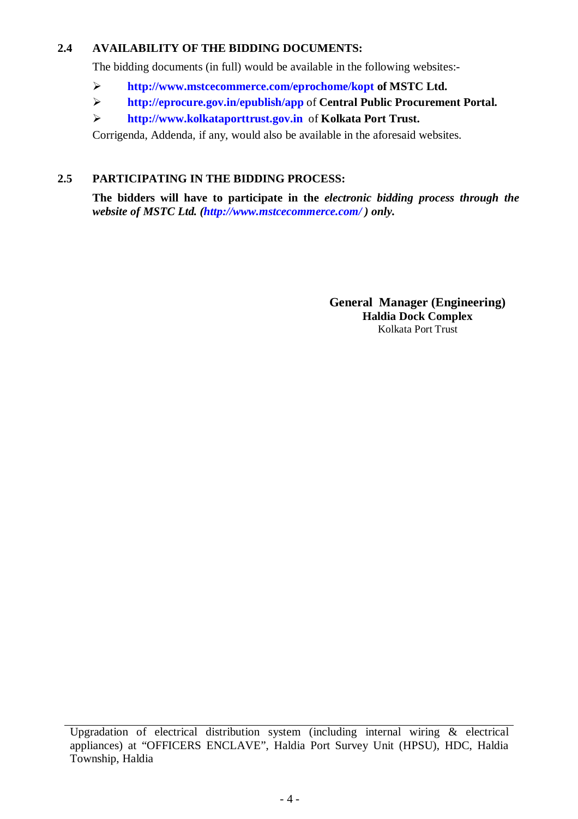#### **2.4 AVAILABILITY OF THE BIDDING DOCUMENTS:**

The bidding documents (in full) would be available in the following websites:-

- **http://www.mstcecommerce.com/eprochome/kopt of MSTC Ltd.**
- **http://eprocure.gov.in/epublish/app** of **Central Public Procurement Portal.**
- **http://www.kolkataporttrust.gov.in** of **Kolkata Port Trust.**

Corrigenda, Addenda, if any, would also be available in the aforesaid websites.

#### **2.5 PARTICIPATING IN THE BIDDING PROCESS:**

**The bidders will have to participate in the** *electronic bidding process through the website of MSTC Ltd. (http://www.mstcecommerce.com/ ) only.*

> **General Manager (Engineering) Haldia Dock Complex** Kolkata Port Trust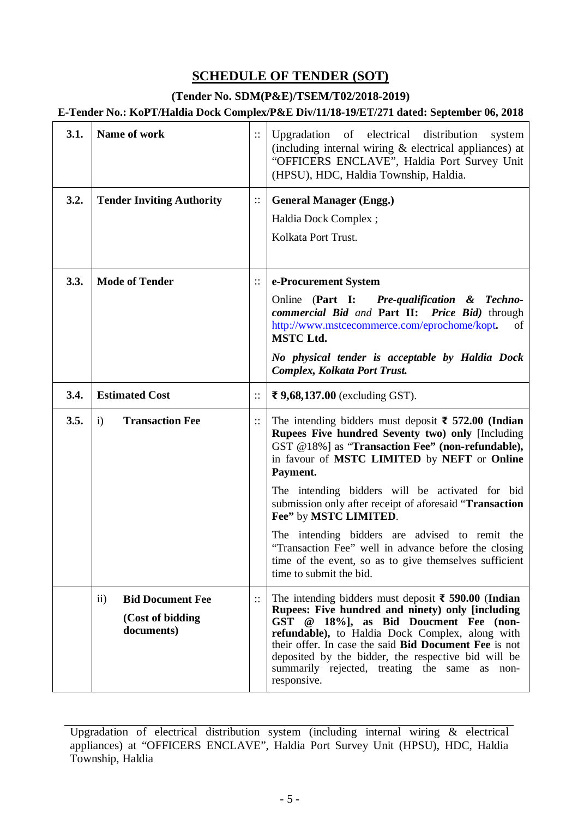## **SCHEDULE OF TENDER (SOT)**

#### **(Tender No. SDM(P&E)/TSEM/T02/2018-2019)**

#### **E-Tender No.: KoPT/Haldia Dock Complex/P&E Div/11/18-19/ET/271 dated: September 06, 2018**

| 3.1. | Name of work                                                               |          | Upgradation of electrical distribution<br>system<br>(including internal wiring $&$ electrical appliances) at<br>"OFFICERS ENCLAVE", Haldia Port Survey Unit<br>(HPSU), HDC, Haldia Township, Haldia.                                                                                                                                                                                             |
|------|----------------------------------------------------------------------------|----------|--------------------------------------------------------------------------------------------------------------------------------------------------------------------------------------------------------------------------------------------------------------------------------------------------------------------------------------------------------------------------------------------------|
| 3.2. | <b>Tender Inviting Authority</b>                                           | $\vdots$ | <b>General Manager (Engg.)</b><br>Haldia Dock Complex;<br>Kolkata Port Trust.                                                                                                                                                                                                                                                                                                                    |
| 3.3. | <b>Mode of Tender</b>                                                      | $\vdots$ | e-Procurement System<br>Online (Part I:<br><b>Pre-qualification &amp; Techno-</b><br>commercial Bid and Part II: Price Bid) through<br>http://www.mstcecommerce.com/eprochome/kopt.<br>of<br><b>MSTC</b> Ltd.<br>No physical tender is acceptable by Haldia Dock<br><b>Complex, Kolkata Port Trust.</b>                                                                                          |
| 3.4. | <b>Estimated Cost</b>                                                      | $\vdots$ | ₹ 9,68,137.00 (excluding GST).                                                                                                                                                                                                                                                                                                                                                                   |
| 3.5. | $\mathbf{i}$<br><b>Transaction Fee</b>                                     | $\vdots$ | The intending bidders must deposit $\bar{\tau}$ 572.00 (Indian<br>Rupees Five hundred Seventy two) only [Including<br>GST @18%] as "Transaction Fee" (non-refundable),<br>in favour of MSTC LIMITED by NEFT or Online<br>Payment.                                                                                                                                                                |
|      |                                                                            |          | The intending bidders will be activated for bid<br>submission only after receipt of aforesaid "Transaction<br>Fee" by MSTC LIMITED.                                                                                                                                                                                                                                                              |
|      |                                                                            |          | The intending bidders are advised to remit the<br>"Transaction Fee" well in advance before the closing<br>time of the event, so as to give themselves sufficient<br>time to submit the bid.                                                                                                                                                                                                      |
|      | <b>Bid Document Fee</b><br>$\mathbf{ii}$<br>(Cost of bidding<br>documents) | $\vdots$ | The intending bidders must deposit $\bar{\xi}$ 590.00 (Indian<br>Rupees: Five hundred and ninety) only [including<br>18%], as Bid Doucment Fee (non-<br>GST @<br>refundable), to Haldia Dock Complex, along with<br>their offer. In case the said Bid Document Fee is not<br>deposited by the bidder, the respective bid will be<br>summarily rejected, treating the same as non-<br>responsive. |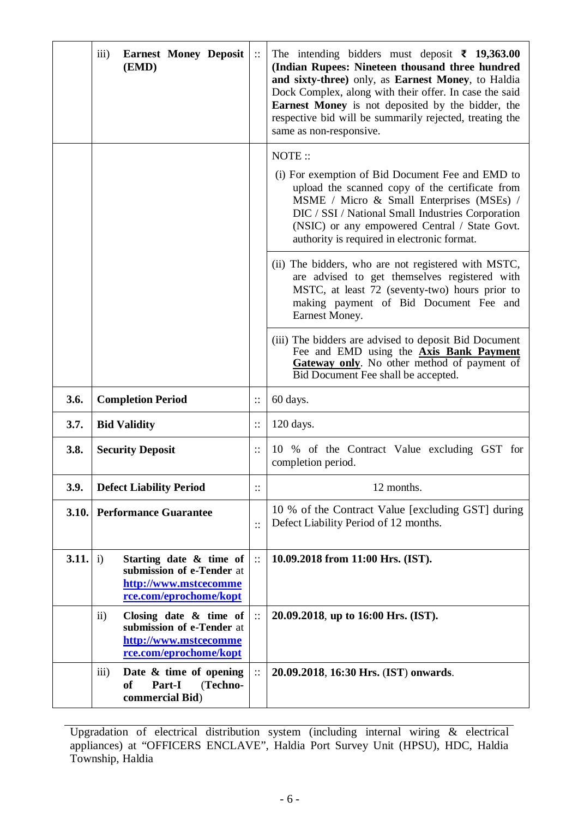|       | <b>Earnest Money Deposit</b><br>$\overline{\text{iii}}$<br>(EMD)                                                        | $\vdots$               | The intending bidders must deposit $\bar{\xi}$ 19,363.00<br>(Indian Rupees: Nineteen thousand three hundred<br>and sixty-three) only, as Earnest Money, to Haldia<br>Dock Complex, along with their offer. In case the said<br>Earnest Money is not deposited by the bidder, the<br>respective bid will be summarily rejected, treating the<br>same as non-responsive. |  |
|-------|-------------------------------------------------------------------------------------------------------------------------|------------------------|------------------------------------------------------------------------------------------------------------------------------------------------------------------------------------------------------------------------------------------------------------------------------------------------------------------------------------------------------------------------|--|
|       |                                                                                                                         |                        | NOTE ::<br>(i) For exemption of Bid Document Fee and EMD to<br>upload the scanned copy of the certificate from<br>MSME / Micro & Small Enterprises (MSEs) /<br>DIC / SSI / National Small Industries Corporation<br>(NSIC) or any empowered Central / State Govt.<br>authority is required in electronic format.                                                       |  |
|       |                                                                                                                         |                        | (ii) The bidders, who are not registered with MSTC,<br>are advised to get themselves registered with<br>MSTC, at least 72 (seventy-two) hours prior to<br>making payment of Bid Document Fee and<br>Earnest Money.                                                                                                                                                     |  |
|       |                                                                                                                         |                        | (iii) The bidders are advised to deposit Bid Document<br>Fee and EMD using the <b>Axis Bank Payment</b><br>Gateway only. No other method of payment of<br>Bid Document Fee shall be accepted.                                                                                                                                                                          |  |
| 3.6.  | <b>Completion Period</b>                                                                                                | $\vdots$               | 60 days.                                                                                                                                                                                                                                                                                                                                                               |  |
| 3.7.  | <b>Bid Validity</b><br>$\vdots$                                                                                         |                        | 120 days.                                                                                                                                                                                                                                                                                                                                                              |  |
| 3.8.  | <b>Security Deposit</b><br>$\vdots$<br>completion period.                                                               |                        | 10 % of the Contract Value excluding GST for                                                                                                                                                                                                                                                                                                                           |  |
| 3.9.  | <b>Defect Liability Period</b>                                                                                          | $\vdots$               | 12 months.                                                                                                                                                                                                                                                                                                                                                             |  |
| 3.10. | <b>Performance Guarantee</b>                                                                                            | $\vdots$               | 10 % of the Contract Value [excluding GST] during<br>Defect Liability Period of 12 months.                                                                                                                                                                                                                                                                             |  |
| 3.11. | $\mathbf{i}$<br>Starting date & time of<br>submission of e-Tender at<br>http://www.mstcecomme<br>rce.com/eprochome/kopt | $\ddot{\phantom{a}}$ : | 10.09.2018 from 11:00 Hrs. (IST).                                                                                                                                                                                                                                                                                                                                      |  |
|       | Closing date & time of<br>$\mathbf{ii}$<br>submission of e-Tender at<br>http://www.mstcecomme<br>rce.com/eprochome/kopt | $\ddot{\mathbb{I}}$    | 20.09.2018, up to 16:00 Hrs. (IST).                                                                                                                                                                                                                                                                                                                                    |  |
|       | Date $\&$ time of opening<br>$\overline{iii}$<br>Part-I<br>(Techno-<br>of<br>commercial Bid)                            | $\ddot{\cdot}$         | 20.09.2018, 16:30 Hrs. (IST) onwards.                                                                                                                                                                                                                                                                                                                                  |  |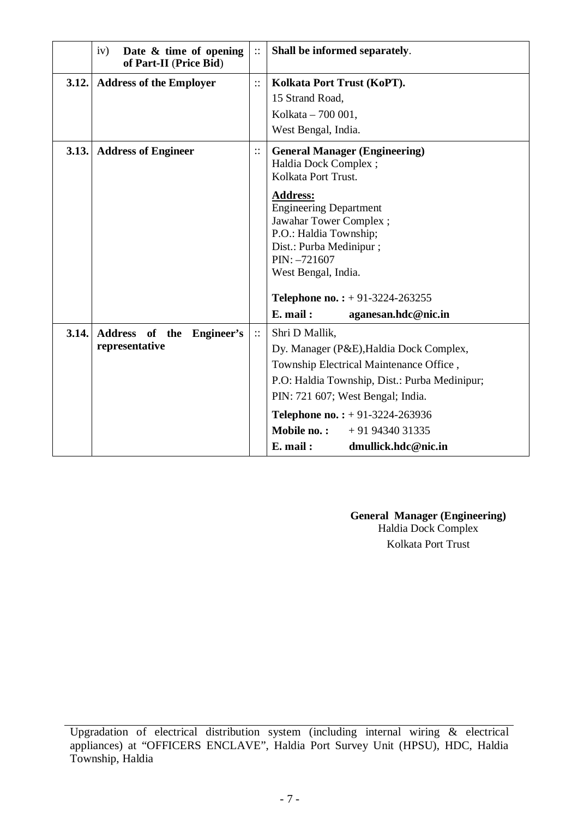|       | iv)<br>Date $\&$ time of opening<br>of Part-II (Price Bid) | $\vdots$ | Shall be informed separately.                                                                                                                                                                                                                                                                                                                   |  |
|-------|------------------------------------------------------------|----------|-------------------------------------------------------------------------------------------------------------------------------------------------------------------------------------------------------------------------------------------------------------------------------------------------------------------------------------------------|--|
| 3.12. | <b>Address of the Employer</b>                             | $\vdots$ | Kolkata Port Trust (KoPT).<br>15 Strand Road,<br>Kolkata - 700 001,<br>West Bengal, India.                                                                                                                                                                                                                                                      |  |
| 3.13. | <b>Address of Engineer</b>                                 | $\vdots$ | <b>General Manager (Engineering)</b><br>Haldia Dock Complex;<br>Kolkata Port Trust.<br><b>Address:</b><br><b>Engineering Department</b><br>Jawahar Tower Complex;<br>P.O.: Haldia Township;<br>Dist.: Purba Medinipur;<br>$PIN: -721607$<br>West Bengal, India.<br><b>Telephone no.:</b> $+91-3224-263255$<br>$E.$ mail:<br>aganesan.hdc@nic.in |  |
| 3.14. | Address of the<br>Engineer's<br>representative             | $\vdots$ | Shri D Mallik,<br>Dy. Manager (P&E), Haldia Dock Complex,<br>Township Electrical Maintenance Office,<br>P.O: Haldia Township, Dist.: Purba Medinipur;<br>PIN: 721 607; West Bengal; India.<br><b>Telephone no.:</b> $+91-3224-263936$<br>Mobile no.:<br>$+919434031335$<br>E. mail:<br>dmullick.hdc@nic.in                                      |  |

**General Manager (Engineering)** Haldia Dock Complex Kolkata Port Trust

Upgradation of electrical distribution system (including internal wiring & electrical appliances) at "OFFICERS ENCLAVE", Haldia Port Survey Unit (HPSU), HDC, Haldia Township, Haldia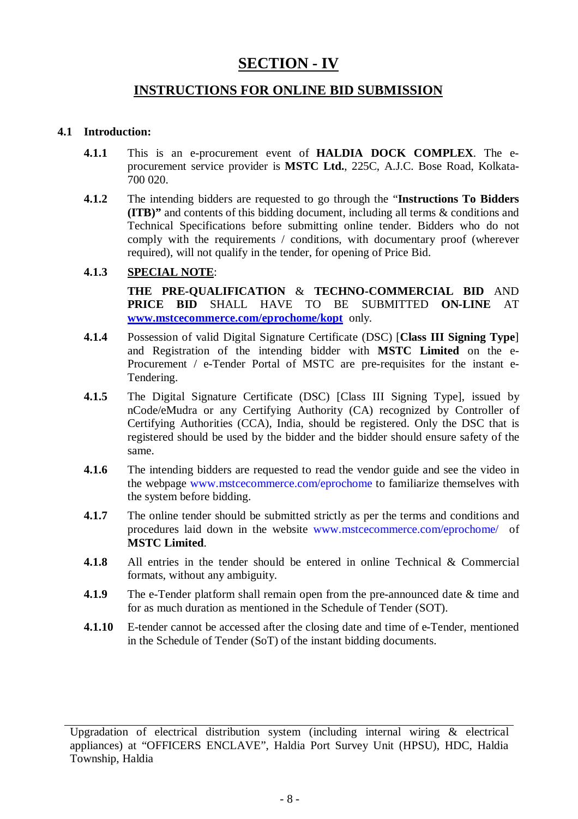## **SECTION - IV**

### **INSTRUCTIONS FOR ONLINE BID SUBMISSION**

#### **4.1 Introduction:**

- **4.1.1** This is an e-procurement event of **HALDIA DOCK COMPLEX**. The eprocurement service provider is **MSTC Ltd.**, 225C, A.J.C. Bose Road, Kolkata-700 020.
- **4.1.2** The intending bidders are requested to go through the "**Instructions To Bidders (ITB)"** and contents of this bidding document, including all terms & conditions and Technical Specifications before submitting online tender. Bidders who do not comply with the requirements / conditions, with documentary proof (wherever required), will not qualify in the tender, for opening of Price Bid.

#### **4.1.3 SPECIAL NOTE**:

**THE PRE-QUALIFICATION** & **TECHNO-COMMERCIAL BID** AND **PRICE BID** SHALL HAVE TO BE SUBMITTED **ON-LINE** AT **www.mstcecommerce.com/eprochome/kopt** only.

- **4.1.4** Possession of valid Digital Signature Certificate (DSC) [**Class III Signing Type**] and Registration of the intending bidder with **MSTC Limited** on the e-Procurement / e-Tender Portal of MSTC are pre-requisites for the instant e-Tendering.
- **4.1.5** The Digital Signature Certificate (DSC) [Class III Signing Type], issued by nCode/eMudra or any Certifying Authority (CA) recognized by Controller of Certifying Authorities (CCA), India, should be registered. Only the DSC that is registered should be used by the bidder and the bidder should ensure safety of the same.
- **4.1.6** The intending bidders are requested to read the vendor guide and see the video in the webpage www.mstcecommerce.com/eprochome to familiarize themselves with the system before bidding.
- **4.1.7** The online tender should be submitted strictly as per the terms and conditions and procedures laid down in the website www.mstcecommerce.com/eprochome/ of **MSTC Limited**.
- **4.1.8** All entries in the tender should be entered in online Technical & Commercial formats, without any ambiguity.
- **4.1.9** The e-Tender platform shall remain open from the pre-announced date & time and for as much duration as mentioned in the Schedule of Tender (SOT).
- **4.1.10** E-tender cannot be accessed after the closing date and time of e-Tender, mentioned in the Schedule of Tender (SoT) of the instant bidding documents.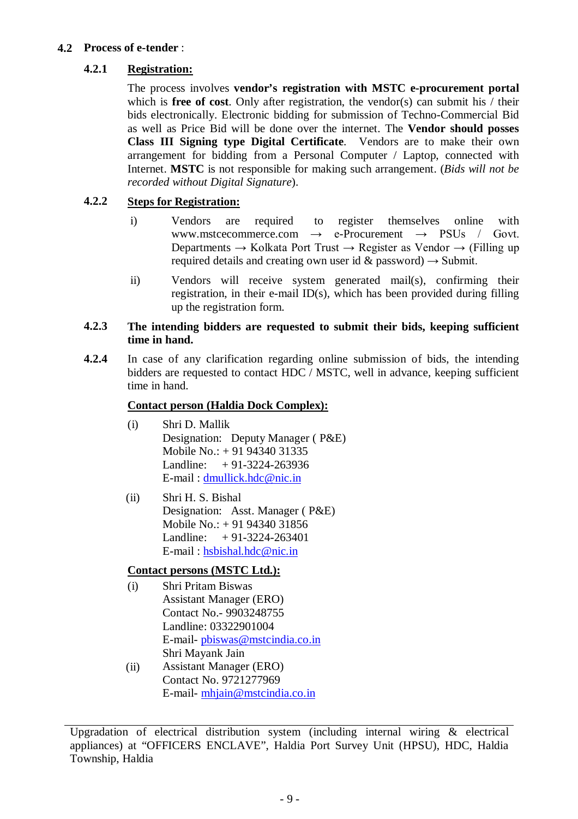#### **4.2 Process of e-tender** :

#### **4.2.1 Registration:**

The process involves **vendor's registration with MSTC e-procurement portal** which is **free of cost**. Only after registration, the vendor(s) can submit his / their bids electronically. Electronic bidding for submission of Techno-Commercial Bid as well as Price Bid will be done over the internet. The **Vendor should posses Class III Signing type Digital Certificate**. Vendors are to make their own arrangement for bidding from a Personal Computer / Laptop, connected with Internet. **MSTC** is not responsible for making such arrangement. (*Bids will not be recorded without Digital Signature*).

#### **4.2.2 Steps for Registration:**

- i) Vendors are required to register themselves online with www.mstcecommerce.com  $\rightarrow$  e-Procurement  $\rightarrow$  PSUs / Govt. Departments  $\rightarrow$  Kolkata Port Trust  $\rightarrow$  Register as Vendor  $\rightarrow$  (Filling up) required details and creating own user id & password)  $\rightarrow$  Submit.
- ii) Vendors will receive system generated mail(s), confirming their registration, in their e-mail ID(s), which has been provided during filling up the registration form.

#### **4.2.3 The intending bidders are requested to submit their bids, keeping sufficient time in hand.**

**4.2.4** In case of any clarification regarding online submission of bids, the intending bidders are requested to contact HDC / MSTC, well in advance, keeping sufficient time in hand.

#### **Contact person (Haldia Dock Complex):**

- (i) Shri D. Mallik Designation: Deputy Manager ( P&E) Mobile No.: + 91 94340 31335 Landline:  $+91-3224-263936$ E-mail : dmullick.hdc@nic.in
- (ii) Shri H. S. Bishal Designation: Asst. Manager ( P&E) Mobile No.: + 91 94340 31856 Landline:  $+91-3224-263401$ E-mail : hsbishal.hdc@nic.in

#### **Contact persons (MSTC Ltd.):**

- (i) Shri Pritam Biswas Assistant Manager (ERO) Contact No.- 9903248755 Landline: 03322901004 E-mail- pbiswas@mstcindia.co.in Shri Mayank Jain
- (ii) Assistant Manager (ERO) Contact No. 9721277969 E-mail- mhjain@mstcindia.co.in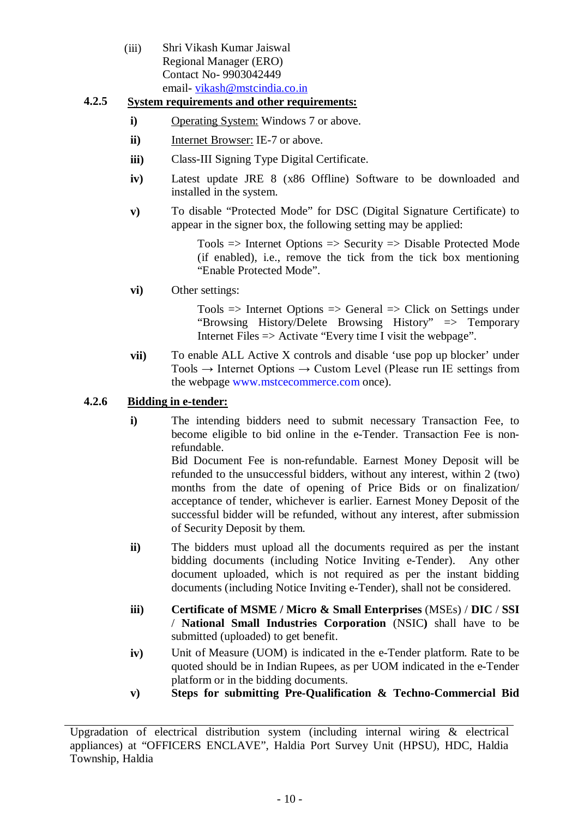(iii) Shri Vikash Kumar Jaiswal Regional Manager (ERO) Contact No- 9903042449 email- vikash@mstcindia.co.in

#### **4.2.5 System requirements and other requirements:**

- **i)** Operating System: Windows 7 or above.
- **ii)** Internet Browser: IE-7 or above.
- **iii)** Class-III Signing Type Digital Certificate.
- **iv)** Latest update JRE 8 (x86 Offline) Software to be downloaded and installed in the system.
- **v)** To disable "Protected Mode" for DSC (Digital Signature Certificate) to appear in the signer box, the following setting may be applied:

 $Tools$  => Internet Options => Security => Disable Protected Mode (if enabled), i.e., remove the tick from the tick box mentioning "Enable Protected Mode".

**vi)** Other settings:

 $Tools$  => Internet Options => General => Click on Settings under "Browsing History/Delete Browsing History" => Temporary Internet Files  $\Rightarrow$  Activate "Every time I visit the webpage".

**vii)** To enable ALL Active X controls and disable 'use pop up blocker' under Tools  $\rightarrow$  Internet Options  $\rightarrow$  Custom Level (Please run IE settings from the webpage www.mstcecommerce.com once).

#### **4.2.6 Bidding in e-tender:**

**i)** The intending bidders need to submit necessary Transaction Fee, to become eligible to bid online in the e-Tender. Transaction Fee is nonrefundable.

Bid Document Fee is non-refundable. Earnest Money Deposit will be refunded to the unsuccessful bidders, without any interest, within 2 (two) months from the date of opening of Price Bids or on finalization/ acceptance of tender, whichever is earlier. Earnest Money Deposit of the successful bidder will be refunded, without any interest, after submission of Security Deposit by them.

- **ii)** The bidders must upload all the documents required as per the instant bidding documents (including Notice Inviting e-Tender). Any other document uploaded, which is not required as per the instant bidding documents (including Notice Inviting e-Tender), shall not be considered.
- **iii) Certificate of MSME / Micro & Small Enterprises** (MSEs) / **DIC** / **SSI** / **National Small Industries Corporation** (NSIC**)** shall have to be submitted (uploaded) to get benefit.
- **iv)** Unit of Measure (UOM) is indicated in the e-Tender platform. Rate to be quoted should be in Indian Rupees, as per UOM indicated in the e-Tender platform or in the bidding documents.
- **v) Steps for submitting Pre-Qualification & Techno-Commercial Bid**

Upgradation of electrical distribution system (including internal wiring & electrical appliances) at "OFFICERS ENCLAVE", Haldia Port Survey Unit (HPSU), HDC, Haldia Township, Haldia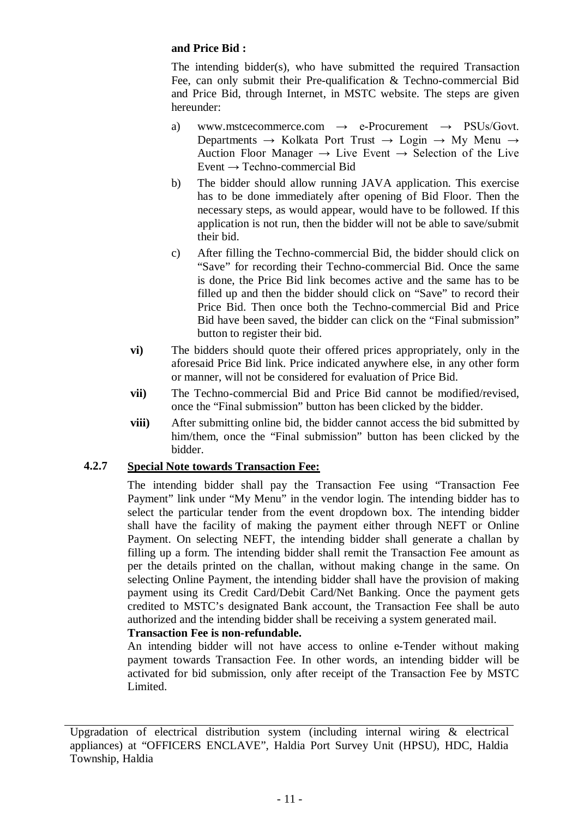#### **and Price Bid :**

The intending bidder(s), who have submitted the required Transaction Fee, can only submit their Pre-qualification & Techno-commercial Bid and Price Bid, through Internet, in MSTC website. The steps are given hereunder:

- a) www.mstcecommerce.com  $\rightarrow$  e-Procurement  $\rightarrow$  PSUs/Govt. Departments  $\rightarrow$  Kolkata Port Trust  $\rightarrow$  Login  $\rightarrow$  My Menu  $\rightarrow$ Auction Floor Manager  $\rightarrow$  Live Event  $\rightarrow$  Selection of the Live Event  $\rightarrow$  Techno-commercial Bid
- b) The bidder should allow running JAVA application. This exercise has to be done immediately after opening of Bid Floor. Then the necessary steps, as would appear, would have to be followed. If this application is not run, then the bidder will not be able to save/submit their bid.
- c) After filling the Techno-commercial Bid, the bidder should click on "Save" for recording their Techno-commercial Bid. Once the same is done, the Price Bid link becomes active and the same has to be filled up and then the bidder should click on "Save" to record their Price Bid. Then once both the Techno-commercial Bid and Price Bid have been saved, the bidder can click on the "Final submission" button to register their bid.
- **vi)** The bidders should quote their offered prices appropriately, only in the aforesaid Price Bid link. Price indicated anywhere else, in any other form or manner, will not be considered for evaluation of Price Bid.
- **vii)** The Techno-commercial Bid and Price Bid cannot be modified/revised, once the "Final submission" button has been clicked by the bidder.
- **viii)** After submitting online bid, the bidder cannot access the bid submitted by him/them, once the "Final submission" button has been clicked by the bidder.

#### **4.2.7 Special Note towards Transaction Fee:**

The intending bidder shall pay the Transaction Fee using "Transaction Fee Payment" link under "My Menu" in the vendor login. The intending bidder has to select the particular tender from the event dropdown box. The intending bidder shall have the facility of making the payment either through NEFT or Online Payment. On selecting NEFT, the intending bidder shall generate a challan by filling up a form. The intending bidder shall remit the Transaction Fee amount as per the details printed on the challan, without making change in the same. On selecting Online Payment, the intending bidder shall have the provision of making payment using its Credit Card/Debit Card/Net Banking. Once the payment gets credited to MSTC's designated Bank account, the Transaction Fee shall be auto authorized and the intending bidder shall be receiving a system generated mail.

#### **Transaction Fee is non-refundable.**

An intending bidder will not have access to online e-Tender without making payment towards Transaction Fee. In other words, an intending bidder will be activated for bid submission, only after receipt of the Transaction Fee by MSTC Limited.

Upgradation of electrical distribution system (including internal wiring & electrical appliances) at "OFFICERS ENCLAVE", Haldia Port Survey Unit (HPSU), HDC, Haldia Township, Haldia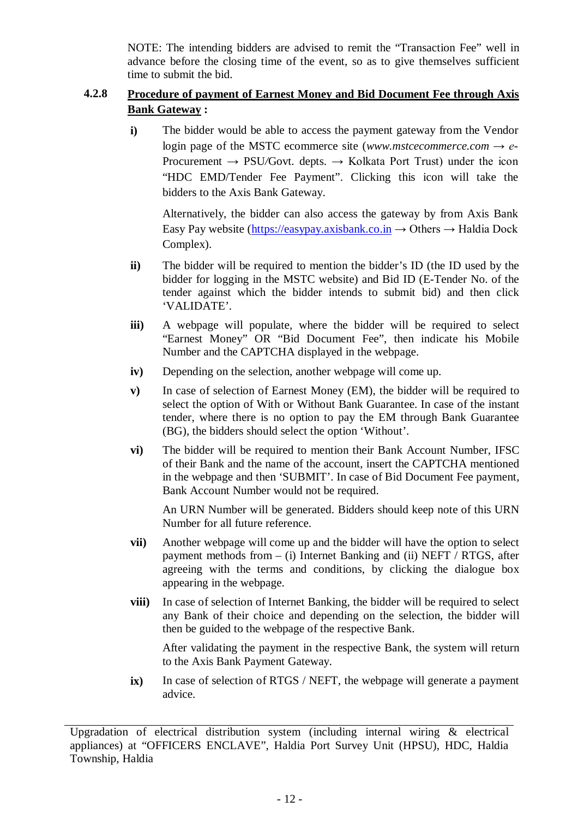NOTE: The intending bidders are advised to remit the "Transaction Fee" well in advance before the closing time of the event, so as to give themselves sufficient time to submit the bid.

#### **4.2.8 Procedure of payment of Earnest Money and Bid Document Fee through Axis Bank Gateway :**

**i)** The bidder would be able to access the payment gateway from the Vendor login page of the MSTC ecommerce site (*www.mstcecommerce.com → e-*Procurement *→* PSU*/*Govt. depts. → Kolkata Port Trust) under the icon "HDC EMD/Tender Fee Payment". Clicking this icon will take the bidders to the Axis Bank Gateway.

Alternatively, the bidder can also access the gateway by from Axis Bank Easy Pay website (https://easypay.axisbank.co.in  $\rightarrow$  Others  $\rightarrow$  Haldia Dock Complex).

- **ii)** The bidder will be required to mention the bidder's ID (the ID used by the bidder for logging in the MSTC website) and Bid ID (E-Tender No. of the tender against which the bidder intends to submit bid) and then click 'VALIDATE'.
- **iii)** A webpage will populate, where the bidder will be required to select "Earnest Money" OR "Bid Document Fee", then indicate his Mobile Number and the CAPTCHA displayed in the webpage.
- **iv)** Depending on the selection, another webpage will come up.
- **v)** In case of selection of Earnest Money (EM), the bidder will be required to select the option of With or Without Bank Guarantee. In case of the instant tender, where there is no option to pay the EM through Bank Guarantee (BG), the bidders should select the option 'Without'.
- **vi)** The bidder will be required to mention their Bank Account Number, IFSC of their Bank and the name of the account, insert the CAPTCHA mentioned in the webpage and then 'SUBMIT'. In case of Bid Document Fee payment, Bank Account Number would not be required.

An URN Number will be generated. Bidders should keep note of this URN Number for all future reference.

- **vii)** Another webpage will come up and the bidder will have the option to select payment methods from  $-$  (i) Internet Banking and (ii) NEFT / RTGS, after agreeing with the terms and conditions, by clicking the dialogue box appearing in the webpage.
- **viii)** In case of selection of Internet Banking, the bidder will be required to select any Bank of their choice and depending on the selection, the bidder will then be guided to the webpage of the respective Bank.

After validating the payment in the respective Bank, the system will return to the Axis Bank Payment Gateway.

**ix)** In case of selection of RTGS / NEFT, the webpage will generate a payment advice.

Upgradation of electrical distribution system (including internal wiring & electrical appliances) at "OFFICERS ENCLAVE", Haldia Port Survey Unit (HPSU), HDC, Haldia Township, Haldia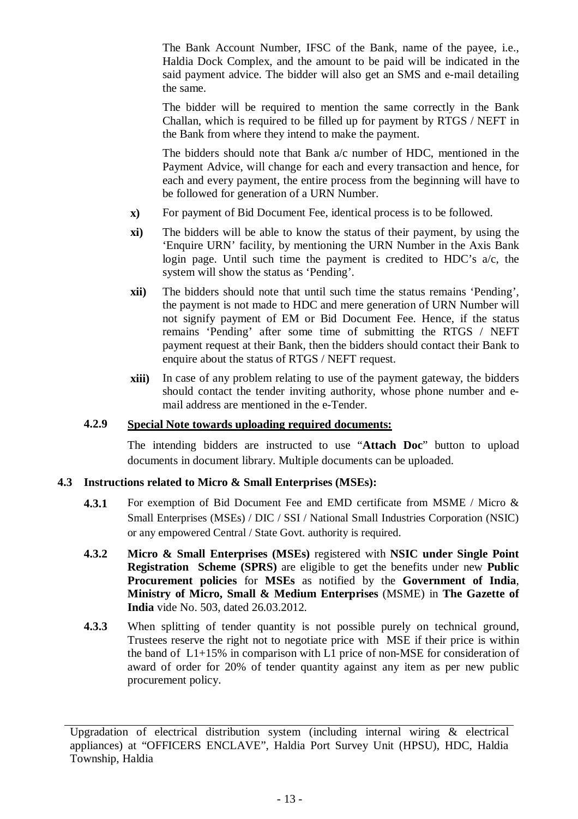The Bank Account Number, IFSC of the Bank, name of the payee, i.e., Haldia Dock Complex, and the amount to be paid will be indicated in the said payment advice. The bidder will also get an SMS and e-mail detailing the same.

The bidder will be required to mention the same correctly in the Bank Challan, which is required to be filled up for payment by RTGS / NEFT in the Bank from where they intend to make the payment.

The bidders should note that Bank a/c number of HDC, mentioned in the Payment Advice, will change for each and every transaction and hence, for each and every payment, the entire process from the beginning will have to be followed for generation of a URN Number.

- **x)** For payment of Bid Document Fee, identical process is to be followed.
- **xi)** The bidders will be able to know the status of their payment, by using the 'Enquire URN' facility, by mentioning the URN Number in the Axis Bank login page. Until such time the payment is credited to HDC's a/c, the system will show the status as 'Pending'.
- **xii)** The bidders should note that until such time the status remains 'Pending', the payment is not made to HDC and mere generation of URN Number will not signify payment of EM or Bid Document Fee. Hence, if the status remains 'Pending' after some time of submitting the RTGS / NEFT payment request at their Bank, then the bidders should contact their Bank to enquire about the status of RTGS / NEFT request.
- **xiii)** In case of any problem relating to use of the payment gateway, the bidders should contact the tender inviting authority, whose phone number and email address are mentioned in the e-Tender.

#### **4.2.9 Special Note towards uploading required documents:**

The intending bidders are instructed to use "**Attach Doc**" button to upload documents in document library. Multiple documents can be uploaded.

#### **4.3 Instructions related to Micro & Small Enterprises (MSEs):**

- **4.3.1** For exemption of Bid Document Fee and EMD certificate from MSME / Micro & Small Enterprises (MSEs) / DIC / SSI / National Small Industries Corporation (NSIC) or any empowered Central / State Govt. authority is required.
- **4.3.2 Micro & Small Enterprises (MSEs)** registered with **NSIC under Single Point Registration Scheme (SPRS)** are eligible to get the benefits under new **Public Procurement policies** for **MSEs** as notified by the **Government of India**, **Ministry of Micro, Small & Medium Enterprises** (MSME) in **The Gazette of India** vide No. 503, dated 26.03.2012.
- **4.3.3** When splitting of tender quantity is not possible purely on technical ground, Trustees reserve the right not to negotiate price with MSE if their price is within the band of L1+15% in comparison with L1 price of non-MSE for consideration of award of order for 20% of tender quantity against any item as per new public procurement policy.

Upgradation of electrical distribution system (including internal wiring & electrical appliances) at "OFFICERS ENCLAVE", Haldia Port Survey Unit (HPSU), HDC, Haldia Township, Haldia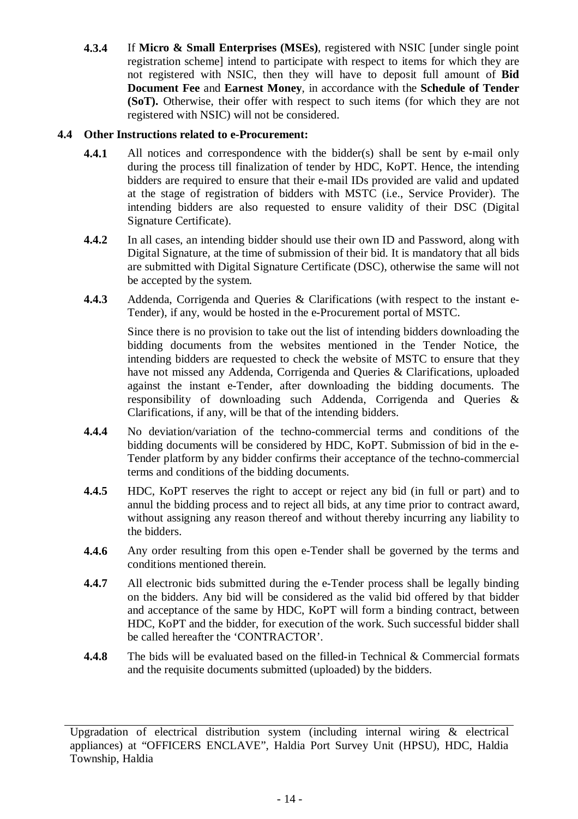**4.3.4** If **Micro & Small Enterprises (MSEs)**, registered with NSIC [under single point registration scheme] intend to participate with respect to items for which they are not registered with NSIC, then they will have to deposit full amount of **Bid Document Fee** and **Earnest Money**, in accordance with the **Schedule of Tender (SoT).** Otherwise, their offer with respect to such items (for which they are not registered with NSIC) will not be considered.

#### **4.4 Other Instructions related to e-Procurement:**

- **4.4.1** All notices and correspondence with the bidder(s) shall be sent by e-mail only during the process till finalization of tender by HDC, KoPT. Hence, the intending bidders are required to ensure that their e-mail IDs provided are valid and updated at the stage of registration of bidders with MSTC (i.e., Service Provider). The intending bidders are also requested to ensure validity of their DSC (Digital Signature Certificate).
- **4.4.2** In all cases, an intending bidder should use their own ID and Password, along with Digital Signature, at the time of submission of their bid. It is mandatory that all bids are submitted with Digital Signature Certificate (DSC), otherwise the same will not be accepted by the system.
- **4.4.3** Addenda, Corrigenda and Queries & Clarifications (with respect to the instant e-Tender), if any, would be hosted in the e-Procurement portal of MSTC.

Since there is no provision to take out the list of intending bidders downloading the bidding documents from the websites mentioned in the Tender Notice, the intending bidders are requested to check the website of MSTC to ensure that they have not missed any Addenda, Corrigenda and Queries & Clarifications, uploaded against the instant e-Tender, after downloading the bidding documents. The responsibility of downloading such Addenda, Corrigenda and Queries & Clarifications, if any, will be that of the intending bidders.

- **4.4.4** No deviation/variation of the techno-commercial terms and conditions of the bidding documents will be considered by HDC, KoPT. Submission of bid in the e-Tender platform by any bidder confirms their acceptance of the techno-commercial terms and conditions of the bidding documents.
- **4.4.5** HDC, KoPT reserves the right to accept or reject any bid (in full or part) and to annul the bidding process and to reject all bids, at any time prior to contract award, without assigning any reason thereof and without thereby incurring any liability to the bidders.
- **4.4.6** Any order resulting from this open e-Tender shall be governed by the terms and conditions mentioned therein.
- **4.4.7** All electronic bids submitted during the e-Tender process shall be legally binding on the bidders. Any bid will be considered as the valid bid offered by that bidder and acceptance of the same by HDC, KoPT will form a binding contract, between HDC, KoPT and the bidder, for execution of the work. Such successful bidder shall be called hereafter the 'CONTRACTOR'.
- **4.4.8** The bids will be evaluated based on the filled-in Technical & Commercial formats and the requisite documents submitted (uploaded) by the bidders.

Upgradation of electrical distribution system (including internal wiring & electrical appliances) at "OFFICERS ENCLAVE", Haldia Port Survey Unit (HPSU), HDC, Haldia Township, Haldia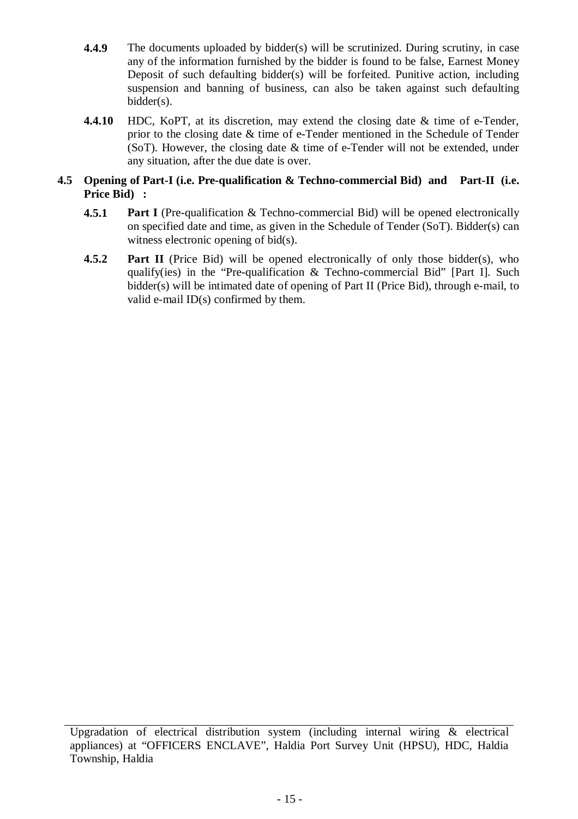- **4.4.9** The documents uploaded by bidder(s) will be scrutinized. During scrutiny, in case any of the information furnished by the bidder is found to be false, Earnest Money Deposit of such defaulting bidder(s) will be forfeited. Punitive action, including suspension and banning of business, can also be taken against such defaulting bidder(s).
- **4.4.10** HDC, KoPT, at its discretion, may extend the closing date & time of e-Tender, prior to the closing date & time of e-Tender mentioned in the Schedule of Tender (SoT). However, the closing date & time of e-Tender will not be extended, under any situation, after the due date is over.

#### **4.5 Opening of Part-I (i.e. Pre-qualification & Techno-commercial Bid) and Part-II (i.e. Price Bid) :**

- **4.5.1 Part I** (Pre-qualification & Techno-commercial Bid) will be opened electronically on specified date and time, as given in the Schedule of Tender (SoT). Bidder(s) can witness electronic opening of bid(s).
- **4.5.2 Part II** (Price Bid) will be opened electronically of only those bidder(s), who qualify(ies) in the "Pre-qualification & Techno-commercial Bid" [Part I]. Such bidder(s) will be intimated date of opening of Part II (Price Bid), through e-mail, to valid e-mail ID(s) confirmed by them.

Upgradation of electrical distribution system (including internal wiring & electrical appliances) at "OFFICERS ENCLAVE", Haldia Port Survey Unit (HPSU), HDC, Haldia Township, Haldia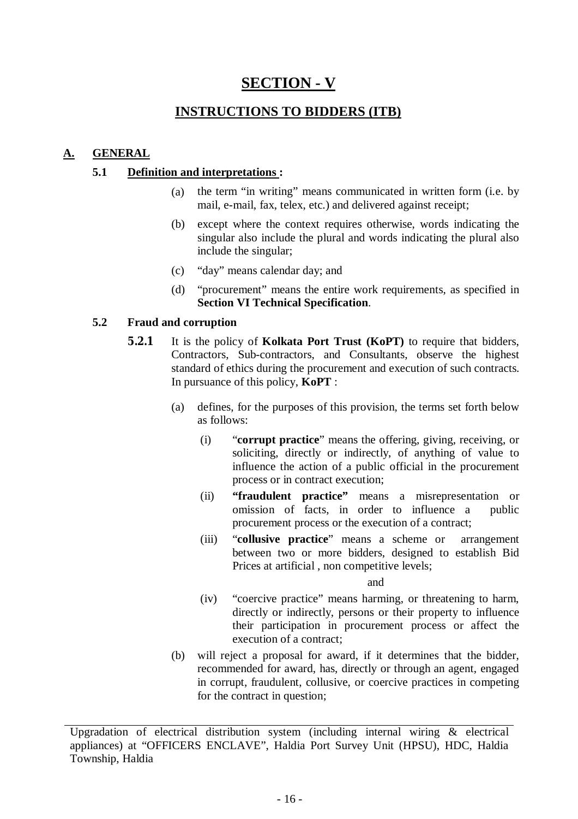## **SECTION - V**

### **INSTRUCTIONS TO BIDDERS (ITB)**

#### **A. GENERAL**

#### **5.1 Definition and interpretations :**

- (a) the term "in writing" means communicated in written form (i.e. by mail, e-mail, fax, telex, etc.) and delivered against receipt;
- (b) except where the context requires otherwise, words indicating the singular also include the plural and words indicating the plural also include the singular;
- (c) "day" means calendar day; and
- (d) "procurement" means the entire work requirements, as specified in **Section VI Technical Specification**.

#### **5.2 Fraud and corruption**

- **5.2.1** It is the policy of **Kolkata Port Trust (KoPT)** to require that bidders, Contractors, Sub-contractors, and Consultants, observe the highest standard of ethics during the procurement and execution of such contracts. In pursuance of this policy, **KoPT** :
	- (a) defines, for the purposes of this provision, the terms set forth below as follows:
		- (i) "**corrupt practice**" means the offering, giving, receiving, or soliciting, directly or indirectly, of anything of value to influence the action of a public official in the procurement process or in contract execution;
		- (ii) **"fraudulent practice"** means a misrepresentation or omission of facts, in order to influence a public procurement process or the execution of a contract;
		- (iii) "**collusive practice**" means a scheme or arrangement between two or more bidders, designed to establish Bid Prices at artificial , non competitive levels;

and

- (iv) "coercive practice" means harming, or threatening to harm, directly or indirectly, persons or their property to influence their participation in procurement process or affect the execution of a contract;
- (b) will reject a proposal for award, if it determines that the bidder, recommended for award, has, directly or through an agent, engaged in corrupt, fraudulent, collusive, or coercive practices in competing for the contract in question;

Upgradation of electrical distribution system (including internal wiring & electrical appliances) at "OFFICERS ENCLAVE", Haldia Port Survey Unit (HPSU), HDC, Haldia Township, Haldia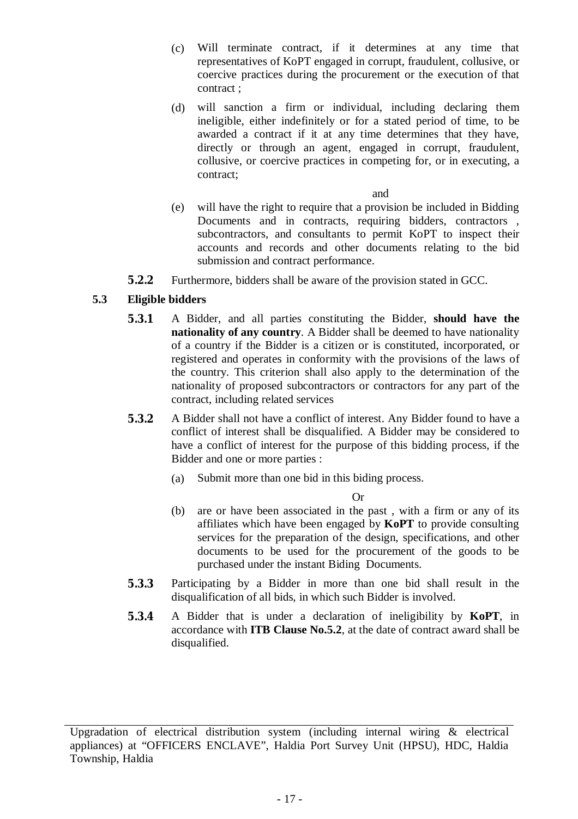- (c) Will terminate contract, if it determines at any time that representatives of KoPT engaged in corrupt, fraudulent, collusive, or coercive practices during the procurement or the execution of that contract ;
- (d) will sanction a firm or individual, including declaring them ineligible, either indefinitely or for a stated period of time, to be awarded a contract if it at any time determines that they have, directly or through an agent, engaged in corrupt, fraudulent, collusive, or coercive practices in competing for, or in executing, a contract;

and

- (e) will have the right to require that a provision be included in Bidding Documents and in contracts, requiring bidders, contractors , subcontractors, and consultants to permit KoPT to inspect their accounts and records and other documents relating to the bid submission and contract performance.
- **5.2.2** Furthermore, bidders shall be aware of the provision stated in GCC.

#### **5.3 Eligible bidders**

- **5.3.1** A Bidder, and all parties constituting the Bidder, **should have the nationality of any country**. A Bidder shall be deemed to have nationality of a country if the Bidder is a citizen or is constituted, incorporated, or registered and operates in conformity with the provisions of the laws of the country. This criterion shall also apply to the determination of the nationality of proposed subcontractors or contractors for any part of the contract, including related services
- **5.3.2** A Bidder shall not have a conflict of interest. Any Bidder found to have a conflict of interest shall be disqualified. A Bidder may be considered to have a conflict of interest for the purpose of this bidding process, if the Bidder and one or more parties :
	- (a) Submit more than one bid in this biding process.

Or

- (b) are or have been associated in the past , with a firm or any of its affiliates which have been engaged by **KoPT** to provide consulting services for the preparation of the design, specifications, and other documents to be used for the procurement of the goods to be purchased under the instant Biding Documents.
- **5.3.3** Participating by a Bidder in more than one bid shall result in the disqualification of all bids, in which such Bidder is involved.
- **5.3.4** A Bidder that is under a declaration of ineligibility by **KoPT**, in accordance with **ITB Clause No.5.2**, at the date of contract award shall be disqualified.

Upgradation of electrical distribution system (including internal wiring & electrical appliances) at "OFFICERS ENCLAVE", Haldia Port Survey Unit (HPSU), HDC, Haldia Township, Haldia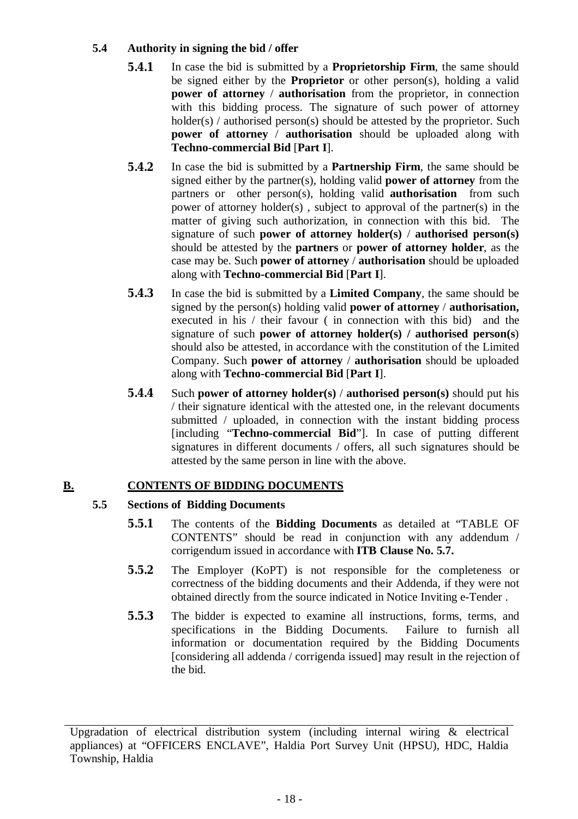#### **5.4 Authority in signing the bid / offer**

- **5.4.1** In case the bid is submitted by a **Proprietorship Firm**, the same should be signed either by the **Proprietor** or other person(s), holding a valid **power of attorney** / **authorisation** from the proprietor, in connection with this bidding process. The signature of such power of attorney holder(s) / authorised person(s) should be attested by the proprietor. Such **power of attorney** / **authorisation** should be uploaded along with **Techno-commercial Bid** [**Part I**].
- **5.4.2** In case the bid is submitted by a **Partnership Firm**, the same should be signed either by the partner(s), holding valid **power of attorney** from the partners or other person(s), holding valid **authorisation** from such power of attorney holder(s) , subject to approval of the partner(s) in the matter of giving such authorization, in connection with this bid. The signature of such **power of attorney holder(s)** / **authorised person(s)** should be attested by the **partners** or **power of attorney holder**, as the case may be. Such **power of attorney** / **authorisation** should be uploaded along with **Techno-commercial Bid** [**Part I**].
- **5.4.3** In case the bid is submitted by a **Limited Company**, the same should be signed by the person(s) holding valid **power of attorney** / **authorisation,** executed in his / their favour ( in connection with this bid) and the signature of such **power of attorney holder(s) / authorised person(s**) should also be attested, in accordance with the constitution of the Limited Company. Such **power of attorney** / **authorisation** should be uploaded along with **Techno-commercial Bid** [**Part I**].
- **5.4.4** Such **power of attorney holder(s)** / **authorised person(s)** should put his / their signature identical with the attested one, in the relevant documents submitted / uploaded, in connection with the instant bidding process [including "**Techno-commercial Bid**"]. In case of putting different signatures in different documents / offers, all such signatures should be attested by the same person in line with the above.

#### **B. CONTENTS OF BIDDING DOCUMENTS**

#### **5.5 Sections of Bidding Documents**

- **5.5.1** The contents of the **Bidding Documents** as detailed at "TABLE OF CONTENTS" should be read in conjunction with any addendum / corrigendum issued in accordance with **ITB Clause No. 5.7.**
- **5.5.2** The Employer (KoPT) is not responsible for the completeness or correctness of the bidding documents and their Addenda, if they were not obtained directly from the source indicated in Notice Inviting e-Tender .
- **5.5.3** The bidder is expected to examine all instructions, forms, terms, and specifications in the Bidding Documents. Failure to furnish all information or documentation required by the Bidding Documents [considering all addenda / corrigenda issued] may result in the rejection of the bid.

Upgradation of electrical distribution system (including internal wiring & electrical appliances) at "OFFICERS ENCLAVE", Haldia Port Survey Unit (HPSU), HDC, Haldia Township, Haldia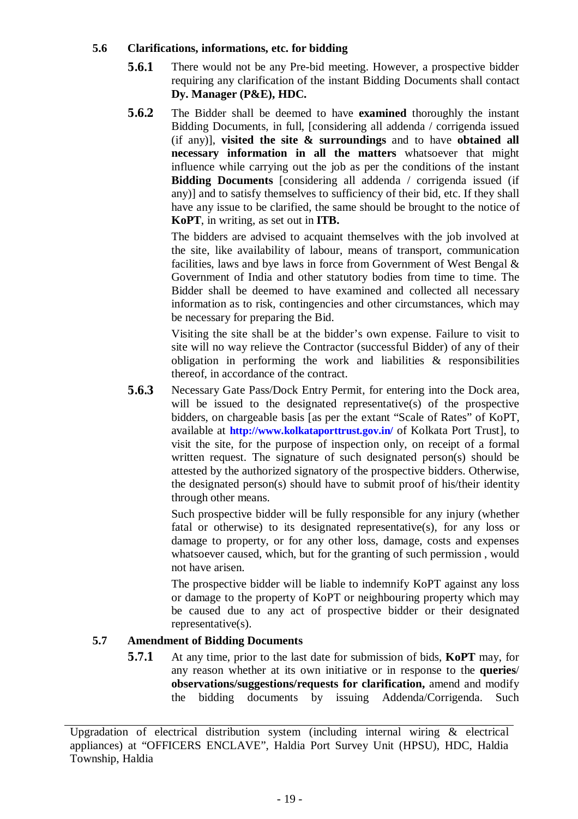#### **5.6 Clarifications, informations, etc. for bidding**

- **5.6.1** There would not be any Pre-bid meeting. However, a prospective bidder requiring any clarification of the instant Bidding Documents shall contact **Dy. Manager (P&E), HDC.**
- **5.6.2** The Bidder shall be deemed to have **examined** thoroughly the instant Bidding Documents, in full, [considering all addenda / corrigenda issued (if any)], **visited the site & surroundings** and to have **obtained all necessary information in all the matters** whatsoever that might influence while carrying out the job as per the conditions of the instant **Bidding Documents** [considering all addenda / corrigenda issued (if any)] and to satisfy themselves to sufficiency of their bid, etc. If they shall have any issue to be clarified, the same should be brought to the notice of **KoPT**, in writing, as set out in **ITB.**

The bidders are advised to acquaint themselves with the job involved at the site, like availability of labour, means of transport, communication facilities, laws and bye laws in force from Government of West Bengal & Government of India and other statutory bodies from time to time. The Bidder shall be deemed to have examined and collected all necessary information as to risk, contingencies and other circumstances, which may be necessary for preparing the Bid.

Visiting the site shall be at the bidder's own expense. Failure to visit to site will no way relieve the Contractor (successful Bidder) of any of their obligation in performing the work and liabilities & responsibilities thereof, in accordance of the contract.

**5.6.3** Necessary Gate Pass/Dock Entry Permit, for entering into the Dock area, will be issued to the designated representative(s) of the prospective bidders, on chargeable basis [as per the extant "Scale of Rates" of KoPT, available at **http://www.kolkataporttrust.gov.in/** of Kolkata Port Trust], to visit the site, for the purpose of inspection only, on receipt of a formal written request. The signature of such designated person(s) should be attested by the authorized signatory of the prospective bidders. Otherwise, the designated person(s) should have to submit proof of his/their identity through other means.

> Such prospective bidder will be fully responsible for any injury (whether fatal or otherwise) to its designated representative(s), for any loss or damage to property, or for any other loss, damage, costs and expenses whatsoever caused, which, but for the granting of such permission , would not have arisen.

> The prospective bidder will be liable to indemnify KoPT against any loss or damage to the property of KoPT or neighbouring property which may be caused due to any act of prospective bidder or their designated representative(s).

#### **5.7 Amendment of Bidding Documents**

**5.7.1** At any time, prior to the last date for submission of bids, **KoPT** may, for any reason whether at its own initiative or in response to the **queries**/ **observations/suggestions/requests for clarification,** amend and modify the bidding documents by issuing Addenda/Corrigenda. Such

Upgradation of electrical distribution system (including internal wiring & electrical appliances) at "OFFICERS ENCLAVE", Haldia Port Survey Unit (HPSU), HDC, Haldia Township, Haldia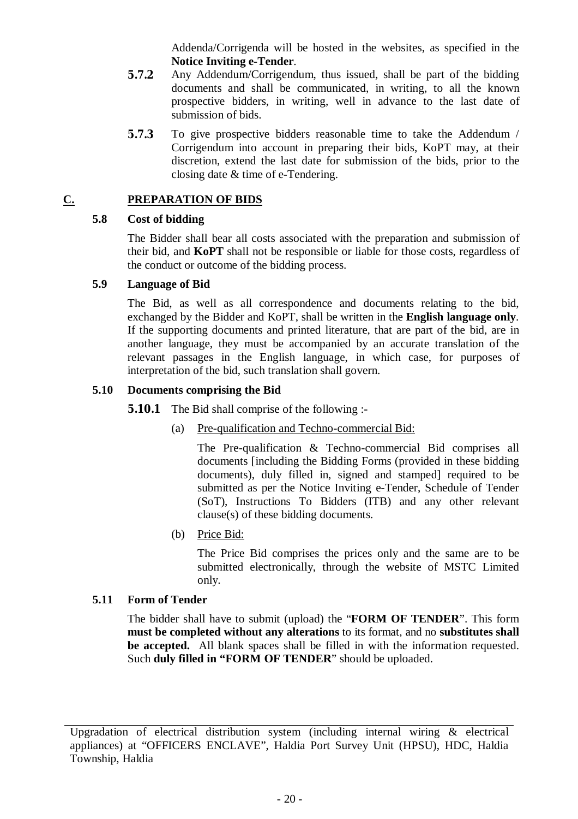Addenda/Corrigenda will be hosted in the websites, as specified in the **Notice Inviting e-Tender**.

- **5.7.2** Any Addendum/Corrigendum, thus issued, shall be part of the bidding documents and shall be communicated, in writing, to all the known prospective bidders, in writing, well in advance to the last date of submission of bids.
- **5.7.3** To give prospective bidders reasonable time to take the Addendum / Corrigendum into account in preparing their bids, KoPT may, at their discretion, extend the last date for submission of the bids, prior to the closing date & time of e-Tendering.

#### **C. PREPARATION OF BIDS**

#### **5.8 Cost of bidding**

The Bidder shall bear all costs associated with the preparation and submission of their bid, and **KoPT** shall not be responsible or liable for those costs, regardless of the conduct or outcome of the bidding process.

#### **5.9 Language of Bid**

The Bid, as well as all correspondence and documents relating to the bid, exchanged by the Bidder and KoPT, shall be written in the **English language only**. If the supporting documents and printed literature, that are part of the bid, are in another language, they must be accompanied by an accurate translation of the relevant passages in the English language, in which case, for purposes of interpretation of the bid, such translation shall govern.

#### **5.10 Documents comprising the Bid**

**5.10.1** The Bid shall comprise of the following :-

(a) Pre-qualification and Techno-commercial Bid:

The Pre-qualification & Techno-commercial Bid comprises all documents [including the Bidding Forms (provided in these bidding documents), duly filled in, signed and stamped] required to be submitted as per the Notice Inviting e-Tender, Schedule of Tender (SoT), Instructions To Bidders (ITB) and any other relevant clause(s) of these bidding documents.

(b) Price Bid:

The Price Bid comprises the prices only and the same are to be submitted electronically, through the website of MSTC Limited only.

#### **5.11 Form of Tender**

The bidder shall have to submit (upload) the "**FORM OF TENDER**". This form **must be completed without any alterations** to its format, and no **substitutes shall be accepted.** All blank spaces shall be filled in with the information requested. Such **duly filled in "FORM OF TENDER**" should be uploaded.

Upgradation of electrical distribution system (including internal wiring & electrical appliances) at "OFFICERS ENCLAVE", Haldia Port Survey Unit (HPSU), HDC, Haldia Township, Haldia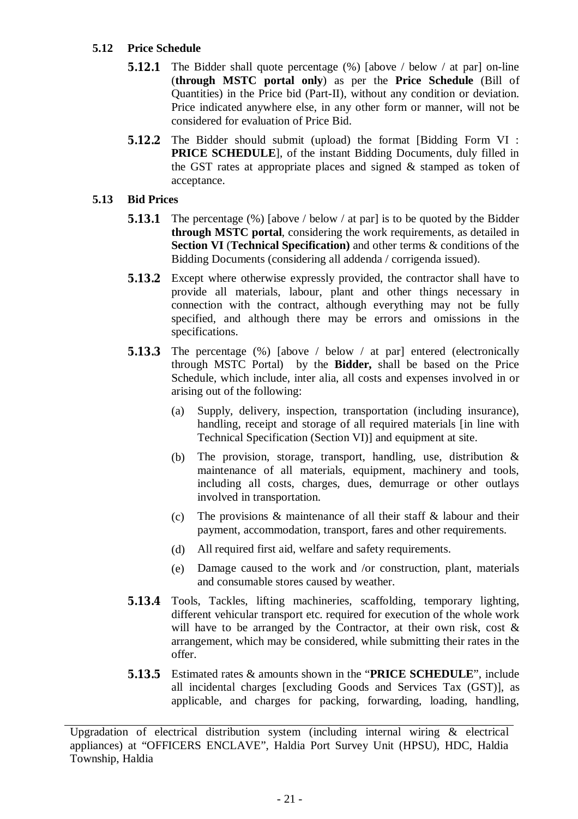#### **5.12 Price Schedule**

- **5.12.1** The Bidder shall quote percentage (%) [above / below / at par] on-line (**through MSTC portal only**) as per the **Price Schedule** (Bill of Quantities) in the Price bid (Part-II), without any condition or deviation. Price indicated anywhere else, in any other form or manner, will not be considered for evaluation of Price Bid.
- **5.12.2** The Bidder should submit (upload) the format [Bidding Form VI : **PRICE SCHEDULE**], of the instant Bidding Documents, duly filled in the GST rates at appropriate places and signed & stamped as token of acceptance.

#### **5.13 Bid Prices**

- **5.13.1** The percentage (%) [above / below / at par] is to be quoted by the Bidder **through MSTC portal**, considering the work requirements, as detailed in **Section VI** (**Technical Specification)** and other terms & conditions of the Bidding Documents (considering all addenda / corrigenda issued).
- **5.13.2** Except where otherwise expressly provided, the contractor shall have to provide all materials, labour, plant and other things necessary in connection with the contract, although everything may not be fully specified, and although there may be errors and omissions in the specifications.
- **5.13.3** The percentage (%) [above / below / at par] entered (electronically through MSTC Portal) by the **Bidder,** shall be based on the Price Schedule, which include, inter alia, all costs and expenses involved in or arising out of the following:
	- (a) Supply, delivery, inspection, transportation (including insurance), handling, receipt and storage of all required materials [in line with Technical Specification (Section VI)] and equipment at site.
	- (b) The provision, storage, transport, handling, use, distribution & maintenance of all materials, equipment, machinery and tools, including all costs, charges, dues, demurrage or other outlays involved in transportation.
	- (c) The provisions  $\&$  maintenance of all their staff  $\&$  labour and their payment, accommodation, transport, fares and other requirements.
	- (d) All required first aid, welfare and safety requirements.
	- (e) Damage caused to the work and /or construction, plant, materials and consumable stores caused by weather.
- **5.13.4** Tools, Tackles, lifting machineries, scaffolding, temporary lighting, different vehicular transport etc. required for execution of the whole work will have to be arranged by the Contractor, at their own risk, cost  $\&$ arrangement, which may be considered, while submitting their rates in the offer.
- **5.13.5** Estimated rates & amounts shown in the "**PRICE SCHEDULE**", include all incidental charges [excluding Goods and Services Tax (GST)], as applicable, and charges for packing, forwarding, loading, handling,

Upgradation of electrical distribution system (including internal wiring & electrical appliances) at "OFFICERS ENCLAVE", Haldia Port Survey Unit (HPSU), HDC, Haldia Township, Haldia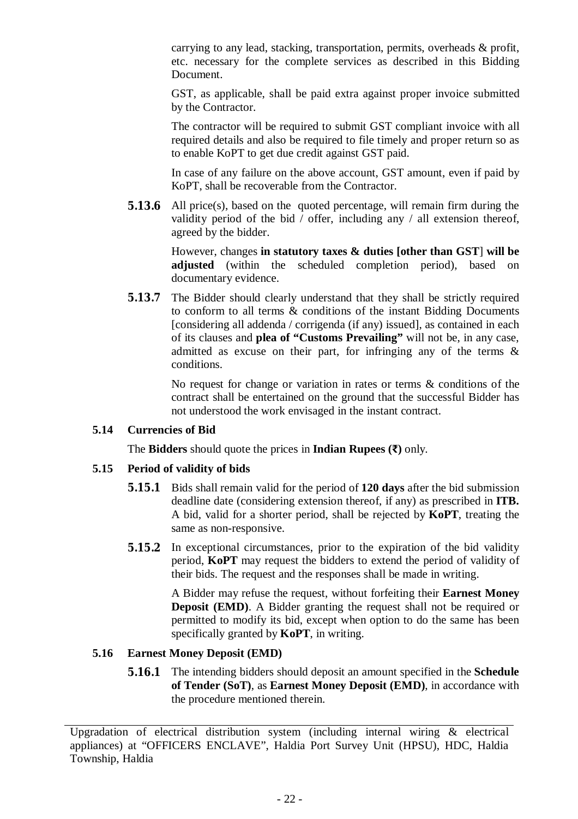carrying to any lead, stacking, transportation, permits, overheads & profit, etc. necessary for the complete services as described in this Bidding Document.

GST, as applicable, shall be paid extra against proper invoice submitted by the Contractor.

The contractor will be required to submit GST compliant invoice with all required details and also be required to file timely and proper return so as to enable KoPT to get due credit against GST paid.

In case of any failure on the above account, GST amount, even if paid by KoPT, shall be recoverable from the Contractor.

**5.13.6** All price(s), based on the quoted percentage, will remain firm during the validity period of the bid / offer, including any / all extension thereof, agreed by the bidder.

> However, changes **in statutory taxes & duties [other than GST**] **will be adjusted** (within the scheduled completion period), based on documentary evidence.

**5.13.7** The Bidder should clearly understand that they shall be strictly required to conform to all terms & conditions of the instant Bidding Documents [considering all addenda / corrigenda (if any) issued], as contained in each of its clauses and **plea of "Customs Prevailing"** will not be, in any case, admitted as excuse on their part, for infringing any of the terms & conditions.

> No request for change or variation in rates or terms & conditions of the contract shall be entertained on the ground that the successful Bidder has not understood the work envisaged in the instant contract.

#### **5.14 Currencies of Bid**

The **Bidders** should quote the prices in **Indian Rupees (₹)** only.

#### **5.15 Period of validity of bids**

- **5.15.1** Bids shall remain valid for the period of **120 days** after the bid submission deadline date (considering extension thereof, if any) as prescribed in **ITB.**  A bid, valid for a shorter period, shall be rejected by **KoPT**, treating the same as non-responsive.
- **5.15.2** In exceptional circumstances, prior to the expiration of the bid validity period, **KoPT** may request the bidders to extend the period of validity of their bids. The request and the responses shall be made in writing.

A Bidder may refuse the request, without forfeiting their **Earnest Money Deposit (EMD)**. A Bidder granting the request shall not be required or permitted to modify its bid, except when option to do the same has been specifically granted by **KoPT**, in writing.

#### **5.16 Earnest Money Deposit (EMD)**

**5.16.1** The intending bidders should deposit an amount specified in the **Schedule of Tender (SoT)**, as **Earnest Money Deposit (EMD)**, in accordance with the procedure mentioned therein.

Upgradation of electrical distribution system (including internal wiring & electrical appliances) at "OFFICERS ENCLAVE", Haldia Port Survey Unit (HPSU), HDC, Haldia Township, Haldia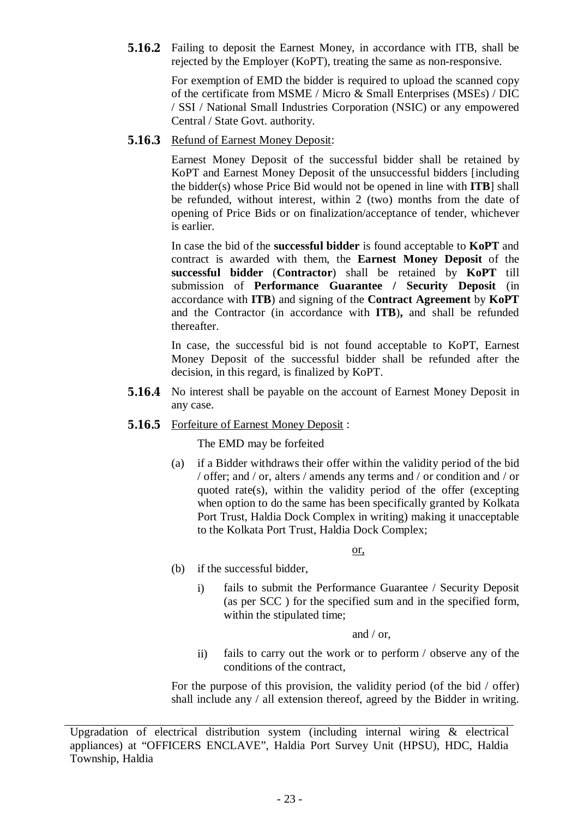**5.16.2** Failing to deposit the Earnest Money, in accordance with ITB, shall be rejected by the Employer (KoPT), treating the same as non-responsive.

> For exemption of EMD the bidder is required to upload the scanned copy of the certificate from MSME / Micro & Small Enterprises (MSEs) / DIC / SSI / National Small Industries Corporation (NSIC) or any empowered Central / State Govt. authority.

#### **5.16.3** Refund of Earnest Money Deposit:

Earnest Money Deposit of the successful bidder shall be retained by KoPT and Earnest Money Deposit of the unsuccessful bidders [including the bidder(s) whose Price Bid would not be opened in line with **ITB**] shall be refunded, without interest, within 2 (two) months from the date of opening of Price Bids or on finalization/acceptance of tender, whichever is earlier.

In case the bid of the **successful bidder** is found acceptable to **KoPT** and contract is awarded with them, the **Earnest Money Deposit** of the **successful bidder** (**Contractor**) shall be retained by **KoPT** till submission of **Performance Guarantee / Security Deposit** (in accordance with **ITB**) and signing of the **Contract Agreement** by **KoPT**  and the Contractor (in accordance with **ITB**)**,** and shall be refunded thereafter.

In case, the successful bid is not found acceptable to KoPT, Earnest Money Deposit of the successful bidder shall be refunded after the decision, in this regard, is finalized by KoPT.

- **5.16.4** No interest shall be payable on the account of Earnest Money Deposit in any case.
- **5.16.5** Forfeiture of Earnest Money Deposit :

The EMD may be forfeited

(a) if a Bidder withdraws their offer within the validity period of the bid / offer; and / or, alters / amends any terms and / or condition and / or quoted rate(s), within the validity period of the offer (excepting when option to do the same has been specifically granted by Kolkata Port Trust, Haldia Dock Complex in writing) making it unacceptable to the Kolkata Port Trust, Haldia Dock Complex;

or,

- (b) if the successful bidder,
	- i) fails to submit the Performance Guarantee / Security Deposit (as per SCC ) for the specified sum and in the specified form, within the stipulated time;

and / or,

ii) fails to carry out the work or to perform / observe any of the conditions of the contract,

For the purpose of this provision, the validity period (of the bid / offer) shall include any / all extension thereof, agreed by the Bidder in writing.

Upgradation of electrical distribution system (including internal wiring & electrical appliances) at "OFFICERS ENCLAVE", Haldia Port Survey Unit (HPSU), HDC, Haldia Township, Haldia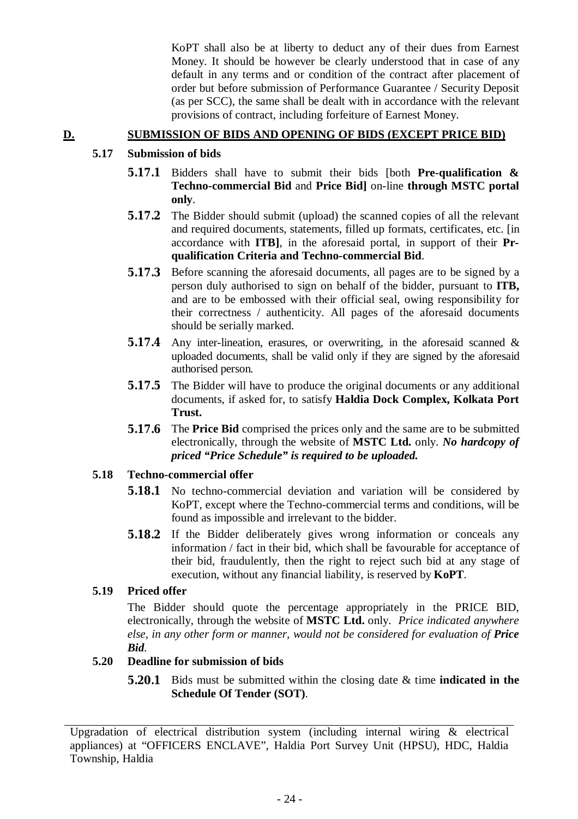KoPT shall also be at liberty to deduct any of their dues from Earnest Money. It should be however be clearly understood that in case of any default in any terms and or condition of the contract after placement of order but before submission of Performance Guarantee / Security Deposit (as per SCC), the same shall be dealt with in accordance with the relevant provisions of contract, including forfeiture of Earnest Money.

#### **D. SUBMISSION OF BIDS AND OPENING OF BIDS (EXCEPT PRICE BID)**

#### **5.17 Submission of bids**

- **5.17.1** Bidders shall have to submit their bids [both **Pre-qualification & Techno-commercial Bid** and **Price Bid]** on-line **through MSTC portal only**.
- **5.17.2** The Bidder should submit (upload) the scanned copies of all the relevant and required documents, statements, filled up formats, certificates, etc. [in accordance with **ITB]**, in the aforesaid portal, in support of their **Prqualification Criteria and Techno-commercial Bid**.
- **5.17.3** Before scanning the aforesaid documents, all pages are to be signed by a person duly authorised to sign on behalf of the bidder, pursuant to **ITB,** and are to be embossed with their official seal, owing responsibility for their correctness / authenticity. All pages of the aforesaid documents should be serially marked.
- **5.17.4** Any inter-lineation, erasures, or overwriting, in the aforesaid scanned & uploaded documents, shall be valid only if they are signed by the aforesaid authorised person.
- **5.17.5** The Bidder will have to produce the original documents or any additional documents, if asked for, to satisfy **Haldia Dock Complex, Kolkata Port Trust.**
- **5.17.6** The **Price Bid** comprised the prices only and the same are to be submitted electronically, through the website of **MSTC Ltd.** only. *No hardcopy of priced "Price Schedule" is required to be uploaded.*

#### **5.18 Techno-commercial offer**

- **5.18.1** No techno-commercial deviation and variation will be considered by KoPT, except where the Techno-commercial terms and conditions, will be found as impossible and irrelevant to the bidder.
- **5.18.2** If the Bidder deliberately gives wrong information or conceals any information / fact in their bid, which shall be favourable for acceptance of their bid, fraudulently, then the right to reject such bid at any stage of execution, without any financial liability, is reserved by **KoPT**.

#### **5.19 Priced offer**

The Bidder should quote the percentage appropriately in the PRICE BID, electronically, through the website of **MSTC Ltd.** only. *Price indicated anywhere else, in any other form or manner, would not be considered for evaluation of Price Bid.*

#### **5.20 Deadline for submission of bids**

**5.20.1** Bids must be submitted within the closing date & time **indicated in the Schedule Of Tender (SOT)**.

Upgradation of electrical distribution system (including internal wiring & electrical appliances) at "OFFICERS ENCLAVE", Haldia Port Survey Unit (HPSU), HDC, Haldia Township, Haldia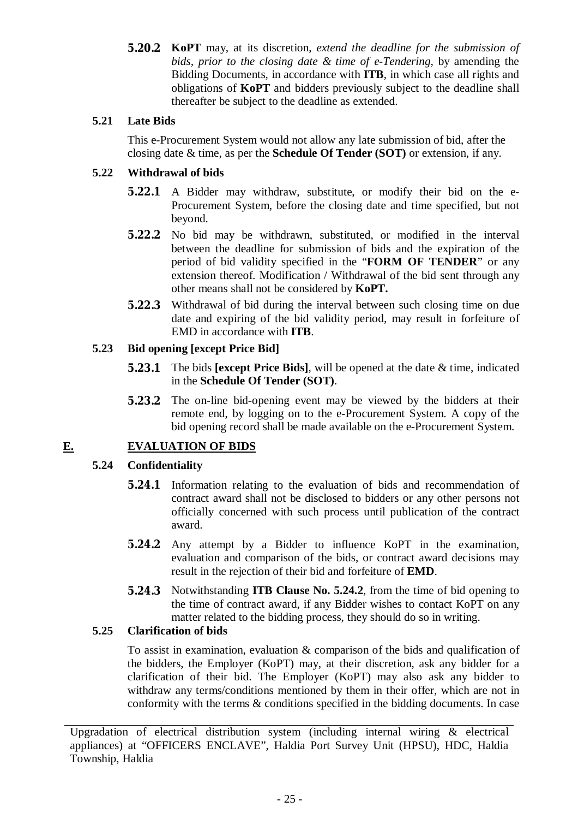**5.20.2 KoPT** may, at its discretion, *extend the deadline for the submission of bids, prior to the closing date & time of e-Tendering*, by amending the Bidding Documents, in accordance with **ITB**, in which case all rights and obligations of **KoPT** and bidders previously subject to the deadline shall thereafter be subject to the deadline as extended.

#### **5.21 Late Bids**

This e-Procurement System would not allow any late submission of bid, after the closing date & time, as per the **Schedule Of Tender (SOT)** or extension, if any.

#### **5.22 Withdrawal of bids**

- **5.22.1** A Bidder may withdraw, substitute, or modify their bid on the e-Procurement System, before the closing date and time specified, but not beyond.
- **5.22.2** No bid may be withdrawn, substituted, or modified in the interval between the deadline for submission of bids and the expiration of the period of bid validity specified in the "**FORM OF TENDER**" or any extension thereof. Modification / Withdrawal of the bid sent through any other means shall not be considered by **KoPT.**
- **5.22.3** Withdrawal of bid during the interval between such closing time on due date and expiring of the bid validity period, may result in forfeiture of EMD in accordance with **ITB**.

#### **5.23 Bid opening [except Price Bid]**

- **5.23.1** The bids **[except Price Bids]**, will be opened at the date & time, indicated in the **Schedule Of Tender (SOT)**.
- **5.23.2** The on-line bid-opening event may be viewed by the bidders at their remote end, by logging on to the e-Procurement System. A copy of the bid opening record shall be made available on the e-Procurement System.

### **E. EVALUATION OF BIDS**

#### **5.24 Confidentiality**

- **5.24.1** Information relating to the evaluation of bids and recommendation of contract award shall not be disclosed to bidders or any other persons not officially concerned with such process until publication of the contract award.
- **5.24.2** Any attempt by a Bidder to influence KoPT in the examination, evaluation and comparison of the bids, or contract award decisions may result in the rejection of their bid and forfeiture of **EMD**.
- **5.24.3** Notwithstanding **ITB Clause No. 5.24.2**, from the time of bid opening to the time of contract award, if any Bidder wishes to contact KoPT on any matter related to the bidding process, they should do so in writing.

#### **5.25 Clarification of bids**

To assist in examination, evaluation & comparison of the bids and qualification of the bidders, the Employer (KoPT) may, at their discretion, ask any bidder for a clarification of their bid. The Employer (KoPT) may also ask any bidder to withdraw any terms/conditions mentioned by them in their offer, which are not in conformity with the terms & conditions specified in the bidding documents. In case

Upgradation of electrical distribution system (including internal wiring & electrical appliances) at "OFFICERS ENCLAVE", Haldia Port Survey Unit (HPSU), HDC, Haldia Township, Haldia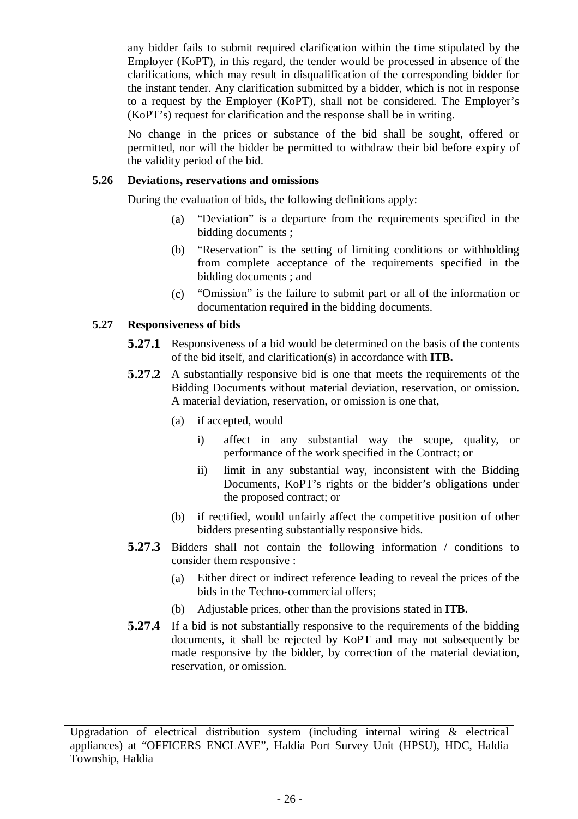any bidder fails to submit required clarification within the time stipulated by the Employer (KoPT), in this regard, the tender would be processed in absence of the clarifications, which may result in disqualification of the corresponding bidder for the instant tender. Any clarification submitted by a bidder, which is not in response to a request by the Employer (KoPT), shall not be considered. The Employer's (KoPT's) request for clarification and the response shall be in writing.

No change in the prices or substance of the bid shall be sought, offered or permitted, nor will the bidder be permitted to withdraw their bid before expiry of the validity period of the bid.

#### **5.26 Deviations, reservations and omissions**

During the evaluation of bids, the following definitions apply:

- (a) "Deviation" is a departure from the requirements specified in the bidding documents ;
- (b) "Reservation" is the setting of limiting conditions or withholding from complete acceptance of the requirements specified in the bidding documents ; and
- (c) "Omission" is the failure to submit part or all of the information or documentation required in the bidding documents.

#### **5.27 Responsiveness of bids**

- **5.27.1** Responsiveness of a bid would be determined on the basis of the contents of the bid itself, and clarification(s) in accordance with **ITB.**
- **5.27.2** A substantially responsive bid is one that meets the requirements of the Bidding Documents without material deviation, reservation, or omission. A material deviation, reservation, or omission is one that,
	- (a) if accepted, would
		- i) affect in any substantial way the scope, quality, or performance of the work specified in the Contract; or
		- ii) limit in any substantial way, inconsistent with the Bidding Documents, KoPT's rights or the bidder's obligations under the proposed contract; or
	- (b) if rectified, would unfairly affect the competitive position of other bidders presenting substantially responsive bids.
- **5.27.3** Bidders shall not contain the following information / conditions to consider them responsive :
	- (a) Either direct or indirect reference leading to reveal the prices of the bids in the Techno-commercial offers;
	- (b) Adjustable prices, other than the provisions stated in **ITB.**
- **5.27.4** If a bid is not substantially responsive to the requirements of the bidding documents, it shall be rejected by KoPT and may not subsequently be made responsive by the bidder, by correction of the material deviation, reservation, or omission.

Upgradation of electrical distribution system (including internal wiring & electrical appliances) at "OFFICERS ENCLAVE", Haldia Port Survey Unit (HPSU), HDC, Haldia Township, Haldia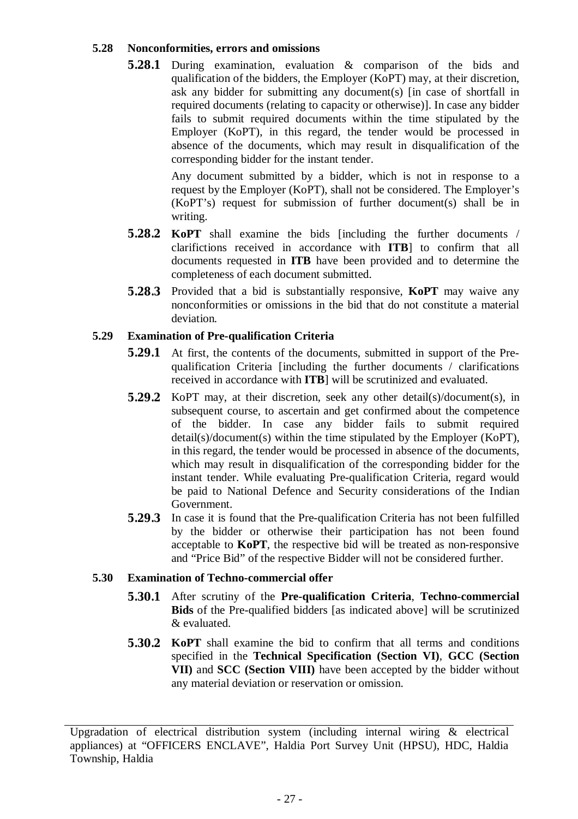#### **5.28 Nonconformities, errors and omissions**

**5.28.1** During examination, evaluation & comparison of the bids and qualification of the bidders, the Employer (KoPT) may, at their discretion, ask any bidder for submitting any document(s) [in case of shortfall in required documents (relating to capacity or otherwise)]. In case any bidder fails to submit required documents within the time stipulated by the Employer (KoPT), in this regard, the tender would be processed in absence of the documents, which may result in disqualification of the corresponding bidder for the instant tender.

> Any document submitted by a bidder, which is not in response to a request by the Employer (KoPT), shall not be considered. The Employer's (KoPT's) request for submission of further document(s) shall be in writing.

- **5.28.2 KoPT** shall examine the bids [including the further documents / clarifictions received in accordance with **ITB**] to confirm that all documents requested in **ITB** have been provided and to determine the completeness of each document submitted.
- **5.28.3** Provided that a bid is substantially responsive, **KoPT** may waive any nonconformities or omissions in the bid that do not constitute a material deviation*.*

#### **5.29 Examination of Pre-qualification Criteria**

- **5.29.1** At first, the contents of the documents, submitted in support of the Prequalification Criteria [including the further documents / clarifications received in accordance with **ITB**] will be scrutinized and evaluated.
- **5.29.2** KoPT may, at their discretion, seek any other detail(s)/document(s), in subsequent course, to ascertain and get confirmed about the competence of the bidder. In case any bidder fails to submit required detail(s)/document(s) within the time stipulated by the Employer (KoPT), in this regard, the tender would be processed in absence of the documents, which may result in disqualification of the corresponding bidder for the instant tender. While evaluating Pre-qualification Criteria, regard would be paid to National Defence and Security considerations of the Indian Government.
- **5.29.3** In case it is found that the Pre-qualification Criteria has not been fulfilled by the bidder or otherwise their participation has not been found acceptable to **KoPT**, the respective bid will be treated as non-responsive and "Price Bid" of the respective Bidder will not be considered further.

#### **5.30 Examination of Techno-commercial offer**

- **5.30.1** After scrutiny of the **Pre-qualification Criteria**, **Techno-commercial Bids** of the Pre-qualified bidders [as indicated above] will be scrutinized & evaluated.
- **5.30.2 KoPT** shall examine the bid to confirm that all terms and conditions specified in the **Technical Specification (Section VI)**, **GCC (Section VII)** and **SCC (Section VIII)** have been accepted by the bidder without any material deviation or reservation or omission.

Upgradation of electrical distribution system (including internal wiring & electrical appliances) at "OFFICERS ENCLAVE", Haldia Port Survey Unit (HPSU), HDC, Haldia Township, Haldia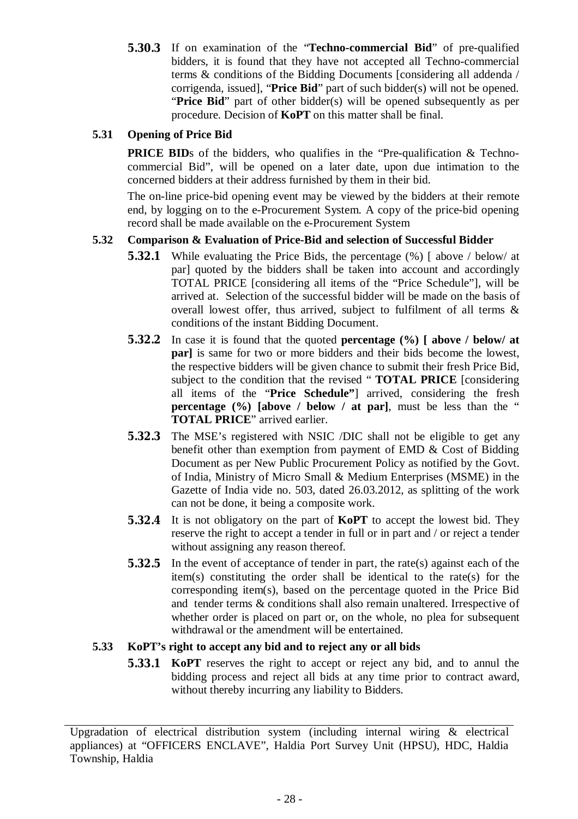**5.30.3** If on examination of the "**Techno-commercial Bid**" of pre-qualified bidders, it is found that they have not accepted all Techno-commercial terms & conditions of the Bidding Documents [considering all addenda / corrigenda, issued], "**Price Bid**" part of such bidder(s) will not be opened. "**Price Bid**" part of other bidder(s) will be opened subsequently as per procedure. Decision of **KoPT** on this matter shall be final.

#### **5.31 Opening of Price Bid**

**PRICE BID**s of the bidders, who qualifies in the "Pre-qualification & Technocommercial Bid", will be opened on a later date, upon due intimation to the concerned bidders at their address furnished by them in their bid.

The on-line price-bid opening event may be viewed by the bidders at their remote end, by logging on to the e-Procurement System. A copy of the price-bid opening record shall be made available on the e-Procurement System

#### **5.32 Comparison & Evaluation of Price-Bid and selection of Successful Bidder**

- **5.32.1** While evaluating the Price Bids, the percentage (%) [ above / below/ at par] quoted by the bidders shall be taken into account and accordingly TOTAL PRICE [considering all items of the "Price Schedule"], will be arrived at. Selection of the successful bidder will be made on the basis of overall lowest offer, thus arrived, subject to fulfilment of all terms & conditions of the instant Bidding Document.
- **5.32.2** In case it is found that the quoted **percentage (%) [ above / below/ at par**] is same for two or more bidders and their bids become the lowest, the respective bidders will be given chance to submit their fresh Price Bid, subject to the condition that the revised " **TOTAL PRICE** [considering all items of the "**Price Schedule"**] arrived, considering the fresh **percentage** (%) [above / below / at par], must be less than the " **TOTAL PRICE**" arrived earlier.
- **5.32.3** The MSE's registered with NSIC /DIC shall not be eligible to get any benefit other than exemption from payment of EMD & Cost of Bidding Document as per New Public Procurement Policy as notified by the Govt. of India, Ministry of Micro Small & Medium Enterprises (MSME) in the Gazette of India vide no. 503, dated 26.03.2012, as splitting of the work can not be done, it being a composite work.
- **5.32.4** It is not obligatory on the part of **KoPT** to accept the lowest bid. They reserve the right to accept a tender in full or in part and / or reject a tender without assigning any reason thereof.
- **5.32.5** In the event of acceptance of tender in part, the rate(s) against each of the item(s) constituting the order shall be identical to the rate(s) for the corresponding item(s), based on the percentage quoted in the Price Bid and tender terms & conditions shall also remain unaltered. Irrespective of whether order is placed on part or, on the whole, no plea for subsequent withdrawal or the amendment will be entertained.

#### **5.33 KoPT's right to accept any bid and to reject any or all bids**

**5.33.1 KoPT** reserves the right to accept or reject any bid, and to annul the bidding process and reject all bids at any time prior to contract award, without thereby incurring any liability to Bidders.

Upgradation of electrical distribution system (including internal wiring & electrical appliances) at "OFFICERS ENCLAVE", Haldia Port Survey Unit (HPSU), HDC, Haldia Township, Haldia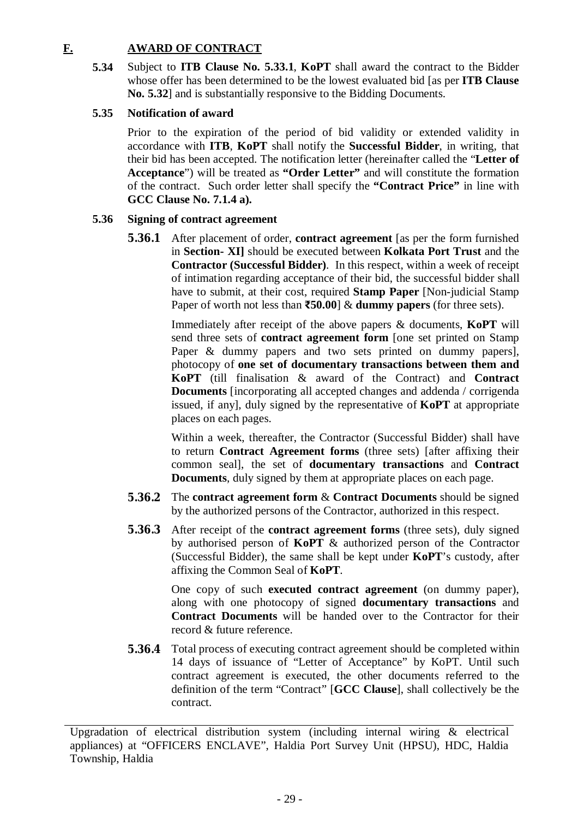#### **F. AWARD OF CONTRACT**

**5.34** Subject to **ITB Clause No. 5.33.1**, **KoPT** shall award the contract to the Bidder whose offer has been determined to be the lowest evaluated bid [as per **ITB Clause No. 5.32**] and is substantially responsive to the Bidding Documents.

#### **5.35 Notification of award**

Prior to the expiration of the period of bid validity or extended validity in accordance with **ITB**, **KoPT** shall notify the **Successful Bidder**, in writing, that their bid has been accepted. The notification letter (hereinafter called the "**Letter of Acceptance**") will be treated as **"Order Letter"** and will constitute the formation of the contract. Such order letter shall specify the **"Contract Price"** in line with **GCC Clause No. 7.1.4 a).**

#### **5.36 Signing of contract agreement**

**5.36.1** After placement of order, **contract agreement** [as per the form furnished in **Section- XI]** should be executed between **Kolkata Port Trust** and the **Contractor (Successful Bidder)**. In this respect, within a week of receipt of intimation regarding acceptance of their bid, the successful bidder shall have to submit, at their cost, required **Stamp Paper** [Non-judicial Stamp Paper of worth not less than **₹50.00**] & **dummy papers** (for three sets).

> Immediately after receipt of the above papers & documents, **KoPT** will send three sets of **contract agreement form** [one set printed on Stamp Paper & dummy papers and two sets printed on dummy papers], photocopy of **one set of documentary transactions between them and KoPT** (till finalisation & award of the Contract) and **Contract Documents** [incorporating all accepted changes and addenda / corrigenda issued, if any], duly signed by the representative of **KoPT** at appropriate places on each pages.

> Within a week, thereafter, the Contractor (Successful Bidder) shall have to return **Contract Agreement forms** (three sets) [after affixing their common seal], the set of **documentary transactions** and **Contract Documents**, duly signed by them at appropriate places on each page.

- **5.36.2** The **contract agreement form** & **Contract Documents** should be signed by the authorized persons of the Contractor, authorized in this respect.
- **5.36.3** After receipt of the **contract agreement forms** (three sets), duly signed by authorised person of **KoPT** & authorized person of the Contractor (Successful Bidder), the same shall be kept under **KoPT**'s custody, after affixing the Common Seal of **KoPT**.

One copy of such **executed contract agreement** (on dummy paper), along with one photocopy of signed **documentary transactions** and **Contract Documents** will be handed over to the Contractor for their record & future reference.

**5.36.4** Total process of executing contract agreement should be completed within 14 days of issuance of "Letter of Acceptance" by KoPT. Until such contract agreement is executed, the other documents referred to the definition of the term "Contract" [**GCC Clause**], shall collectively be the contract.

Upgradation of electrical distribution system (including internal wiring & electrical appliances) at "OFFICERS ENCLAVE", Haldia Port Survey Unit (HPSU), HDC, Haldia Township, Haldia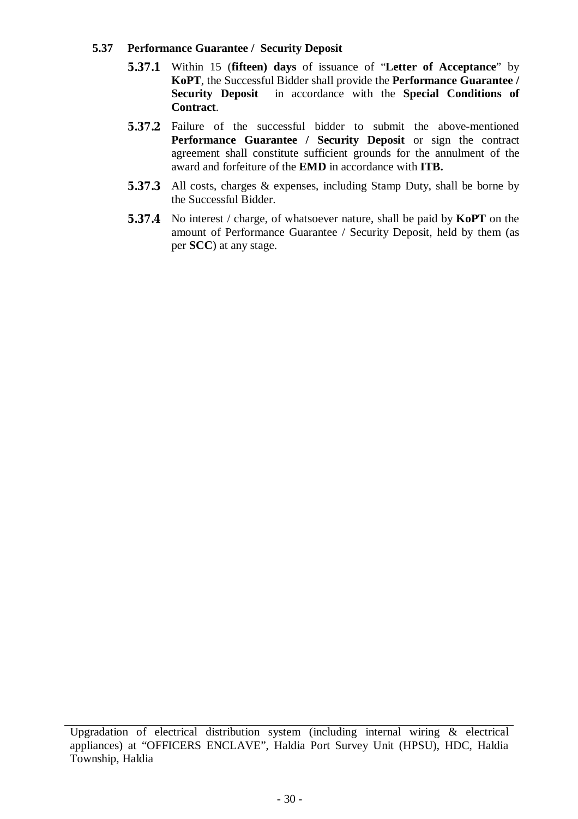#### **5.37 Performance Guarantee / Security Deposit**

- **5.37.1** Within 15 (**fifteen) days** of issuance of "**Letter of Acceptance**" by **KoPT**, the Successful Bidder shall provide the **Performance Guarantee / Security Deposit** in accordance with the **Special Conditions of Contract**.
- **5.37.2** Failure of the successful bidder to submit the above-mentioned **Performance Guarantee / Security Deposit** or sign the contract agreement shall constitute sufficient grounds for the annulment of the award and forfeiture of the **EMD** in accordance with **ITB.**
- **5.37.3** All costs, charges & expenses, including Stamp Duty, shall be borne by the Successful Bidder.
- **5.37.4** No interest / charge, of whatsoever nature, shall be paid by **KoPT** on the amount of Performance Guarantee / Security Deposit, held by them (as per **SCC**) at any stage.

Upgradation of electrical distribution system (including internal wiring & electrical appliances) at "OFFICERS ENCLAVE", Haldia Port Survey Unit (HPSU), HDC, Haldia Township, Haldia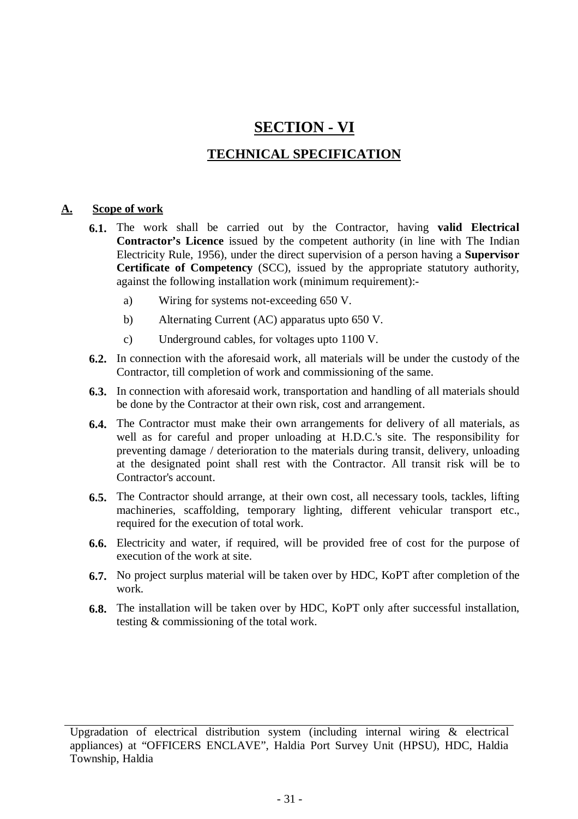# **SECTION - VI TECHNICAL SPECIFICATION**

#### **A. Scope of work**

- **6.1.** The work shall be carried out by the Contractor, having **valid Electrical Contractor's Licence** issued by the competent authority (in line with The Indian Electricity Rule, 1956), under the direct supervision of a person having a **Supervisor Certificate of Competency** (SCC), issued by the appropriate statutory authority, against the following installation work (minimum requirement):
	- a) Wiring for systems not-exceeding 650 V.
	- b) Alternating Current (AC) apparatus upto 650 V.
	- c) Underground cables, for voltages upto 1100 V.
- **6.2.** In connection with the aforesaid work, all materials will be under the custody of the Contractor, till completion of work and commissioning of the same.
- **6.3.** In connection with aforesaid work, transportation and handling of all materials should be done by the Contractor at their own risk, cost and arrangement.
- **6.4.** The Contractor must make their own arrangements for delivery of all materials, as well as for careful and proper unloading at H.D.C.'s site. The responsibility for preventing damage / deterioration to the materials during transit, delivery, unloading at the designated point shall rest with the Contractor. All transit risk will be to Contractor's account.
- **6.5.** The Contractor should arrange, at their own cost, all necessary tools, tackles, lifting machineries, scaffolding, temporary lighting, different vehicular transport etc., required for the execution of total work.
- **6.6.** Electricity and water, if required, will be provided free of cost for the purpose of execution of the work at site.
- **6.7.** No project surplus material will be taken over by HDC, KoPT after completion of the work.
- **6.8.** The installation will be taken over by HDC, KoPT only after successful installation, testing & commissioning of the total work.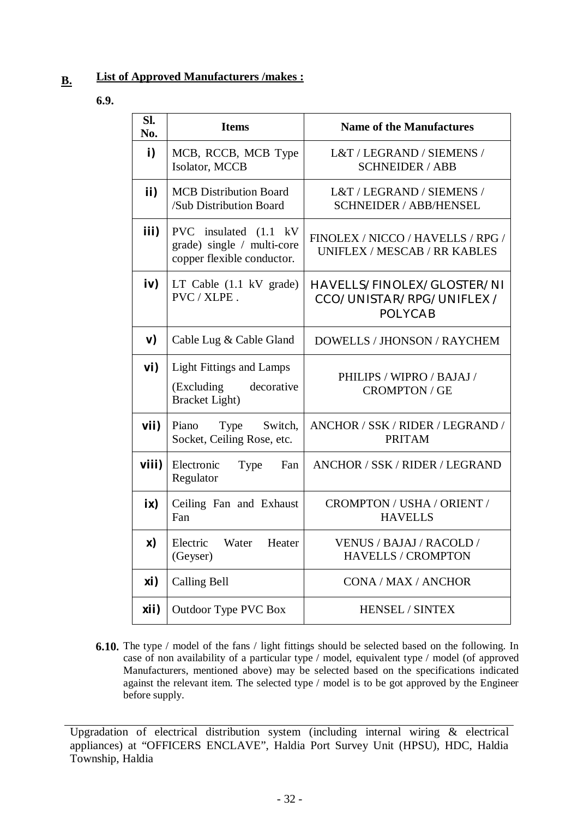## **B. List of Approved Manufacturers /makes :**

#### **6.9.**

| SI.<br>No. | <b>Items</b>                                                                                 | <b>Name of the Manufactures</b>                                           |
|------------|----------------------------------------------------------------------------------------------|---------------------------------------------------------------------------|
| i)         | MCB, RCCB, MCB Type<br>Isolator, MCCB                                                        | L&T / LEGRAND / SIEMENS /<br><b>SCHNEIDER / ABB</b>                       |
| ii)        | <b>MCB</b> Distribution Board<br>/Sub Distribution Board                                     | L&T / LEGRAND / SIEMENS /<br><b>SCHNEIDER / ABB/HENSEL</b>                |
| iii)       | <b>PVC</b><br>insulated (1.1 kV)<br>grade) single / multi-core<br>copper flexible conductor. | FINOLEX / NICCO / HAVELLS / RPG /<br><b>UNIFLEX / MESCAB / RR KABLES</b>  |
| iv)        | LT Cable $(1.1 \text{ kV grade})$<br>PVC / XLPE.                                             | HAVELLS/FINOLEX/GLOSTER/NI<br>CCO/UNISTAR/RPG/UNIFLEX /<br><b>POLYCAB</b> |
| V)         | Cable Lug & Cable Gland                                                                      | DOWELLS / JHONSON / RAYCHEM                                               |
| vi)        | <b>Light Fittings and Lamps</b><br>(Excluding)<br>decorative<br>Bracket Light)               | PHILIPS / WIPRO / BAJAJ /<br><b>CROMPTON / GE</b>                         |
| vii)       | Piano<br>Type Switch,<br>Socket, Ceiling Rose, etc.                                          | ANCHOR / SSK / RIDER / LEGRAND /<br><b>PRITAM</b>                         |
| viii)      | Electronic<br>Type<br>Fan<br>Regulator                                                       | ANCHOR / SSK / RIDER / LEGRAND                                            |
| ix)        | Ceiling Fan and Exhaust<br>Fan                                                               | CROMPTON / USHA / ORIENT /<br><b>HAVELLS</b>                              |
| X)         | Electric<br>Heater<br>Water<br>(Geyser)                                                      | <b>VENUS / BAJAJ / RACOLD /</b><br><b>HAVELLS / CROMPTON</b>              |
| xi)        | Calling Bell                                                                                 | CONA / MAX / ANCHOR                                                       |
| xii)       | Outdoor Type PVC Box                                                                         | HENSEL / SINTEX                                                           |

**6.10.** The type / model of the fans / light fittings should be selected based on the following. In case of non availability of a particular type / model, equivalent type / model (of approved Manufacturers, mentioned above) may be selected based on the specifications indicated against the relevant item. The selected type / model is to be got approved by the Engineer before supply.

Upgradation of electrical distribution system (including internal wiring & electrical appliances) at "OFFICERS ENCLAVE", Haldia Port Survey Unit (HPSU), HDC, Haldia Township, Haldia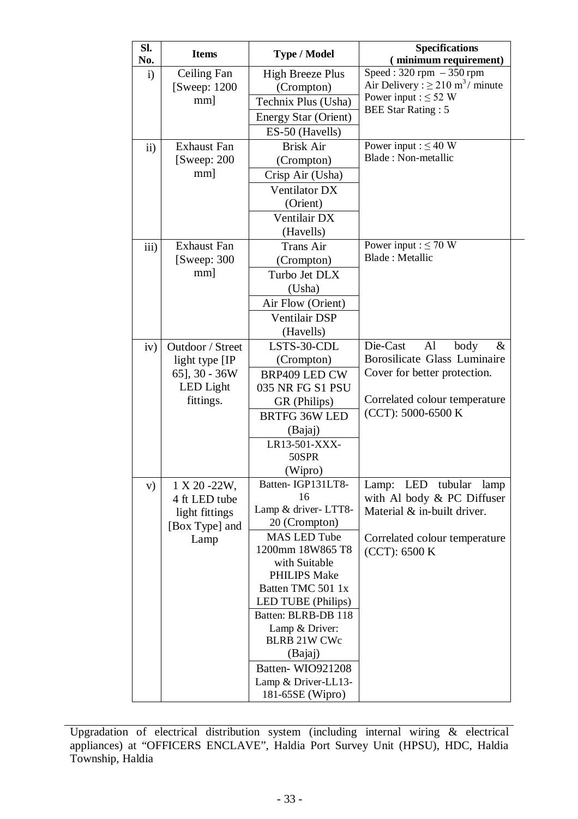| SI.<br>No.      | <b>Items</b>                                                                        | <b>Type / Model</b>                                                                                                                                                                                                                                                                                                                     | <b>Specifications</b><br>(minimum requirement)                                                                                                           |
|-----------------|-------------------------------------------------------------------------------------|-----------------------------------------------------------------------------------------------------------------------------------------------------------------------------------------------------------------------------------------------------------------------------------------------------------------------------------------|----------------------------------------------------------------------------------------------------------------------------------------------------------|
| $\ddot{1}$      | Ceiling Fan<br>[Sweep: 1200]<br>mm]                                                 | <b>High Breeze Plus</b><br>(Crompton)<br>Technix Plus (Usha)                                                                                                                                                                                                                                                                            | Speed: $320$ rpm $-350$ rpm<br>Air Delivery : $\geq$ 210 m <sup>3</sup> / minute<br>Power input : $\leq$ 52 W                                            |
|                 |                                                                                     | Energy Star (Orient)<br>ES-50 (Havells)                                                                                                                                                                                                                                                                                                 | <b>BEE Star Rating: 5</b>                                                                                                                                |
| $\overline{11}$ | <b>Exhaust Fan</b><br>[Sweep: $200$<br>mm                                           | <b>Brisk Air</b><br>(Crompton)<br>Crisp Air (Usha)<br>Ventilator DX<br>(Orient)                                                                                                                                                                                                                                                         | Power input : $\leq 40$ W<br>Blade: Non-metallic                                                                                                         |
| iii)            | <b>Exhaust Fan</b><br>[Sweep: $300$<br>mm]                                          | Ventilair DX<br>(Havells)<br><b>Trans Air</b><br>(Crompton)<br>Turbo Jet DLX<br>(Usha)                                                                                                                                                                                                                                                  | Power input : $\leq 70$ W<br>Blade: Metallic                                                                                                             |
|                 |                                                                                     | Air Flow (Orient)<br>Ventilair DSP<br>(Havells)                                                                                                                                                                                                                                                                                         |                                                                                                                                                          |
| iv)             | Outdoor / Street<br>light type [IP]<br>$65$ ], $30 - 36W$<br>LED Light<br>fittings. | LSTS-30-CDL<br>(Crompton)<br>BRP409 LED CW<br>035 NR FG S1 PSU<br>GR (Philips)<br><b>BRTFG 36W LED</b><br>(Bajaj)<br>LR13-501-XXX-<br>50SPR<br>(Wipro)                                                                                                                                                                                  | Die-Cast<br>Al<br>body<br>$\&$<br>Borosilicate Glass Luminaire<br>Cover for better protection.<br>Correlated colour temperature<br>$(CCT)$ : 5000-6500 K |
| V)              | 1 X 20 -22W,<br>4 ft LED tube<br>light fittings<br>[Box Type] and<br>Lamp           | Batten-IGP131LT8-<br>16<br>Lamp & driver-LTT8-<br>20 (Crompton)<br><b>MAS LED Tube</b><br>1200mm 18W865 T8<br>with Suitable<br><b>PHILIPS Make</b><br>Batten TMC 501 1x<br>LED TUBE (Philips)<br>Batten: BLRB-DB 118<br>Lamp & Driver:<br><b>BLRB 21W CWc</b><br>(Bajaj)<br>Batten-WIO921208<br>Lamp & Driver-LL13-<br>181-65SE (Wipro) | Lamp: LED tubular lamp<br>with Al body & PC Diffuser<br>Material & in-built driver.<br>Correlated colour temperature<br>$(CCT)$ : 6500 K                 |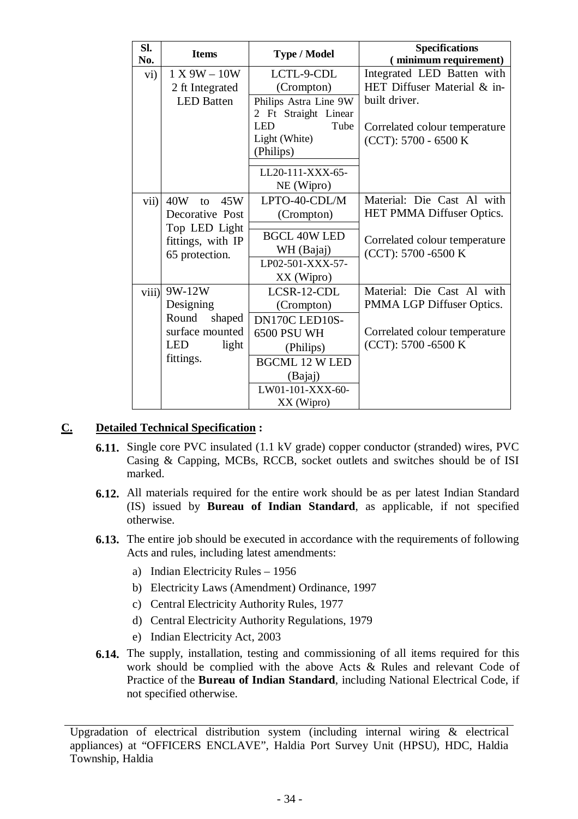| Sl.<br>No.      | <b>Items</b>        | <b>Type / Model</b>        | <b>Specifications</b><br>(minimum requirement) |
|-----------------|---------------------|----------------------------|------------------------------------------------|
| $\overline{vi}$ | $1 X 9W - 10W$      | LCTL-9-CDL                 | Integrated LED Batten with                     |
|                 | 2 ft Integrated     | (Crompton)                 | HET Diffuser Material & in-                    |
|                 | <b>LED</b> Batten   | Philips Astra Line 9W      | built driver.                                  |
|                 |                     | 2 Ft Straight Linear       |                                                |
|                 |                     | Tube<br><b>LED</b>         | Correlated colour temperature                  |
|                 |                     | Light (White)<br>(Philips) | $(CCT)$ : 5700 - 6500 K                        |
|                 |                     |                            |                                                |
|                 |                     | LL20-111-XXX-65-           |                                                |
|                 |                     | NE (Wipro)                 |                                                |
| vii)            | 40W<br>45W<br>to    | LPTO-40-CDL/M              | Material: Die Cast Al with                     |
|                 | Decorative Post     | (Crompton)                 | HET PMMA Diffuser Optics.                      |
|                 | Top LED Light       | <b>BGCL 40W LED</b>        |                                                |
|                 | fittings, with IP   | WH (Bajaj)                 | Correlated colour temperature                  |
|                 | 65 protection.      | LP02-501-XXX-57-           | (CCT): 5700 -6500 K                            |
|                 |                     | XX (Wipro)                 |                                                |
| viii)           | 9W-12W              | LCSR-12-CDL                | Material: Die Cast Al with                     |
|                 | Designing           | (Crompton)                 | PMMA LGP Diffuser Optics.                      |
|                 | Round<br>shaped     | DN170C LED10S-             |                                                |
|                 | surface mounted     | <b>6500 PSU WH</b>         | Correlated colour temperature                  |
|                 | <b>LED</b><br>light | (Philips)                  | (CCT): 5700 -6500 K                            |
|                 | fittings.           | <b>BGCML 12 W LED</b>      |                                                |
|                 |                     | (Bajaj)                    |                                                |
|                 |                     | LW01-101-XXX-60-           |                                                |
|                 |                     | XX (Wipro)                 |                                                |

#### **C. Detailed Technical Specification :**

- **6.11.** Single core PVC insulated (1.1 kV grade) copper conductor (stranded) wires, PVC Casing & Capping, MCBs, RCCB, socket outlets and switches should be of ISI marked.
- **6.12.** All materials required for the entire work should be as per latest Indian Standard (IS) issued by **Bureau of Indian Standard**, as applicable, if not specified otherwise.
- **6.13.** The entire job should be executed in accordance with the requirements of following Acts and rules, including latest amendments:
	- a) Indian Electricity Rules 1956
	- b) Electricity Laws (Amendment) Ordinance, 1997
	- c) Central Electricity Authority Rules, 1977
	- d) Central Electricity Authority Regulations, 1979
	- e) Indian Electricity Act, 2003
- **6.14.** The supply, installation, testing and commissioning of all items required for this work should be complied with the above Acts & Rules and relevant Code of Practice of the **Bureau of Indian Standard**, including National Electrical Code, if not specified otherwise.

Upgradation of electrical distribution system (including internal wiring & electrical appliances) at "OFFICERS ENCLAVE", Haldia Port Survey Unit (HPSU), HDC, Haldia Township, Haldia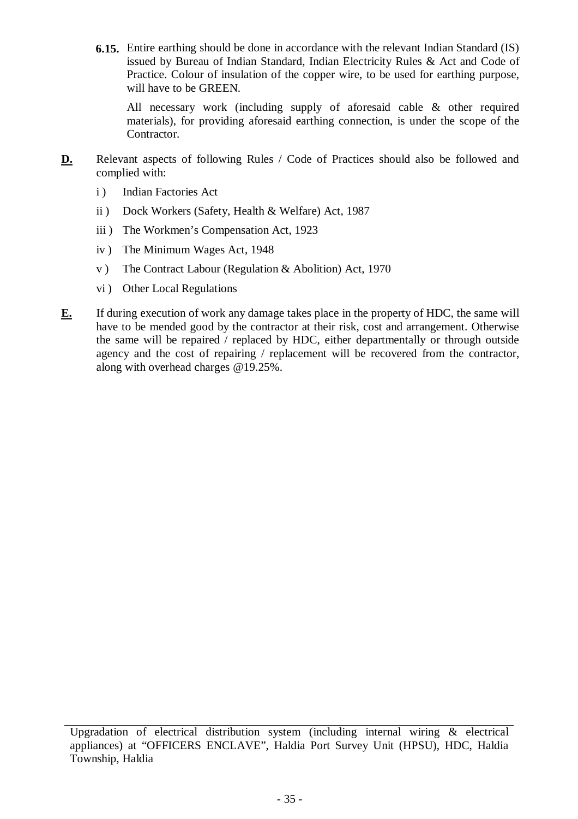**6.15.** Entire earthing should be done in accordance with the relevant Indian Standard (IS) issued by Bureau of Indian Standard, Indian Electricity Rules & Act and Code of Practice. Colour of insulation of the copper wire, to be used for earthing purpose, will have to be GREEN.

All necessary work (including supply of aforesaid cable & other required materials), for providing aforesaid earthing connection, is under the scope of the Contractor.

- **D.** Relevant aspects of following Rules / Code of Practices should also be followed and complied with:
	- i ) Indian Factories Act
	- ii ) Dock Workers (Safety, Health & Welfare) Act, 1987
	- iii) The Workmen's Compensation Act, 1923
	- iv ) The Minimum Wages Act, 1948
	- v ) The Contract Labour (Regulation & Abolition) Act, 1970
	- vi ) Other Local Regulations
- **E.** If during execution of work any damage takes place in the property of HDC, the same will have to be mended good by the contractor at their risk, cost and arrangement. Otherwise the same will be repaired / replaced by HDC, either departmentally or through outside agency and the cost of repairing / replacement will be recovered from the contractor, along with overhead charges @19.25%.

Upgradation of electrical distribution system (including internal wiring & electrical appliances) at "OFFICERS ENCLAVE", Haldia Port Survey Unit (HPSU), HDC, Haldia Township, Haldia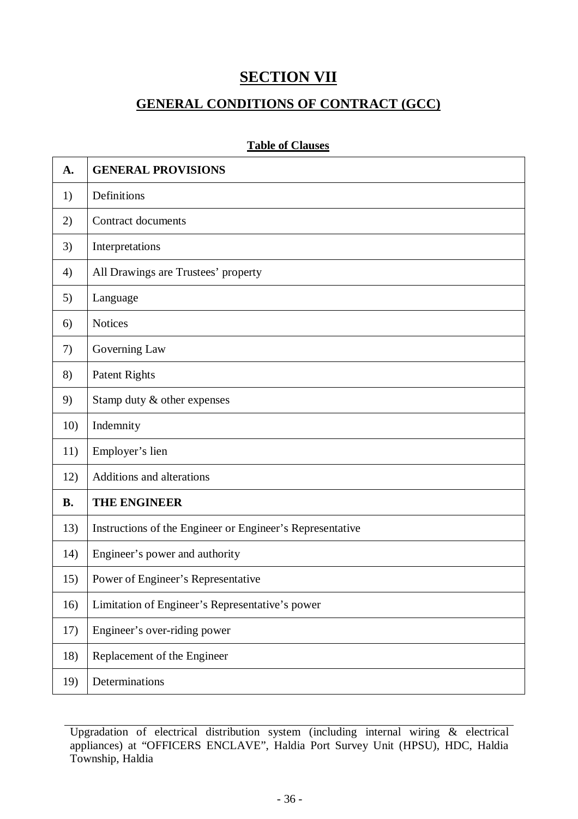# **SECTION VII**

# **GENERAL CONDITIONS OF CONTRACT (GCC)**

# **A. GENERAL PROVISIONS** 1) Definitions 2) Contract documents 3) Interpretations 4) All Drawings are Trustees' property 5) Language 6) Notices 7) Governing Law 8) Patent Rights 9) Stamp duty  $\&$  other expenses 10) Indemnity 11) Employer's lien 12) Additions and alterations **B. THE ENGINEER** 13) Instructions of the Engineer or Engineer's Representative 14) Engineer's power and authority 15) Power of Engineer's Representative 16) Limitation of Engineer's Representative's power 17) Engineer's over-riding power 18) Replacement of the Engineer 19) Determinations

#### **Table of Clauses**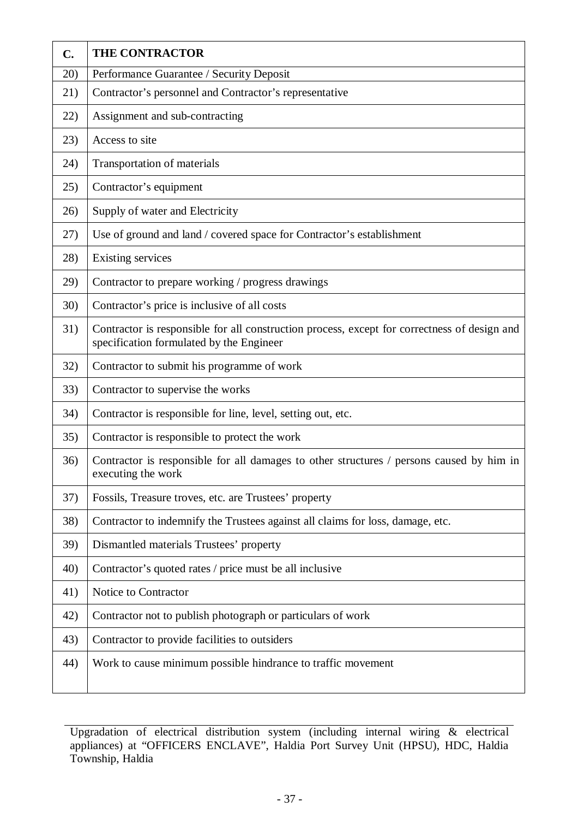| $C_{\bullet}$ | THE CONTRACTOR                                                                                                                           |
|---------------|------------------------------------------------------------------------------------------------------------------------------------------|
| 20)           | Performance Guarantee / Security Deposit                                                                                                 |
| 21)           | Contractor's personnel and Contractor's representative                                                                                   |
| 22)           | Assignment and sub-contracting                                                                                                           |
| 23)           | Access to site                                                                                                                           |
| 24)           | Transportation of materials                                                                                                              |
| 25)           | Contractor's equipment                                                                                                                   |
| 26)           | Supply of water and Electricity                                                                                                          |
| 27)           | Use of ground and land / covered space for Contractor's establishment                                                                    |
| 28)           | <b>Existing services</b>                                                                                                                 |
| 29)           | Contractor to prepare working / progress drawings                                                                                        |
| 30)           | Contractor's price is inclusive of all costs                                                                                             |
| 31)           | Contractor is responsible for all construction process, except for correctness of design and<br>specification formulated by the Engineer |
| 32)           | Contractor to submit his programme of work                                                                                               |
| 33)           | Contractor to supervise the works                                                                                                        |
| 34)           | Contractor is responsible for line, level, setting out, etc.                                                                             |
| 35)           | Contractor is responsible to protect the work                                                                                            |
| 36)           | Contractor is responsible for all damages to other structures / persons caused by him in<br>executing the work                           |
| 37)           | Fossils, Treasure troves, etc. are Trustees' property                                                                                    |
| 38)           | Contractor to indemnify the Trustees against all claims for loss, damage, etc.                                                           |
| 39)           | Dismantled materials Trustees' property                                                                                                  |
| 40)           | Contractor's quoted rates / price must be all inclusive                                                                                  |
| 41)           | Notice to Contractor                                                                                                                     |
| 42)           | Contractor not to publish photograph or particulars of work                                                                              |
| 43)           | Contractor to provide facilities to outsiders                                                                                            |
| 44)           | Work to cause minimum possible hindrance to traffic movement                                                                             |
|               |                                                                                                                                          |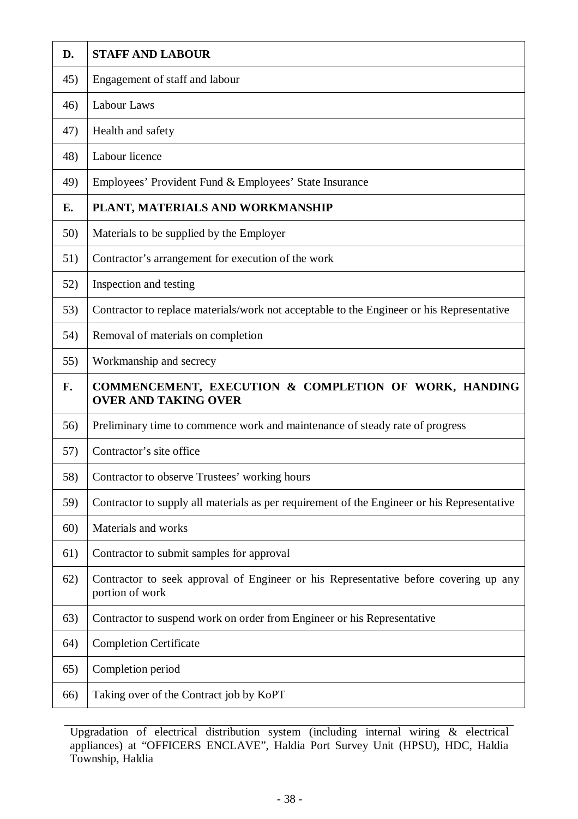| D.  | <b>STAFF AND LABOUR</b>                                                                                 |
|-----|---------------------------------------------------------------------------------------------------------|
| 45) | Engagement of staff and labour                                                                          |
| 46) | <b>Labour Laws</b>                                                                                      |
| 47) | Health and safety                                                                                       |
| 48) | Labour licence                                                                                          |
| 49) | Employees' Provident Fund & Employees' State Insurance                                                  |
| E.  | PLANT, MATERIALS AND WORKMANSHIP                                                                        |
| 50) | Materials to be supplied by the Employer                                                                |
| 51) | Contractor's arrangement for execution of the work                                                      |
| 52) | Inspection and testing                                                                                  |
| 53) | Contractor to replace materials/work not acceptable to the Engineer or his Representative               |
| 54) | Removal of materials on completion                                                                      |
| 55) | Workmanship and secrecy                                                                                 |
| F.  | COMMENCEMENT, EXECUTION & COMPLETION OF WORK, HANDING<br><b>OVER AND TAKING OVER</b>                    |
| 56) | Preliminary time to commence work and maintenance of steady rate of progress                            |
| 57) | Contractor's site office                                                                                |
| 58) |                                                                                                         |
|     | Contractor to observe Trustees' working hours                                                           |
| 59) | Contractor to supply all materials as per requirement of the Engineer or his Representative             |
| 60) | Materials and works                                                                                     |
| 61) | Contractor to submit samples for approval                                                               |
| 62) | Contractor to seek approval of Engineer or his Representative before covering up any<br>portion of work |
| 63) | Contractor to suspend work on order from Engineer or his Representative                                 |
| 64) | <b>Completion Certificate</b>                                                                           |
| 65) | Completion period                                                                                       |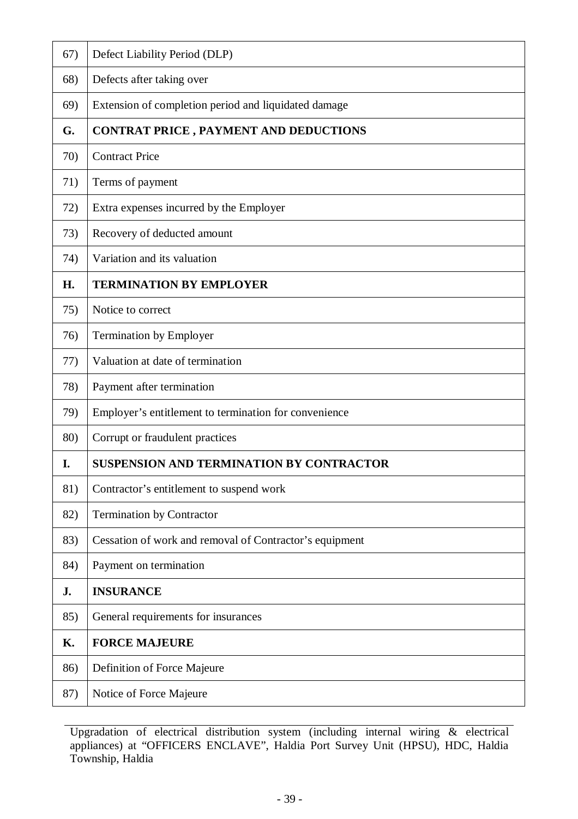| 67) | Defect Liability Period (DLP)                           |
|-----|---------------------------------------------------------|
| 68) | Defects after taking over                               |
| 69) | Extension of completion period and liquidated damage    |
| G.  | <b>CONTRAT PRICE, PAYMENT AND DEDUCTIONS</b>            |
| 70) | <b>Contract Price</b>                                   |
| 71) | Terms of payment                                        |
| 72) | Extra expenses incurred by the Employer                 |
| 73) | Recovery of deducted amount                             |
| 74) | Variation and its valuation                             |
| H.  | <b>TERMINATION BY EMPLOYER</b>                          |
| 75) | Notice to correct                                       |
| 76) | <b>Termination by Employer</b>                          |
| 77) | Valuation at date of termination                        |
| 78) | Payment after termination                               |
| 79) | Employer's entitlement to termination for convenience   |
| 80) | Corrupt or fraudulent practices                         |
| I.  | <b>SUSPENSION AND TERMINATION BY CONTRACTOR</b>         |
| 81) | Contractor's entitlement to suspend work                |
| 82) | <b>Termination by Contractor</b>                        |
| 83) | Cessation of work and removal of Contractor's equipment |
| 84) | Payment on termination                                  |
| J.  | <b>INSURANCE</b>                                        |
| 85) | General requirements for insurances                     |
| Κ.  | <b>FORCE MAJEURE</b>                                    |
| 86) | Definition of Force Majeure                             |
| 87) | Notice of Force Majeure                                 |

Upgradation of electrical distribution system (including internal wiring & electrical appliances) at "OFFICERS ENCLAVE", Haldia Port Survey Unit (HPSU), HDC, Haldia Township, Haldia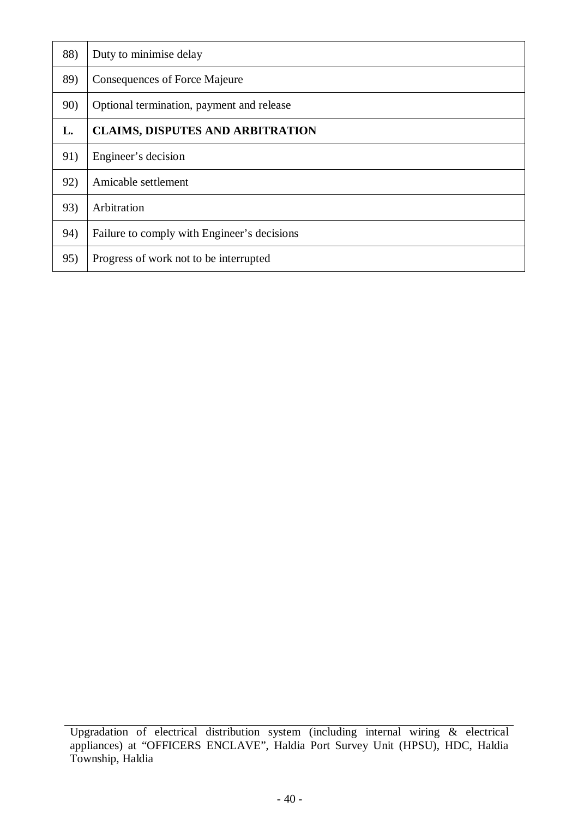| 88) | Duty to minimise delay                      |
|-----|---------------------------------------------|
| 89) | Consequences of Force Majeure               |
| 90) | Optional termination, payment and release   |
| L.  | <b>CLAIMS, DISPUTES AND ARBITRATION</b>     |
| 91) | Engineer's decision                         |
| 92) | Amicable settlement                         |
| 93) | Arbitration                                 |
| 94) | Failure to comply with Engineer's decisions |
| 95) | Progress of work not to be interrupted      |

Upgradation of electrical distribution system (including internal wiring & electrical appliances) at "OFFICERS ENCLAVE", Haldia Port Survey Unit (HPSU), HDC, Haldia Township, Haldia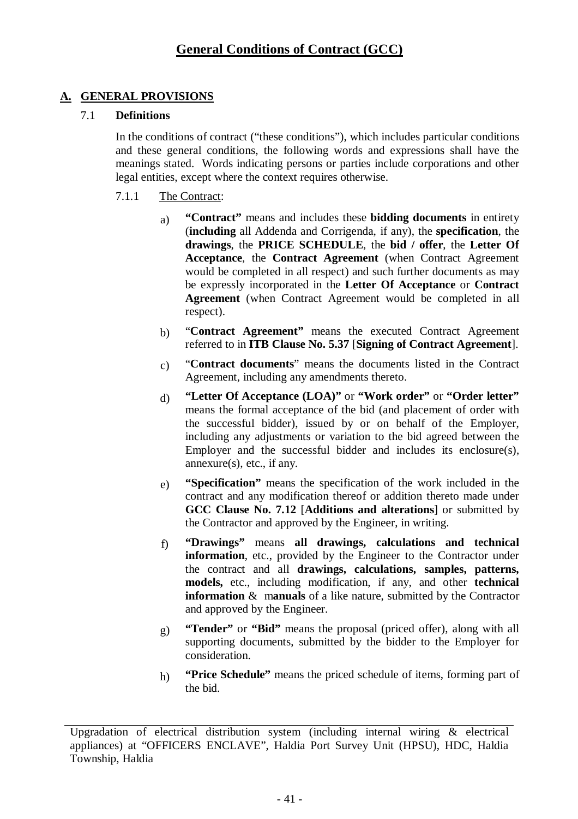# **A. GENERAL PROVISIONS**

#### 7.1 **Definitions**

In the conditions of contract ("these conditions"), which includes particular conditions and these general conditions, the following words and expressions shall have the meanings stated. Words indicating persons or parties include corporations and other legal entities, except where the context requires otherwise.

# 7.1.1 The Contract:

- a) **"Contract"** means and includes these **bidding documents** in entirety (**including** all Addenda and Corrigenda, if any), the **specification**, the **drawings**, the **PRICE SCHEDULE**, the **bid / offer**, the **Letter Of Acceptance**, the **Contract Agreement** (when Contract Agreement would be completed in all respect) and such further documents as may be expressly incorporated in the **Letter Of Acceptance** or **Contract Agreement** (when Contract Agreement would be completed in all respect).
- b) "**Contract Agreement"** means the executed Contract Agreement referred to in **ITB Clause No. 5.37** [**Signing of Contract Agreement**].
- c) "**Contract documents**" means the documents listed in the Contract Agreement, including any amendments thereto.
- d) **"Letter Of Acceptance (LOA)"** or **"Work order"** or **"Order letter"** means the formal acceptance of the bid (and placement of order with the successful bidder), issued by or on behalf of the Employer, including any adjustments or variation to the bid agreed between the Employer and the successful bidder and includes its enclosure(s), annexure(s), etc., if any.
- e) **"Specification"** means the specification of the work included in the contract and any modification thereof or addition thereto made under **GCC Clause No. 7.12** [**Additions and alterations**] or submitted by the Contractor and approved by the Engineer, in writing.
- f) **"Drawings"** means **all drawings, calculations and technical information**, etc., provided by the Engineer to the Contractor under the contract and all **drawings, calculations, samples, patterns, models,** etc., including modification, if any, and other **technical information** & m**anuals** of a like nature, submitted by the Contractor and approved by the Engineer.
- g) **"Tender"** or **"Bid"** means the proposal (priced offer), along with all supporting documents, submitted by the bidder to the Employer for consideration.
- h) **"Price Schedule"** means the priced schedule of items, forming part of the bid.

Upgradation of electrical distribution system (including internal wiring & electrical appliances) at "OFFICERS ENCLAVE", Haldia Port Survey Unit (HPSU), HDC, Haldia Township, Haldia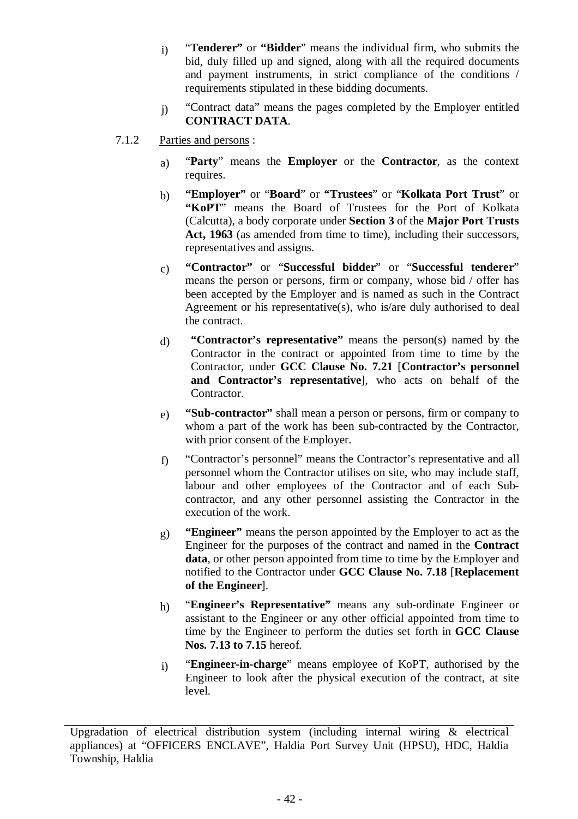- i) "**Tenderer"** or **"Bidder**" means the individual firm, who submits the bid, duly filled up and signed, along with all the required documents and payment instruments, in strict compliance of the conditions / requirements stipulated in these bidding documents.
- j) "Contract data" means the pages completed by the Employer entitled **CONTRACT DATA**.
- 7.1.2 Parties and persons :
	- a) "**Party**" means the **Employer** or the **Contractor**, as the context requires.
	- b) **"Employer"** or "**Board**" or **"Trustees**" or "**Kolkata Port Trust**" or **"KoPT**" means the Board of Trustees for the Port of Kolkata (Calcutta), a body corporate under **Section 3** of the **Major Port Trusts Act, 1963** (as amended from time to time), including their successors, representatives and assigns.
	- c) **"Contractor"** or "**Successful bidder**" or "**Successful tenderer**" means the person or persons, firm or company, whose bid / offer has been accepted by the Employer and is named as such in the Contract Agreement or his representative(s), who is/are duly authorised to deal the contract.
	- d) **"Contractor's representative"** means the person(s) named by the Contractor in the contract or appointed from time to time by the Contractor, under **GCC Clause No. 7.21** [**Contractor's personnel and Contractor's representative**], who acts on behalf of the Contractor.
	- e) **"Sub-contractor"** shall mean a person or persons, firm or company to whom a part of the work has been sub-contracted by the Contractor, with prior consent of the Employer.
	- f) "Contractor's personnel" means the Contractor's representative and all personnel whom the Contractor utilises on site, who may include staff, labour and other employees of the Contractor and of each Subcontractor, and any other personnel assisting the Contractor in the execution of the work.
	- g) **"Engineer"** means the person appointed by the Employer to act as the Engineer for the purposes of the contract and named in the **Contract data**, or other person appointed from time to time by the Employer and notified to the Contractor under **GCC Clause No. 7.18** [**Replacement of the Engineer**].
	- h) "**Engineer's Representative"** means any sub-ordinate Engineer or assistant to the Engineer or any other official appointed from time to time by the Engineer to perform the duties set forth in **GCC Clause Nos. 7.13 to 7.15** hereof.
	- i) "**Engineer-in-charge**" means employee of KoPT, authorised by the Engineer to look after the physical execution of the contract, at site level.

Upgradation of electrical distribution system (including internal wiring & electrical appliances) at "OFFICERS ENCLAVE", Haldia Port Survey Unit (HPSU), HDC, Haldia Township, Haldia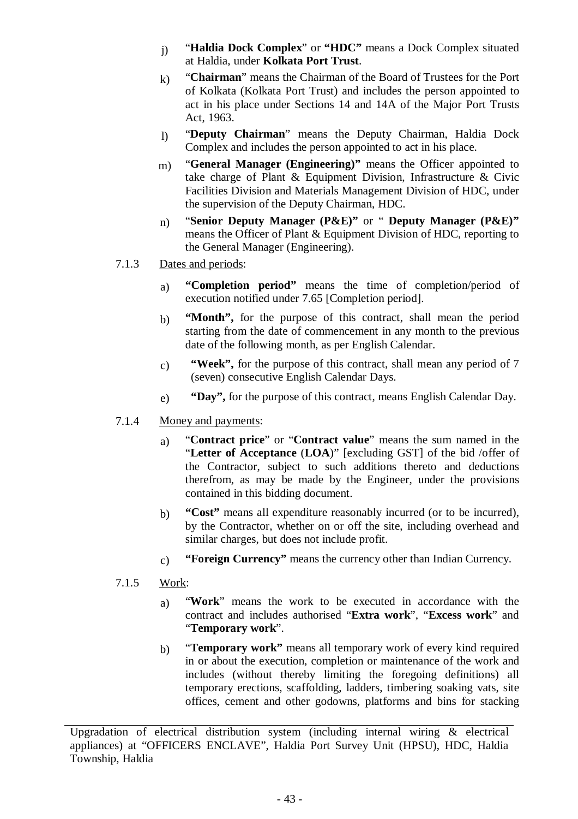- j) "**Haldia Dock Complex**" or **"HDC"** means a Dock Complex situated at Haldia, under **Kolkata Port Trust**.
- k) "**Chairman**" means the Chairman of the Board of Trustees for the Port of Kolkata (Kolkata Port Trust) and includes the person appointed to act in his place under Sections 14 and 14A of the Major Port Trusts Act, 1963.
- l) "**Deputy Chairman**" means the Deputy Chairman, Haldia Dock Complex and includes the person appointed to act in his place.
- m) "**General Manager (Engineering)"** means the Officer appointed to take charge of Plant & Equipment Division, Infrastructure & Civic Facilities Division and Materials Management Division of HDC, under the supervision of the Deputy Chairman, HDC.
- n) "**Senior Deputy Manager (P&E)"** or " **Deputy Manager (P&E)"** means the Officer of Plant & Equipment Division of HDC, reporting to the General Manager (Engineering).
- 7.1.3 Dates and periods:
	- a) **"Completion period"** means the time of completion/period of execution notified under 7.65 [Completion period].
	- b) **"Month",** for the purpose of this contract, shall mean the period starting from the date of commencement in any month to the previous date of the following month, as per English Calendar.
	- c) **"Week",** for the purpose of this contract, shall mean any period of 7 (seven) consecutive English Calendar Days.
	- e) **"Day",** for the purpose of this contract, means English Calendar Day.
- 7.1.4 Money and payments:
	- a) "**Contract price**" or "**Contract value**" means the sum named in the "**Letter of Acceptance** (**LOA**)" [excluding GST] of the bid /offer of the Contractor, subject to such additions thereto and deductions therefrom, as may be made by the Engineer, under the provisions contained in this bidding document.
	- b) **"Cost"** means all expenditure reasonably incurred (or to be incurred), by the Contractor, whether on or off the site, including overhead and similar charges, but does not include profit.
	- c) **"Foreign Currency"** means the currency other than Indian Currency.
- 7.1.5 Work:
	- a) "**Work**" means the work to be executed in accordance with the contract and includes authorised "**Extra work**", "**Excess work**" and "**Temporary work**".
	- b) "**Temporary work"** means all temporary work of every kind required in or about the execution, completion or maintenance of the work and includes (without thereby limiting the foregoing definitions) all temporary erections, scaffolding, ladders, timbering soaking vats, site offices, cement and other godowns, platforms and bins for stacking

Upgradation of electrical distribution system (including internal wiring & electrical appliances) at "OFFICERS ENCLAVE", Haldia Port Survey Unit (HPSU), HDC, Haldia Township, Haldia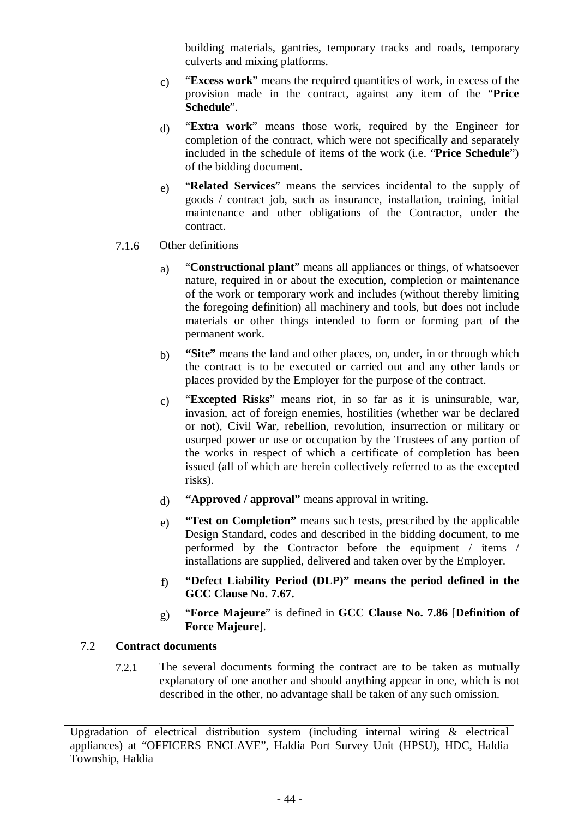building materials, gantries, temporary tracks and roads, temporary culverts and mixing platforms.

- c) "**Excess work**" means the required quantities of work, in excess of the provision made in the contract, against any item of the "**Price Schedule**".
- d) "**Extra work**" means those work, required by the Engineer for completion of the contract, which were not specifically and separately included in the schedule of items of the work (i.e. "**Price Schedule**") of the bidding document.
- e) "**Related Services**" means the services incidental to the supply of goods / contract job, such as insurance, installation, training, initial maintenance and other obligations of the Contractor, under the contract.
- 7.1.6 Other definitions
	- a) "**Constructional plant**" means all appliances or things, of whatsoever nature, required in or about the execution, completion or maintenance of the work or temporary work and includes (without thereby limiting the foregoing definition) all machinery and tools, but does not include materials or other things intended to form or forming part of the permanent work.
	- b) **"Site"** means the land and other places, on, under, in or through which the contract is to be executed or carried out and any other lands or places provided by the Employer for the purpose of the contract.
	- c) "**Excepted Risks**" means riot, in so far as it is uninsurable, war, invasion, act of foreign enemies, hostilities (whether war be declared or not), Civil War, rebellion, revolution, insurrection or military or usurped power or use or occupation by the Trustees of any portion of the works in respect of which a certificate of completion has been issued (all of which are herein collectively referred to as the excepted risks).
	- d) **"Approved / approval"** means approval in writing.
	- e) **"Test on Completion"** means such tests, prescribed by the applicable Design Standard, codes and described in the bidding document, to me performed by the Contractor before the equipment / items / installations are supplied, delivered and taken over by the Employer.
	- f) **"Defect Liability Period (DLP)" means the period defined in the GCC Clause No. 7.67.**
	- g) "**Force Majeure**" is defined in **GCC Clause No. 7.86** [**Definition of Force Majeure**].

#### 7.2 **Contract documents**

7.2.1 The several documents forming the contract are to be taken as mutually explanatory of one another and should anything appear in one, which is not described in the other, no advantage shall be taken of any such omission.

Upgradation of electrical distribution system (including internal wiring & electrical appliances) at "OFFICERS ENCLAVE", Haldia Port Survey Unit (HPSU), HDC, Haldia Township, Haldia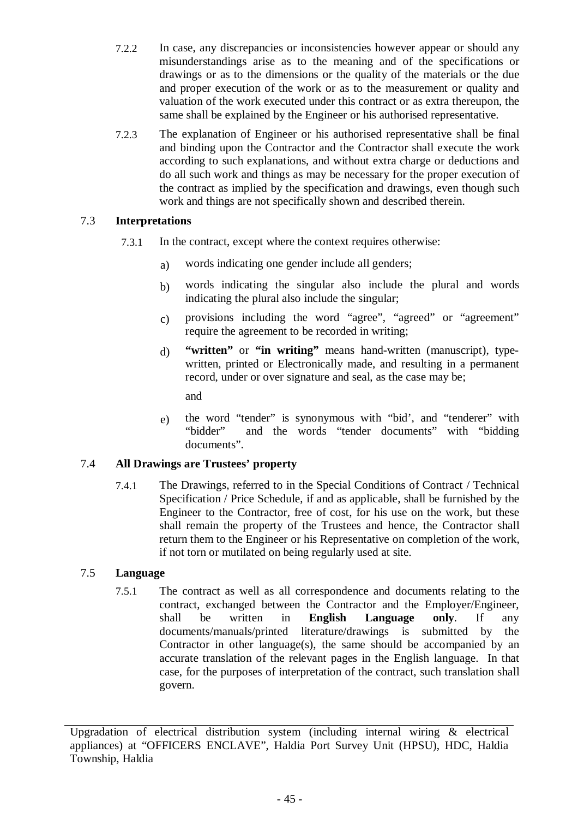- 7.2.2 In case, any discrepancies or inconsistencies however appear or should any misunderstandings arise as to the meaning and of the specifications or drawings or as to the dimensions or the quality of the materials or the due and proper execution of the work or as to the measurement or quality and valuation of the work executed under this contract or as extra thereupon, the same shall be explained by the Engineer or his authorised representative.
- 7.2.3 The explanation of Engineer or his authorised representative shall be final and binding upon the Contractor and the Contractor shall execute the work according to such explanations, and without extra charge or deductions and do all such work and things as may be necessary for the proper execution of the contract as implied by the specification and drawings, even though such work and things are not specifically shown and described therein.

# 7.3 **Interpretations**

- 7.3.1 In the contract, except where the context requires otherwise:
	- a) words indicating one gender include all genders;
	- b) words indicating the singular also include the plural and words indicating the plural also include the singular;
	- c) provisions including the word "agree", "agreed" or "agreement" require the agreement to be recorded in writing;
	- d) **"written"** or **"in writing"** means hand-written (manuscript), typewritten, printed or Electronically made, and resulting in a permanent record, under or over signature and seal, as the case may be;

and

e) the word "tender" is synonymous with "bid', and "tenderer" with "bidder" and the words "tender documents" with "bidding and the words "tender documents" with "bidding documents".

# 7.4 **All Drawings are Trustees' property**

7.4.1 The Drawings, referred to in the Special Conditions of Contract / Technical Specification / Price Schedule, if and as applicable, shall be furnished by the Engineer to the Contractor, free of cost, for his use on the work, but these shall remain the property of the Trustees and hence, the Contractor shall return them to the Engineer or his Representative on completion of the work, if not torn or mutilated on being regularly used at site.

# 7.5 **Language**

7.5.1 The contract as well as all correspondence and documents relating to the contract, exchanged between the Contractor and the Employer/Engineer, shall be written in **English Language only**. If any documents/manuals/printed literature/drawings is submitted by the Contractor in other language(s), the same should be accompanied by an accurate translation of the relevant pages in the English language. In that case, for the purposes of interpretation of the contract, such translation shall govern.

Upgradation of electrical distribution system (including internal wiring & electrical appliances) at "OFFICERS ENCLAVE", Haldia Port Survey Unit (HPSU), HDC, Haldia Township, Haldia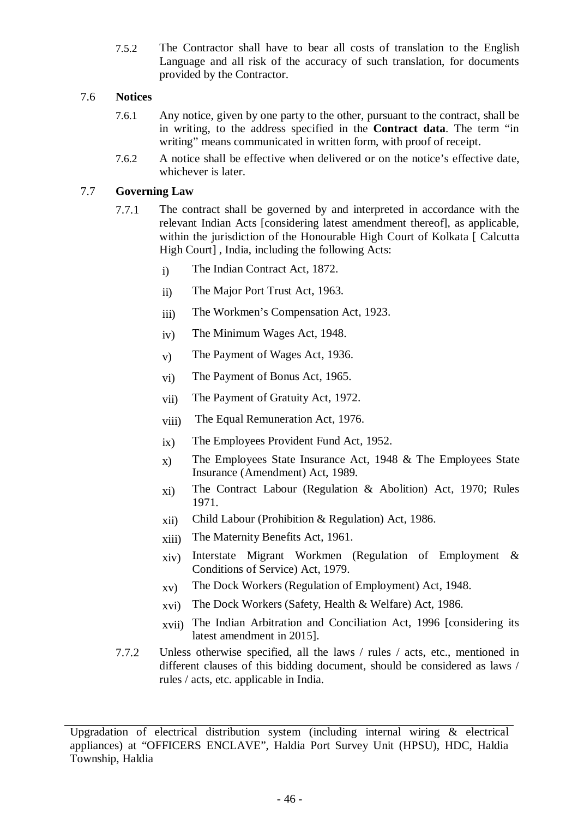7.5.2 The Contractor shall have to bear all costs of translation to the English Language and all risk of the accuracy of such translation, for documents provided by the Contractor.

#### 7.6 **Notices**

- 7.6.1 Any notice, given by one party to the other, pursuant to the contract, shall be in writing, to the address specified in the **Contract data**. The term "in writing" means communicated in written form, with proof of receipt.
- 7.6.2 A notice shall be effective when delivered or on the notice's effective date, whichever is later.

#### 7.7 **Governing Law**

- 7.7.1 The contract shall be governed by and interpreted in accordance with the relevant Indian Acts [considering latest amendment thereof], as applicable, within the jurisdiction of the Honourable High Court of Kolkata [ Calcutta High Court] , India, including the following Acts:
	- i) The Indian Contract Act, 1872.
	- ii) The Major Port Trust Act, 1963.
	- iii) The Workmen's Compensation Act, 1923.
	- iv) The Minimum Wages Act, 1948.
	- v) The Payment of Wages Act, 1936.
	- vi) The Payment of Bonus Act, 1965.
	- vii) The Payment of Gratuity Act, 1972.
	- viii) The Equal Remuneration Act, 1976.
	- ix) The Employees Provident Fund Act, 1952.
	- $x$ ) The Employees State Insurance Act, 1948 & The Employees State Insurance (Amendment) Act, 1989.
	- xi) The Contract Labour (Regulation & Abolition) Act, 1970; Rules 1971.
	- xii) Child Labour (Prohibition & Regulation) Act, 1986.
	- xiii) The Maternity Benefits Act, 1961.
	- xiv) Interstate Migrant Workmen (Regulation of Employment & Conditions of Service) Act, 1979.
	- xv) The Dock Workers (Regulation of Employment) Act, 1948.
	- xvi) The Dock Workers (Safety, Health & Welfare) Act, 1986.
	- xvii) The Indian Arbitration and Conciliation Act, 1996 [considering its latest amendment in 2015].
- 7.7.2 Unless otherwise specified, all the laws / rules / acts, etc., mentioned in different clauses of this bidding document, should be considered as laws / rules / acts, etc. applicable in India.

Upgradation of electrical distribution system (including internal wiring & electrical appliances) at "OFFICERS ENCLAVE", Haldia Port Survey Unit (HPSU), HDC, Haldia Township, Haldia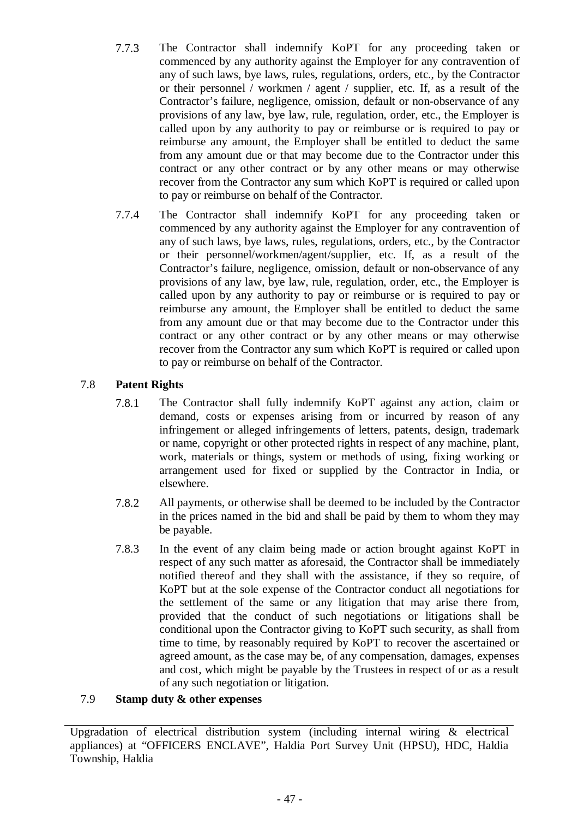- 7.7.3 The Contractor shall indemnify KoPT for any proceeding taken or commenced by any authority against the Employer for any contravention of any of such laws, bye laws, rules, regulations, orders, etc., by the Contractor or their personnel / workmen / agent / supplier, etc. If, as a result of the Contractor's failure, negligence, omission, default or non-observance of any provisions of any law, bye law, rule, regulation, order, etc., the Employer is called upon by any authority to pay or reimburse or is required to pay or reimburse any amount, the Employer shall be entitled to deduct the same from any amount due or that may become due to the Contractor under this contract or any other contract or by any other means or may otherwise recover from the Contractor any sum which KoPT is required or called upon to pay or reimburse on behalf of the Contractor.
- 7.7.4 The Contractor shall indemnify KoPT for any proceeding taken or commenced by any authority against the Employer for any contravention of any of such laws, bye laws, rules, regulations, orders, etc., by the Contractor or their personnel/workmen/agent/supplier, etc. If, as a result of the Contractor's failure, negligence, omission, default or non-observance of any provisions of any law, bye law, rule, regulation, order, etc., the Employer is called upon by any authority to pay or reimburse or is required to pay or reimburse any amount, the Employer shall be entitled to deduct the same from any amount due or that may become due to the Contractor under this contract or any other contract or by any other means or may otherwise recover from the Contractor any sum which KoPT is required or called upon to pay or reimburse on behalf of the Contractor.

# 7.8 **Patent Rights**

- 7.8.1 The Contractor shall fully indemnify KoPT against any action, claim or demand, costs or expenses arising from or incurred by reason of any infringement or alleged infringements of letters, patents, design, trademark or name, copyright or other protected rights in respect of any machine, plant, work, materials or things, system or methods of using, fixing working or arrangement used for fixed or supplied by the Contractor in India, or elsewhere.
- 7.8.2 All payments, or otherwise shall be deemed to be included by the Contractor in the prices named in the bid and shall be paid by them to whom they may be payable.
- 7.8.3 In the event of any claim being made or action brought against KoPT in respect of any such matter as aforesaid, the Contractor shall be immediately notified thereof and they shall with the assistance, if they so require, of KoPT but at the sole expense of the Contractor conduct all negotiations for the settlement of the same or any litigation that may arise there from, provided that the conduct of such negotiations or litigations shall be conditional upon the Contractor giving to KoPT such security, as shall from time to time, by reasonably required by KoPT to recover the ascertained or agreed amount, as the case may be, of any compensation, damages, expenses and cost, which might be payable by the Trustees in respect of or as a result of any such negotiation or litigation.

#### 7.9 **Stamp duty & other expenses**

Upgradation of electrical distribution system (including internal wiring & electrical appliances) at "OFFICERS ENCLAVE", Haldia Port Survey Unit (HPSU), HDC, Haldia Township, Haldia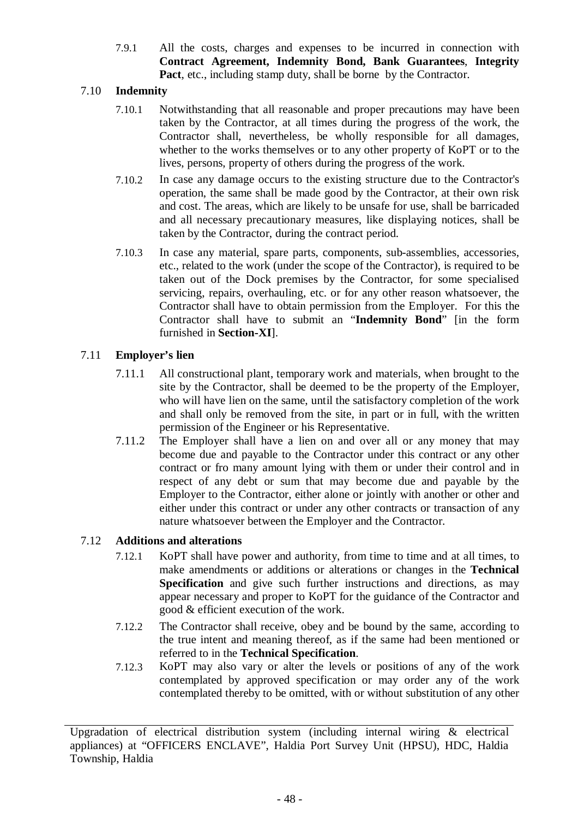7.9.1 All the costs, charges and expenses to be incurred in connection with **Contract Agreement, Indemnity Bond, Bank Guarantees**, **Integrity**  Pact, etc., including stamp duty, shall be borne by the Contractor.

# 7.10 **Indemnity**

- 7.10.1 Notwithstanding that all reasonable and proper precautions may have been taken by the Contractor, at all times during the progress of the work, the Contractor shall, nevertheless, be wholly responsible for all damages, whether to the works themselves or to any other property of KoPT or to the lives, persons, property of others during the progress of the work.
- 7.10.2 In case any damage occurs to the existing structure due to the Contractor's operation, the same shall be made good by the Contractor, at their own risk and cost. The areas, which are likely to be unsafe for use, shall be barricaded and all necessary precautionary measures, like displaying notices, shall be taken by the Contractor, during the contract period.
- 7.10.3 In case any material, spare parts, components, sub-assemblies, accessories, etc., related to the work (under the scope of the Contractor), is required to be taken out of the Dock premises by the Contractor, for some specialised servicing, repairs, overhauling, etc. or for any other reason whatsoever, the Contractor shall have to obtain permission from the Employer. For this the Contractor shall have to submit an "**Indemnity Bond**" [in the form furnished in **Section-XI**].

#### 7.11 **Employer's lien**

- 7.11.1 All constructional plant, temporary work and materials, when brought to the site by the Contractor, shall be deemed to be the property of the Employer, who will have lien on the same, until the satisfactory completion of the work and shall only be removed from the site, in part or in full, with the written permission of the Engineer or his Representative.
- 7.11.2 The Employer shall have a lien on and over all or any money that may become due and payable to the Contractor under this contract or any other contract or fro many amount lying with them or under their control and in respect of any debt or sum that may become due and payable by the Employer to the Contractor, either alone or jointly with another or other and either under this contract or under any other contracts or transaction of any nature whatsoever between the Employer and the Contractor.

# 7.12 **Additions and alterations**

- 7.12.1 KoPT shall have power and authority, from time to time and at all times, to make amendments or additions or alterations or changes in the **Technical Specification** and give such further instructions and directions, as may appear necessary and proper to KoPT for the guidance of the Contractor and good & efficient execution of the work.
- 7.12.2 The Contractor shall receive, obey and be bound by the same, according to the true intent and meaning thereof, as if the same had been mentioned or referred to in the **Technical Specification**.
- 7.12.3 KoPT may also vary or alter the levels or positions of any of the work contemplated by approved specification or may order any of the work contemplated thereby to be omitted, with or without substitution of any other

Upgradation of electrical distribution system (including internal wiring & electrical appliances) at "OFFICERS ENCLAVE", Haldia Port Survey Unit (HPSU), HDC, Haldia Township, Haldia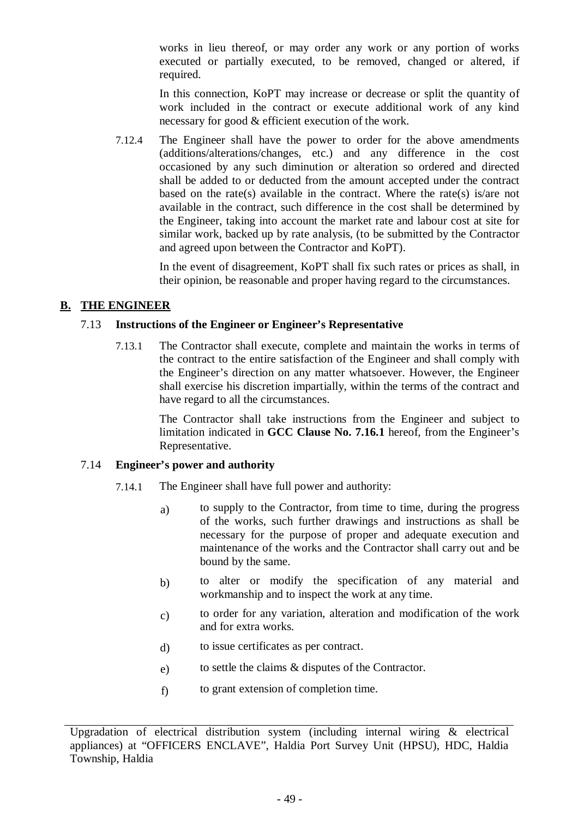works in lieu thereof, or may order any work or any portion of works executed or partially executed, to be removed, changed or altered, if required.

In this connection, KoPT may increase or decrease or split the quantity of work included in the contract or execute additional work of any kind necessary for good & efficient execution of the work.

7.12.4 The Engineer shall have the power to order for the above amendments (additions/alterations/changes, etc.) and any difference in the cost occasioned by any such diminution or alteration so ordered and directed shall be added to or deducted from the amount accepted under the contract based on the rate(s) available in the contract. Where the rate(s) is/are not available in the contract, such difference in the cost shall be determined by the Engineer, taking into account the market rate and labour cost at site for similar work, backed up by rate analysis, (to be submitted by the Contractor and agreed upon between the Contractor and KoPT).

> In the event of disagreement, KoPT shall fix such rates or prices as shall, in their opinion, be reasonable and proper having regard to the circumstances.

#### **B. THE ENGINEER**

#### 7.13 **Instructions of the Engineer or Engineer's Representative**

7.13.1 The Contractor shall execute, complete and maintain the works in terms of the contract to the entire satisfaction of the Engineer and shall comply with the Engineer's direction on any matter whatsoever. However, the Engineer shall exercise his discretion impartially, within the terms of the contract and have regard to all the circumstances.

> The Contractor shall take instructions from the Engineer and subject to limitation indicated in **GCC Clause No. 7.16.1** hereof, from the Engineer's Representative.

#### 7.14 **Engineer's power and authority**

- 7.14.1 The Engineer shall have full power and authority:
	- a) to supply to the Contractor, from time to time, during the progress of the works, such further drawings and instructions as shall be necessary for the purpose of proper and adequate execution and maintenance of the works and the Contractor shall carry out and be bound by the same.
	- b) to alter or modify the specification of any material and workmanship and to inspect the work at any time.
	- c) to order for any variation, alteration and modification of the work and for extra works.
	- d) to issue certificates as per contract.
	- e) to settle the claims & disputes of the Contractor.
	- f) to grant extension of completion time.

Upgradation of electrical distribution system (including internal wiring & electrical appliances) at "OFFICERS ENCLAVE", Haldia Port Survey Unit (HPSU), HDC, Haldia Township, Haldia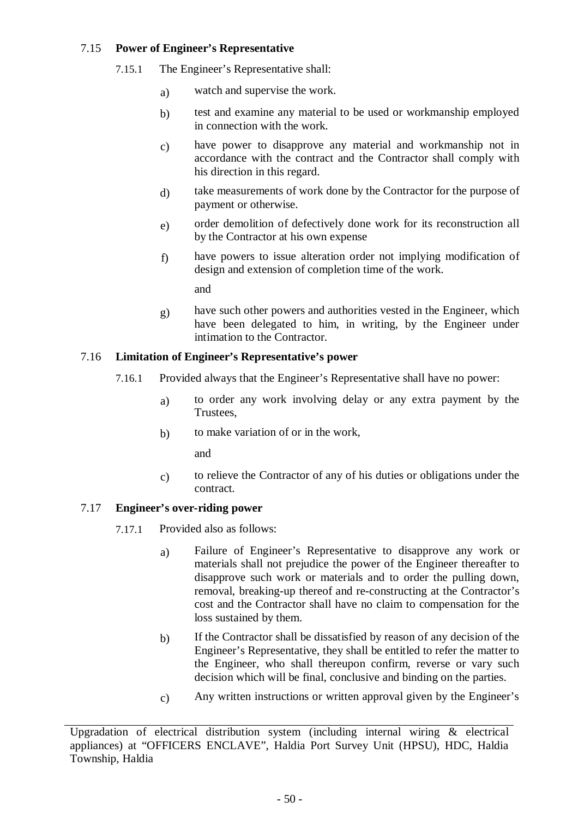# 7.15 **Power of Engineer's Representative**

7.15.1 The Engineer's Representative shall:

- a) watch and supervise the work.
- b) test and examine any material to be used or workmanship employed in connection with the work.
- c) have power to disapprove any material and workmanship not in accordance with the contract and the Contractor shall comply with his direction in this regard.
- d) take measurements of work done by the Contractor for the purpose of payment or otherwise.
- e) order demolition of defectively done work for its reconstruction all by the Contractor at his own expense
- f) have powers to issue alteration order not implying modification of design and extension of completion time of the work.

and

g) have such other powers and authorities vested in the Engineer, which have been delegated to him, in writing, by the Engineer under intimation to the Contractor.

#### 7.16 **Limitation of Engineer's Representative's power**

- 7.16.1 Provided always that the Engineer's Representative shall have no power:
	- a) to order any work involving delay or any extra payment by the Trustees,
	- b) to make variation of or in the work,

and

c) to relieve the Contractor of any of his duties or obligations under the contract.

#### 7.17 **Engineer's over-riding power**

- 7.17.1 Provided also as follows:
	- a) Failure of Engineer's Representative to disapprove any work or materials shall not prejudice the power of the Engineer thereafter to disapprove such work or materials and to order the pulling down, removal, breaking-up thereof and re-constructing at the Contractor's cost and the Contractor shall have no claim to compensation for the loss sustained by them.
	- b) If the Contractor shall be dissatisfied by reason of any decision of the Engineer's Representative, they shall be entitled to refer the matter to the Engineer, who shall thereupon confirm, reverse or vary such decision which will be final, conclusive and binding on the parties.
	- c) Any written instructions or written approval given by the Engineer's

Upgradation of electrical distribution system (including internal wiring & electrical appliances) at "OFFICERS ENCLAVE", Haldia Port Survey Unit (HPSU), HDC, Haldia Township, Haldia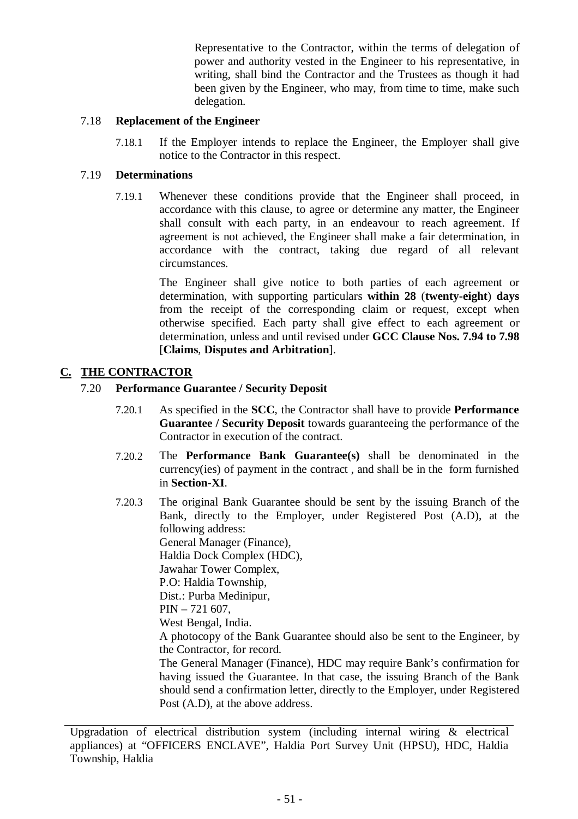Representative to the Contractor, within the terms of delegation of power and authority vested in the Engineer to his representative, in writing, shall bind the Contractor and the Trustees as though it had been given by the Engineer, who may, from time to time, make such delegation.

#### 7.18 **Replacement of the Engineer**

7.18.1 If the Employer intends to replace the Engineer, the Employer shall give notice to the Contractor in this respect.

#### 7.19 **Determinations**

7.19.1 Whenever these conditions provide that the Engineer shall proceed, in accordance with this clause, to agree or determine any matter, the Engineer shall consult with each party, in an endeavour to reach agreement. If agreement is not achieved, the Engineer shall make a fair determination, in accordance with the contract, taking due regard of all relevant circumstances.

> The Engineer shall give notice to both parties of each agreement or determination, with supporting particulars **within 28** (**twenty-eight**) **days** from the receipt of the corresponding claim or request, except when otherwise specified. Each party shall give effect to each agreement or determination, unless and until revised under **GCC Clause Nos. 7.94 to 7.98** [**Claims**, **Disputes and Arbitration**].

# **C. THE CONTRACTOR**

#### 7.20 **Performance Guarantee / Security Deposit**

- 7.20.1 As specified in the **SCC**, the Contractor shall have to provide **Performance Guarantee / Security Deposit** towards guaranteeing the performance of the Contractor in execution of the contract.
- 7.20.2 The **Performance Bank Guarantee(s)** shall be denominated in the currency(ies) of payment in the contract , and shall be in the form furnished in **Section-XI**.
- 7.20.3 The original Bank Guarantee should be sent by the issuing Branch of the Bank, directly to the Employer, under Registered Post (A.D), at the following address: General Manager (Finance), Haldia Dock Complex (HDC), Jawahar Tower Complex, P.O: Haldia Township, Dist.: Purba Medinipur, PIN – 721 607, West Bengal, India. A photocopy of the Bank Guarantee should also be sent to the Engineer, by the Contractor, for record. The General Manager (Finance), HDC may require Bank's confirmation for having issued the Guarantee. In that case, the issuing Branch of the Bank should send a confirmation letter, directly to the Employer, under Registered Post (A.D), at the above address.

Upgradation of electrical distribution system (including internal wiring & electrical appliances) at "OFFICERS ENCLAVE", Haldia Port Survey Unit (HPSU), HDC, Haldia Township, Haldia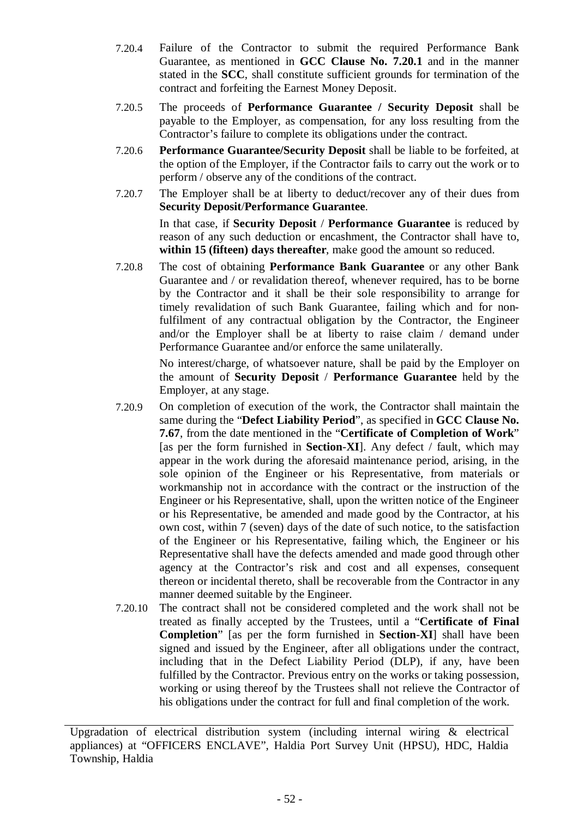- 7.20.4 Failure of the Contractor to submit the required Performance Bank Guarantee, as mentioned in **GCC Clause No. 7.20.1** and in the manner stated in the **SCC**, shall constitute sufficient grounds for termination of the contract and forfeiting the Earnest Money Deposit.
- 7.20.5 The proceeds of **Performance Guarantee / Security Deposit** shall be payable to the Employer, as compensation, for any loss resulting from the Contractor's failure to complete its obligations under the contract.
- 7.20.6 **Performance Guarantee/Security Deposit** shall be liable to be forfeited, at the option of the Employer, if the Contractor fails to carry out the work or to perform / observe any of the conditions of the contract.
- 7.20.7 The Employer shall be at liberty to deduct/recover any of their dues from **Security Deposit**/**Performance Guarantee**.

In that case, if **Security Deposit** / **Performance Guarantee** is reduced by reason of any such deduction or encashment, the Contractor shall have to, **within 15 (fifteen) days thereafter**, make good the amount so reduced.

7.20.8 The cost of obtaining **Performance Bank Guarantee** or any other Bank Guarantee and / or revalidation thereof, whenever required, has to be borne by the Contractor and it shall be their sole responsibility to arrange for timely revalidation of such Bank Guarantee, failing which and for nonfulfilment of any contractual obligation by the Contractor, the Engineer and/or the Employer shall be at liberty to raise claim / demand under Performance Guarantee and/or enforce the same unilaterally.

> No interest/charge, of whatsoever nature, shall be paid by the Employer on the amount of **Security Deposit** / **Performance Guarantee** held by the Employer, at any stage.

- 7.20.9 On completion of execution of the work, the Contractor shall maintain the same during the "**Defect Liability Period**", as specified in **GCC Clause No. 7.67**, from the date mentioned in the "**Certificate of Completion of Work**" [as per the form furnished in **Section**-**XI**]. Any defect / fault, which may appear in the work during the aforesaid maintenance period, arising, in the sole opinion of the Engineer or his Representative, from materials or workmanship not in accordance with the contract or the instruction of the Engineer or his Representative, shall, upon the written notice of the Engineer or his Representative, be amended and made good by the Contractor, at his own cost, within 7 (seven) days of the date of such notice, to the satisfaction of the Engineer or his Representative, failing which, the Engineer or his Representative shall have the defects amended and made good through other agency at the Contractor's risk and cost and all expenses, consequent thereon or incidental thereto, shall be recoverable from the Contractor in any manner deemed suitable by the Engineer.
- 7.20.10 The contract shall not be considered completed and the work shall not be treated as finally accepted by the Trustees, until a "**Certificate of Final Completion**" [as per the form furnished in **Section**-**XI**] shall have been signed and issued by the Engineer, after all obligations under the contract, including that in the Defect Liability Period (DLP), if any, have been fulfilled by the Contractor. Previous entry on the works or taking possession, working or using thereof by the Trustees shall not relieve the Contractor of his obligations under the contract for full and final completion of the work.

Upgradation of electrical distribution system (including internal wiring & electrical appliances) at "OFFICERS ENCLAVE", Haldia Port Survey Unit (HPSU), HDC, Haldia Township, Haldia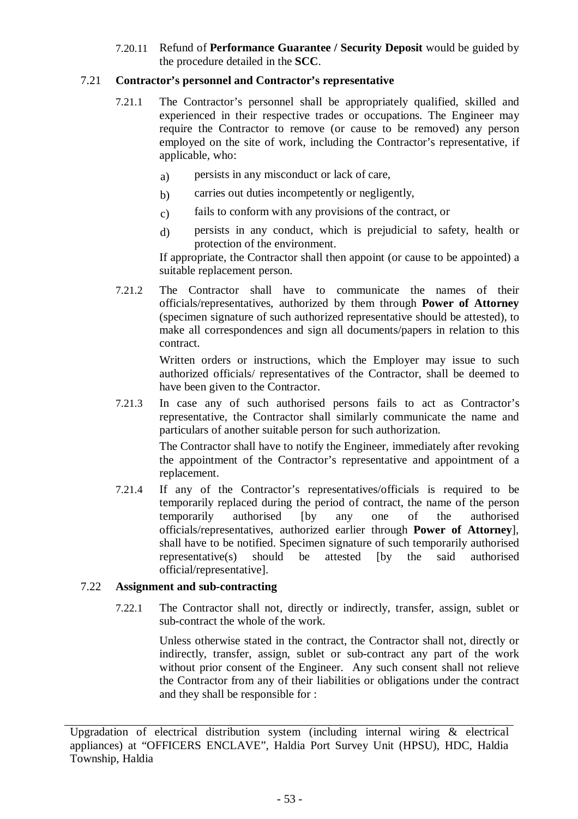7.20.11 Refund of **Performance Guarantee / Security Deposit** would be guided by the procedure detailed in the **SCC**.

#### 7.21 **Contractor's personnel and Contractor's representative**

- 7.21.1 The Contractor's personnel shall be appropriately qualified, skilled and experienced in their respective trades or occupations. The Engineer may require the Contractor to remove (or cause to be removed) any person employed on the site of work, including the Contractor's representative, if applicable, who:
	- a) persists in any misconduct or lack of care,
	- b) carries out duties incompetently or negligently,
	- c) fails to conform with any provisions of the contract, or
	- d) persists in any conduct, which is prejudicial to safety, health or protection of the environment.

If appropriate, the Contractor shall then appoint (or cause to be appointed) a suitable replacement person.

7.21.2 The Contractor shall have to communicate the names of their officials/representatives, authorized by them through **Power of Attorney** (specimen signature of such authorized representative should be attested), to make all correspondences and sign all documents/papers in relation to this contract.

> Written orders or instructions, which the Employer may issue to such authorized officials/ representatives of the Contractor, shall be deemed to have been given to the Contractor.

7.21.3 In case any of such authorised persons fails to act as Contractor's representative, the Contractor shall similarly communicate the name and particulars of another suitable person for such authorization.

> The Contractor shall have to notify the Engineer, immediately after revoking the appointment of the Contractor's representative and appointment of a replacement.

7.21.4 If any of the Contractor's representatives/officials is required to be temporarily replaced during the period of contract, the name of the person temporarily authorised [by any one of the authorised officials/representatives, authorized earlier through **Power of Attorney**], shall have to be notified. Specimen signature of such temporarily authorised representative(s) should be attested [by the said authorised official/representative].

#### 7.22 **Assignment and sub-contracting**

7.22.1 The Contractor shall not, directly or indirectly, transfer, assign, sublet or sub-contract the whole of the work.

> Unless otherwise stated in the contract, the Contractor shall not, directly or indirectly, transfer, assign, sublet or sub-contract any part of the work without prior consent of the Engineer. Any such consent shall not relieve the Contractor from any of their liabilities or obligations under the contract and they shall be responsible for :

Upgradation of electrical distribution system (including internal wiring & electrical appliances) at "OFFICERS ENCLAVE", Haldia Port Survey Unit (HPSU), HDC, Haldia Township, Haldia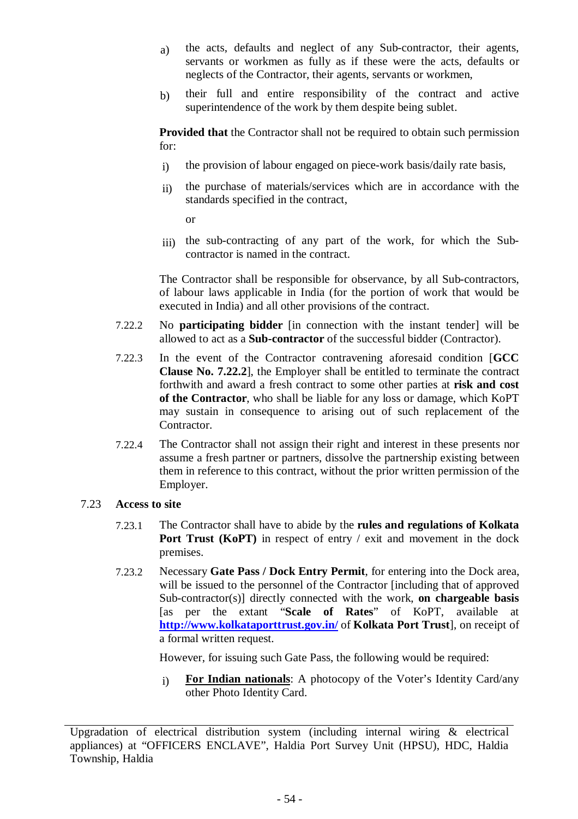- a) the acts, defaults and neglect of any Sub-contractor, their agents, servants or workmen as fully as if these were the acts, defaults or neglects of the Contractor, their agents, servants or workmen,
- b) their full and entire responsibility of the contract and active superintendence of the work by them despite being sublet.

**Provided that** the Contractor shall not be required to obtain such permission for:

- i) the provision of labour engaged on piece-work basis/daily rate basis,
- ii) the purchase of materials/services which are in accordance with the standards specified in the contract,

or

iii) the sub-contracting of any part of the work, for which the Subcontractor is named in the contract.

The Contractor shall be responsible for observance, by all Sub-contractors, of labour laws applicable in India (for the portion of work that would be executed in India) and all other provisions of the contract.

- 7.22.2 No **participating bidder** [in connection with the instant tender] will be allowed to act as a **Sub-contractor** of the successful bidder (Contractor).
- 7.22.3 In the event of the Contractor contravening aforesaid condition [**GCC Clause No. 7.22.2**], the Employer shall be entitled to terminate the contract forthwith and award a fresh contract to some other parties at **risk and cost of the Contractor**, who shall be liable for any loss or damage, which KoPT may sustain in consequence to arising out of such replacement of the Contractor.
- 7.22.4 The Contractor shall not assign their right and interest in these presents nor assume a fresh partner or partners, dissolve the partnership existing between them in reference to this contract, without the prior written permission of the Employer.

#### 7.23 **Access to site**

- 7.23.1 The Contractor shall have to abide by the **rules and regulations of Kolkata Port Trust (KoPT)** in respect of entry / exit and movement in the dock premises.
- 7.23.2 Necessary **Gate Pass / Dock Entry Permit**, for entering into the Dock area, will be issued to the personnel of the Contractor [including that of approved Sub-contractor(s)] directly connected with the work, **on chargeable basis** [as per the extant "**Scale of Rates**" of KoPT, available at **http://www.kolkataporttrust.gov.in/** of **Kolkata Port Trust**], on receipt of a formal written request.

However, for issuing such Gate Pass, the following would be required:

i) **For Indian nationals**: A photocopy of the Voter's Identity Card/any other Photo Identity Card.

Upgradation of electrical distribution system (including internal wiring & electrical appliances) at "OFFICERS ENCLAVE", Haldia Port Survey Unit (HPSU), HDC, Haldia Township, Haldia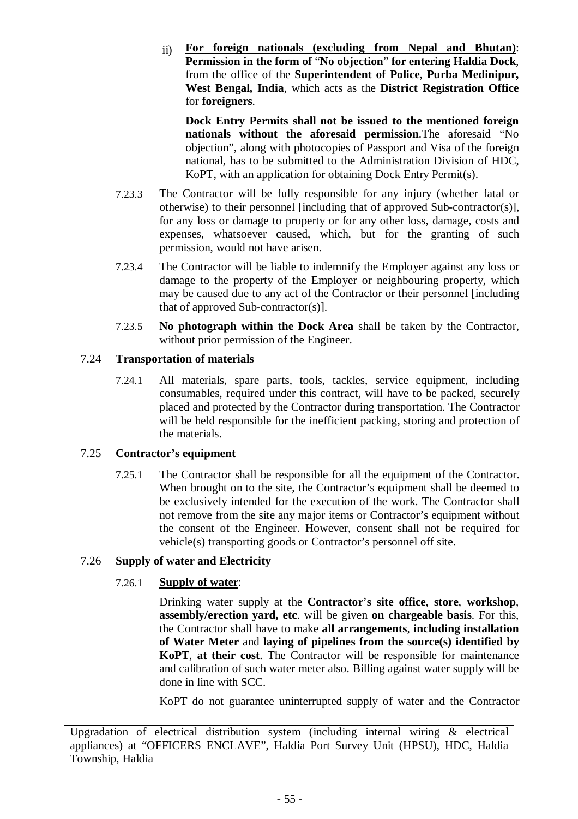ii) **For foreign nationals (excluding from Nepal and Bhutan)**: **Permission in the form of** "**No objection**" **for entering Haldia Dock**, from the office of the **Superintendent of Police**, **Purba Medinipur, West Bengal, India**, which acts as the **District Registration Office** for **foreigners**.

**Dock Entry Permits shall not be issued to the mentioned foreign nationals without the aforesaid permission**.The aforesaid "No objection", along with photocopies of Passport and Visa of the foreign national, has to be submitted to the Administration Division of HDC, KoPT, with an application for obtaining Dock Entry Permit(s).

- 7.23.3 The Contractor will be fully responsible for any injury (whether fatal or otherwise) to their personnel [including that of approved Sub-contractor(s)], for any loss or damage to property or for any other loss, damage, costs and expenses, whatsoever caused, which, but for the granting of such permission, would not have arisen.
- 7.23.4 The Contractor will be liable to indemnify the Employer against any loss or damage to the property of the Employer or neighbouring property, which may be caused due to any act of the Contractor or their personnel [including that of approved Sub-contractor(s)].
- 7.23.5 **No photograph within the Dock Area** shall be taken by the Contractor, without prior permission of the Engineer.

#### 7.24 **Transportation of materials**

7.24.1 All materials, spare parts, tools, tackles, service equipment, including consumables, required under this contract, will have to be packed, securely placed and protected by the Contractor during transportation. The Contractor will be held responsible for the inefficient packing, storing and protection of the materials.

# 7.25 **Contractor's equipment**

7.25.1 The Contractor shall be responsible for all the equipment of the Contractor. When brought on to the site, the Contractor's equipment shall be deemed to be exclusively intended for the execution of the work. The Contractor shall not remove from the site any major items or Contractor's equipment without the consent of the Engineer. However, consent shall not be required for vehicle(s) transporting goods or Contractor's personnel off site.

# 7.26 **Supply of water and Electricity**

# 7.26.1 **Supply of water**:

Drinking water supply at the **Contractor**'**s site office**, **store**, **workshop**, **assembly/erection yard, etc**. will be given **on chargeable basis**. For this, the Contractor shall have to make **all arrangements**, **including installation of Water Meter** and **laying of pipelines from the source(s) identified by KoPT**, **at their cost**. The Contractor will be responsible for maintenance and calibration of such water meter also. Billing against water supply will be done in line with SCC.

KoPT do not guarantee uninterrupted supply of water and the Contractor

Upgradation of electrical distribution system (including internal wiring & electrical appliances) at "OFFICERS ENCLAVE", Haldia Port Survey Unit (HPSU), HDC, Haldia Township, Haldia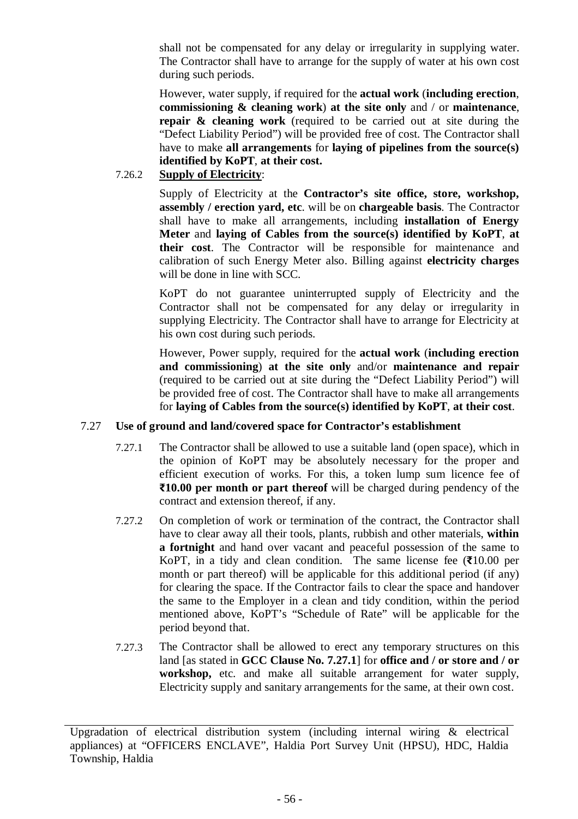shall not be compensated for any delay or irregularity in supplying water. The Contractor shall have to arrange for the supply of water at his own cost during such periods.

However, water supply, if required for the **actual work** (**including erection**, **commissioning & cleaning work**) **at the site only** and / or **maintenance**, **repair & cleaning work** (required to be carried out at site during the "Defect Liability Period") will be provided free of cost. The Contractor shall have to make **all arrangements** for **laying of pipelines from the source(s) identified by KoPT**, **at their cost.**

# 7.26.2 **Supply of Electricity**:

Supply of Electricity at the **Contractor's site office, store, workshop, assembly / erection yard, etc**. will be on **chargeable basis**. The Contractor shall have to make all arrangements, including **installation of Energy Meter** and **laying of Cables from the source(s) identified by KoPT**, **at their cost**. The Contractor will be responsible for maintenance and calibration of such Energy Meter also. Billing against **electricity charges** will be done in line with SCC.

KoPT do not guarantee uninterrupted supply of Electricity and the Contractor shall not be compensated for any delay or irregularity in supplying Electricity. The Contractor shall have to arrange for Electricity at his own cost during such periods.

However, Power supply, required for the **actual work** (**including erection and commissioning**) **at the site only** and/or **maintenance and repair**  (required to be carried out at site during the "Defect Liability Period") will be provided free of cost. The Contractor shall have to make all arrangements for **laying of Cables from the source(s) identified by KoPT**, **at their cost**.

#### 7.27 **Use of ground and land/covered space for Contractor's establishment**

- 7.27.1 The Contractor shall be allowed to use a suitable land (open space), which in the opinion of KoPT may be absolutely necessary for the proper and efficient execution of works. For this, a token lump sum licence fee of **₹10.00 per month or part thereof** will be charged during pendency of the contract and extension thereof, if any.
- 7.27.2 On completion of work or termination of the contract, the Contractor shall have to clear away all their tools, plants, rubbish and other materials, **within a fortnight** and hand over vacant and peaceful possession of the same to KoPT, in a tidy and clean condition. The same license fee (**₹**10.00 per month or part thereof) will be applicable for this additional period (if any) for clearing the space. If the Contractor fails to clear the space and handover the same to the Employer in a clean and tidy condition, within the period mentioned above, KoPT's "Schedule of Rate" will be applicable for the period beyond that.
- 7.27.3 The Contractor shall be allowed to erect any temporary structures on this land [as stated in **GCC Clause No. 7.27.1**] for **office and / or store and / or workshop,** etc. and make all suitable arrangement for water supply, Electricity supply and sanitary arrangements for the same, at their own cost.

Upgradation of electrical distribution system (including internal wiring & electrical appliances) at "OFFICERS ENCLAVE", Haldia Port Survey Unit (HPSU), HDC, Haldia Township, Haldia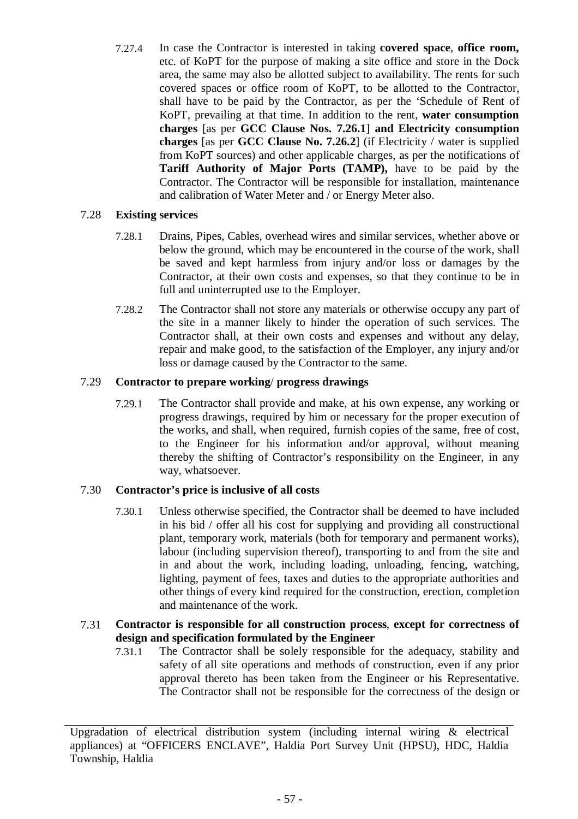7.27.4 In case the Contractor is interested in taking **covered space**, **office room,** etc. of KoPT for the purpose of making a site office and store in the Dock area, the same may also be allotted subject to availability. The rents for such covered spaces or office room of KoPT, to be allotted to the Contractor, shall have to be paid by the Contractor, as per the 'Schedule of Rent of KoPT, prevailing at that time. In addition to the rent, **water consumption charges** [as per **GCC Clause Nos. 7.26.1**] **and Electricity consumption charges** [as per **GCC Clause No. 7.26.2**] (if Electricity / water is supplied from KoPT sources) and other applicable charges, as per the notifications of **Tariff Authority of Major Ports (TAMP),** have to be paid by the Contractor. The Contractor will be responsible for installation, maintenance and calibration of Water Meter and / or Energy Meter also.

#### 7.28 **Existing services**

- 7.28.1 Drains, Pipes, Cables, overhead wires and similar services, whether above or below the ground, which may be encountered in the course of the work, shall be saved and kept harmless from injury and/or loss or damages by the Contractor, at their own costs and expenses, so that they continue to be in full and uninterrupted use to the Employer.
- 7.28.2 The Contractor shall not store any materials or otherwise occupy any part of the site in a manner likely to hinder the operation of such services. The Contractor shall, at their own costs and expenses and without any delay, repair and make good, to the satisfaction of the Employer, any injury and/or loss or damage caused by the Contractor to the same.

# 7.29 **Contractor to prepare working**/ **progress drawings**

7.29.1 The Contractor shall provide and make, at his own expense, any working or progress drawings, required by him or necessary for the proper execution of the works, and shall, when required, furnish copies of the same, free of cost, to the Engineer for his information and/or approval, without meaning thereby the shifting of Contractor's responsibility on the Engineer, in any way, whatsoever.

# 7.30 **Contractor's price is inclusive of all costs**

7.30.1 Unless otherwise specified, the Contractor shall be deemed to have included in his bid / offer all his cost for supplying and providing all constructional plant, temporary work, materials (both for temporary and permanent works), labour (including supervision thereof), transporting to and from the site and in and about the work, including loading, unloading, fencing, watching, lighting, payment of fees, taxes and duties to the appropriate authorities and other things of every kind required for the construction, erection, completion and maintenance of the work.

# 7.31 **Contractor is responsible for all construction process**, **except for correctness of design and specification formulated by the Engineer**

7.31.1 The Contractor shall be solely responsible for the adequacy, stability and safety of all site operations and methods of construction, even if any prior approval thereto has been taken from the Engineer or his Representative. The Contractor shall not be responsible for the correctness of the design or

Upgradation of electrical distribution system (including internal wiring & electrical appliances) at "OFFICERS ENCLAVE", Haldia Port Survey Unit (HPSU), HDC, Haldia Township, Haldia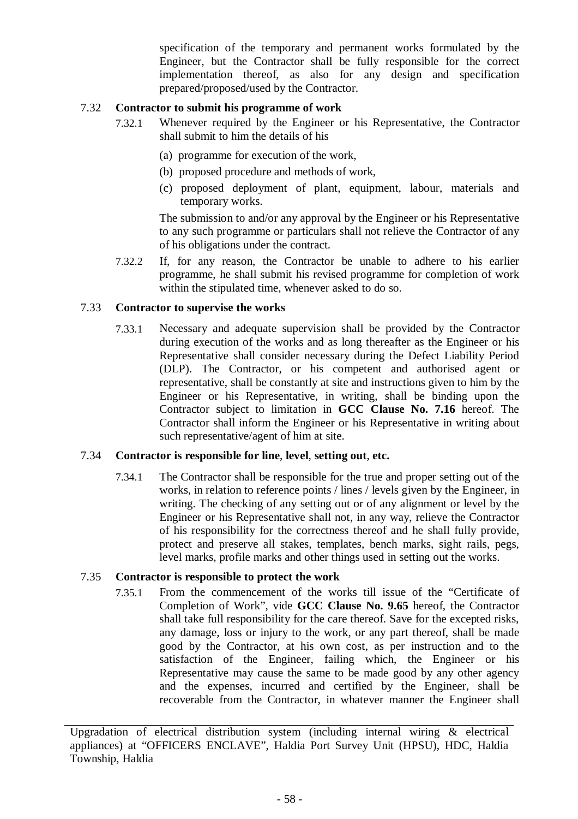specification of the temporary and permanent works formulated by the Engineer, but the Contractor shall be fully responsible for the correct implementation thereof, as also for any design and specification prepared/proposed/used by the Contractor.

#### 7.32 **Contractor to submit his programme of work**

- 7.32.1 Whenever required by the Engineer or his Representative, the Contractor shall submit to him the details of his
	- (a) programme for execution of the work,
	- (b) proposed procedure and methods of work,
	- (c) proposed deployment of plant, equipment, labour, materials and temporary works.

The submission to and/or any approval by the Engineer or his Representative to any such programme or particulars shall not relieve the Contractor of any of his obligations under the contract.

7.32.2 If, for any reason, the Contractor be unable to adhere to his earlier programme, he shall submit his revised programme for completion of work within the stipulated time, whenever asked to do so.

#### 7.33 **Contractor to supervise the works**

7.33.1 Necessary and adequate supervision shall be provided by the Contractor during execution of the works and as long thereafter as the Engineer or his Representative shall consider necessary during the Defect Liability Period (DLP). The Contractor, or his competent and authorised agent or representative, shall be constantly at site and instructions given to him by the Engineer or his Representative, in writing, shall be binding upon the Contractor subject to limitation in **GCC Clause No. 7.16** hereof. The Contractor shall inform the Engineer or his Representative in writing about such representative/agent of him at site.

#### 7.34 **Contractor is responsible for line**, **level**, **setting out**, **etc.**

7.34.1 The Contractor shall be responsible for the true and proper setting out of the works, in relation to reference points / lines / levels given by the Engineer, in writing. The checking of any setting out or of any alignment or level by the Engineer or his Representative shall not, in any way, relieve the Contractor of his responsibility for the correctness thereof and he shall fully provide, protect and preserve all stakes, templates, bench marks, sight rails, pegs, level marks, profile marks and other things used in setting out the works.

#### 7.35 **Contractor is responsible to protect the work**

7.35.1 From the commencement of the works till issue of the "Certificate of Completion of Work", vide **GCC Clause No. 9.65** hereof, the Contractor shall take full responsibility for the care thereof. Save for the excepted risks, any damage, loss or injury to the work, or any part thereof, shall be made good by the Contractor, at his own cost, as per instruction and to the satisfaction of the Engineer, failing which, the Engineer or his Representative may cause the same to be made good by any other agency and the expenses, incurred and certified by the Engineer, shall be recoverable from the Contractor, in whatever manner the Engineer shall

Upgradation of electrical distribution system (including internal wiring & electrical appliances) at "OFFICERS ENCLAVE", Haldia Port Survey Unit (HPSU), HDC, Haldia Township, Haldia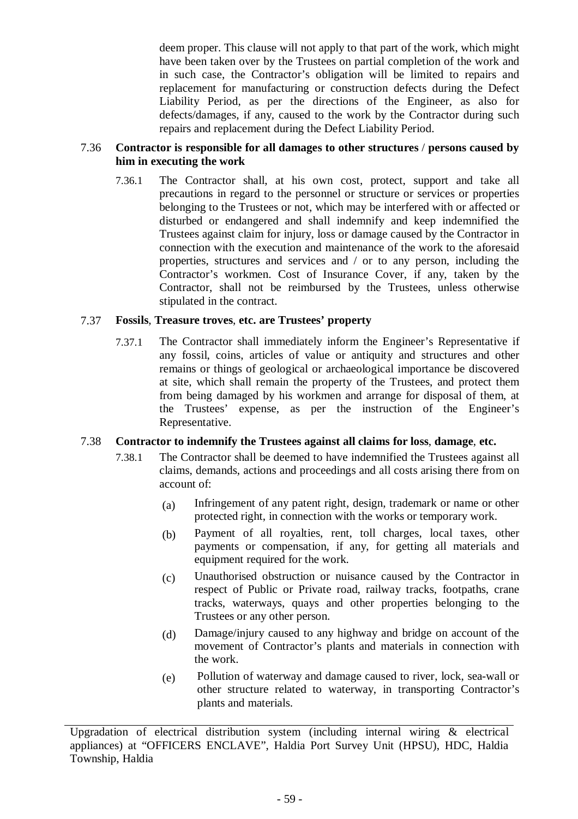deem proper. This clause will not apply to that part of the work, which might have been taken over by the Trustees on partial completion of the work and in such case, the Contractor's obligation will be limited to repairs and replacement for manufacturing or construction defects during the Defect Liability Period, as per the directions of the Engineer, as also for defects/damages, if any, caused to the work by the Contractor during such repairs and replacement during the Defect Liability Period.

#### 7.36 **Contractor is responsible for all damages to other structures** / **persons caused by him in executing the work**

7.36.1 The Contractor shall, at his own cost, protect, support and take all precautions in regard to the personnel or structure or services or properties belonging to the Trustees or not, which may be interfered with or affected or disturbed or endangered and shall indemnify and keep indemnified the Trustees against claim for injury, loss or damage caused by the Contractor in connection with the execution and maintenance of the work to the aforesaid properties, structures and services and / or to any person, including the Contractor's workmen. Cost of Insurance Cover, if any, taken by the Contractor, shall not be reimbursed by the Trustees, unless otherwise stipulated in the contract.

#### 7.37 **Fossils**, **Treasure troves**, **etc. are Trustees' property**

7.37.1 The Contractor shall immediately inform the Engineer's Representative if any fossil, coins, articles of value or antiquity and structures and other remains or things of geological or archaeological importance be discovered at site, which shall remain the property of the Trustees, and protect them from being damaged by his workmen and arrange for disposal of them, at the Trustees' expense, as per the instruction of the Engineer's Representative.

#### 7.38 **Contractor to indemnify the Trustees against all claims for loss**, **damage**, **etc.**

- 7.38.1 The Contractor shall be deemed to have indemnified the Trustees against all claims, demands, actions and proceedings and all costs arising there from on account of:
	- (a) Infringement of any patent right, design, trademark or name or other protected right, in connection with the works or temporary work.
	- (b) Payment of all royalties, rent, toll charges, local taxes, other payments or compensation, if any, for getting all materials and equipment required for the work.
	- (c) Unauthorised obstruction or nuisance caused by the Contractor in respect of Public or Private road, railway tracks, footpaths, crane tracks, waterways, quays and other properties belonging to the Trustees or any other person.
	- (d) Damage/injury caused to any highway and bridge on account of the movement of Contractor's plants and materials in connection with the work.
	- (e) Pollution of waterway and damage caused to river, lock, sea-wall or other structure related to waterway, in transporting Contractor's plants and materials.

Upgradation of electrical distribution system (including internal wiring & electrical appliances) at "OFFICERS ENCLAVE", Haldia Port Survey Unit (HPSU), HDC, Haldia Township, Haldia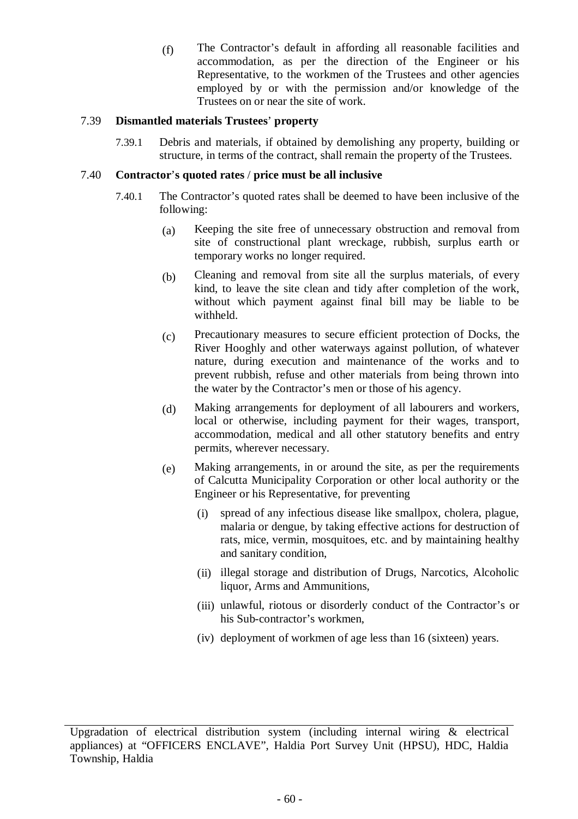(f) The Contractor's default in affording all reasonable facilities and accommodation, as per the direction of the Engineer or his Representative, to the workmen of the Trustees and other agencies employed by or with the permission and/or knowledge of the Trustees on or near the site of work.

#### 7.39 **Dismantled materials Trustees**' **property**

7.39.1 Debris and materials, if obtained by demolishing any property, building or structure, in terms of the contract, shall remain the property of the Trustees.

#### 7.40 **Contractor**'**s quoted rates** / **price must be all inclusive**

- 7.40.1 The Contractor's quoted rates shall be deemed to have been inclusive of the following:
	- (a) Keeping the site free of unnecessary obstruction and removal from site of constructional plant wreckage, rubbish, surplus earth or temporary works no longer required.
	- (b) Cleaning and removal from site all the surplus materials, of every kind, to leave the site clean and tidy after completion of the work, without which payment against final bill may be liable to be withheld.
	- (c) Precautionary measures to secure efficient protection of Docks, the River Hooghly and other waterways against pollution, of whatever nature, during execution and maintenance of the works and to prevent rubbish, refuse and other materials from being thrown into the water by the Contractor's men or those of his agency.
	- (d) Making arrangements for deployment of all labourers and workers, local or otherwise, including payment for their wages, transport, accommodation, medical and all other statutory benefits and entry permits, wherever necessary.
	- (e) Making arrangements, in or around the site, as per the requirements of Calcutta Municipality Corporation or other local authority or the Engineer or his Representative, for preventing
		- (i) spread of any infectious disease like smallpox, cholera, plague, malaria or dengue, by taking effective actions for destruction of rats, mice, vermin, mosquitoes, etc. and by maintaining healthy and sanitary condition,
		- (ii) illegal storage and distribution of Drugs, Narcotics, Alcoholic liquor, Arms and Ammunitions,
		- (iii) unlawful, riotous or disorderly conduct of the Contractor's or his Sub-contractor's workmen,
		- (iv) deployment of workmen of age less than 16 (sixteen) years.

Upgradation of electrical distribution system (including internal wiring & electrical appliances) at "OFFICERS ENCLAVE", Haldia Port Survey Unit (HPSU), HDC, Haldia Township, Haldia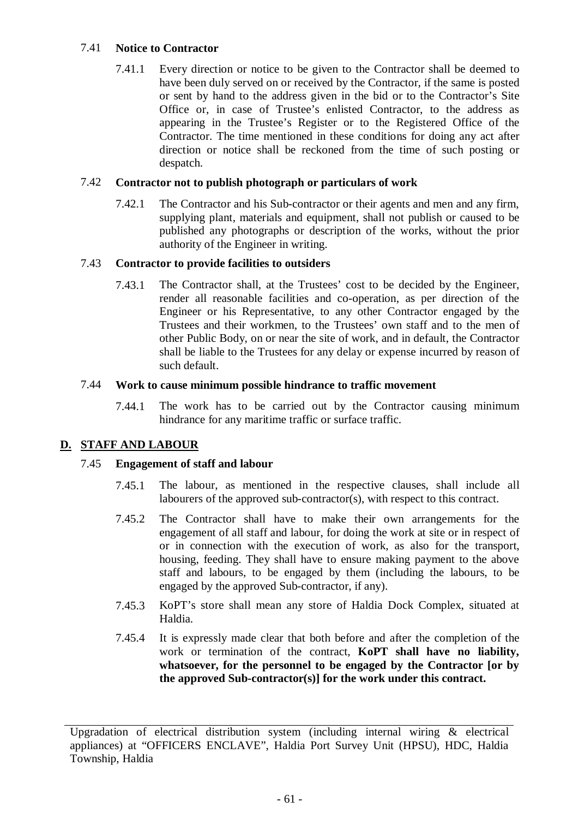# 7.41 **Notice to Contractor**

7.41.1 Every direction or notice to be given to the Contractor shall be deemed to have been duly served on or received by the Contractor, if the same is posted or sent by hand to the address given in the bid or to the Contractor's Site Office or, in case of Trustee's enlisted Contractor, to the address as appearing in the Trustee's Register or to the Registered Office of the Contractor. The time mentioned in these conditions for doing any act after direction or notice shall be reckoned from the time of such posting or despatch.

#### 7.42 **Contractor not to publish photograph or particulars of work**

7.42.1 The Contractor and his Sub-contractor or their agents and men and any firm, supplying plant, materials and equipment, shall not publish or caused to be published any photographs or description of the works, without the prior authority of the Engineer in writing.

# 7.43 **Contractor to provide facilities to outsiders**

7.43.1 The Contractor shall, at the Trustees' cost to be decided by the Engineer, render all reasonable facilities and co-operation, as per direction of the Engineer or his Representative, to any other Contractor engaged by the Trustees and their workmen, to the Trustees' own staff and to the men of other Public Body, on or near the site of work, and in default, the Contractor shall be liable to the Trustees for any delay or expense incurred by reason of such default.

#### 7.44 **Work to cause minimum possible hindrance to traffic movement**

7.44.1 The work has to be carried out by the Contractor causing minimum hindrance for any maritime traffic or surface traffic.

# **D. STAFF AND LABOUR**

#### 7.45 **Engagement of staff and labour**

- 7.45.1 The labour, as mentioned in the respective clauses, shall include all labourers of the approved sub-contractor(s), with respect to this contract.
- 7.45.2 The Contractor shall have to make their own arrangements for the engagement of all staff and labour, for doing the work at site or in respect of or in connection with the execution of work, as also for the transport, housing, feeding. They shall have to ensure making payment to the above staff and labours, to be engaged by them (including the labours, to be engaged by the approved Sub-contractor, if any).
- 7.45.3 KoPT's store shall mean any store of Haldia Dock Complex, situated at Haldia.
- 7.45.4 It is expressly made clear that both before and after the completion of the work or termination of the contract, **KoPT shall have no liability, whatsoever, for the personnel to be engaged by the Contractor [or by the approved Sub-contractor(s)] for the work under this contract.**

Upgradation of electrical distribution system (including internal wiring & electrical appliances) at "OFFICERS ENCLAVE", Haldia Port Survey Unit (HPSU), HDC, Haldia Township, Haldia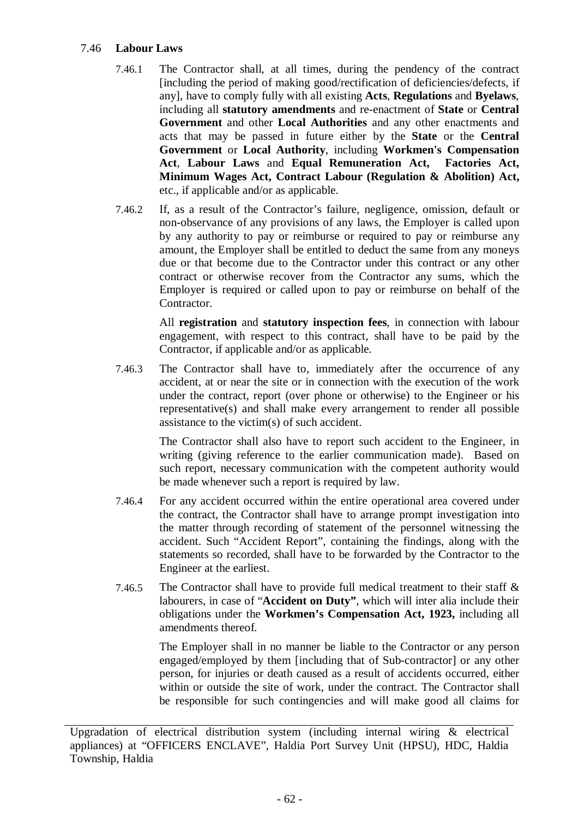#### 7.46 **Labour Laws**

- 7.46.1 The Contractor shall, at all times, during the pendency of the contract [including the period of making good/rectification of deficiencies/defects, if any], have to comply fully with all existing **Acts**, **Regulations** and **Byelaws**, including all **statutory amendments** and re-enactment of **State** or **Central Government** and other **Local Authorities** and any other enactments and acts that may be passed in future either by the **State** or the **Central Government** or **Local Authority**, including **Workmen's Compensation Act**, **Labour Laws** and **Equal Remuneration Act, Factories Act, Minimum Wages Act, Contract Labour (Regulation & Abolition) Act,**  etc., if applicable and/or as applicable.
- 7.46.2 If, as a result of the Contractor's failure, negligence, omission, default or non-observance of any provisions of any laws, the Employer is called upon by any authority to pay or reimburse or required to pay or reimburse any amount, the Employer shall be entitled to deduct the same from any moneys due or that become due to the Contractor under this contract or any other contract or otherwise recover from the Contractor any sums, which the Employer is required or called upon to pay or reimburse on behalf of the Contractor.

All **registration** and **statutory inspection fees**, in connection with labour engagement, with respect to this contract, shall have to be paid by the Contractor, if applicable and/or as applicable.

7.46.3 The Contractor shall have to, immediately after the occurrence of any accident, at or near the site or in connection with the execution of the work under the contract, report (over phone or otherwise) to the Engineer or his representative(s) and shall make every arrangement to render all possible assistance to the victim(s) of such accident.

> The Contractor shall also have to report such accident to the Engineer, in writing (giving reference to the earlier communication made). Based on such report, necessary communication with the competent authority would be made whenever such a report is required by law.

- 7.46.4 For any accident occurred within the entire operational area covered under the contract, the Contractor shall have to arrange prompt investigation into the matter through recording of statement of the personnel witnessing the accident. Such "Accident Report", containing the findings, along with the statements so recorded, shall have to be forwarded by the Contractor to the Engineer at the earliest.
- 7.46.5 The Contractor shall have to provide full medical treatment to their staff  $\&$ labourers, in case of "**Accident on Duty"**, which will inter alia include their obligations under the **Workmen's Compensation Act, 1923,** including all amendments thereof.

The Employer shall in no manner be liable to the Contractor or any person engaged/employed by them [including that of Sub-contractor] or any other person, for injuries or death caused as a result of accidents occurred, either within or outside the site of work, under the contract. The Contractor shall be responsible for such contingencies and will make good all claims for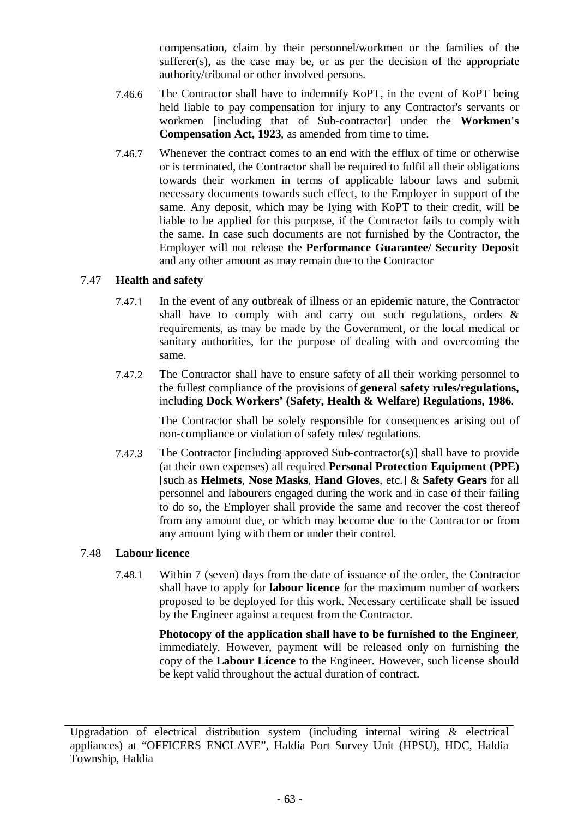compensation, claim by their personnel/workmen or the families of the sufferer(s), as the case may be, or as per the decision of the appropriate authority/tribunal or other involved persons.

- 7.46.6 The Contractor shall have to indemnify KoPT, in the event of KoPT being held liable to pay compensation for injury to any Contractor's servants or workmen [including that of Sub-contractor] under the **Workmen's Compensation Act, 1923**, as amended from time to time.
- 7.46.7 Whenever the contract comes to an end with the efflux of time or otherwise or is terminated, the Contractor shall be required to fulfil all their obligations towards their workmen in terms of applicable labour laws and submit necessary documents towards such effect, to the Employer in support of the same. Any deposit, which may be lying with KoPT to their credit, will be liable to be applied for this purpose, if the Contractor fails to comply with the same. In case such documents are not furnished by the Contractor, the Employer will not release the **Performance Guarantee/ Security Deposit**  and any other amount as may remain due to the Contractor

#### 7.47 **Health and safety**

- 7.47.1 In the event of any outbreak of illness or an epidemic nature, the Contractor shall have to comply with and carry out such regulations, orders & requirements, as may be made by the Government, or the local medical or sanitary authorities, for the purpose of dealing with and overcoming the same.
- 7.47.2 The Contractor shall have to ensure safety of all their working personnel to the fullest compliance of the provisions of **general safety rules/regulations,** including **Dock Workers' (Safety, Health & Welfare) Regulations, 1986**.

The Contractor shall be solely responsible for consequences arising out of non-compliance or violation of safety rules/ regulations.

7.47.3 The Contractor [including approved Sub-contractor(s)] shall have to provide (at their own expenses) all required **Personal Protection Equipment (PPE)**  [such as **Helmets**, **Nose Masks**, **Hand Gloves**, etc.] & **Safety Gears** for all personnel and labourers engaged during the work and in case of their failing to do so, the Employer shall provide the same and recover the cost thereof from any amount due, or which may become due to the Contractor or from any amount lying with them or under their control.

#### 7.48 **Labour licence**

7.48.1 Within 7 (seven) days from the date of issuance of the order, the Contractor shall have to apply for **labour licence** for the maximum number of workers proposed to be deployed for this work. Necessary certificate shall be issued by the Engineer against a request from the Contractor.

> **Photocopy of the application shall have to be furnished to the Engineer**, immediately. However, payment will be released only on furnishing the copy of the **Labour Licence** to the Engineer. However, such license should be kept valid throughout the actual duration of contract.

Upgradation of electrical distribution system (including internal wiring & electrical appliances) at "OFFICERS ENCLAVE", Haldia Port Survey Unit (HPSU), HDC, Haldia Township, Haldia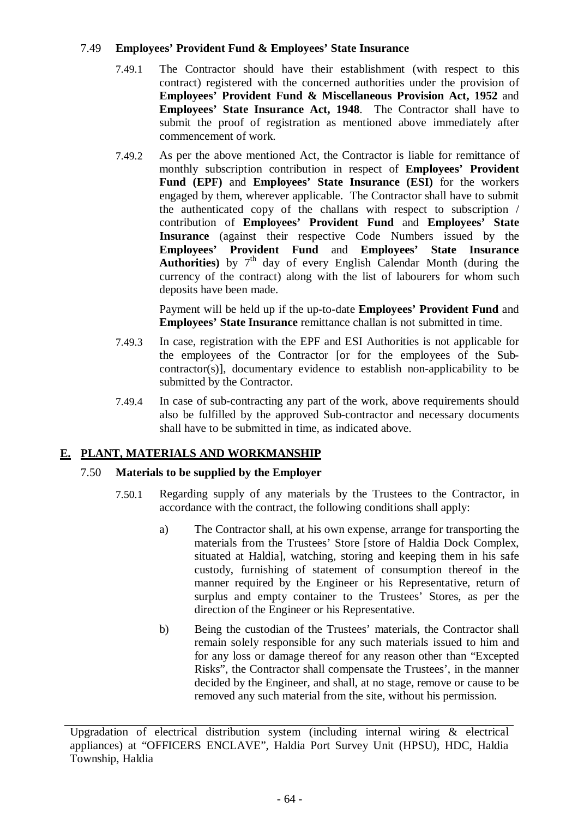#### 7.49 **Employees' Provident Fund & Employees' State Insurance**

- 7.49.1 The Contractor should have their establishment (with respect to this contract) registered with the concerned authorities under the provision of **Employees' Provident Fund & Miscellaneous Provision Act, 1952** and **Employees' State Insurance Act, 1948**. The Contractor shall have to submit the proof of registration as mentioned above immediately after commencement of work.
- 7.49.2 As per the above mentioned Act, the Contractor is liable for remittance of monthly subscription contribution in respect of **Employees' Provident Fund (EPF)** and **Employees' State Insurance (ESI)** for the workers engaged by them, wherever applicable. The Contractor shall have to submit the authenticated copy of the challans with respect to subscription / contribution of **Employees' Provident Fund** and **Employees' State Insurance** (against their respective Code Numbers issued by the **Employees' Provident Fund** and **Employees' State Insurance**  Authorities) by 7<sup>th</sup> day of every English Calendar Month (during the currency of the contract) along with the list of labourers for whom such deposits have been made.

Payment will be held up if the up-to-date **Employees' Provident Fund** and **Employees' State Insurance** remittance challan is not submitted in time.

- 7.49.3 In case, registration with the EPF and ESI Authorities is not applicable for the employees of the Contractor [or for the employees of the Subcontractor(s)], documentary evidence to establish non-applicability to be submitted by the Contractor.
- 7.49.4 In case of sub-contracting any part of the work, above requirements should also be fulfilled by the approved Sub-contractor and necessary documents shall have to be submitted in time, as indicated above.

# **E. PLANT, MATERIALS AND WORKMANSHIP**

#### 7.50 **Materials to be supplied by the Employer**

- 7.50.1 Regarding supply of any materials by the Trustees to the Contractor, in accordance with the contract, the following conditions shall apply:
	- a) The Contractor shall, at his own expense, arrange for transporting the materials from the Trustees' Store [store of Haldia Dock Complex, situated at Haldia], watching, storing and keeping them in his safe custody, furnishing of statement of consumption thereof in the manner required by the Engineer or his Representative, return of surplus and empty container to the Trustees' Stores, as per the direction of the Engineer or his Representative.
	- b) Being the custodian of the Trustees' materials, the Contractor shall remain solely responsible for any such materials issued to him and for any loss or damage thereof for any reason other than "Excepted Risks", the Contractor shall compensate the Trustees', in the manner decided by the Engineer, and shall, at no stage, remove or cause to be removed any such material from the site, without his permission.

Upgradation of electrical distribution system (including internal wiring & electrical appliances) at "OFFICERS ENCLAVE", Haldia Port Survey Unit (HPSU), HDC, Haldia Township, Haldia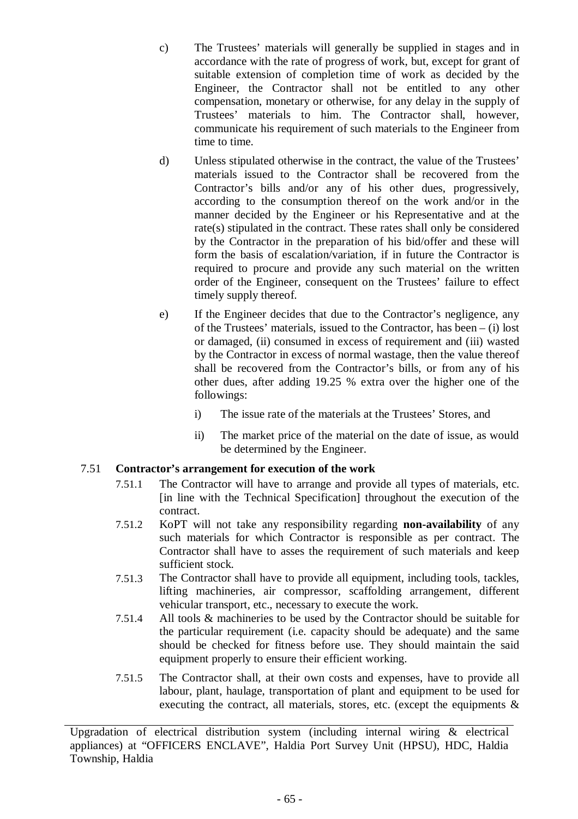- c) The Trustees' materials will generally be supplied in stages and in accordance with the rate of progress of work, but, except for grant of suitable extension of completion time of work as decided by the Engineer, the Contractor shall not be entitled to any other compensation, monetary or otherwise, for any delay in the supply of Trustees' materials to him. The Contractor shall, however, communicate his requirement of such materials to the Engineer from time to time.
- d) Unless stipulated otherwise in the contract, the value of the Trustees' materials issued to the Contractor shall be recovered from the Contractor's bills and/or any of his other dues, progressively, according to the consumption thereof on the work and/or in the manner decided by the Engineer or his Representative and at the rate(s) stipulated in the contract. These rates shall only be considered by the Contractor in the preparation of his bid/offer and these will form the basis of escalation/variation, if in future the Contractor is required to procure and provide any such material on the written order of the Engineer, consequent on the Trustees' failure to effect timely supply thereof.
- e) If the Engineer decides that due to the Contractor's negligence, any of the Trustees' materials, issued to the Contractor, has been – (i) lost or damaged, (ii) consumed in excess of requirement and (iii) wasted by the Contractor in excess of normal wastage, then the value thereof shall be recovered from the Contractor's bills, or from any of his other dues, after adding 19.25 % extra over the higher one of the followings:
	- i) The issue rate of the materials at the Trustees' Stores, and
	- ii) The market price of the material on the date of issue, as would be determined by the Engineer.

#### 7.51 **Contractor's arrangement for execution of the work**

- 7.51.1 The Contractor will have to arrange and provide all types of materials, etc. [in line with the Technical Specification] throughout the execution of the contract.
- 7.51.2 KoPT will not take any responsibility regarding **non-availability** of any such materials for which Contractor is responsible as per contract. The Contractor shall have to asses the requirement of such materials and keep sufficient stock.
- 7.51.3 The Contractor shall have to provide all equipment, including tools, tackles, lifting machineries, air compressor, scaffolding arrangement, different vehicular transport, etc., necessary to execute the work.
- 7.51.4 All tools & machineries to be used by the Contractor should be suitable for the particular requirement (i.e. capacity should be adequate) and the same should be checked for fitness before use. They should maintain the said equipment properly to ensure their efficient working.
- 7.51.5 The Contractor shall, at their own costs and expenses, have to provide all labour, plant, haulage, transportation of plant and equipment to be used for executing the contract, all materials, stores, etc. (except the equipments  $\&$

Upgradation of electrical distribution system (including internal wiring & electrical appliances) at "OFFICERS ENCLAVE", Haldia Port Survey Unit (HPSU), HDC, Haldia Township, Haldia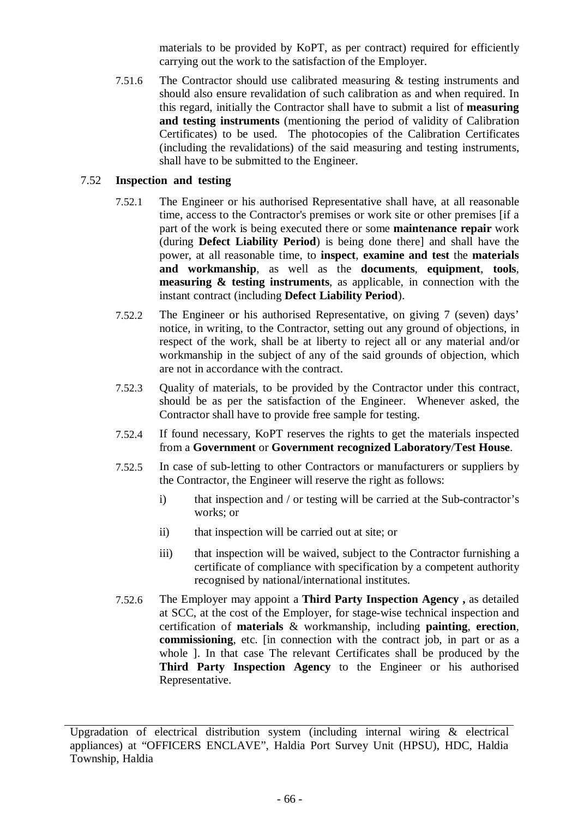materials to be provided by KoPT, as per contract) required for efficiently carrying out the work to the satisfaction of the Employer.

7.51.6 The Contractor should use calibrated measuring & testing instruments and should also ensure revalidation of such calibration as and when required. In this regard, initially the Contractor shall have to submit a list of **measuring and testing instruments** (mentioning the period of validity of Calibration Certificates) to be used. The photocopies of the Calibration Certificates (including the revalidations) of the said measuring and testing instruments, shall have to be submitted to the Engineer.

#### 7.52 **Inspection and testing**

- 7.52.1 The Engineer or his authorised Representative shall have, at all reasonable time, access to the Contractor's premises or work site or other premises [if a part of the work is being executed there or some **maintenance repair** work (during **Defect Liability Period**) is being done there] and shall have the power, at all reasonable time, to **inspect**, **examine and test** the **materials and workmanship**, as well as the **documents**, **equipment**, **tools**, **measuring & testing instruments**, as applicable, in connection with the instant contract (including **Defect Liability Period**).
- 7.52.2 The Engineer or his authorised Representative, on giving 7 (seven) days' notice, in writing, to the Contractor, setting out any ground of objections, in respect of the work, shall be at liberty to reject all or any material and/or workmanship in the subject of any of the said grounds of objection, which are not in accordance with the contract.
- 7.52.3 Quality of materials, to be provided by the Contractor under this contract, should be as per the satisfaction of the Engineer. Whenever asked, the Contractor shall have to provide free sample for testing.
- 7.52.4 If found necessary, KoPT reserves the rights to get the materials inspected from a **Government** or **Government recognized Laboratory**/**Test House**.
- 7.52.5 In case of sub-letting to other Contractors or manufacturers or suppliers by the Contractor, the Engineer will reserve the right as follows:
	- i) that inspection and / or testing will be carried at the Sub-contractor's works; or
	- ii) that inspection will be carried out at site; or
	- iii) that inspection will be waived, subject to the Contractor furnishing a certificate of compliance with specification by a competent authority recognised by national/international institutes.
- 7.52.6 The Employer may appoint a **Third Party Inspection Agency ,** as detailed at SCC, at the cost of the Employer, for stage-wise technical inspection and certification of **materials** & workmanship, including **painting**, **erection**, **commissioning**, etc. [in connection with the contract job, in part or as a whole ]. In that case The relevant Certificates shall be produced by the **Third Party Inspection Agency** to the Engineer or his authorised Representative.

Upgradation of electrical distribution system (including internal wiring & electrical appliances) at "OFFICERS ENCLAVE", Haldia Port Survey Unit (HPSU), HDC, Haldia Township, Haldia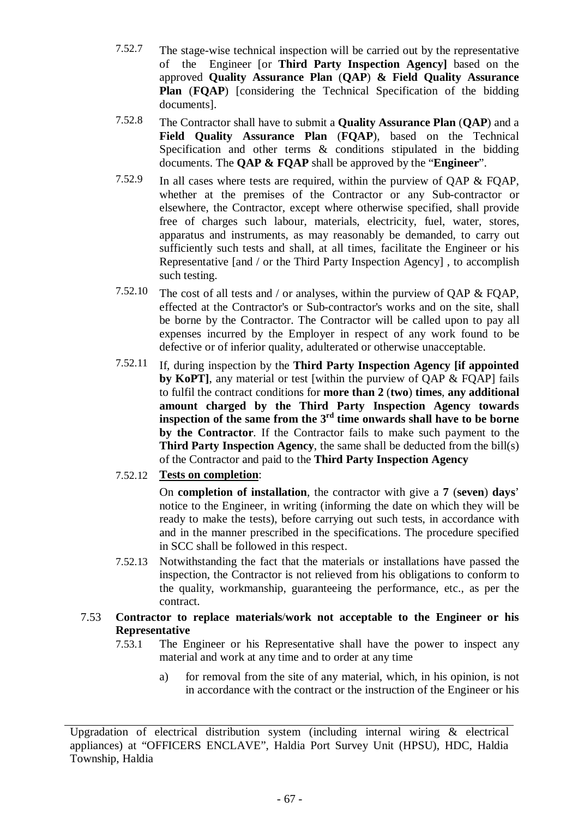- 7.52.7 The stage-wise technical inspection will be carried out by the representative of the Engineer [or **Third Party Inspection Agency]** based on the approved **Quality Assurance Plan** (**QAP**) **& Field Quality Assurance Plan** (**FQAP**) [considering the Technical Specification of the bidding documents].
- 7.52.8 The Contractor shall have to submit a **Quality Assurance Plan** (**QAP**) and a **Field Quality Assurance Plan** (**FQAP**), based on the Technical Specification and other terms  $\&$  conditions stipulated in the bidding documents. The **QAP & FQAP** shall be approved by the "**Engineer**".
- 7.52.9 In all cases where tests are required, within the purview of QAP & FQAP, whether at the premises of the Contractor or any Sub-contractor or elsewhere, the Contractor, except where otherwise specified, shall provide free of charges such labour, materials, electricity, fuel, water, stores, apparatus and instruments, as may reasonably be demanded, to carry out sufficiently such tests and shall, at all times, facilitate the Engineer or his Representative [and / or the Third Party Inspection Agency] , to accomplish such testing.
- 7.52.10 The cost of all tests and / or analyses, within the purview of QAP  $\&$  FQAP, effected at the Contractor's or Sub-contractor's works and on the site, shall be borne by the Contractor. The Contractor will be called upon to pay all expenses incurred by the Employer in respect of any work found to be defective or of inferior quality, adulterated or otherwise unacceptable.
- 7.52.11 If, during inspection by the **Third Party Inspection Agency [if appointed by KoPT]**, any material or test [within the purview of QAP & FQAP] fails to fulfil the contract conditions for **more than 2** (**two**) **times**, **any additional amount charged by the Third Party Inspection Agency towards inspection of the same from the 3rd time onwards shall have to be borne by the Contractor**. If the Contractor fails to make such payment to the **Third Party Inspection Agency**, the same shall be deducted from the bill(s) of the Contractor and paid to the **Third Party Inspection Agency**
- 7.52.12 **Tests on completion**:

On **completion of installation**, the contractor with give a **7** (**seven**) **days**' notice to the Engineer, in writing (informing the date on which they will be ready to make the tests), before carrying out such tests, in accordance with and in the manner prescribed in the specifications. The procedure specified in SCC shall be followed in this respect.

7.52.13 Notwithstanding the fact that the materials or installations have passed the inspection, the Contractor is not relieved from his obligations to conform to the quality, workmanship, guaranteeing the performance, etc., as per the contract.

#### 7.53 **Contractor to replace materials**/**work not acceptable to the Engineer or his Representative**

- 7.53.1 The Engineer or his Representative shall have the power to inspect any material and work at any time and to order at any time
	- a) for removal from the site of any material, which, in his opinion, is not in accordance with the contract or the instruction of the Engineer or his

Upgradation of electrical distribution system (including internal wiring & electrical appliances) at "OFFICERS ENCLAVE", Haldia Port Survey Unit (HPSU), HDC, Haldia Township, Haldia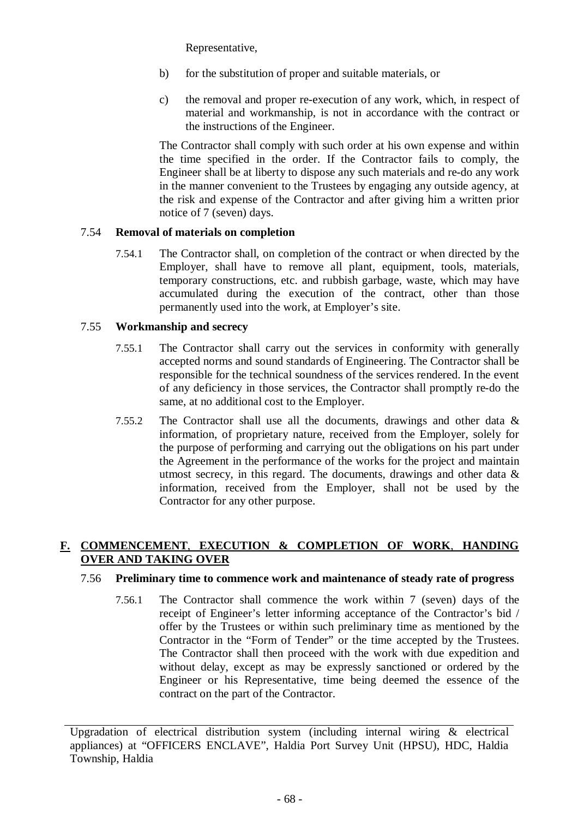Representative,

- b) for the substitution of proper and suitable materials, or
- c) the removal and proper re-execution of any work, which, in respect of material and workmanship, is not in accordance with the contract or the instructions of the Engineer.

The Contractor shall comply with such order at his own expense and within the time specified in the order. If the Contractor fails to comply, the Engineer shall be at liberty to dispose any such materials and re-do any work in the manner convenient to the Trustees by engaging any outside agency, at the risk and expense of the Contractor and after giving him a written prior notice of 7 (seven) days.

#### 7.54 **Removal of materials on completion**

7.54.1 The Contractor shall, on completion of the contract or when directed by the Employer, shall have to remove all plant, equipment, tools, materials, temporary constructions, etc. and rubbish garbage, waste, which may have accumulated during the execution of the contract, other than those permanently used into the work, at Employer's site.

#### 7.55 **Workmanship and secrecy**

- 7.55.1 The Contractor shall carry out the services in conformity with generally accepted norms and sound standards of Engineering. The Contractor shall be responsible for the technical soundness of the services rendered. In the event of any deficiency in those services, the Contractor shall promptly re-do the same, at no additional cost to the Employer.
- 7.55.2 The Contractor shall use all the documents, drawings and other data & information, of proprietary nature, received from the Employer, solely for the purpose of performing and carrying out the obligations on his part under the Agreement in the performance of the works for the project and maintain utmost secrecy, in this regard. The documents, drawings and other data  $\&$ information, received from the Employer, shall not be used by the Contractor for any other purpose.

# **F. COMMENCEMENT**, **EXECUTION & COMPLETION OF WORK**, **HANDING OVER AND TAKING OVER**

#### 7.56 **Preliminary time to commence work and maintenance of steady rate of progress**

7.56.1 The Contractor shall commence the work within 7 (seven) days of the receipt of Engineer's letter informing acceptance of the Contractor's bid / offer by the Trustees or within such preliminary time as mentioned by the Contractor in the "Form of Tender" or the time accepted by the Trustees. The Contractor shall then proceed with the work with due expedition and without delay, except as may be expressly sanctioned or ordered by the Engineer or his Representative, time being deemed the essence of the contract on the part of the Contractor.

Upgradation of electrical distribution system (including internal wiring & electrical appliances) at "OFFICERS ENCLAVE", Haldia Port Survey Unit (HPSU), HDC, Haldia Township, Haldia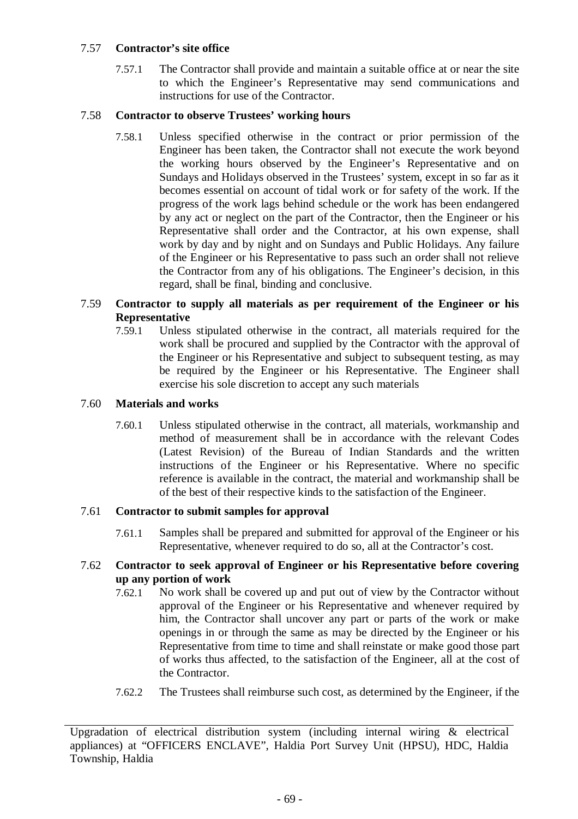# 7.57 **Contractor's site office**

7.57.1 The Contractor shall provide and maintain a suitable office at or near the site to which the Engineer's Representative may send communications and instructions for use of the Contractor.

#### 7.58 **Contractor to observe Trustees' working hours**

7.58.1 Unless specified otherwise in the contract or prior permission of the Engineer has been taken, the Contractor shall not execute the work beyond the working hours observed by the Engineer's Representative and on Sundays and Holidays observed in the Trustees' system, except in so far as it becomes essential on account of tidal work or for safety of the work. If the progress of the work lags behind schedule or the work has been endangered by any act or neglect on the part of the Contractor, then the Engineer or his Representative shall order and the Contractor, at his own expense, shall work by day and by night and on Sundays and Public Holidays. Any failure of the Engineer or his Representative to pass such an order shall not relieve the Contractor from any of his obligations. The Engineer's decision, in this regard, shall be final, binding and conclusive.

#### 7.59 **Contractor to supply all materials as per requirement of the Engineer or his Representative**

7.59.1 Unless stipulated otherwise in the contract, all materials required for the work shall be procured and supplied by the Contractor with the approval of the Engineer or his Representative and subject to subsequent testing, as may be required by the Engineer or his Representative. The Engineer shall exercise his sole discretion to accept any such materials

#### 7.60 **Materials and works**

7.60.1 Unless stipulated otherwise in the contract, all materials, workmanship and method of measurement shall be in accordance with the relevant Codes (Latest Revision) of the Bureau of Indian Standards and the written instructions of the Engineer or his Representative. Where no specific reference is available in the contract, the material and workmanship shall be of the best of their respective kinds to the satisfaction of the Engineer.

#### 7.61 **Contractor to submit samples for approval**

7.61.1 Samples shall be prepared and submitted for approval of the Engineer or his Representative, whenever required to do so, all at the Contractor's cost.

#### 7.62 **Contractor to seek approval of Engineer or his Representative before covering up any portion of work**

- 7.62.1 No work shall be covered up and put out of view by the Contractor without approval of the Engineer or his Representative and whenever required by him, the Contractor shall uncover any part or parts of the work or make openings in or through the same as may be directed by the Engineer or his Representative from time to time and shall reinstate or make good those part of works thus affected, to the satisfaction of the Engineer, all at the cost of the Contractor.
- 7.62.2 The Trustees shall reimburse such cost, as determined by the Engineer, if the

Upgradation of electrical distribution system (including internal wiring & electrical appliances) at "OFFICERS ENCLAVE", Haldia Port Survey Unit (HPSU), HDC, Haldia Township, Haldia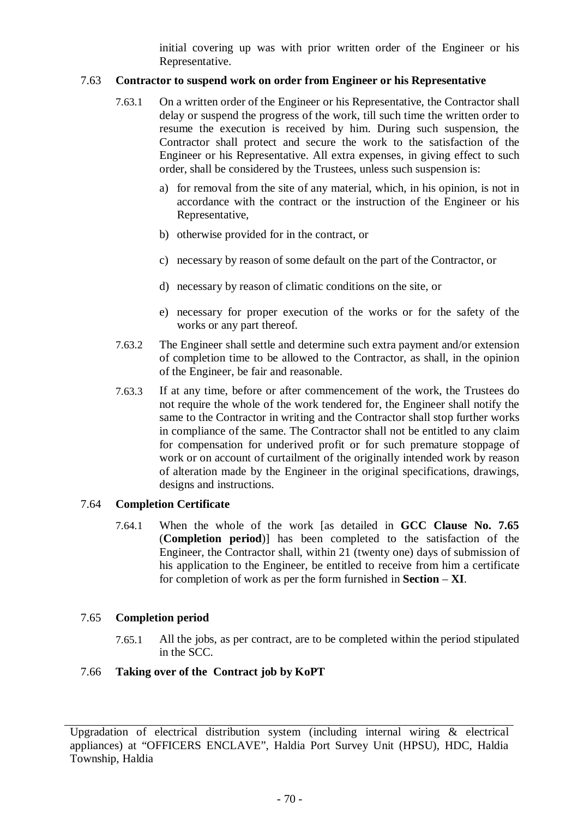initial covering up was with prior written order of the Engineer or his Representative.

#### 7.63 **Contractor to suspend work on order from Engineer or his Representative**

- 7.63.1 On a written order of the Engineer or his Representative, the Contractor shall delay or suspend the progress of the work, till such time the written order to resume the execution is received by him. During such suspension, the Contractor shall protect and secure the work to the satisfaction of the Engineer or his Representative. All extra expenses, in giving effect to such order, shall be considered by the Trustees, unless such suspension is:
	- a) for removal from the site of any material, which, in his opinion, is not in accordance with the contract or the instruction of the Engineer or his Representative,
	- b) otherwise provided for in the contract, or
	- c) necessary by reason of some default on the part of the Contractor, or
	- d) necessary by reason of climatic conditions on the site, or
	- e) necessary for proper execution of the works or for the safety of the works or any part thereof.
- 7.63.2 The Engineer shall settle and determine such extra payment and/or extension of completion time to be allowed to the Contractor, as shall, in the opinion of the Engineer, be fair and reasonable.
- 7.63.3 If at any time, before or after commencement of the work, the Trustees do not require the whole of the work tendered for, the Engineer shall notify the same to the Contractor in writing and the Contractor shall stop further works in compliance of the same. The Contractor shall not be entitled to any claim for compensation for underived profit or for such premature stoppage of work or on account of curtailment of the originally intended work by reason of alteration made by the Engineer in the original specifications, drawings, designs and instructions.

#### 7.64 **Completion Certificate**

7.64.1 When the whole of the work [as detailed in **GCC Clause No. 7.65** (**Completion period**)] has been completed to the satisfaction of the Engineer, the Contractor shall, within 21 (twenty one) days of submission of his application to the Engineer, be entitled to receive from him a certificate for completion of work as per the form furnished in **Section** – **XI**.

#### 7.65 **Completion period**

7.65.1 All the jobs, as per contract, are to be completed within the period stipulated in the SCC.

#### 7.66 **Taking over of the Contract job by KoPT**

Upgradation of electrical distribution system (including internal wiring & electrical appliances) at "OFFICERS ENCLAVE", Haldia Port Survey Unit (HPSU), HDC, Haldia Township, Haldia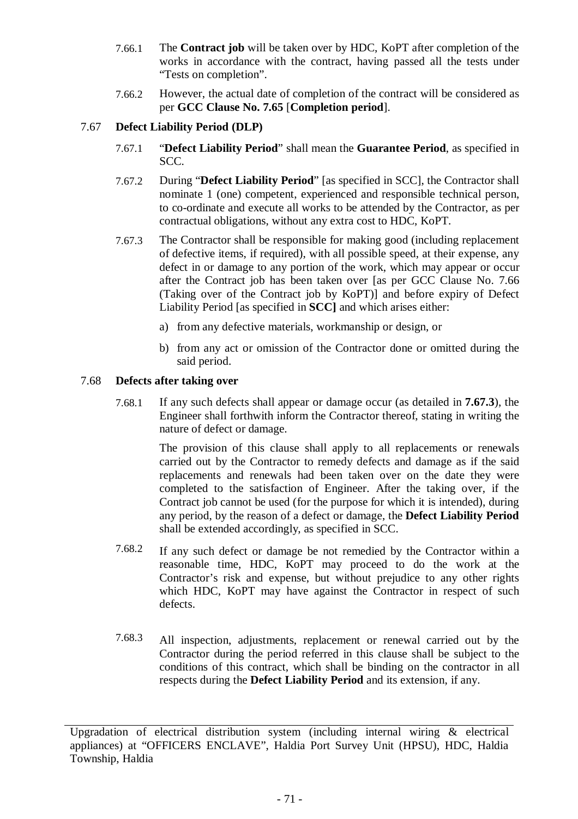- 7.66.1 The **Contract job** will be taken over by HDC, KoPT after completion of the works in accordance with the contract, having passed all the tests under "Tests on completion".
- 7.66.2 However, the actual date of completion of the contract will be considered as per **GCC Clause No. 7.65** [**Completion period**].
- 7.67 **Defect Liability Period (DLP)**
	- 7.67.1 "**Defect Liability Period**" shall mean the **Guarantee Period**, as specified in SCC.
	- 7.67.2 During "**Defect Liability Period**" [as specified in SCC], the Contractor shall nominate 1 (one) competent, experienced and responsible technical person, to co-ordinate and execute all works to be attended by the Contractor, as per contractual obligations, without any extra cost to HDC, KoPT.
	- 7.67.3 The Contractor shall be responsible for making good (including replacement of defective items, if required), with all possible speed, at their expense, any defect in or damage to any portion of the work, which may appear or occur after the Contract job has been taken over [as per GCC Clause No. 7.66 (Taking over of the Contract job by KoPT)] and before expiry of Defect Liability Period [as specified in **SCC]** and which arises either:
		- a) from any defective materials, workmanship or design, or
		- b) from any act or omission of the Contractor done or omitted during the said period.

#### 7.68 **Defects after taking over**

7.68.1 If any such defects shall appear or damage occur (as detailed in **7.67.3**), the Engineer shall forthwith inform the Contractor thereof, stating in writing the nature of defect or damage.

> The provision of this clause shall apply to all replacements or renewals carried out by the Contractor to remedy defects and damage as if the said replacements and renewals had been taken over on the date they were completed to the satisfaction of Engineer. After the taking over, if the Contract job cannot be used (for the purpose for which it is intended), during any period, by the reason of a defect or damage, the **Defect Liability Period** shall be extended accordingly, as specified in SCC.

- 7.68.2 If any such defect or damage be not remedied by the Contractor within a reasonable time, HDC, KoPT may proceed to do the work at the Contractor's risk and expense, but without prejudice to any other rights which HDC, KoPT may have against the Contractor in respect of such defects.
- 7.68.3 All inspection, adjustments, replacement or renewal carried out by the Contractor during the period referred in this clause shall be subject to the conditions of this contract, which shall be binding on the contractor in all respects during the **Defect Liability Period** and its extension, if any.

Upgradation of electrical distribution system (including internal wiring & electrical appliances) at "OFFICERS ENCLAVE", Haldia Port Survey Unit (HPSU), HDC, Haldia Township, Haldia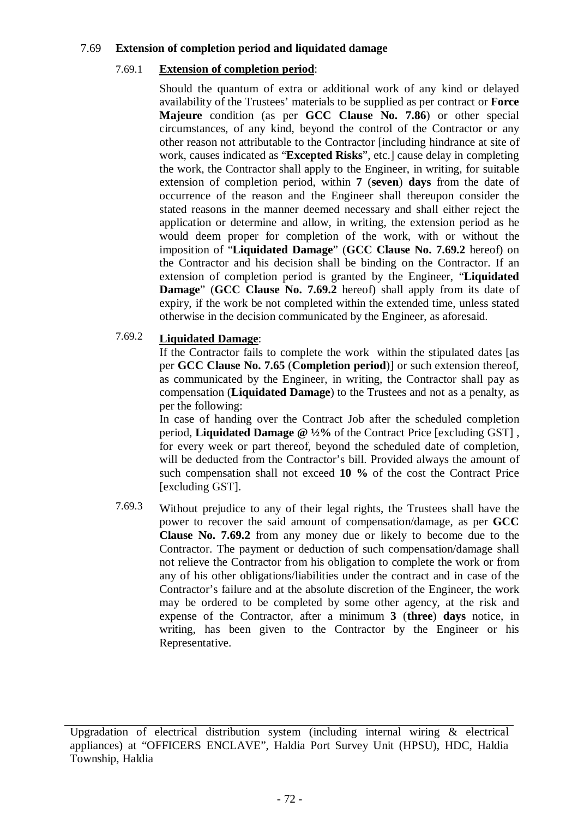#### 7.69 **Extension of completion period and liquidated damage**

#### 7.69.1 **Extension of completion period**:

Should the quantum of extra or additional work of any kind or delayed availability of the Trustees' materials to be supplied as per contract or **Force Majeure** condition (as per **GCC Clause No. 7.86**) or other special circumstances, of any kind, beyond the control of the Contractor or any other reason not attributable to the Contractor [including hindrance at site of work, causes indicated as "**Excepted Risks**", etc.] cause delay in completing the work, the Contractor shall apply to the Engineer, in writing, for suitable extension of completion period, within **7** (**seven**) **days** from the date of occurrence of the reason and the Engineer shall thereupon consider the stated reasons in the manner deemed necessary and shall either reject the application or determine and allow, in writing, the extension period as he would deem proper for completion of the work, with or without the imposition of "**Liquidated Damage**" (**GCC Clause No. 7.69.2** hereof) on the Contractor and his decision shall be binding on the Contractor. If an extension of completion period is granted by the Engineer, "**Liquidated Damage**" (**GCC Clause No. 7.69.2** hereof) shall apply from its date of expiry, if the work be not completed within the extended time, unless stated otherwise in the decision communicated by the Engineer, as aforesaid.

### 7.69.2 **Liquidated Damage**:

If the Contractor fails to complete the work within the stipulated dates [as per **GCC Clause No. 7.65** (**Completion period**)] or such extension thereof, as communicated by the Engineer, in writing, the Contractor shall pay as compensation (**Liquidated Damage**) to the Trustees and not as a penalty, as per the following:

In case of handing over the Contract Job after the scheduled completion period, **Liquidated Damage @ ½%** of the Contract Price [excluding GST] , for every week or part thereof, beyond the scheduled date of completion, will be deducted from the Contractor's bill. Provided always the amount of such compensation shall not exceed **10 %** of the cost the Contract Price [excluding GST].

7.69.3 Without prejudice to any of their legal rights, the Trustees shall have the power to recover the said amount of compensation/damage, as per **GCC Clause No. 7.69.2** from any money due or likely to become due to the Contractor. The payment or deduction of such compensation/damage shall not relieve the Contractor from his obligation to complete the work or from any of his other obligations/liabilities under the contract and in case of the Contractor's failure and at the absolute discretion of the Engineer, the work may be ordered to be completed by some other agency, at the risk and expense of the Contractor, after a minimum **3** (**three**) **days** notice, in writing, has been given to the Contractor by the Engineer or his Representative.

Upgradation of electrical distribution system (including internal wiring & electrical appliances) at "OFFICERS ENCLAVE", Haldia Port Survey Unit (HPSU), HDC, Haldia Township, Haldia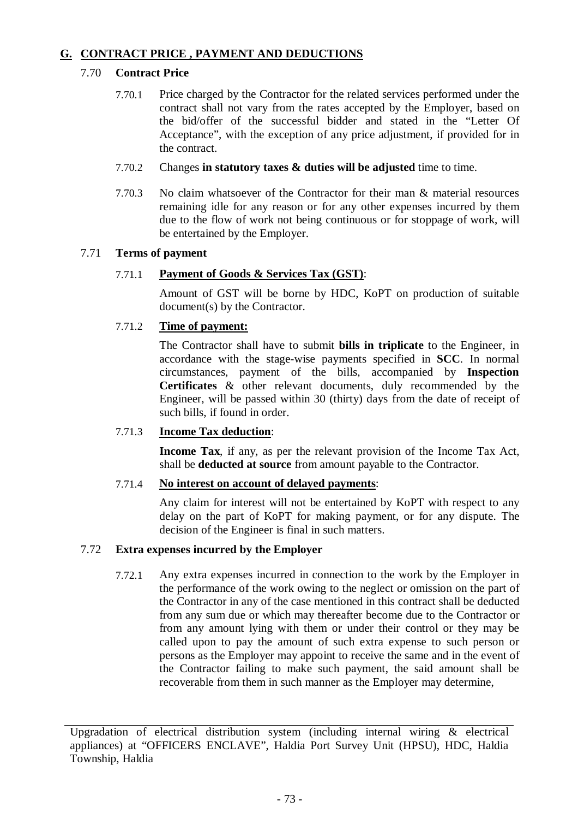#### **G. CONTRACT PRICE , PAYMENT AND DEDUCTIONS**

#### 7.70 **Contract Price**

- 7.70.1 Price charged by the Contractor for the related services performed under the contract shall not vary from the rates accepted by the Employer, based on the bid/offer of the successful bidder and stated in the "Letter Of Acceptance", with the exception of any price adjustment, if provided for in the contract.
- 7.70.2 Changes **in statutory taxes & duties will be adjusted** time to time.
- 7.70.3 No claim whatsoever of the Contractor for their man & material resources remaining idle for any reason or for any other expenses incurred by them due to the flow of work not being continuous or for stoppage of work, will be entertained by the Employer.

#### 7.71 **Terms of payment**

#### 7.71.1 **Payment of Goods & Services Tax (GST)**:

Amount of GST will be borne by HDC, KoPT on production of suitable document(s) by the Contractor.

#### 7.71.2 **Time of payment:**

The Contractor shall have to submit **bills in triplicate** to the Engineer, in accordance with the stage-wise payments specified in **SCC**. In normal circumstances, payment of the bills, accompanied by **Inspection Certificates** & other relevant documents, duly recommended by the Engineer, will be passed within 30 (thirty) days from the date of receipt of such bills, if found in order.

#### 7.71.3 **Income Tax deduction**:

**Income Tax**, if any, as per the relevant provision of the Income Tax Act, shall be **deducted at source** from amount payable to the Contractor.

#### 7.71.4 **No interest on account of delayed payments**:

Any claim for interest will not be entertained by KoPT with respect to any delay on the part of KoPT for making payment, or for any dispute. The decision of the Engineer is final in such matters.

#### 7.72 **Extra expenses incurred by the Employer**

7.72.1 Any extra expenses incurred in connection to the work by the Employer in the performance of the work owing to the neglect or omission on the part of the Contractor in any of the case mentioned in this contract shall be deducted from any sum due or which may thereafter become due to the Contractor or from any amount lying with them or under their control or they may be called upon to pay the amount of such extra expense to such person or persons as the Employer may appoint to receive the same and in the event of the Contractor failing to make such payment, the said amount shall be recoverable from them in such manner as the Employer may determine,

Upgradation of electrical distribution system (including internal wiring & electrical appliances) at "OFFICERS ENCLAVE", Haldia Port Survey Unit (HPSU), HDC, Haldia Township, Haldia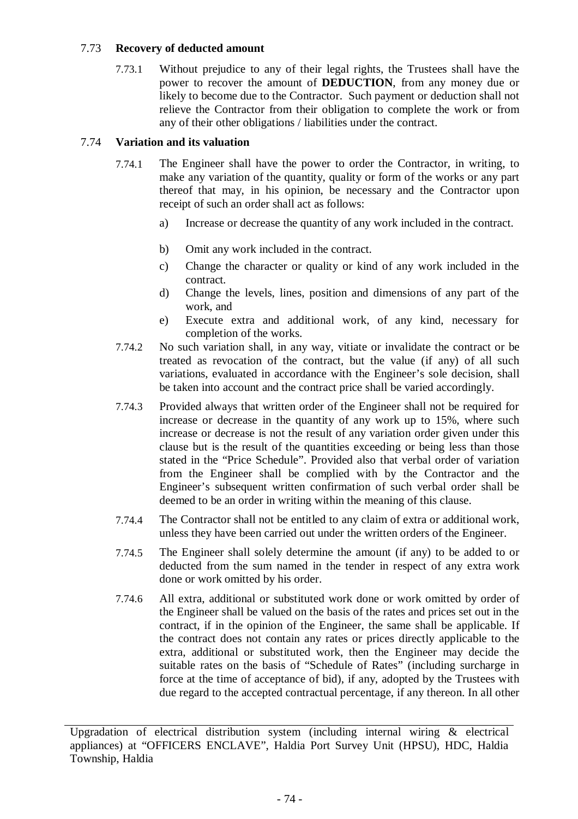#### 7.73 **Recovery of deducted amount**

7.73.1 Without prejudice to any of their legal rights, the Trustees shall have the power to recover the amount of **DEDUCTION**, from any money due or likely to become due to the Contractor. Such payment or deduction shall not relieve the Contractor from their obligation to complete the work or from any of their other obligations / liabilities under the contract.

#### 7.74 **Variation and its valuation**

- 7.74.1 The Engineer shall have the power to order the Contractor, in writing, to make any variation of the quantity, quality or form of the works or any part thereof that may, in his opinion, be necessary and the Contractor upon receipt of such an order shall act as follows:
	- a) Increase or decrease the quantity of any work included in the contract.
	- b) Omit any work included in the contract.
	- c) Change the character or quality or kind of any work included in the contract.
	- d) Change the levels, lines, position and dimensions of any part of the work, and
	- e) Execute extra and additional work, of any kind, necessary for completion of the works.
- 7.74.2 No such variation shall, in any way, vitiate or invalidate the contract or be treated as revocation of the contract, but the value (if any) of all such variations, evaluated in accordance with the Engineer's sole decision, shall be taken into account and the contract price shall be varied accordingly.
- 7.74.3 Provided always that written order of the Engineer shall not be required for increase or decrease in the quantity of any work up to 15%, where such increase or decrease is not the result of any variation order given under this clause but is the result of the quantities exceeding or being less than those stated in the "Price Schedule". Provided also that verbal order of variation from the Engineer shall be complied with by the Contractor and the Engineer's subsequent written confirmation of such verbal order shall be deemed to be an order in writing within the meaning of this clause.
- 7.74.4 The Contractor shall not be entitled to any claim of extra or additional work, unless they have been carried out under the written orders of the Engineer.
- 7.74.5 The Engineer shall solely determine the amount (if any) to be added to or deducted from the sum named in the tender in respect of any extra work done or work omitted by his order.
- 7.74.6 All extra, additional or substituted work done or work omitted by order of the Engineer shall be valued on the basis of the rates and prices set out in the contract, if in the opinion of the Engineer, the same shall be applicable. If the contract does not contain any rates or prices directly applicable to the extra, additional or substituted work, then the Engineer may decide the suitable rates on the basis of "Schedule of Rates" (including surcharge in force at the time of acceptance of bid), if any, adopted by the Trustees with due regard to the accepted contractual percentage, if any thereon. In all other

Upgradation of electrical distribution system (including internal wiring & electrical appliances) at "OFFICERS ENCLAVE", Haldia Port Survey Unit (HPSU), HDC, Haldia Township, Haldia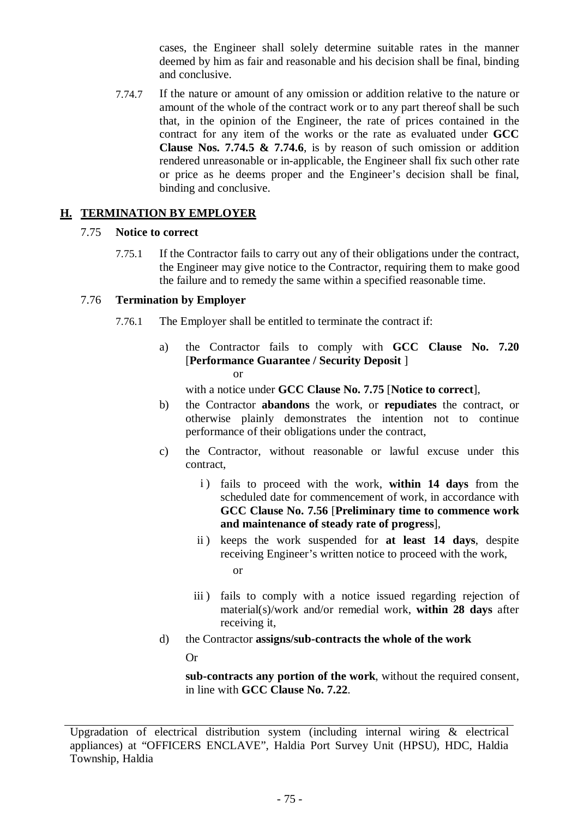cases, the Engineer shall solely determine suitable rates in the manner deemed by him as fair and reasonable and his decision shall be final, binding and conclusive.

7.74.7 If the nature or amount of any omission or addition relative to the nature or amount of the whole of the contract work or to any part thereof shall be such that, in the opinion of the Engineer, the rate of prices contained in the contract for any item of the works or the rate as evaluated under **GCC Clause Nos. 7.74.5 & 7.74.6**, is by reason of such omission or addition rendered unreasonable or in-applicable, the Engineer shall fix such other rate or price as he deems proper and the Engineer's decision shall be final, binding and conclusive.

#### **H. TERMINATION BY EMPLOYER**

#### 7.75 **Notice to correct**

7.75.1 If the Contractor fails to carry out any of their obligations under the contract, the Engineer may give notice to the Contractor, requiring them to make good the failure and to remedy the same within a specified reasonable time.

#### 7.76 **Termination by Employer**

- 7.76.1 The Employer shall be entitled to terminate the contract if:
	- a) the Contractor fails to comply with **GCC Clause No. 7.20** [**Performance Guarantee / Security Deposit** ] or

with a notice under **GCC Clause No. 7.75** [**Notice to correct**],

- b) the Contractor **abandons** the work, or **repudiates** the contract, or otherwise plainly demonstrates the intention not to continue performance of their obligations under the contract,
- c) the Contractor, without reasonable or lawful excuse under this contract,
	- i) fails to proceed with the work, within 14 days from the scheduled date for commencement of work, in accordance with **GCC Clause No. 7.56** [**Preliminary time to commence work and maintenance of steady rate of progress**],
	- ii ) keeps the work suspended for **at least 14 days**, despite receiving Engineer's written notice to proceed with the work, or
	- iii) fails to comply with a notice issued regarding rejection of material(s)/work and/or remedial work, **within 28 days** after receiving it,
- d) the Contractor **assigns/sub-contracts the whole of the work**

Or

**sub-contracts any portion of the work**, without the required consent, in line with **GCC Clause No. 7.22**.

Upgradation of electrical distribution system (including internal wiring & electrical appliances) at "OFFICERS ENCLAVE", Haldia Port Survey Unit (HPSU), HDC, Haldia Township, Haldia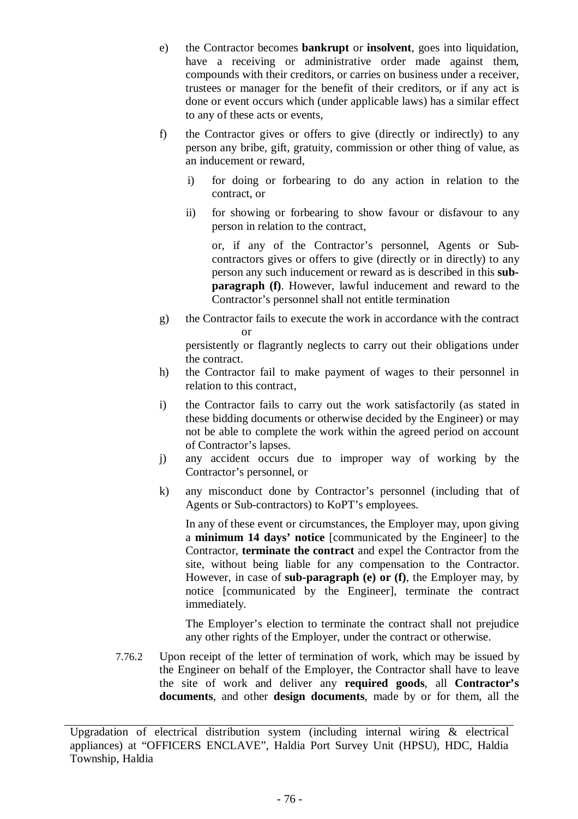- e) the Contractor becomes **bankrupt** or **insolvent**, goes into liquidation, have a receiving or administrative order made against them, compounds with their creditors, or carries on business under a receiver, trustees or manager for the benefit of their creditors, or if any act is done or event occurs which (under applicable laws) has a similar effect to any of these acts or events,
- f) the Contractor gives or offers to give (directly or indirectly) to any person any bribe, gift, gratuity, commission or other thing of value, as an inducement or reward,
	- i) for doing or forbearing to do any action in relation to the contract, or
	- ii) for showing or forbearing to show favour or disfavour to any person in relation to the contract,

or, if any of the Contractor's personnel, Agents or Subcontractors gives or offers to give (directly or in directly) to any person any such inducement or reward as is described in this **subparagraph (f)**. However, lawful inducement and reward to the Contractor's personnel shall not entitle termination

g) the Contractor fails to execute the work in accordance with the contract or

persistently or flagrantly neglects to carry out their obligations under the contract.

- h) the Contractor fail to make payment of wages to their personnel in relation to this contract,
- i) the Contractor fails to carry out the work satisfactorily (as stated in these bidding documents or otherwise decided by the Engineer) or may not be able to complete the work within the agreed period on account of Contractor's lapses.
- j) any accident occurs due to improper way of working by the Contractor's personnel, or
- k) any misconduct done by Contractor's personnel (including that of Agents or Sub-contractors) to KoPT's employees.

In any of these event or circumstances, the Employer may, upon giving a **minimum 14 days' notice** [communicated by the Engineer] to the Contractor, **terminate the contract** and expel the Contractor from the site, without being liable for any compensation to the Contractor. However, in case of **sub-paragraph (e) or (f)**, the Employer may, by notice [communicated by the Engineer], terminate the contract immediately.

The Employer's election to terminate the contract shall not prejudice any other rights of the Employer, under the contract or otherwise.

7.76.2 Upon receipt of the letter of termination of work, which may be issued by the Engineer on behalf of the Employer, the Contractor shall have to leave the site of work and deliver any **required goods**, all **Contractor's documents**, and other **design documents**, made by or for them, all the

Upgradation of electrical distribution system (including internal wiring & electrical appliances) at "OFFICERS ENCLAVE", Haldia Port Survey Unit (HPSU), HDC, Haldia Township, Haldia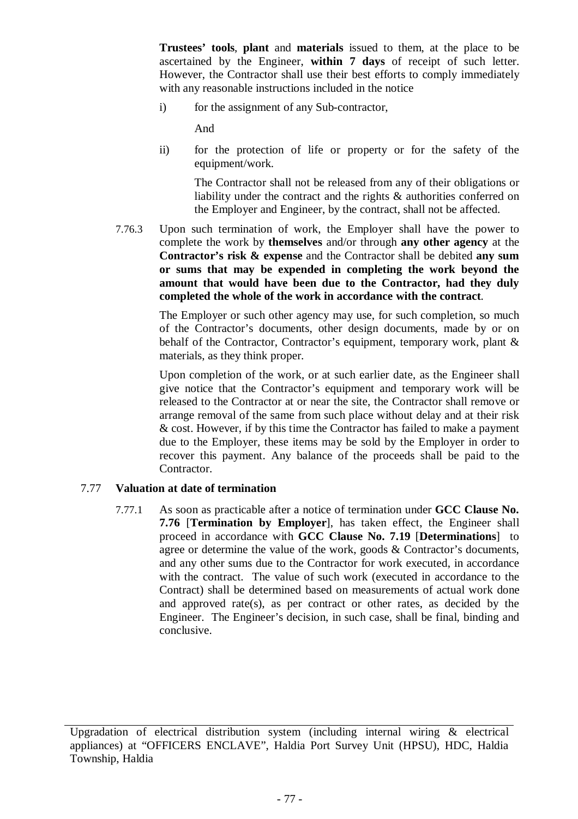**Trustees' tools**, **plant** and **materials** issued to them, at the place to be ascertained by the Engineer, **within 7 days** of receipt of such letter. However, the Contractor shall use their best efforts to comply immediately with any reasonable instructions included in the notice

i) for the assignment of any Sub-contractor,

And

ii) for the protection of life or property or for the safety of the equipment/work.

The Contractor shall not be released from any of their obligations or liability under the contract and the rights & authorities conferred on the Employer and Engineer, by the contract, shall not be affected.

7.76.3 Upon such termination of work, the Employer shall have the power to complete the work by **themselves** and/or through **any other agency** at the **Contractor's risk & expense** and the Contractor shall be debited **any sum or sums that may be expended in completing the work beyond the amount that would have been due to the Contractor, had they duly completed the whole of the work in accordance with the contract**.

> The Employer or such other agency may use, for such completion, so much of the Contractor's documents, other design documents, made by or on behalf of the Contractor, Contractor's equipment, temporary work, plant & materials, as they think proper.

> Upon completion of the work, or at such earlier date, as the Engineer shall give notice that the Contractor's equipment and temporary work will be released to the Contractor at or near the site, the Contractor shall remove or arrange removal of the same from such place without delay and at their risk & cost. However, if by this time the Contractor has failed to make a payment due to the Employer, these items may be sold by the Employer in order to recover this payment. Any balance of the proceeds shall be paid to the Contractor.

#### 7.77 **Valuation at date of termination**

7.77.1 As soon as practicable after a notice of termination under **GCC Clause No. 7.76** [**Termination by Employer**], has taken effect, the Engineer shall proceed in accordance with **GCC Clause No. 7.19** [**Determinations**] to agree or determine the value of the work, goods & Contractor's documents, and any other sums due to the Contractor for work executed, in accordance with the contract. The value of such work (executed in accordance to the Contract) shall be determined based on measurements of actual work done and approved rate(s), as per contract or other rates, as decided by the Engineer. The Engineer's decision, in such case, shall be final, binding and conclusive.

Upgradation of electrical distribution system (including internal wiring & electrical appliances) at "OFFICERS ENCLAVE", Haldia Port Survey Unit (HPSU), HDC, Haldia Township, Haldia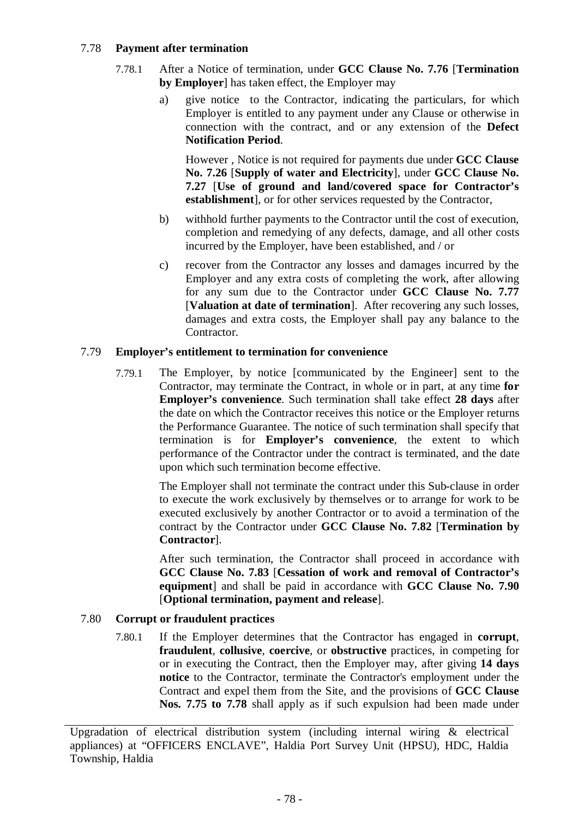#### 7.78 **Payment after termination**

- 7.78.1 After a Notice of termination, under **GCC Clause No. 7.76** [**Termination by Employer**] has taken effect, the Employer may
	- a) give notice to the Contractor, indicating the particulars, for which Employer is entitled to any payment under any Clause or otherwise in connection with the contract, and or any extension of the **Defect Notification Period**.

However , Notice is not required for payments due under **GCC Clause No. 7.26** [**Supply of water and Electricity**], under **GCC Clause No. 7.27** [**Use of ground and land/covered space for Contractor's establishment**], or for other services requested by the Contractor,

- b) withhold further payments to the Contractor until the cost of execution, completion and remedying of any defects, damage, and all other costs incurred by the Employer, have been established, and / or
- c) recover from the Contractor any losses and damages incurred by the Employer and any extra costs of completing the work, after allowing for any sum due to the Contractor under **GCC Clause No. 7.77** [**Valuation at date of termination**]. After recovering any such losses, damages and extra costs, the Employer shall pay any balance to the Contractor.

#### 7.79 **Employer's entitlement to termination for convenience**

7.79.1 The Employer, by notice [communicated by the Engineer] sent to the Contractor, may terminate the Contract, in whole or in part, at any time **for Employer's convenience**. Such termination shall take effect **28 days** after the date on which the Contractor receives this notice or the Employer returns the Performance Guarantee. The notice of such termination shall specify that termination is for **Employer's convenience**, the extent to which performance of the Contractor under the contract is terminated, and the date upon which such termination become effective.

> The Employer shall not terminate the contract under this Sub-clause in order to execute the work exclusively by themselves or to arrange for work to be executed exclusively by another Contractor or to avoid a termination of the contract by the Contractor under **GCC Clause No. 7.82** [**Termination by Contractor**].

> After such termination, the Contractor shall proceed in accordance with **GCC Clause No. 7.83** [**Cessation of work and removal of Contractor's equipment**] and shall be paid in accordance with **GCC Clause No. 7.90** [**Optional termination, payment and release**].

#### 7.80 **Corrupt or fraudulent practices**

7.80.1 If the Employer determines that the Contractor has engaged in **corrupt**, **fraudulent**, **collusive**, **coercive**, or **obstructive** practices, in competing for or in executing the Contract, then the Employer may, after giving **14 days notice** to the Contractor, terminate the Contractor's employment under the Contract and expel them from the Site, and the provisions of **GCC Clause Nos. 7.75 to 7.78** shall apply as if such expulsion had been made under

Upgradation of electrical distribution system (including internal wiring & electrical appliances) at "OFFICERS ENCLAVE", Haldia Port Survey Unit (HPSU), HDC, Haldia Township, Haldia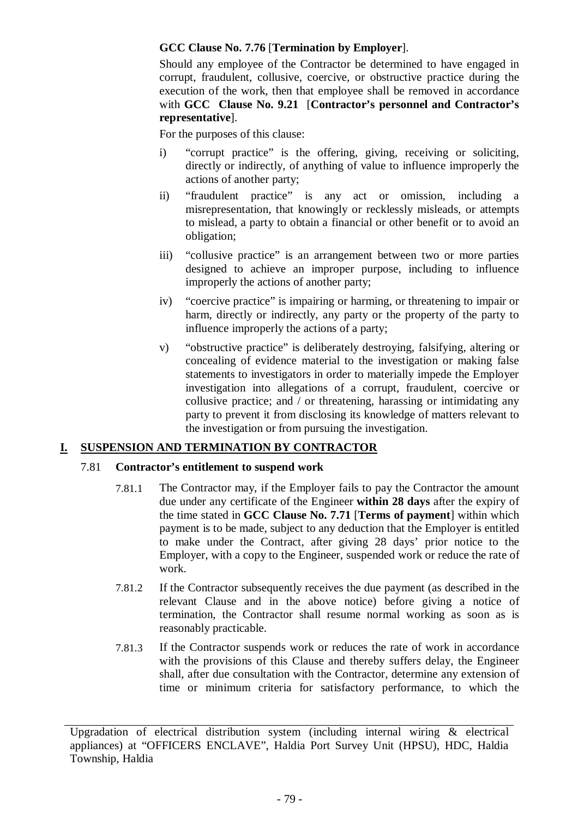#### **GCC Clause No. 7.76** [**Termination by Employer**].

Should any employee of the Contractor be determined to have engaged in corrupt, fraudulent, collusive, coercive, or obstructive practice during the execution of the work, then that employee shall be removed in accordance with **GCC Clause No. 9.21** [**Contractor's personnel and Contractor's representative**].

For the purposes of this clause:

- i) "corrupt practice" is the offering, giving, receiving or soliciting, directly or indirectly, of anything of value to influence improperly the actions of another party;
- ii) "fraudulent practice" is any act or omission, including a misrepresentation, that knowingly or recklessly misleads, or attempts to mislead, a party to obtain a financial or other benefit or to avoid an obligation;
- iii) "collusive practice" is an arrangement between two or more parties designed to achieve an improper purpose, including to influence improperly the actions of another party;
- iv) "coercive practice" is impairing or harming, or threatening to impair or harm, directly or indirectly, any party or the property of the party to influence improperly the actions of a party;
- v) "obstructive practice" is deliberately destroying, falsifying, altering or concealing of evidence material to the investigation or making false statements to investigators in order to materially impede the Employer investigation into allegations of a corrupt, fraudulent, coercive or collusive practice; and / or threatening, harassing or intimidating any party to prevent it from disclosing its knowledge of matters relevant to the investigation or from pursuing the investigation.

#### **I. SUSPENSION AND TERMINATION BY CONTRACTOR**

#### 7.81 **Contractor's entitlement to suspend work**

- 7.81.1 The Contractor may, if the Employer fails to pay the Contractor the amount due under any certificate of the Engineer **within 28 days** after the expiry of the time stated in **GCC Clause No. 7.71** [**Terms of payment**] within which payment is to be made, subject to any deduction that the Employer is entitled to make under the Contract, after giving 28 days' prior notice to the Employer, with a copy to the Engineer, suspended work or reduce the rate of work.
- 7.81.2 If the Contractor subsequently receives the due payment (as described in the relevant Clause and in the above notice) before giving a notice of termination, the Contractor shall resume normal working as soon as is reasonably practicable.
- 7.81.3 If the Contractor suspends work or reduces the rate of work in accordance with the provisions of this Clause and thereby suffers delay, the Engineer shall, after due consultation with the Contractor, determine any extension of time or minimum criteria for satisfactory performance, to which the

Upgradation of electrical distribution system (including internal wiring & electrical appliances) at "OFFICERS ENCLAVE", Haldia Port Survey Unit (HPSU), HDC, Haldia Township, Haldia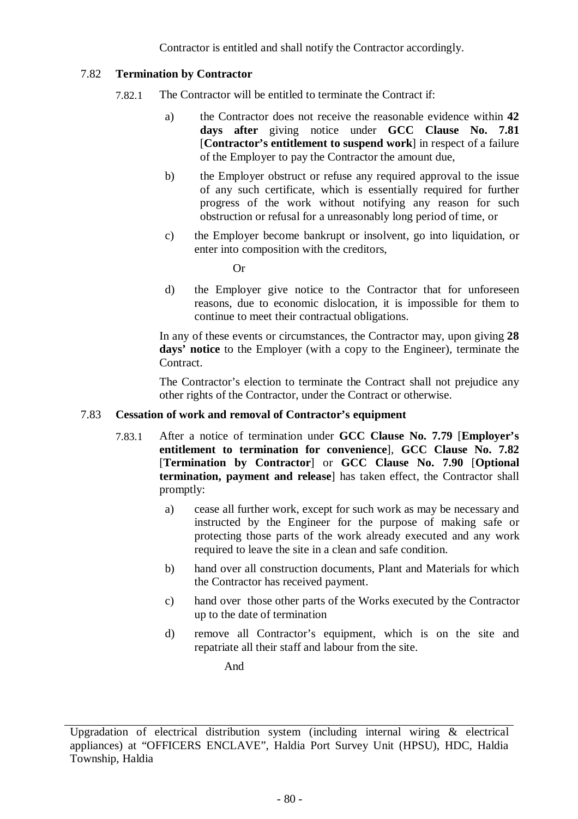Contractor is entitled and shall notify the Contractor accordingly.

#### 7.82 **Termination by Contractor**

- 7.82.1 The Contractor will be entitled to terminate the Contract if:
	- a) the Contractor does not receive the reasonable evidence within **42 days after** giving notice under **GCC Clause No. 7.81** [**Contractor's entitlement to suspend work**] in respect of a failure of the Employer to pay the Contractor the amount due,
	- b) the Employer obstruct or refuse any required approval to the issue of any such certificate, which is essentially required for further progress of the work without notifying any reason for such obstruction or refusal for a unreasonably long period of time, or
	- c) the Employer become bankrupt or insolvent, go into liquidation, or enter into composition with the creditors,

Or

d) the Employer give notice to the Contractor that for unforeseen reasons, due to economic dislocation, it is impossible for them to continue to meet their contractual obligations.

In any of these events or circumstances, the Contractor may, upon giving **28 days' notice** to the Employer (with a copy to the Engineer), terminate the Contract.

The Contractor's election to terminate the Contract shall not prejudice any other rights of the Contractor, under the Contract or otherwise.

#### 7.83 **Cessation of work and removal of Contractor's equipment**

- 7.83.1 After a notice of termination under **GCC Clause No. 7.79** [**Employer's entitlement to termination for convenience**], **GCC Clause No. 7.82** [**Termination by Contractor**] or **GCC Clause No. 7.90** [**Optional termination, payment and release**] has taken effect, the Contractor shall promptly:
	- a) cease all further work, except for such work as may be necessary and instructed by the Engineer for the purpose of making safe or protecting those parts of the work already executed and any work required to leave the site in a clean and safe condition.
	- b) hand over all construction documents, Plant and Materials for which the Contractor has received payment.
	- c) hand over those other parts of the Works executed by the Contractor up to the date of termination
	- d) remove all Contractor's equipment, which is on the site and repatriate all their staff and labour from the site.

And

Upgradation of electrical distribution system (including internal wiring & electrical appliances) at "OFFICERS ENCLAVE", Haldia Port Survey Unit (HPSU), HDC, Haldia Township, Haldia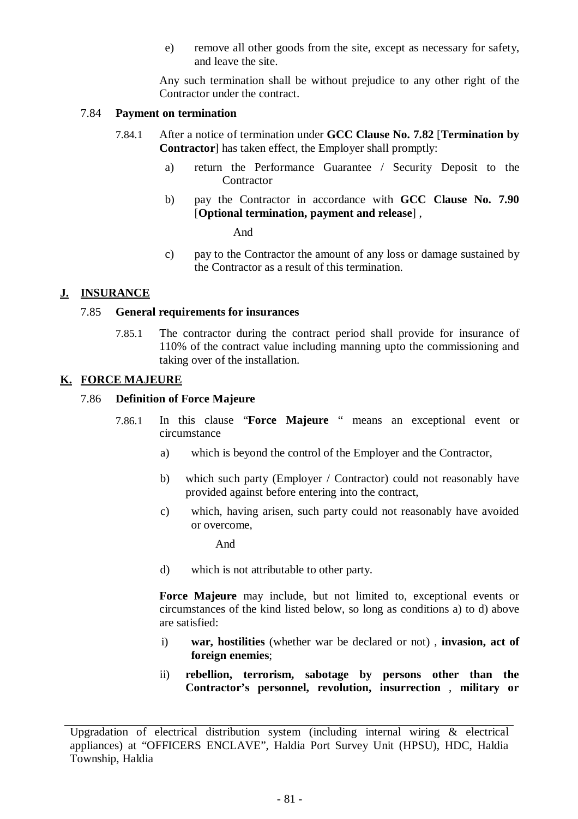e) remove all other goods from the site, except as necessary for safety, and leave the site.

Any such termination shall be without prejudice to any other right of the Contractor under the contract.

#### 7.84 **Payment on termination**

- 7.84.1 After a notice of termination under **GCC Clause No. 7.82** [**Termination by Contractor**] has taken effect, the Employer shall promptly:
	- a) return the Performance Guarantee / Security Deposit to the **Contractor**
	- b) pay the Contractor in accordance with **GCC Clause No. 7.90** [**Optional termination, payment and release**] ,

And

c) pay to the Contractor the amount of any loss or damage sustained by the Contractor as a result of this termination.

#### **J. INSURANCE**

#### 7.85 **General requirements for insurances**

7.85.1 The contractor during the contract period shall provide for insurance of 110% of the contract value including manning upto the commissioning and taking over of the installation.

#### **K. FORCE MAJEURE**

#### 7.86 **Definition of Force Majeure**

- 7.86.1 In this clause "**Force Majeure** " means an exceptional event or circumstance
	- a) which is beyond the control of the Employer and the Contractor,
	- b) which such party (Employer / Contractor) could not reasonably have provided against before entering into the contract,
	- c) which, having arisen, such party could not reasonably have avoided or overcome,

And

d) which is not attributable to other party.

**Force Majeure** may include, but not limited to, exceptional events or circumstances of the kind listed below, so long as conditions a) to d) above are satisfied:

- i) **war, hostilities** (whether war be declared or not) , **invasion, act of foreign enemies**;
- ii) **rebellion, terrorism, sabotage by persons other than the Contractor's personnel, revolution, insurrection** , **military or**

Upgradation of electrical distribution system (including internal wiring & electrical appliances) at "OFFICERS ENCLAVE", Haldia Port Survey Unit (HPSU), HDC, Haldia Township, Haldia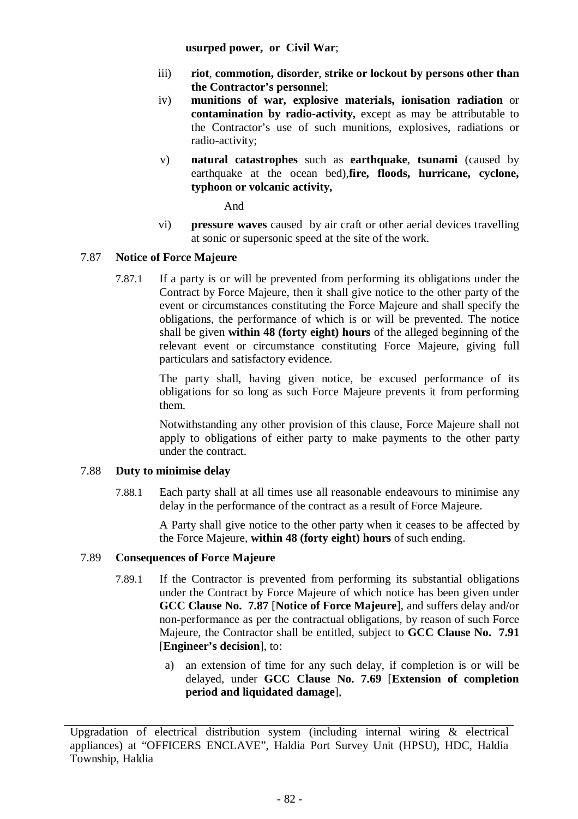#### **usurped power, or Civil War**;

- iii) **riot**, **commotion, disorder**, **strike or lockout by persons other than the Contractor's personnel**;
- iv) **munitions of war, explosive materials, ionisation radiation** or **contamination by radio-activity,** except as may be attributable to the Contractor's use of such munitions, explosives, radiations or radio-activity;
- v) **natural catastrophes** such as **earthquake**, **tsunami** (caused by earthquake at the ocean bed),**fire, floods, hurricane, cyclone, typhoon or volcanic activity,**

#### And

vi) **pressure waves** caused by air craft or other aerial devices travelling at sonic or supersonic speed at the site of the work.

#### 7.87 **Notice of Force Majeure**

7.87.1 If a party is or will be prevented from performing its obligations under the Contract by Force Majeure, then it shall give notice to the other party of the event or circumstances constituting the Force Majeure and shall specify the obligations, the performance of which is or will be prevented. The notice shall be given **within 48 (forty eight) hours** of the alleged beginning of the relevant event or circumstance constituting Force Majeure, giving full particulars and satisfactory evidence.

> The party shall, having given notice, be excused performance of its obligations for so long as such Force Majeure prevents it from performing them.

> Notwithstanding any other provision of this clause, Force Majeure shall not apply to obligations of either party to make payments to the other party under the contract.

#### 7.88 **Duty to minimise delay**

7.88.1 Each party shall at all times use all reasonable endeavours to minimise any delay in the performance of the contract as a result of Force Majeure.

> A Party shall give notice to the other party when it ceases to be affected by the Force Majeure, **within 48 (forty eight) hours** of such ending.

#### 7.89 **Consequences of Force Majeure**

- 7.89.1 If the Contractor is prevented from performing its substantial obligations under the Contract by Force Majeure of which notice has been given under **GCC Clause No. 7.87** [**Notice of Force Majeure**], and suffers delay and/or non-performance as per the contractual obligations, by reason of such Force Majeure, the Contractor shall be entitled, subject to **GCC Clause No. 7.91** [**Engineer's decision**], to:
	- a) an extension of time for any such delay, if completion is or will be delayed, under **GCC Clause No. 7.69** [**Extension of completion period and liquidated damage**],

Upgradation of electrical distribution system (including internal wiring & electrical appliances) at "OFFICERS ENCLAVE", Haldia Port Survey Unit (HPSU), HDC, Haldia Township, Haldia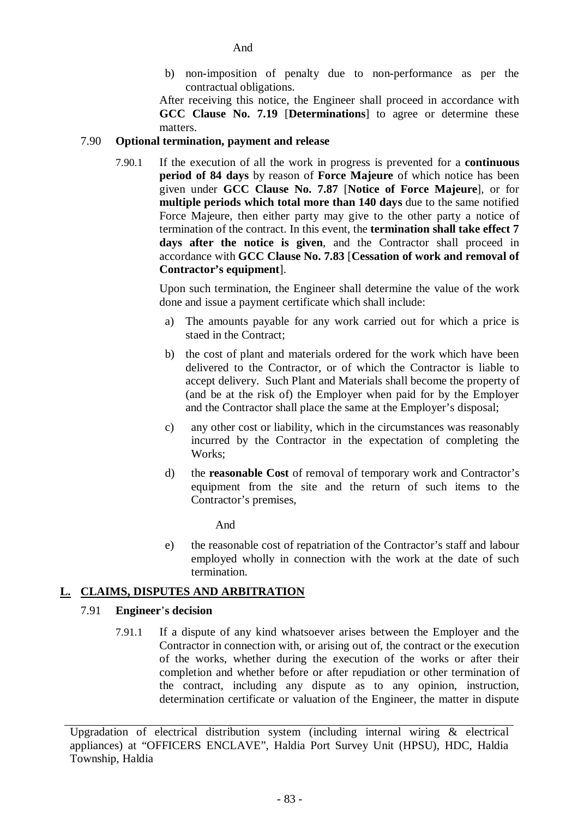- And
- b) non-imposition of penalty due to non-performance as per the contractual obligations.

After receiving this notice, the Engineer shall proceed in accordance with **GCC Clause No. 7.19** [**Determinations**] to agree or determine these matters.

#### 7.90 **Optional termination, payment and release**

7.90.1 If the execution of all the work in progress is prevented for a **continuous period of 84 days** by reason of **Force Majeure** of which notice has been given under **GCC Clause No. 7.87** [**Notice of Force Majeure**], or for **multiple periods which total more than 140 days** due to the same notified Force Majeure, then either party may give to the other party a notice of termination of the contract. In this event, the **termination shall take effect 7 days after the notice is given**, and the Contractor shall proceed in accordance with **GCC Clause No. 7.83** [**Cessation of work and removal of Contractor's equipment**].

> Upon such termination, the Engineer shall determine the value of the work done and issue a payment certificate which shall include:

- a) The amounts payable for any work carried out for which a price is staed in the Contract;
- b) the cost of plant and materials ordered for the work which have been delivered to the Contractor, or of which the Contractor is liable to accept delivery. Such Plant and Materials shall become the property of (and be at the risk of) the Employer when paid for by the Employer and the Contractor shall place the same at the Employer's disposal;
- c) any other cost or liability, which in the circumstances was reasonably incurred by the Contractor in the expectation of completing the Works;
- d) the **reasonable Cost** of removal of temporary work and Contractor's equipment from the site and the return of such items to the Contractor's premises,

And

e) the reasonable cost of repatriation of the Contractor's staff and labour employed wholly in connection with the work at the date of such termination.

#### **L. CLAIMS, DISPUTES AND ARBITRATION**

#### 7.91 **Engineer**'**s decision**

7.91.1 If a dispute of any kind whatsoever arises between the Employer and the Contractor in connection with, or arising out of, the contract or the execution of the works, whether during the execution of the works or after their completion and whether before or after repudiation or other termination of the contract, including any dispute as to any opinion, instruction, determination certificate or valuation of the Engineer, the matter in dispute

Upgradation of electrical distribution system (including internal wiring & electrical appliances) at "OFFICERS ENCLAVE", Haldia Port Survey Unit (HPSU), HDC, Haldia Township, Haldia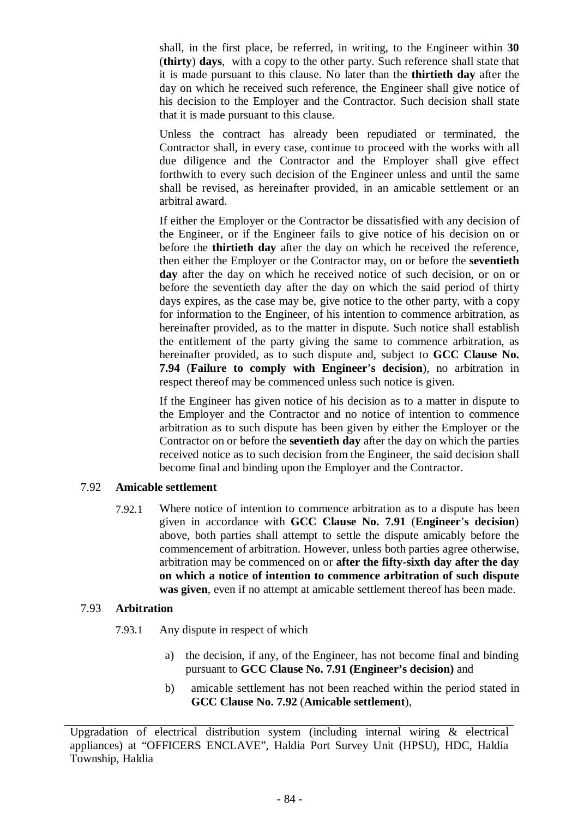shall, in the first place, be referred, in writing, to the Engineer within **30** (**thirty**) **days**, with a copy to the other party. Such reference shall state that it is made pursuant to this clause. No later than the **thirtieth day** after the day on which he received such reference, the Engineer shall give notice of his decision to the Employer and the Contractor. Such decision shall state that it is made pursuant to this clause.

Unless the contract has already been repudiated or terminated, the Contractor shall, in every case, continue to proceed with the works with all due diligence and the Contractor and the Employer shall give effect forthwith to every such decision of the Engineer unless and until the same shall be revised, as hereinafter provided, in an amicable settlement or an arbitral award.

If either the Employer or the Contractor be dissatisfied with any decision of the Engineer, or if the Engineer fails to give notice of his decision on or before the **thirtieth day** after the day on which he received the reference, then either the Employer or the Contractor may, on or before the **seventieth**  day after the day on which he received notice of such decision, or on or before the seventieth day after the day on which the said period of thirty days expires, as the case may be, give notice to the other party, with a copy for information to the Engineer, of his intention to commence arbitration, as hereinafter provided, as to the matter in dispute. Such notice shall establish the entitlement of the party giving the same to commence arbitration, as hereinafter provided, as to such dispute and, subject to **GCC Clause No. 7.94** (**Failure to comply with Engineer**'**s decision**), no arbitration in respect thereof may be commenced unless such notice is given.

If the Engineer has given notice of his decision as to a matter in dispute to the Employer and the Contractor and no notice of intention to commence arbitration as to such dispute has been given by either the Employer or the Contractor on or before the **seventieth day** after the day on which the parties received notice as to such decision from the Engineer, the said decision shall become final and binding upon the Employer and the Contractor.

#### 7.92 **Amicable settlement**

7.92.1 Where notice of intention to commence arbitration as to a dispute has been given in accordance with **GCC Clause No. 7.91** (**Engineer**'**s decision**) above, both parties shall attempt to settle the dispute amicably before the commencement of arbitration. However, unless both parties agree otherwise, arbitration may be commenced on or **after the fifty**-**sixth day after the day on which a notice of intention to commence arbitration of such dispute was given**, even if no attempt at amicable settlement thereof has been made.

#### 7.93 **Arbitration**

- 7.93.1 Any dispute in respect of which
	- a) the decision, if any, of the Engineer, has not become final and binding pursuant to **GCC Clause No. 7.91 (Engineer's decision)** and
	- b) amicable settlement has not been reached within the period stated in **GCC Clause No. 7.92** (**Amicable settlement**),

Upgradation of electrical distribution system (including internal wiring & electrical appliances) at "OFFICERS ENCLAVE", Haldia Port Survey Unit (HPSU), HDC, Haldia Township, Haldia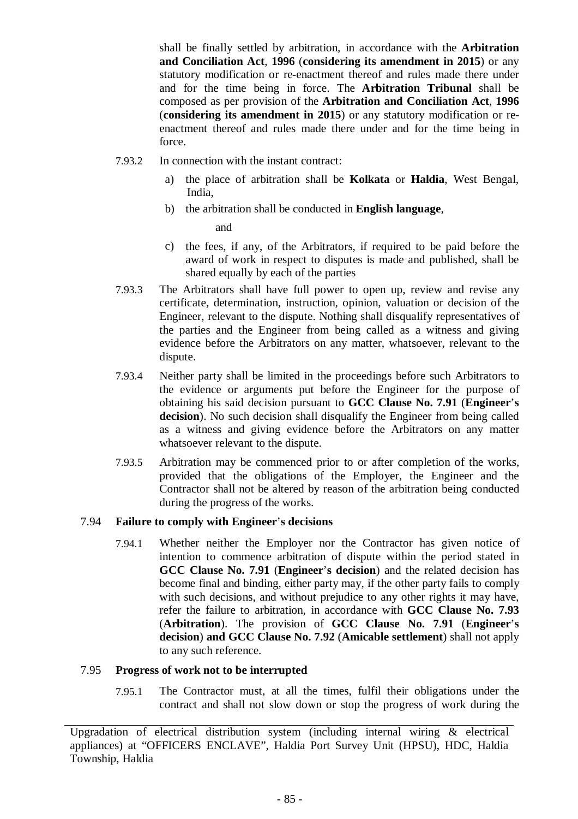shall be finally settled by arbitration, in accordance with the **Arbitration and Conciliation Act**, **1996** (**considering its amendment in 2015**) or any statutory modification or re-enactment thereof and rules made there under and for the time being in force. The **Arbitration Tribunal** shall be composed as per provision of the **Arbitration and Conciliation Act**, **1996**  (**considering its amendment in 2015**) or any statutory modification or reenactment thereof and rules made there under and for the time being in force.

- 7.93.2 In connection with the instant contract:
	- a) the place of arbitration shall be **Kolkata** or **Haldia**, West Bengal, India,
	- b) the arbitration shall be conducted in **English language**,

and

- c) the fees, if any, of the Arbitrators, if required to be paid before the award of work in respect to disputes is made and published, shall be shared equally by each of the parties
- 7.93.3 The Arbitrators shall have full power to open up, review and revise any certificate, determination, instruction, opinion, valuation or decision of the Engineer, relevant to the dispute. Nothing shall disqualify representatives of the parties and the Engineer from being called as a witness and giving evidence before the Arbitrators on any matter, whatsoever, relevant to the dispute.
- 7.93.4 Neither party shall be limited in the proceedings before such Arbitrators to the evidence or arguments put before the Engineer for the purpose of obtaining his said decision pursuant to **GCC Clause No. 7.91** (**Engineer**'**s decision**). No such decision shall disqualify the Engineer from being called as a witness and giving evidence before the Arbitrators on any matter whatsoever relevant to the dispute.
- 7.93.5 Arbitration may be commenced prior to or after completion of the works, provided that the obligations of the Employer, the Engineer and the Contractor shall not be altered by reason of the arbitration being conducted during the progress of the works.

#### 7.94 **Failure to comply with Engineer**'**s decisions**

7.94.1 Whether neither the Employer nor the Contractor has given notice of intention to commence arbitration of dispute within the period stated in **GCC Clause No. 7.91** (**Engineer**'**s decision**) and the related decision has become final and binding, either party may, if the other party fails to comply with such decisions, and without prejudice to any other rights it may have, refer the failure to arbitration, in accordance with **GCC Clause No. 7.93** (**Arbitration**). The provision of **GCC Clause No. 7.91** (**Engineer**'**s decision**) **and GCC Clause No. 7.92** (**Amicable settlement**) shall not apply to any such reference.

#### 7.95 **Progress of work not to be interrupted**

7.95.1 The Contractor must, at all the times, fulfil their obligations under the contract and shall not slow down or stop the progress of work during the

Upgradation of electrical distribution system (including internal wiring & electrical appliances) at "OFFICERS ENCLAVE", Haldia Port Survey Unit (HPSU), HDC, Haldia Township, Haldia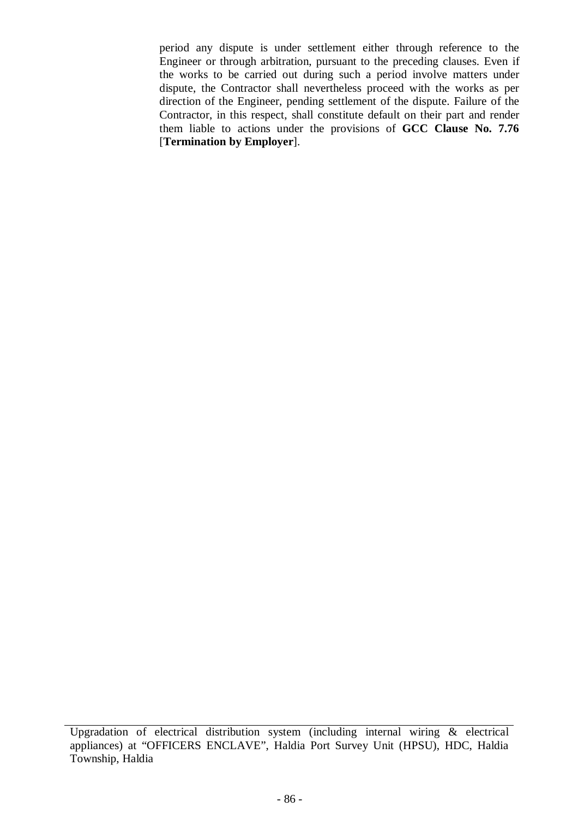period any dispute is under settlement either through reference to the Engineer or through arbitration, pursuant to the preceding clauses. Even if the works to be carried out during such a period involve matters under dispute, the Contractor shall nevertheless proceed with the works as per direction of the Engineer, pending settlement of the dispute. Failure of the Contractor, in this respect, shall constitute default on their part and render them liable to actions under the provisions of **GCC Clause No. 7.76** [**Termination by Employer**].

Upgradation of electrical distribution system (including internal wiring & electrical appliances) at "OFFICERS ENCLAVE", Haldia Port Survey Unit (HPSU), HDC, Haldia Township, Haldia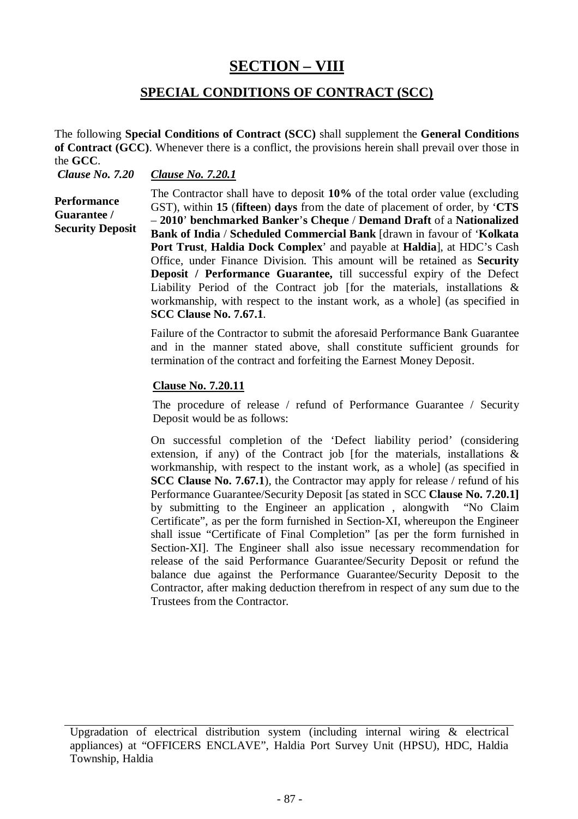# **SECTION – VIII**

# **SPECIAL CONDITIONS OF CONTRACT (SCC)**

The following **Special Conditions of Contract (SCC)** shall supplement the **General Conditions of Contract (GCC)**. Whenever there is a conflict, the provisions herein shall prevail over those in the **GCC**.

*Clause No. 7.20 Clause No. 7.20.1*

**Performance Guarantee / Security Deposit** The Contractor shall have to deposit **10%** of the total order value (excluding GST), within **15** (**fifteen**) **days** from the date of placement of order, by '**CTS** – **2010**' **benchmarked Banker**'**s Cheque** / **Demand Draft** of a **Nationalized Bank of India** / **Scheduled Commercial Bank** [drawn in favour of '**Kolkata Port Trust**, **Haldia Dock Complex**' and payable at **Haldia**], at HDC's Cash Office, under Finance Division. This amount will be retained as **Security Deposit / Performance Guarantee,** till successful expiry of the Defect Liability Period of the Contract job [for the materials, installations & workmanship, with respect to the instant work, as a whole] (as specified in **SCC Clause No. 7.67.1**.

Failure of the Contractor to submit the aforesaid Performance Bank Guarantee and in the manner stated above, shall constitute sufficient grounds for termination of the contract and forfeiting the Earnest Money Deposit.

#### **Clause No. 7.20.11**

The procedure of release / refund of Performance Guarantee / Security Deposit would be as follows:

On successful completion of the 'Defect liability period' (considering extension, if any) of the Contract job [for the materials, installations  $\&$ workmanship, with respect to the instant work, as a whole] (as specified in **SCC Clause No. 7.67.1**), the Contractor may apply for release / refund of his Performance Guarantee/Security Deposit [as stated in SCC **Clause No. 7.20.1]** by submitting to the Engineer an application , alongwith "No Claim Certificate", as per the form furnished in Section-XI, whereupon the Engineer shall issue "Certificate of Final Completion" [as per the form furnished in Section-XI]. The Engineer shall also issue necessary recommendation for release of the said Performance Guarantee/Security Deposit or refund the balance due against the Performance Guarantee/Security Deposit to the Contractor, after making deduction therefrom in respect of any sum due to the Trustees from the Contractor.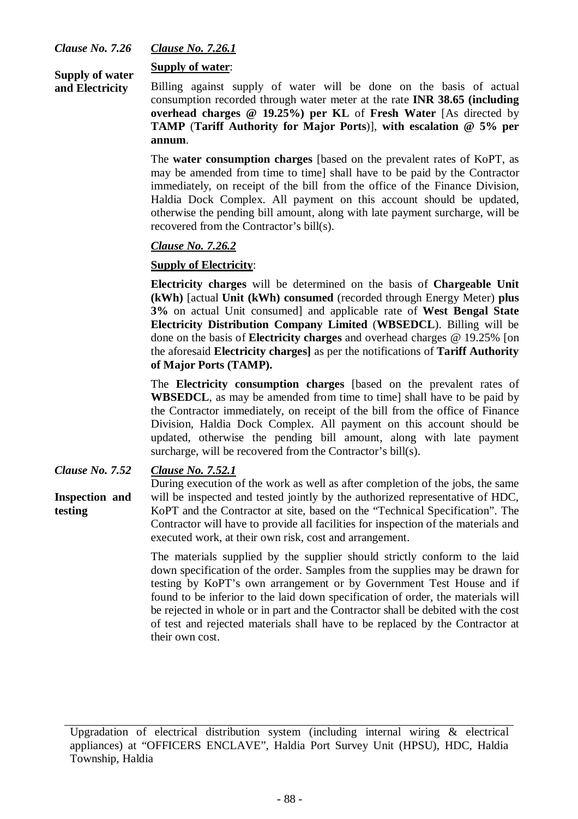#### *Clause No. 7.26 Clause No. 7.26.1*

**Supply of water**:

**Supply of water and Electricity**

Billing against supply of water will be done on the basis of actual consumption recorded through water meter at the rate **INR 38.65 (including overhead charges @ 19.25%) per KL** of **Fresh Water** [As directed by **TAMP** (**Tariff Authority for Major Ports**)], **with escalation @ 5% per annum**.

The **water consumption charges** [based on the prevalent rates of KoPT, as may be amended from time to time] shall have to be paid by the Contractor immediately, on receipt of the bill from the office of the Finance Division, Haldia Dock Complex. All payment on this account should be updated, otherwise the pending bill amount, along with late payment surcharge, will be recovered from the Contractor's bill(s).

#### *Clause No. 7.26.2*

#### **Supply of Electricity**:

**Electricity charges** will be determined on the basis of **Chargeable Unit (kWh)** [actual **Unit (kWh) consumed** (recorded through Energy Meter) **plus 3%** on actual Unit consumed] and applicable rate of **West Bengal State Electricity Distribution Company Limited** (**WBSEDCL**). Billing will be done on the basis of **Electricity charges** and overhead charges @ 19.25% [on the aforesaid **Electricity charges]** as per the notifications of **Tariff Authority of Major Ports (TAMP).**

The **Electricity consumption charges** [based on the prevalent rates of **WBSEDCL**, as may be amended from time to time] shall have to be paid by the Contractor immediately, on receipt of the bill from the office of Finance Division, Haldia Dock Complex. All payment on this account should be updated, otherwise the pending bill amount, along with late payment surcharge, will be recovered from the Contractor's bill(s).

*Clause No. 7.52 Clause No. 7.52.1*

**testing**

**Inspection and**  During execution of the work as well as after completion of the jobs, the same will be inspected and tested jointly by the authorized representative of HDC, KoPT and the Contractor at site, based on the "Technical Specification". The Contractor will have to provide all facilities for inspection of the materials and executed work, at their own risk, cost and arrangement.

> The materials supplied by the supplier should strictly conform to the laid down specification of the order. Samples from the supplies may be drawn for testing by KoPT's own arrangement or by Government Test House and if found to be inferior to the laid down specification of order, the materials will be rejected in whole or in part and the Contractor shall be debited with the cost of test and rejected materials shall have to be replaced by the Contractor at their own cost.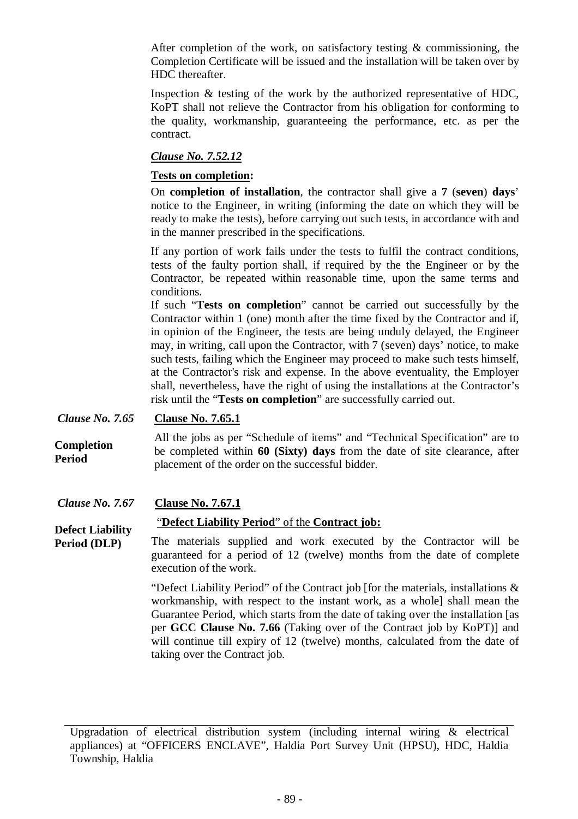After completion of the work, on satisfactory testing & commissioning, the Completion Certificate will be issued and the installation will be taken over by HDC thereafter.

Inspection & testing of the work by the authorized representative of HDC, KoPT shall not relieve the Contractor from his obligation for conforming to the quality, workmanship, guaranteeing the performance, etc. as per the contract.

#### *Clause No. 7.52.12*

#### **Tests on completion:**

On **completion of installation**, the contractor shall give a **7** (**seven**) **days**' notice to the Engineer, in writing (informing the date on which they will be ready to make the tests), before carrying out such tests, in accordance with and in the manner prescribed in the specifications.

If any portion of work fails under the tests to fulfil the contract conditions, tests of the faulty portion shall, if required by the the Engineer or by the Contractor, be repeated within reasonable time, upon the same terms and conditions.

If such "**Tests on completion**" cannot be carried out successfully by the Contractor within 1 (one) month after the time fixed by the Contractor and if, in opinion of the Engineer, the tests are being unduly delayed, the Engineer may, in writing, call upon the Contractor, with 7 (seven) days' notice, to make such tests, failing which the Engineer may proceed to make such tests himself, at the Contractor's risk and expense. In the above eventuality, the Employer shall, nevertheless, have the right of using the installations at the Contractor's risk until the "**Tests on completion**" are successfully carried out.

*Clause No. 7.65* **Clause No. 7.65.1**

**Completion Period**  All the jobs as per "Schedule of items" and "Technical Specification" are to be completed within **60 (Sixty) days** from the date of site clearance, after placement of the order on the successful bidder.

*Clause No. 7.67* **Clause No. 7.67.1**

**Defect Liability** 

#### "**Defect Liability Period**" of the **Contract job:**

**Period (DLP)** The materials supplied and work executed by the Contractor will be guaranteed for a period of 12 (twelve) months from the date of complete execution of the work.

> "Defect Liability Period" of the Contract job [for the materials, installations & workmanship, with respect to the instant work, as a whole] shall mean the Guarantee Period, which starts from the date of taking over the installation [as per **GCC Clause No. 7.66** (Taking over of the Contract job by KoPT)] and will continue till expiry of 12 (twelve) months, calculated from the date of taking over the Contract job.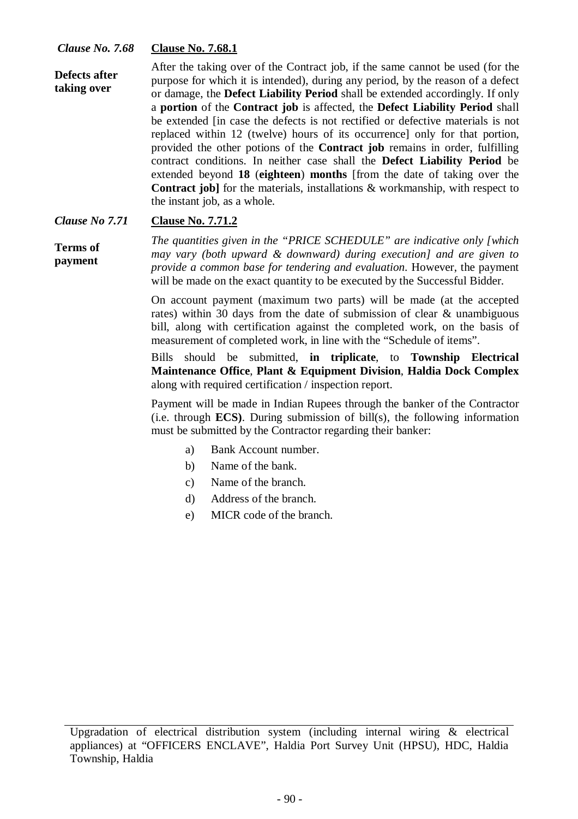#### *Clause No. 7.68* **Clause No. 7.68.1**

**Defects after taking over** After the taking over of the Contract job, if the same cannot be used (for the purpose for which it is intended), during any period, by the reason of a defect or damage, the **Defect Liability Period** shall be extended accordingly. If only a **portion** of the **Contract job** is affected, the **Defect Liability Period** shall be extended [in case the defects is not rectified or defective materials is not replaced within 12 (twelve) hours of its occurrence] only for that portion, provided the other potions of the **Contract job** remains in order, fulfilling contract conditions. In neither case shall the **Defect Liability Period** be extended beyond **18** (**eighteen**) **months** [from the date of taking over the **Contract job]** for the materials, installations & workmanship, with respect to the instant job, as a whole.

#### *Clause No 7.71* **Clause No. 7.71.2**

**Terms of payment**

*The quantities given in the "PRICE SCHEDULE" are indicative only [which may vary (both upward & downward) during execution] and are given to provide a common base for tendering and evaluation*. However, the payment will be made on the exact quantity to be executed by the Successful Bidder.

On account payment (maximum two parts) will be made (at the accepted rates) within 30 days from the date of submission of clear & unambiguous bill, along with certification against the completed work, on the basis of measurement of completed work, in line with the "Schedule of items".

Bills should be submitted, **in triplicate**, to **Township Electrical Maintenance Office**, **Plant & Equipment Division**, **Haldia Dock Complex** along with required certification / inspection report.

Payment will be made in Indian Rupees through the banker of the Contractor (i.e. through **ECS)**. During submission of bill(s), the following information must be submitted by the Contractor regarding their banker:

- a) Bank Account number.
- b) Name of the bank.
- c) Name of the branch.
- d) Address of the branch.
- e) MICR code of the branch.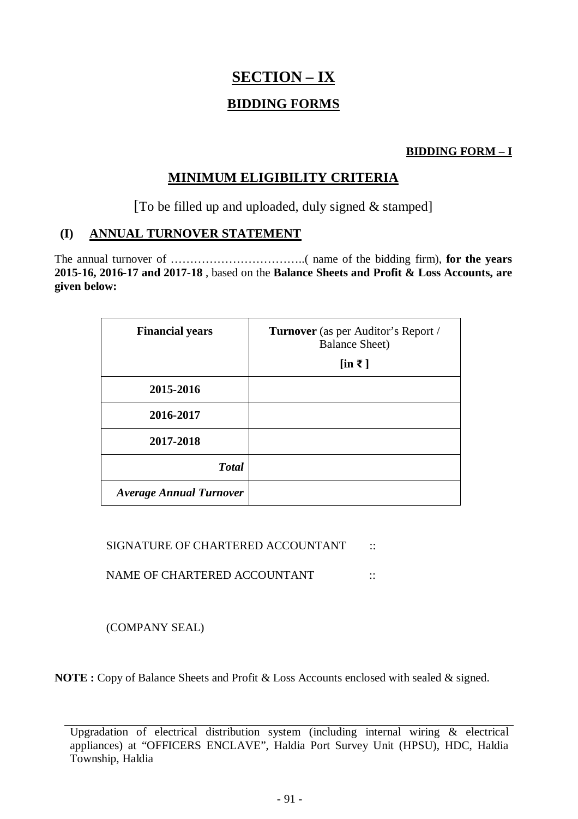# **SECTION – IX BIDDING FORMS**

### **BIDDING FORM – I**

# **MINIMUM ELIGIBILITY CRITERIA**

[To be filled up and uploaded, duly signed & stamped]

#### **(I) ANNUAL TURNOVER STATEMENT**

The annual turnover of ……………………………..( name of the bidding firm), **for the years 2015-16, 2016-17 and 2017-18** , based on the **Balance Sheets and Profit & Loss Accounts, are given below:**

| <b>Financial years</b>         | Turnover (as per Auditor's Report /<br><b>Balance Sheet</b> ) |
|--------------------------------|---------------------------------------------------------------|
|                                | [in ₹]                                                        |
| 2015-2016                      |                                                               |
| 2016-2017                      |                                                               |
| 2017-2018                      |                                                               |
| <b>Total</b>                   |                                                               |
| <b>Average Annual Turnover</b> |                                                               |

SIGNATURE OF CHARTERED ACCOUNTANT ::

NAME OF CHARTERED ACCOUNTANT ::

(COMPANY SEAL)

**NOTE :** Copy of Balance Sheets and Profit & Loss Accounts enclosed with sealed & signed.

Upgradation of electrical distribution system (including internal wiring & electrical appliances) at "OFFICERS ENCLAVE", Haldia Port Survey Unit (HPSU), HDC, Haldia Township, Haldia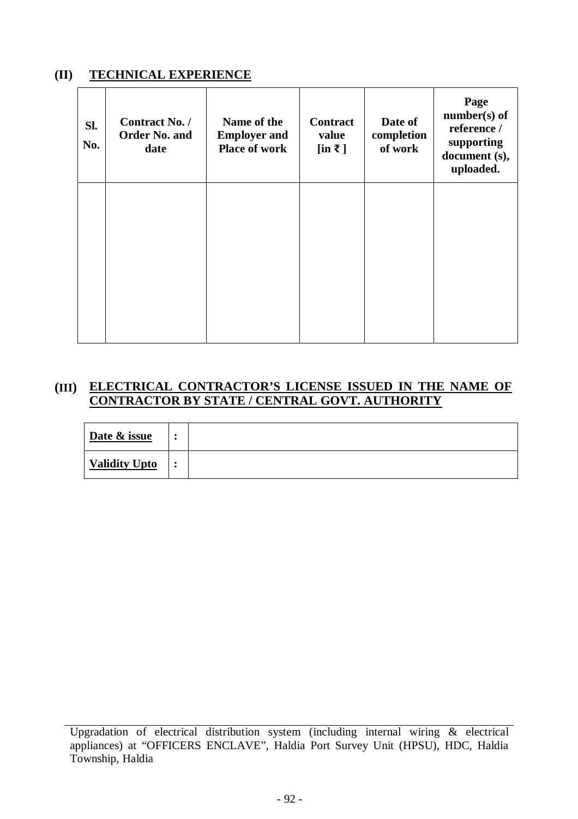### **(II) TECHNICAL EXPERIENCE**

| SI.<br>No. | Contract No. /<br><b>Order No. and</b><br>date | Name of the<br><b>Employer and</b><br><b>Place of work</b> | <b>Contract</b><br>value<br>$[\text{in } \mathbb{Z}]$ | Date of<br>completion<br>of work | Page<br>$number(s)$ of<br>reference /<br>supporting<br>document (s),<br>uploaded. |
|------------|------------------------------------------------|------------------------------------------------------------|-------------------------------------------------------|----------------------------------|-----------------------------------------------------------------------------------|
|            |                                                |                                                            |                                                       |                                  |                                                                                   |
|            |                                                |                                                            |                                                       |                                  |                                                                                   |

### **(III) ELECTRICAL CONTRACTOR'S LICENSE ISSUED IN THE NAME OF CONTRACTOR BY STATE / CENTRAL GOVT. AUTHORITY**

| Date & issue         |  |
|----------------------|--|
| <b>Validity Upto</b> |  |

Upgradation of electrical distribution system (including internal wiring & electrical appliances) at "OFFICERS ENCLAVE", Haldia Port Survey Unit (HPSU), HDC, Haldia Township, Haldia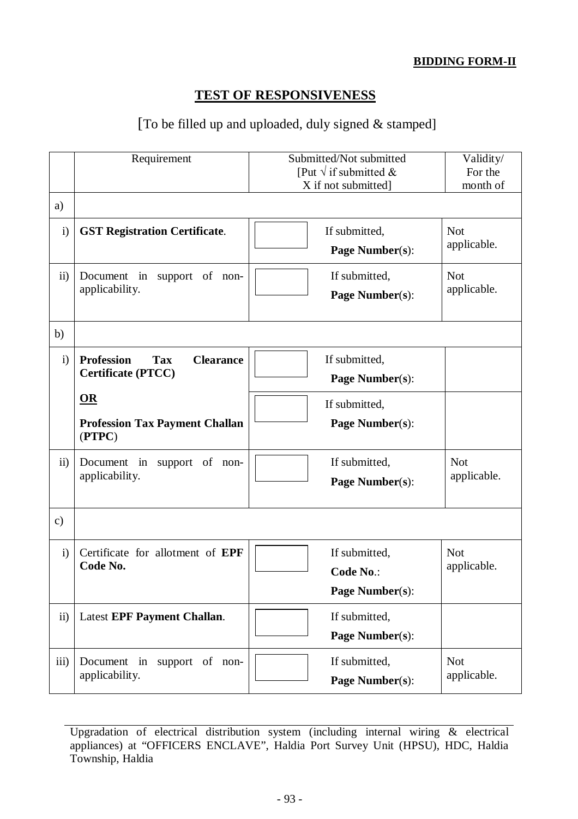### **BIDDING FORM-II**

# **TEST OF RESPONSIVENESS**

# [To be filled up and uploaded, duly signed & stamped]

|                 | Requirement                                         | Submitted/Not submitted        | Validity/                 |  |  |  |  |
|-----------------|-----------------------------------------------------|--------------------------------|---------------------------|--|--|--|--|
|                 |                                                     | [Put $\sqrt{ }$ if submitted & | For the                   |  |  |  |  |
|                 |                                                     | X if not submitted]            | month of                  |  |  |  |  |
| a)              |                                                     |                                |                           |  |  |  |  |
| $\mathbf{i}$    | <b>GST Registration Certificate.</b>                | If submitted,                  | <b>Not</b>                |  |  |  |  |
|                 |                                                     | Page Number(s):                | applicable.               |  |  |  |  |
|                 |                                                     |                                |                           |  |  |  |  |
| $\rm ii)$       | support of non-<br>Document in<br>applicability.    | If submitted,                  | <b>Not</b><br>applicable. |  |  |  |  |
|                 |                                                     | Page Number(s):                |                           |  |  |  |  |
|                 |                                                     |                                |                           |  |  |  |  |
| b)              |                                                     |                                |                           |  |  |  |  |
| $\mathbf{i}$    | <b>Clearance</b><br><b>Profession</b><br><b>Tax</b> | If submitted,                  |                           |  |  |  |  |
|                 | <b>Certificate (PTCC)</b>                           | Page Number(s):                |                           |  |  |  |  |
|                 | OR                                                  |                                |                           |  |  |  |  |
|                 |                                                     | If submitted,                  |                           |  |  |  |  |
|                 | <b>Profession Tax Payment Challan</b>               | Page Number(s):                |                           |  |  |  |  |
|                 | (PTPC)                                              |                                |                           |  |  |  |  |
| $\overline{ii}$ | Document in<br>support of non-                      | If submitted,                  | <b>Not</b>                |  |  |  |  |
|                 | applicability.                                      | Page Number(s):                | applicable.               |  |  |  |  |
|                 |                                                     |                                |                           |  |  |  |  |
| $\mathbf{c})$   |                                                     |                                |                           |  |  |  |  |
|                 |                                                     |                                |                           |  |  |  |  |
| $\mathbf{i}$    | Certificate for allotment of EPF                    | If submitted,                  | <b>Not</b>                |  |  |  |  |
|                 | Code No.                                            | Code No.:                      | applicable.               |  |  |  |  |
|                 |                                                     | Page Number(s):                |                           |  |  |  |  |
|                 |                                                     |                                |                           |  |  |  |  |
| $\mathbf{ii}$   | <b>Latest EPF Payment Challan.</b>                  | If submitted,                  |                           |  |  |  |  |
|                 |                                                     | <b>Page Number(s):</b>         |                           |  |  |  |  |
|                 |                                                     |                                |                           |  |  |  |  |
| iii)            | Document in support of non-                         | If submitted,                  | <b>Not</b>                |  |  |  |  |
|                 | applicability.                                      | <b>Page Number(s):</b>         | applicable.               |  |  |  |  |
|                 |                                                     |                                |                           |  |  |  |  |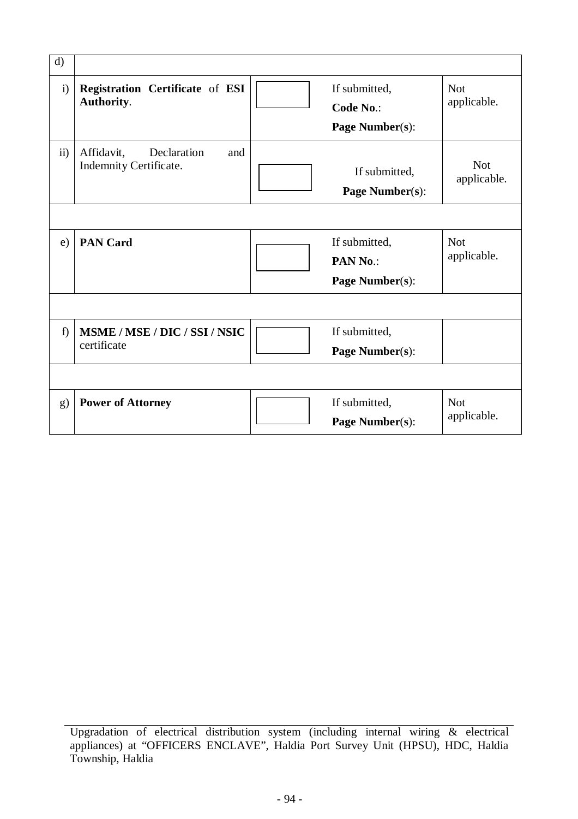| $\mathbf{d}$  |                                                            |                                               |                           |
|---------------|------------------------------------------------------------|-----------------------------------------------|---------------------------|
| $\mathbf{i}$  | Registration Certificate of ESI<br>Authority.              | If submitted,<br>Code No.:<br>Page Number(s): | <b>Not</b><br>applicable. |
| $\mathbf{ii}$ | Declaration<br>Affidavit,<br>and<br>Indemnity Certificate. | If submitted,<br>Page Number(s):              | <b>Not</b><br>applicable. |
|               |                                                            |                                               |                           |
| e)            | <b>PAN Card</b>                                            | If submitted,<br>PAN No.:<br>Page Number(s):  | <b>Not</b><br>applicable. |
|               |                                                            |                                               |                           |
| f             | MSME / MSE / DIC / SSI / NSIC<br>certificate               | If submitted,<br>Page Number(s):              |                           |
|               |                                                            |                                               |                           |
| g)            | <b>Power of Attorney</b>                                   | If submitted,<br>Page Number(s):              | <b>Not</b><br>applicable. |

Upgradation of electrical distribution system (including internal wiring & electrical appliances) at "OFFICERS ENCLAVE", Haldia Port Survey Unit (HPSU), HDC, Haldia Township, Haldia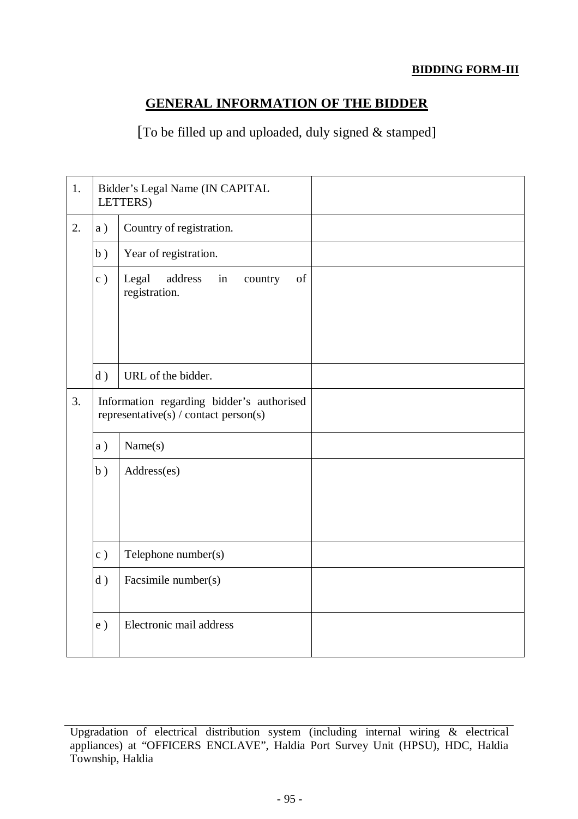#### **BIDDING FORM-III**

# **GENERAL INFORMATION OF THE BIDDER**

[To be filled up and uploaded, duly signed & stamped]

| 1. |    | Bidder's Legal Name (IN CAPITAL<br>LETTERS)                                        |  |
|----|----|------------------------------------------------------------------------------------|--|
| 2. | a) | Country of registration.                                                           |  |
|    | b) | Year of registration.                                                              |  |
|    | c) | Legal<br>address<br>of<br>in<br>country<br>registration.                           |  |
|    | d) | URL of the bidder.                                                                 |  |
| 3. |    | Information regarding bidder's authorised<br>representative(s) / contact person(s) |  |
|    | a) | Name(s)                                                                            |  |
|    | b) | Address(es)                                                                        |  |
|    | c) | Telephone number(s)                                                                |  |
|    | d) | Facsimile number(s)                                                                |  |
|    | e) | Electronic mail address                                                            |  |

Upgradation of electrical distribution system (including internal wiring & electrical appliances) at "OFFICERS ENCLAVE", Haldia Port Survey Unit (HPSU), HDC, Haldia Township, Haldia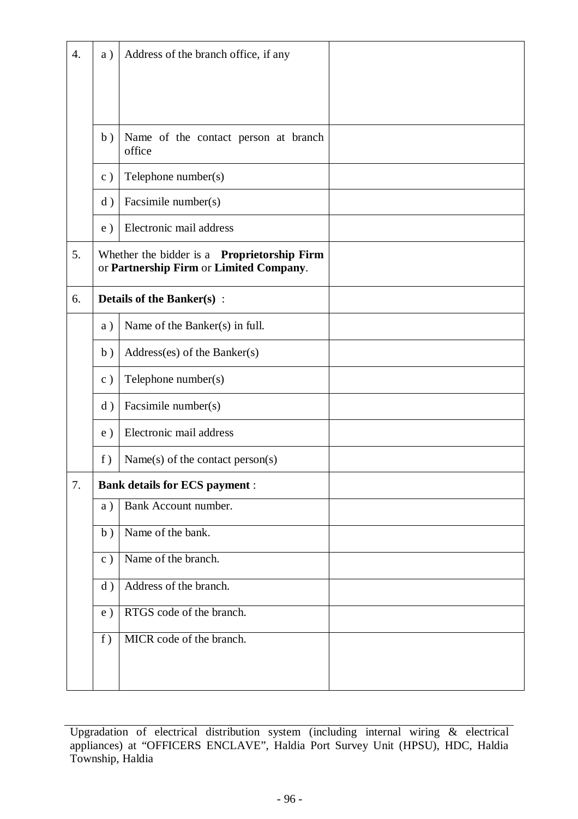| $\overline{4}$ . | a) | Address of the branch office, if any                                                          |  |
|------------------|----|-----------------------------------------------------------------------------------------------|--|
|                  |    |                                                                                               |  |
|                  |    |                                                                                               |  |
|                  |    |                                                                                               |  |
|                  | b) | Name of the contact person at branch                                                          |  |
|                  |    | office                                                                                        |  |
|                  | c) | Telephone number(s)                                                                           |  |
|                  | d) | Facsimile number(s)                                                                           |  |
|                  | e) | Electronic mail address                                                                       |  |
| 5.               |    | Whether the bidder is a <b>Proprietorship Firm</b><br>or Partnership Firm or Limited Company. |  |
|                  |    |                                                                                               |  |
| 6.               |    | <b>Details of the Banker(s):</b>                                                              |  |
|                  | a) | Name of the Banker(s) in full.                                                                |  |
|                  | b) | Address(es) of the Banker(s)                                                                  |  |
|                  | c) | Telephone number(s)                                                                           |  |
|                  | d) | Facsimile number(s)                                                                           |  |
|                  | e) | Electronic mail address                                                                       |  |
|                  | f) | Name(s) of the contact person(s)                                                              |  |
| 7.               |    | <b>Bank details for ECS payment :</b>                                                         |  |
|                  | a) | Bank Account number.                                                                          |  |
|                  | b) | Name of the bank.                                                                             |  |
|                  | c) | Name of the branch.                                                                           |  |
|                  | d) | Address of the branch.                                                                        |  |
|                  | e) | RTGS code of the branch.                                                                      |  |
|                  | f) | MICR code of the branch.                                                                      |  |
|                  |    |                                                                                               |  |
|                  |    |                                                                                               |  |

Upgradation of electrical distribution system (including internal wiring & electrical appliances) at "OFFICERS ENCLAVE", Haldia Port Survey Unit (HPSU), HDC, Haldia Township, Haldia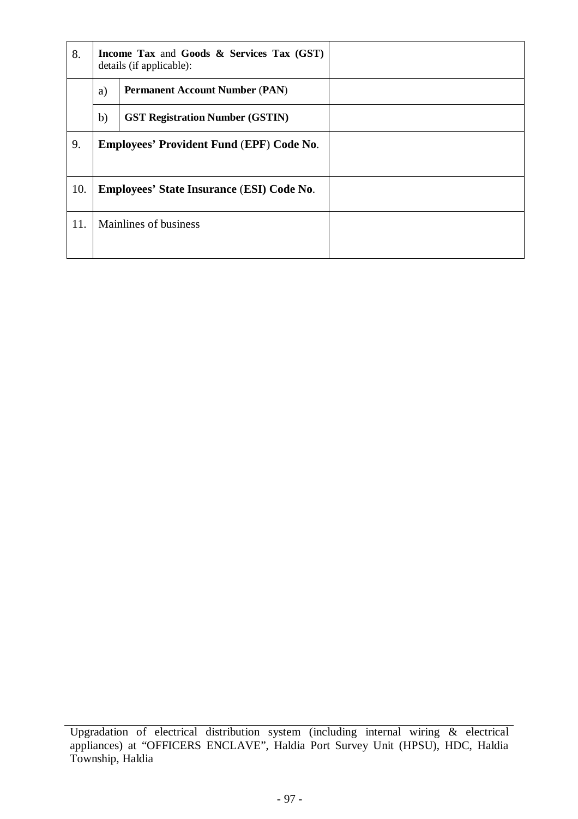| 8.  |                                                 | Income Tax and Goods & Services Tax (GST)<br>details (if applicable): |  |  |  |
|-----|-------------------------------------------------|-----------------------------------------------------------------------|--|--|--|
|     | a)                                              | <b>Permanent Account Number (PAN)</b>                                 |  |  |  |
|     | b)                                              | <b>GST Registration Number (GSTIN)</b>                                |  |  |  |
| 9.  | <b>Employees' Provident Fund (EPF) Code No.</b> |                                                                       |  |  |  |
| 10. |                                                 | <b>Employees' State Insurance (ESI) Code No.</b>                      |  |  |  |
| 11. |                                                 | Mainlines of business                                                 |  |  |  |

Upgradation of electrical distribution system (including internal wiring & electrical appliances) at "OFFICERS ENCLAVE", Haldia Port Survey Unit (HPSU), HDC, Haldia Township, Haldia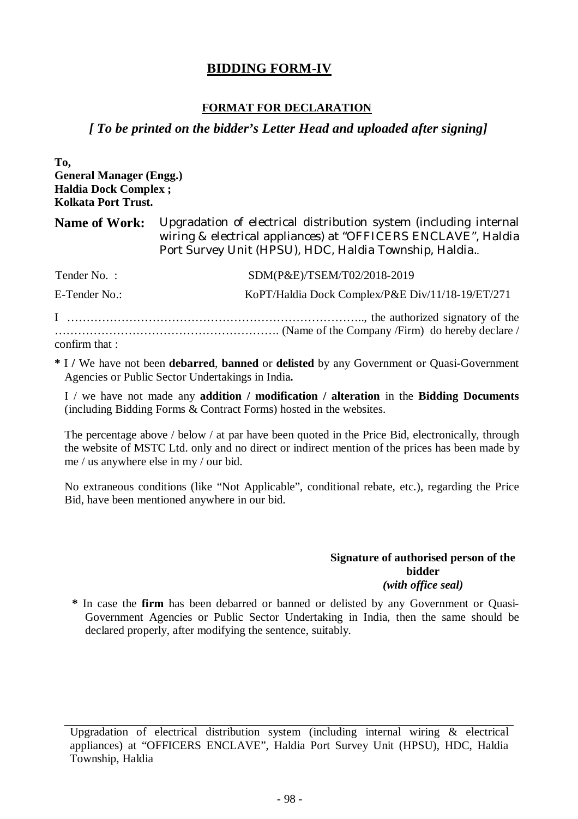# **BIDDING FORM-IV**

### **FORMAT FOR DECLARATION**

# *[ To be printed on the bidder's Letter Head and uploaded after signing]*

| To,<br><b>General Manager (Engg.)</b><br><b>Haldia Dock Complex;</b><br>Kolkata Port Trust. |                                                                                                                                                                                             |
|---------------------------------------------------------------------------------------------|---------------------------------------------------------------------------------------------------------------------------------------------------------------------------------------------|
| <b>Name of Work:</b>                                                                        | Upgradation of electrical distribution system (including internal<br>wiring & electrical appliances) at "OFFICERS ENCLAVE", Haldia<br>Port Survey Unit (HPSU), HDC, Haldia Township, Haldia |
| Tender No.:                                                                                 | SDM(P&E)/TSEM/T02/2018-2019                                                                                                                                                                 |
| E-Tender No.:                                                                               | KoPT/Haldia Dock Complex/P&E Div/11/18-19/ET/271                                                                                                                                            |
| confirm that :                                                                              |                                                                                                                                                                                             |

**\*** I **/** We have not been **debarred**, **banned** or **delisted** by any Government or Quasi-Government Agencies or Public Sector Undertakings in India**.**

I / we have not made any **addition / modification / alteration** in the **Bidding Documents** (including Bidding Forms & Contract Forms) hosted in the websites.

The percentage above / below / at par have been quoted in the Price Bid, electronically, through the website of MSTC Ltd. only and no direct or indirect mention of the prices has been made by me / us anywhere else in my / our bid.

No extraneous conditions (like "Not Applicable", conditional rebate, etc.), regarding the Price Bid, have been mentioned anywhere in our bid.

### **Signature of authorised person of the bidder** *(with office seal)*

**\*** In case the **firm** has been debarred or banned or delisted by any Government or Quasi-Government Agencies or Public Sector Undertaking in India, then the same should be declared properly, after modifying the sentence, suitably.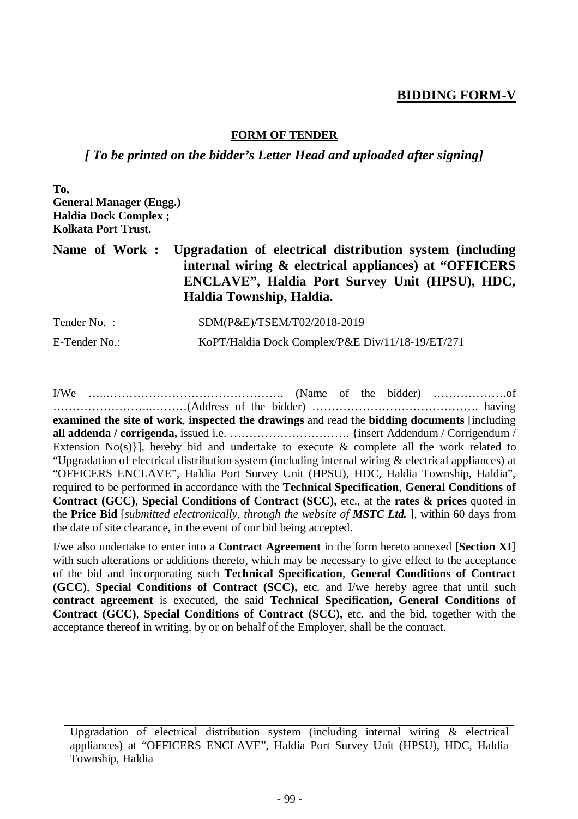# **BIDDING FORM-V**

#### **FORM OF TENDER**

*[ To be printed on the bidder's Letter Head and uploaded after signing]*

**To, General Manager (Engg.) Haldia Dock Complex ; Kolkata Port Trust.**

# **Name of Work : Upgradation of electrical distribution system (including internal wiring & electrical appliances) at "OFFICERS ENCLAVE", Haldia Port Survey Unit (HPSU), HDC, Haldia Township, Haldia.**

| Tender No.:   | SDM(P&E)/TSEM/T02/2018-2019                      |
|---------------|--------------------------------------------------|
| E-Tender No.: | KoPT/Haldia Dock Complex/P&E Div/11/18-19/ET/271 |

I/We …..………………………………………. (Name of the bidder) ……………….of ……………………..………(Address of the bidder) ……………………………………. having **examined the site of work**, **inspected the drawings** and read the **bidding documents** [including **all addenda / corrigenda,** issued i.e. …………………………. {insert Addendum / Corrigendum / Extension No(s)}], hereby bid and undertake to execute  $\&$  complete all the work related to "Upgradation of electrical distribution system (including internal wiring & electrical appliances) at "OFFICERS ENCLAVE", Haldia Port Survey Unit (HPSU), HDC, Haldia Township, Haldia", required to be performed in accordance with the **Technical Specification**, **General Conditions of Contract (GCC)**, **Special Conditions of Contract (SCC),** etc., at the **rates & prices** quoted in the **Price Bid** [*submitted electronically, through the website of MSTC Ltd.* ], within 60 days from the date of site clearance, in the event of our bid being accepted.

I/we also undertake to enter into a **Contract Agreement** in the form hereto annexed [**Section XI**] with such alterations or additions thereto, which may be necessary to give effect to the acceptance of the bid and incorporating such **Technical Specification**, **General Conditions of Contract (GCC)**, **Special Conditions of Contract (SCC),** etc. and I/we hereby agree that until such **contract agreement** is executed, the said **Technical Specification, General Conditions of Contract (GCC)**, **Special Conditions of Contract (SCC),** etc. and the bid, together with the acceptance thereof in writing, by or on behalf of the Employer, shall be the contract.

Upgradation of electrical distribution system (including internal wiring & electrical appliances) at "OFFICERS ENCLAVE", Haldia Port Survey Unit (HPSU), HDC, Haldia Township, Haldia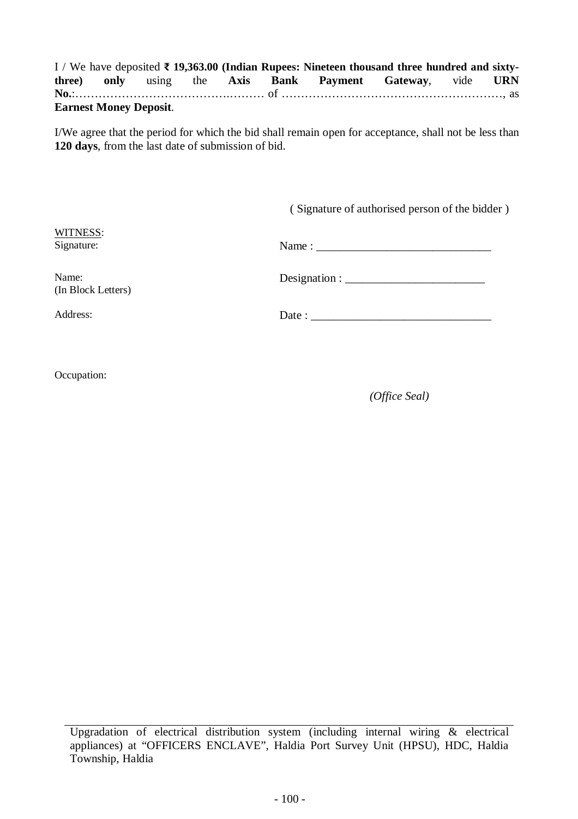|                               |  |  | I / We have deposited $\bar{\tau}$ 19,363.00 (Indian Rupees: Nineteen thousand three hundred and sixty- |  |
|-------------------------------|--|--|---------------------------------------------------------------------------------------------------------|--|
|                               |  |  | three) only using the Axis Bank Payment Gateway, vide URN                                               |  |
|                               |  |  |                                                                                                         |  |
| <b>Earnest Money Deposit.</b> |  |  |                                                                                                         |  |

I/We agree that the period for which the bid shall remain open for acceptance, shall not be less than **120 days**, from the last date of submission of bid.

( Signature of authorised person of the bidder )

WITNESS:

Signature: Name : \_\_\_\_\_\_\_\_\_\_\_\_\_\_\_\_\_\_\_\_\_\_\_\_\_\_\_\_\_\_

Name: (In Block Letters) Designation : \_\_\_\_\_\_\_\_\_\_\_\_\_\_\_\_\_\_\_\_\_\_\_\_

Address: Date :

Occupation:

*(Office Seal)*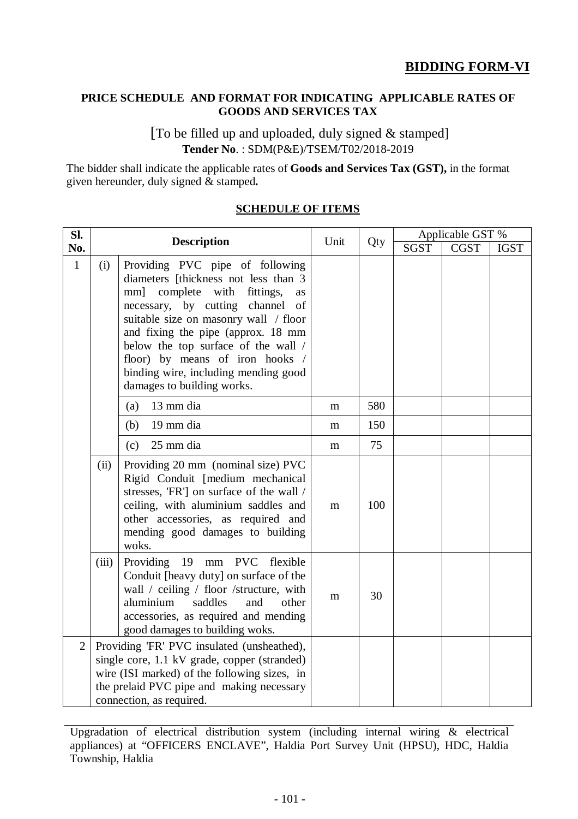#### **PRICE SCHEDULE AND FORMAT FOR INDICATING APPLICABLE RATES OF GOODS AND SERVICES TAX**

[To be filled up and uploaded, duly signed & stamped] **Tender No**. : SDM(P&E)/TSEM/T02/2018-2019

The bidder shall indicate the applicable rates of **Goods and Services Tax (GST),** in the format given hereunder, duly signed & stamped**.**

| SI.            | <b>Description</b>                                                                                                                                                                                                                                                                                                                                                                                           |      | Qty | Applicable GST % |             |             |
|----------------|--------------------------------------------------------------------------------------------------------------------------------------------------------------------------------------------------------------------------------------------------------------------------------------------------------------------------------------------------------------------------------------------------------------|------|-----|------------------|-------------|-------------|
| No.            |                                                                                                                                                                                                                                                                                                                                                                                                              | Unit |     | <b>SGST</b>      | <b>CGST</b> | <b>IGST</b> |
| $\mathbf{1}$   | Providing PVC pipe of following<br>(i)<br>diameters [thickness not less than 3<br>complete<br>with<br>fittings,<br>$mm$ ]<br><b>as</b><br>necessary, by cutting channel<br>of<br>suitable size on masonry wall / floor<br>and fixing the pipe (approx. 18 mm<br>below the top surface of the wall /<br>floor) by means of iron hooks /<br>binding wire, including mending good<br>damages to building works. |      |     |                  |             |             |
|                | 13 mm dia<br>(a)                                                                                                                                                                                                                                                                                                                                                                                             | m    | 580 |                  |             |             |
|                | 19 mm dia<br>(b)                                                                                                                                                                                                                                                                                                                                                                                             | m    | 150 |                  |             |             |
|                | 25 mm dia<br>(c)                                                                                                                                                                                                                                                                                                                                                                                             | m    | 75  |                  |             |             |
|                | Providing 20 mm (nominal size) PVC<br>(ii)<br>Rigid Conduit [medium mechanical<br>stresses, 'FR'] on surface of the wall /<br>ceiling, with aluminium saddles and<br>other accessories, as required and<br>mending good damages to building<br>woks.                                                                                                                                                         | m    | 100 |                  |             |             |
|                | 19<br>Providing<br>mm PVC<br>flexible<br>(iii)<br>Conduit [heavy duty] on surface of the<br>wall / ceiling / floor /structure, with<br>aluminium<br>saddles<br>other<br>and<br>accessories, as required and mending<br>good damages to building woks.                                                                                                                                                        | m    | 30  |                  |             |             |
| $\overline{2}$ | Providing 'FR' PVC insulated (unsheathed),<br>single core, 1.1 kV grade, copper (stranded)<br>wire (ISI marked) of the following sizes, in<br>the prelaid PVC pipe and making necessary<br>connection, as required.                                                                                                                                                                                          |      |     |                  |             |             |

#### **SCHEDULE OF ITEMS**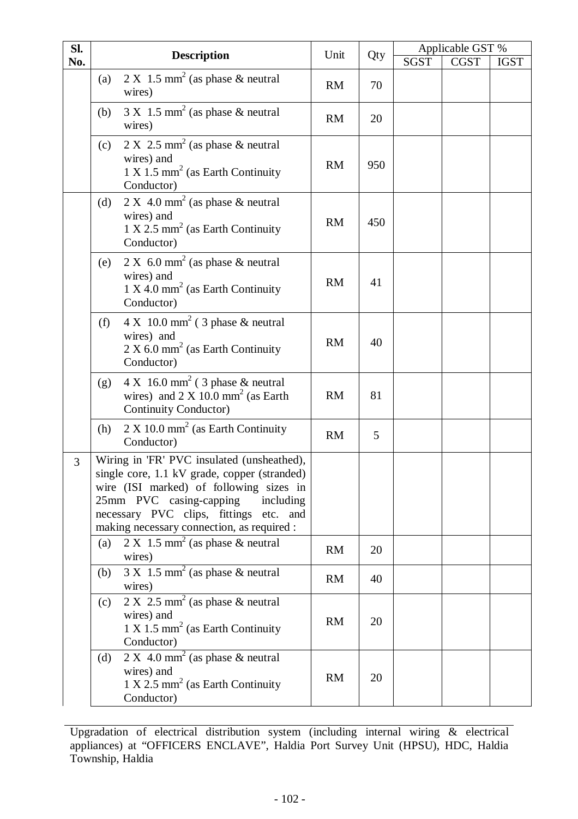| SI.<br>No. |     |                                                                                                                                                                                                                                                                       |           |     | Applicable GST % |             |             |
|------------|-----|-----------------------------------------------------------------------------------------------------------------------------------------------------------------------------------------------------------------------------------------------------------------------|-----------|-----|------------------|-------------|-------------|
|            |     | <b>Description</b>                                                                                                                                                                                                                                                    | Unit      | Qty | <b>SGST</b>      | <b>CGST</b> | <b>IGST</b> |
|            | (a) | $2 X 1.5$ mm <sup>2</sup> (as phase & neutral<br>wires)                                                                                                                                                                                                               | <b>RM</b> | 70  |                  |             |             |
|            | (b) | $3 X 1.5 mm2$ (as phase & neutral<br>wires)                                                                                                                                                                                                                           | <b>RM</b> | 20  |                  |             |             |
|            | (c) | $2 X 2.5 mm2$ (as phase & neutral<br>wires) and<br>$1 X 1.5 mm2$ (as Earth Continuity<br>Conductor)                                                                                                                                                                   | <b>RM</b> | 950 |                  |             |             |
|            | (d) | $2 X 4.0$ mm <sup>2</sup> (as phase & neutral<br>wires) and<br>$1 X 2.5 mm2$ (as Earth Continuity<br>Conductor)                                                                                                                                                       | <b>RM</b> | 450 |                  |             |             |
|            | (e) | $2 X 6.0$ mm <sup>2</sup> (as phase & neutral<br>wires) and<br>$1 X 4.0 mm2$ (as Earth Continuity<br>Conductor)                                                                                                                                                       | <b>RM</b> | 41  |                  |             |             |
|            | (f) | $4 \text{ X } 10.0 \text{ mm}^2$ (3 phase & neutral<br>wires) and<br>$2 X 6.0$ mm <sup>2</sup> (as Earth Continuity<br>Conductor)                                                                                                                                     | <b>RM</b> | 40  |                  |             |             |
|            | (g) | 4 X 16.0 mm <sup>2</sup> (3 phase $\&$ neutral<br>wires) and $2 \times 10.0$ mm <sup>2</sup> (as Earth<br><b>Continuity Conductor)</b>                                                                                                                                | <b>RM</b> | 81  |                  |             |             |
|            | (h) | $2 \text{ X } 10.0 \text{ mm}^2$ (as Earth Continuity<br>Conductor)                                                                                                                                                                                                   | <b>RM</b> | 5   |                  |             |             |
| 3          |     | Wiring in 'FR' PVC insulated (unsheathed),<br>single core, 1.1 kV grade, copper (stranded)<br>wire (ISI marked) of following sizes in<br>25mm PVC casing-capping<br>including<br>necessary PVC clips, fittings etc. and<br>making necessary connection, as required : |           |     |                  |             |             |
|            | (a) | $2 X 1.5 mm2$ (as phase & neutral<br>wires)                                                                                                                                                                                                                           | <b>RM</b> | 20  |                  |             |             |
|            | (b) | $3 X 1.5 mm2$ (as phase & neutral<br>wires)                                                                                                                                                                                                                           | <b>RM</b> | 40  |                  |             |             |
|            | (c) | $2 X 2.5$ mm <sup>2</sup> (as phase & neutral<br>wires) and<br>$1 X 1.5 mm2$ (as Earth Continuity<br>Conductor)                                                                                                                                                       | <b>RM</b> | 20  |                  |             |             |
|            | (d) | $\overline{2 X}$ 4.0 mm <sup>2</sup> (as phase & neutral<br>wires) and<br>$1 X 2.5 mm2$ (as Earth Continuity<br>Conductor)                                                                                                                                            | <b>RM</b> | 20  |                  |             |             |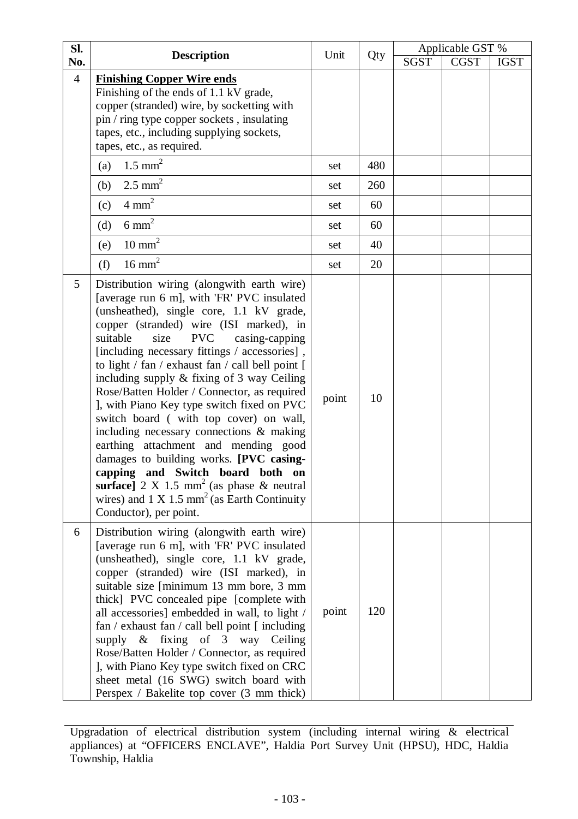| SI.            |                                                                                                                                                                                                                                                                                                                                                                                                                                                                                                                                                                                                                                                                                                                                                                                                                                                      | Unit<br>Qty |     | Applicable GST % |             |             |
|----------------|------------------------------------------------------------------------------------------------------------------------------------------------------------------------------------------------------------------------------------------------------------------------------------------------------------------------------------------------------------------------------------------------------------------------------------------------------------------------------------------------------------------------------------------------------------------------------------------------------------------------------------------------------------------------------------------------------------------------------------------------------------------------------------------------------------------------------------------------------|-------------|-----|------------------|-------------|-------------|
| No.            | <b>Description</b>                                                                                                                                                                                                                                                                                                                                                                                                                                                                                                                                                                                                                                                                                                                                                                                                                                   |             |     | <b>SGST</b>      | <b>CGST</b> | <b>IGST</b> |
| $\overline{4}$ | <b>Finishing Copper Wire ends</b><br>Finishing of the ends of 1.1 kV grade,<br>copper (stranded) wire, by socketting with<br>pin / ring type copper sockets, insulating<br>tapes, etc., including supplying sockets,<br>tapes, etc., as required.                                                                                                                                                                                                                                                                                                                                                                                                                                                                                                                                                                                                    |             |     |                  |             |             |
|                | $1.5$ mm <sup>2</sup><br>(a)                                                                                                                                                                                                                                                                                                                                                                                                                                                                                                                                                                                                                                                                                                                                                                                                                         | set         | 480 |                  |             |             |
|                | $2.5$ mm <sup>2</sup><br>(b)                                                                                                                                                                                                                                                                                                                                                                                                                                                                                                                                                                                                                                                                                                                                                                                                                         | set         | 260 |                  |             |             |
|                | $4 \text{ mm}^2$<br>(c)                                                                                                                                                                                                                                                                                                                                                                                                                                                                                                                                                                                                                                                                                                                                                                                                                              | set         | 60  |                  |             |             |
|                | $6 \text{ mm}^2$<br>(d)                                                                                                                                                                                                                                                                                                                                                                                                                                                                                                                                                                                                                                                                                                                                                                                                                              | set         | 60  |                  |             |             |
|                | $10 \text{ mm}^2$<br>(e)                                                                                                                                                                                                                                                                                                                                                                                                                                                                                                                                                                                                                                                                                                                                                                                                                             | set         | 40  |                  |             |             |
|                | $16$ mm <sup>2</sup><br>(f)                                                                                                                                                                                                                                                                                                                                                                                                                                                                                                                                                                                                                                                                                                                                                                                                                          | set         | 20  |                  |             |             |
| 5              | Distribution wiring (alongwith earth wire)<br>[average run 6 m], with 'FR' PVC insulated<br>(unsheathed), single core, 1.1 kV grade,<br>copper (stranded) wire (ISI marked), in<br>suitable<br>size<br><b>PVC</b><br>casing-capping<br>[including necessary fittings / accessories],<br>to light / fan / exhaust fan / call bell point [<br>including supply & fixing of 3 way Ceiling<br>Rose/Batten Holder / Connector, as required<br>], with Piano Key type switch fixed on PVC<br>switch board (with top cover) on wall,<br>including necessary connections & making<br>earthing attachment and mending good<br>damages to building works. [PVC casing-<br>capping and Switch board both on<br>surface] 2 X 1.5 mm <sup>2</sup> (as phase & neutral<br>wires) and $1 \times 1.5$ mm <sup>2</sup> (as Earth Continuity<br>Conductor), per point. | point       | 10  |                  |             |             |
| 6              | Distribution wiring (alongwith earth wire)<br>[average run 6 m], with 'FR' PVC insulated<br>(unsheathed), single core, 1.1 kV grade,<br>copper (stranded) wire (ISI marked), in<br>suitable size [minimum 13 mm bore, 3 mm<br>thick] PVC concealed pipe [complete with]<br>all accessories] embedded in wall, to light /<br>fan / exhaust fan / call bell point [ including<br>fixing of 3 way Ceiling<br>supply<br>$\&$<br>Rose/Batten Holder / Connector, as required<br>], with Piano Key type switch fixed on CRC<br>sheet metal (16 SWG) switch board with<br>Perspex / Bakelite top cover (3 mm thick)                                                                                                                                                                                                                                         | point       | 120 |                  |             |             |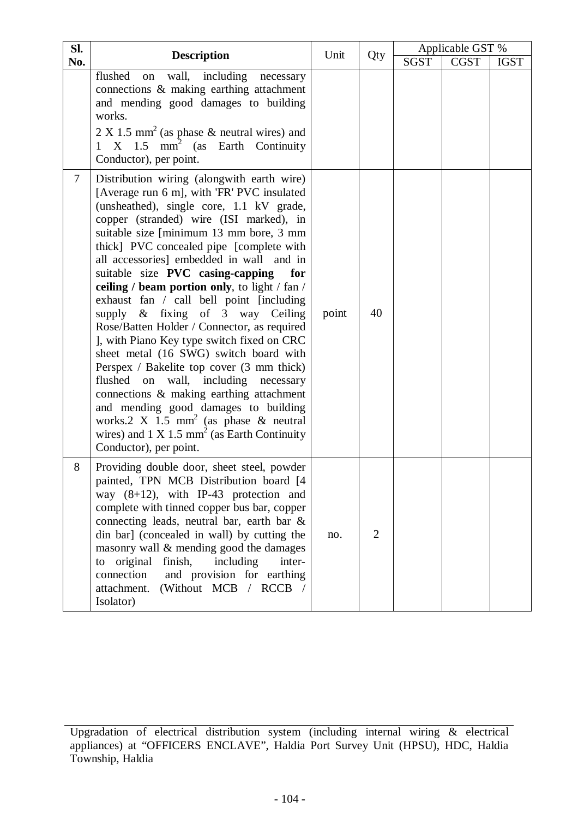| SI.    | <b>Description</b>                                                                                                                                                                                                                                                                                                                                                                                                                                                                                                                                                                                                                                                                                                                                                                                                                                                                                                                                                    | Unit  | Qty            | Applicable GST % |             |             |
|--------|-----------------------------------------------------------------------------------------------------------------------------------------------------------------------------------------------------------------------------------------------------------------------------------------------------------------------------------------------------------------------------------------------------------------------------------------------------------------------------------------------------------------------------------------------------------------------------------------------------------------------------------------------------------------------------------------------------------------------------------------------------------------------------------------------------------------------------------------------------------------------------------------------------------------------------------------------------------------------|-------|----------------|------------------|-------------|-------------|
| No.    |                                                                                                                                                                                                                                                                                                                                                                                                                                                                                                                                                                                                                                                                                                                                                                                                                                                                                                                                                                       |       |                | <b>SGST</b>      | <b>CGST</b> | <b>IGST</b> |
|        | wall, including<br>flushed<br>on<br>necessary<br>connections & making earthing attachment<br>and mending good damages to building<br>works.<br>$2 X 1.5 mm2$ (as phase & neutral wires) and<br>$X$ 1.5 mm <sup>2</sup> (as Earth Continuity<br>$\mathbf{1}$<br>Conductor), per point.                                                                                                                                                                                                                                                                                                                                                                                                                                                                                                                                                                                                                                                                                 |       |                |                  |             |             |
| $\tau$ | Distribution wiring (alongwith earth wire)<br>[Average run 6 m], with 'FR' PVC insulated<br>(unsheathed), single core, 1.1 kV grade,<br>copper (stranded) wire (ISI marked), in<br>suitable size [minimum 13 mm bore, 3 mm<br>thick] PVC concealed pipe [complete with]<br>all accessories] embedded in wall and in<br>suitable size PVC casing-capping<br>for<br>ceiling / beam portion only, to light / fan /<br>exhaust fan / call bell point [including<br>supply $\&$ fixing of 3 way Ceiling<br>Rose/Batten Holder / Connector, as required<br>], with Piano Key type switch fixed on CRC<br>sheet metal (16 SWG) switch board with<br>Perspex / Bakelite top cover (3 mm thick)<br>flushed on wall, including necessary<br>connections & making earthing attachment<br>and mending good damages to building<br>works.2 $X$ 1.5 mm <sup>2</sup> (as phase & neutral<br>wires) and $1 \times 1.5$ mm <sup>2</sup> (as Earth Continuity<br>Conductor), per point. | point | 40             |                  |             |             |
| 8      | Providing double door, sheet steel, powder<br>painted, TPN MCB Distribution board [4<br>way $(8+12)$ , with IP-43 protection and<br>complete with tinned copper bus bar, copper<br>connecting leads, neutral bar, earth bar &<br>din bar] (concealed in wall) by cutting the<br>masonry wall & mending good the damages<br>original<br>finish,<br>including<br>inter-<br>to<br>connection<br>and provision for earthing<br>attachment.<br>(Without MCB / RCCB /<br>Isolator)                                                                                                                                                                                                                                                                                                                                                                                                                                                                                          | no.   | $\overline{2}$ |                  |             |             |

Upgradation of electrical distribution system (including internal wiring & electrical appliances) at "OFFICERS ENCLAVE", Haldia Port Survey Unit (HPSU), HDC, Haldia Township, Haldia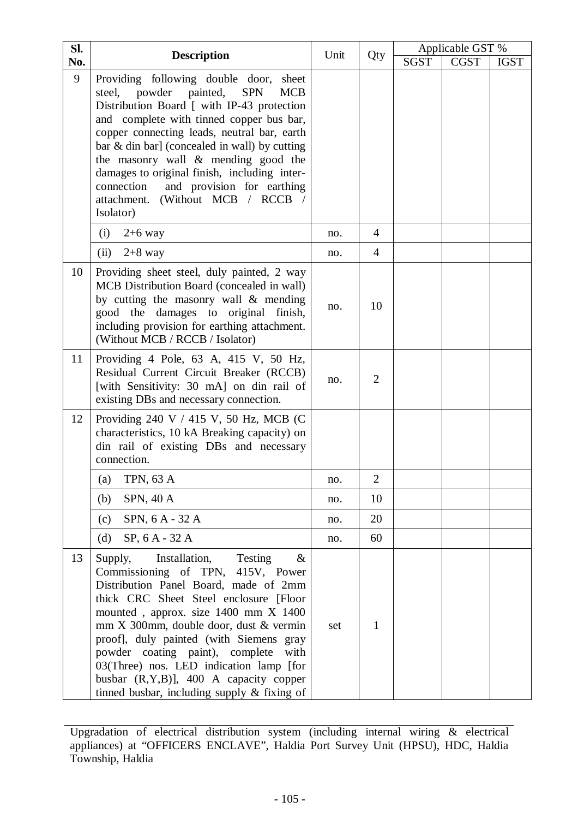| SI. | <b>Description</b>                                                                                                                                                                                                                                                                                                                                                                                                                                                                   | Unit | Qty            | Applicable GST % |             |             |
|-----|--------------------------------------------------------------------------------------------------------------------------------------------------------------------------------------------------------------------------------------------------------------------------------------------------------------------------------------------------------------------------------------------------------------------------------------------------------------------------------------|------|----------------|------------------|-------------|-------------|
| No. |                                                                                                                                                                                                                                                                                                                                                                                                                                                                                      |      |                | <b>SGST</b>      | <b>CGST</b> | <b>IGST</b> |
| 9   | Providing following double door, sheet<br>powder painted,<br>steel.<br><b>SPN</b><br><b>MCB</b><br>Distribution Board [ with IP-43 protection<br>and complete with tinned copper bus bar,<br>copper connecting leads, neutral bar, earth<br>$bar \&$ din bar] (concealed in wall) by cutting<br>the masonry wall & mending good the<br>damages to original finish, including inter-<br>and provision for earthing<br>connection<br>attachment. (Without MCB / RCCB<br>Isolator)      |      |                |                  |             |             |
|     | $2+6$ way<br>(i)                                                                                                                                                                                                                                                                                                                                                                                                                                                                     | no.  | 4              |                  |             |             |
|     | $2+8$ way<br>(ii)                                                                                                                                                                                                                                                                                                                                                                                                                                                                    | no.  | $\overline{4}$ |                  |             |             |
| 10  | Providing sheet steel, duly painted, 2 way<br>MCB Distribution Board (concealed in wall)<br>by cutting the masonry wall & mending<br>good the damages to original finish,<br>including provision for earthing attachment.<br>(Without MCB / RCCB / Isolator)                                                                                                                                                                                                                         | no.  | 10             |                  |             |             |
| 11  | Providing 4 Pole, 63 A, 415 V, 50 Hz,<br>Residual Current Circuit Breaker (RCCB)<br>[with Sensitivity: 30 mA] on din rail of<br>existing DBs and necessary connection.                                                                                                                                                                                                                                                                                                               | no.  | $\overline{2}$ |                  |             |             |
| 12  | Providing 240 V / 415 V, 50 Hz, MCB (C)<br>characteristics, 10 kA Breaking capacity) on<br>din rail of existing DBs and necessary<br>connection.                                                                                                                                                                                                                                                                                                                                     |      |                |                  |             |             |
|     | <b>TPN, 63 A</b><br>(a)                                                                                                                                                                                                                                                                                                                                                                                                                                                              | no.  | $\overline{2}$ |                  |             |             |
|     | SPN, 40 A<br>(b)                                                                                                                                                                                                                                                                                                                                                                                                                                                                     | no.  | 10             |                  |             |             |
|     | SPN, 6 A - 32 A<br>(c)                                                                                                                                                                                                                                                                                                                                                                                                                                                               | no.  | 20             |                  |             |             |
|     | SP, 6 A - 32 A<br>(d)                                                                                                                                                                                                                                                                                                                                                                                                                                                                | no.  | 60             |                  |             |             |
| 13  | Supply,<br>Installation,<br>Testing<br>$\&$<br>Commissioning of TPN, 415V, Power<br>Distribution Panel Board, made of 2mm<br>thick CRC Sheet Steel enclosure [Floor<br>mounted, approx. size 1400 mm X 1400<br>mm X 300mm, double door, dust & vermin<br>proof], duly painted (with Siemens gray<br>powder coating paint), complete<br>with<br>03(Three) nos. LED indication lamp [for<br>busbar $(R, Y, B)$ ], 400 A capacity copper<br>tinned busbar, including supply & fixing of | set  | $\mathbf{1}$   |                  |             |             |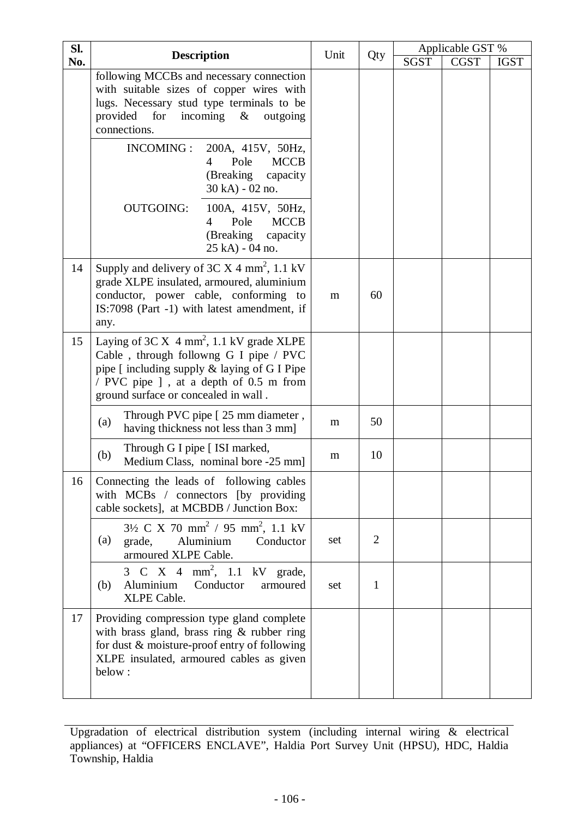| Sl. |                                                                                                                                                                                                                        | Unit | Qty            | Applicable GST % |             |             |
|-----|------------------------------------------------------------------------------------------------------------------------------------------------------------------------------------------------------------------------|------|----------------|------------------|-------------|-------------|
| No. | <b>Description</b>                                                                                                                                                                                                     |      |                | <b>SGST</b>      | <b>CGST</b> | <b>IGST</b> |
|     | following MCCBs and necessary connection<br>with suitable sizes of copper wires with<br>lugs. Necessary stud type terminals to be<br>incoming<br>provided for<br>$\&$<br>outgoing<br>connections.                      |      |                |                  |             |             |
|     | <b>INCOMING:</b><br>200A, 415V, 50Hz,<br><b>MCCB</b><br>Pole<br>4<br>(Breaking<br>capacity<br>30 kA) - 02 no.                                                                                                          |      |                |                  |             |             |
|     | <b>OUTGOING:</b><br>100A, 415V, 50Hz,<br>Pole<br><b>MCCB</b><br>4<br>(Breaking capacity<br>25 kA) - 04 no.                                                                                                             |      |                |                  |             |             |
| 14  | Supply and delivery of 3C X 4 mm <sup>2</sup> , 1.1 kV<br>grade XLPE insulated, armoured, aluminium<br>conductor, power cable, conforming to<br>IS:7098 (Part -1) with latest amendment, if<br>any.                    | m    | 60             |                  |             |             |
| 15  | Laying of $3C X 4 mm^2$ , 1.1 kV grade XLPE<br>Cable, through followng G I pipe / PVC<br>pipe [including supply & laying of G I Pipe<br>/ PVC pipe ], at a depth of 0.5 m from<br>ground surface or concealed in wall. |      |                |                  |             |             |
|     | Through PVC pipe [25 mm diameter,<br>(a)<br>having thickness not less than 3 mm]                                                                                                                                       | m    | 50             |                  |             |             |
|     | Through G I pipe [ISI marked,<br>(b)<br>Medium Class, nominal bore -25 mm]                                                                                                                                             | m    | 10             |                  |             |             |
| 16  | Connecting the leads of following cables<br>with MCBs / connectors [by providing<br>cable sockets], at MCBDB / Junction Box:                                                                                           |      |                |                  |             |             |
|     | $3\frac{1}{2}$ C X 70 mm <sup>2</sup> / 95 mm <sup>2</sup> , 1.1 kV<br>(a)<br>Conductor<br>grade,<br>Aluminium<br>armoured XLPE Cable.                                                                                 | set  | $\overline{2}$ |                  |             |             |
|     | 3 C X 4 mm <sup>2</sup> , 1.1 kV grade,<br>Aluminium<br>Conductor<br>(b)<br>armoured<br><b>XLPE Cable.</b>                                                                                                             | set  | 1              |                  |             |             |
| 17  | Providing compression type gland complete<br>with brass gland, brass ring & rubber ring<br>for dust & moisture-proof entry of following<br>XLPE insulated, armoured cables as given<br>below:                          |      |                |                  |             |             |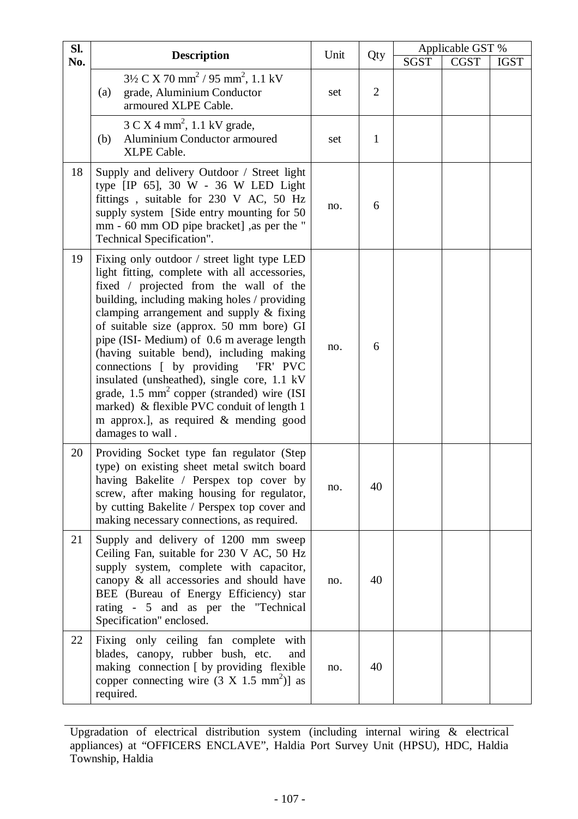| SI. |                                                                                                                                                                                                                                                                                                                                                                                                                                                                                                                                                                                                                                        | Unit |                |             | Applicable GST % |             |  |
|-----|----------------------------------------------------------------------------------------------------------------------------------------------------------------------------------------------------------------------------------------------------------------------------------------------------------------------------------------------------------------------------------------------------------------------------------------------------------------------------------------------------------------------------------------------------------------------------------------------------------------------------------------|------|----------------|-------------|------------------|-------------|--|
| No. | <b>Description</b>                                                                                                                                                                                                                                                                                                                                                                                                                                                                                                                                                                                                                     |      | Qty            | <b>SGST</b> | <b>CGST</b>      | <b>IGST</b> |  |
|     | $3\frac{1}{2}$ C X 70 mm <sup>2</sup> / 95 mm <sup>2</sup> , 1.1 kV<br>grade, Aluminium Conductor<br>(a)<br>armoured XLPE Cable.                                                                                                                                                                                                                                                                                                                                                                                                                                                                                                       | set  | $\overline{2}$ |             |                  |             |  |
|     | 3 C X 4 mm <sup>2</sup> , 1.1 kV grade,<br>Aluminium Conductor armoured<br>(b)<br><b>XLPE Cable.</b>                                                                                                                                                                                                                                                                                                                                                                                                                                                                                                                                   | set  | $\mathbf{1}$   |             |                  |             |  |
| 18  | Supply and delivery Outdoor / Street light<br>type [IP 65], 30 W - 36 W LED Light<br>fittings, suitable for 230 V AC, 50 Hz<br>supply system [Side entry mounting for 50<br>mm - 60 mm OD pipe bracket], as per the "<br>Technical Specification".                                                                                                                                                                                                                                                                                                                                                                                     | no.  | 6              |             |                  |             |  |
| 19  | Fixing only outdoor / street light type LED<br>light fitting, complete with all accessories,<br>fixed / projected from the wall of the<br>building, including making holes / providing<br>clamping arrangement and supply & fixing<br>of suitable size (approx. 50 mm bore) GI<br>pipe (ISI- Medium) of 0.6 m average length<br>(having suitable bend), including making<br>connections [ by providing<br>'FR' PVC<br>insulated (unsheathed), single core, 1.1 kV<br>grade, $1.5 \text{ mm}^2$ copper (stranded) wire (ISI<br>marked) & flexible PVC conduit of length 1<br>m approx.], as required & mending good<br>damages to wall. | no.  | 6              |             |                  |             |  |
| 20  | Providing Socket type fan regulator (Step<br>type) on existing sheet metal switch board<br>having Bakelite / Perspex top cover by<br>screw, after making housing for regulator,<br>by cutting Bakelite / Perspex top cover and<br>making necessary connections, as required.                                                                                                                                                                                                                                                                                                                                                           | no.  | 40             |             |                  |             |  |
| 21  | Supply and delivery of 1200 mm sweep<br>Ceiling Fan, suitable for 230 V AC, 50 Hz<br>supply system, complete with capacitor,<br>canopy & all accessories and should have<br>BEE (Bureau of Energy Efficiency) star<br>rating - 5 and as per the "Technical<br>Specification" enclosed.                                                                                                                                                                                                                                                                                                                                                 | no.  | 40             |             |                  |             |  |
| 22  | Fixing only ceiling fan complete<br>with<br>blades, canopy, rubber bush, etc.<br>and<br>making connection [ by providing flexible<br>copper connecting wire $(3 \text{ X } 1.5 \text{ mm}^2)$ ] as<br>required.                                                                                                                                                                                                                                                                                                                                                                                                                        | no.  | 40             |             |                  |             |  |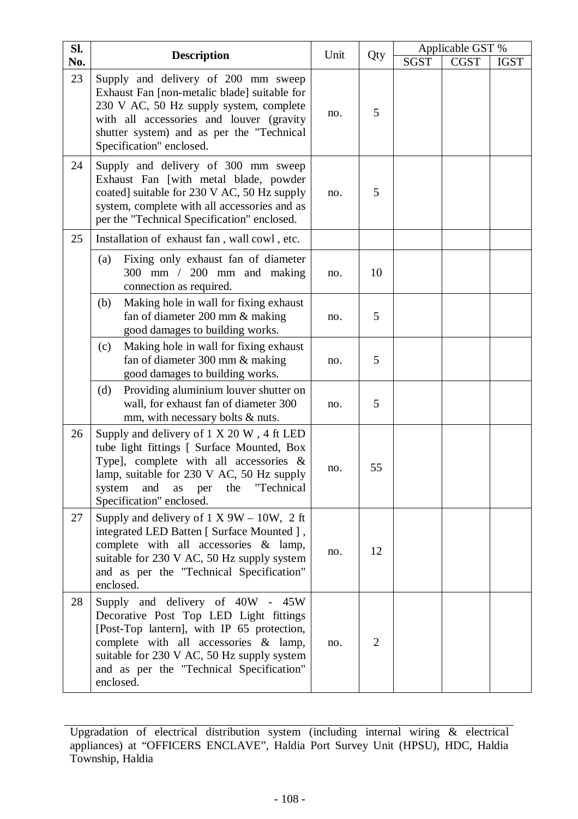| SI. | <b>Description</b><br>Unit                                                                                                                                                                                                                                               |     |                | Applicable GST % |             |             |
|-----|--------------------------------------------------------------------------------------------------------------------------------------------------------------------------------------------------------------------------------------------------------------------------|-----|----------------|------------------|-------------|-------------|
| No. |                                                                                                                                                                                                                                                                          |     | Qty            | <b>SGST</b>      | <b>CGST</b> | <b>IGST</b> |
| 23  | Supply and delivery of 200 mm sweep<br>Exhaust Fan [non-metalic blade] suitable for<br>230 V AC, 50 Hz supply system, complete<br>with all accessories and louver (gravity<br>shutter system) and as per the "Technical<br>Specification" enclosed.                      | no. | 5              |                  |             |             |
| 24  | Supply and delivery of 300 mm sweep<br>Exhaust Fan [with metal blade, powder<br>coated] suitable for 230 V AC, 50 Hz supply<br>system, complete with all accessories and as<br>per the "Technical Specification" enclosed.                                               | no. | 5              |                  |             |             |
| 25  | Installation of exhaust fan, wall cowl, etc.                                                                                                                                                                                                                             |     |                |                  |             |             |
|     | Fixing only exhaust fan of diameter<br>(a)<br>300 mm / 200 mm and making<br>connection as required.                                                                                                                                                                      | no. | 10             |                  |             |             |
|     | Making hole in wall for fixing exhaust<br>(b)<br>fan of diameter 200 mm & making<br>good damages to building works.                                                                                                                                                      | no. | 5              |                  |             |             |
|     | Making hole in wall for fixing exhaust<br>(c)<br>fan of diameter 300 mm & making<br>good damages to building works.                                                                                                                                                      | no. | 5              |                  |             |             |
|     | Providing aluminium louver shutter on<br>(d)<br>wall, for exhaust fan of diameter 300<br>mm, with necessary bolts & nuts.                                                                                                                                                | no. | 5              |                  |             |             |
| 26  | Supply and delivery of 1 X 20 W, 4 ft LED<br>tube light fittings [ Surface Mounted, Box<br>Type], complete with all accessories $\&$<br>lamp, suitable for 230 V AC, 50 Hz supply<br>"Technical<br>the<br>system<br>and<br>as per<br>Specification" enclosed.            | no. | 55             |                  |             |             |
| 27  | Supply and delivery of $1 \times 9W - 10W$ , 2 ft<br>integrated LED Batten [ Surface Mounted ],<br>complete with all accessories & lamp,<br>suitable for 230 V AC, 50 Hz supply system<br>and as per the "Technical Specification"<br>enclosed.                          | no. | 12             |                  |             |             |
| 28  | Supply and delivery of 40W - 45W<br>Decorative Post Top LED Light fittings<br>[Post-Top lantern], with IP 65 protection,<br>complete with all accessories & lamp,<br>suitable for 230 V AC, 50 Hz supply system<br>and as per the "Technical Specification"<br>enclosed. | no. | $\overline{2}$ |                  |             |             |

Upgradation of electrical distribution system (including internal wiring & electrical appliances) at "OFFICERS ENCLAVE", Haldia Port Survey Unit (HPSU), HDC, Haldia Township, Haldia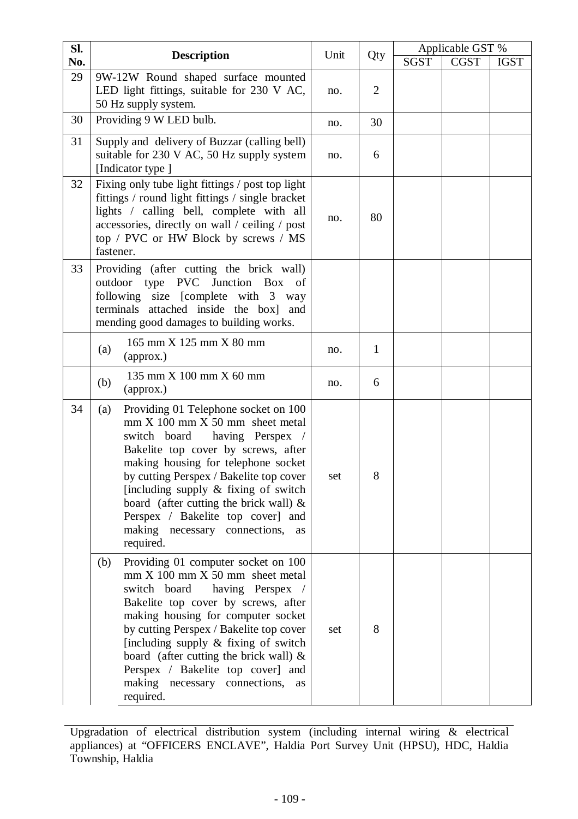| Sl. | <b>Description</b>                                                                                                                                                                                                                                                                                                                                                                                                           | Unit | Qty            |             | Applicable GST % |             |
|-----|------------------------------------------------------------------------------------------------------------------------------------------------------------------------------------------------------------------------------------------------------------------------------------------------------------------------------------------------------------------------------------------------------------------------------|------|----------------|-------------|------------------|-------------|
| No. |                                                                                                                                                                                                                                                                                                                                                                                                                              |      |                | <b>SGST</b> | <b>CGST</b>      | <b>IGST</b> |
| 29  | 9W-12W Round shaped surface mounted<br>LED light fittings, suitable for 230 V AC,<br>50 Hz supply system.                                                                                                                                                                                                                                                                                                                    | no.  | $\overline{2}$ |             |                  |             |
| 30  | Providing 9 W LED bulb.                                                                                                                                                                                                                                                                                                                                                                                                      | no.  | 30             |             |                  |             |
| 31  | Supply and delivery of Buzzar (calling bell)<br>suitable for 230 V AC, 50 Hz supply system<br>[Indicator type]                                                                                                                                                                                                                                                                                                               | no.  | 6              |             |                  |             |
| 32  | Fixing only tube light fittings / post top light<br>fittings / round light fittings / single bracket<br>lights / calling bell, complete with all<br>accessories, directly on wall / ceiling / post<br>top / PVC or HW Block by screws / MS<br>fastener.                                                                                                                                                                      | no.  | 80             |             |                  |             |
| 33  | Providing (after cutting the brick wall)<br>outdoor type PVC Junction Box of<br>following size [complete with 3 way<br>terminals attached inside the box] and<br>mending good damages to building works.                                                                                                                                                                                                                     |      |                |             |                  |             |
|     | 165 mm X 125 mm X 80 mm<br>(a)<br>$\left($ approx. $\right)$                                                                                                                                                                                                                                                                                                                                                                 | no.  | $\mathbf{1}$   |             |                  |             |
|     | 135 mm X 100 mm X 60 mm<br>(b)<br>$\langle$ approx.)                                                                                                                                                                                                                                                                                                                                                                         | no.  | 6              |             |                  |             |
| 34  | Providing 01 Telephone socket on 100<br>(a)<br>mm X 100 mm X 50 mm sheet metal<br>switch board<br>having Perspex /<br>Bakelite top cover by screws, after<br>making housing for telephone socket<br>by cutting Perspex / Bakelite top cover<br>[including supply $\&$ fixing of switch<br>board (after cutting the brick wall) $\&$<br>Perspex / Bakelite top cover] and<br>making necessary connections,<br>as<br>required. | set  | 8              |             |                  |             |
|     | Providing 01 computer socket on 100<br>(b)<br>$mm X 100 mm X 50 mm$ sheet metal<br>switch board<br>having Perspex /<br>Bakelite top cover by screws, after<br>making housing for computer socket<br>by cutting Perspex / Bakelite top cover<br>[including supply $\&$ fixing of switch<br>board (after cutting the brick wall) $\&$<br>Perspex / Bakelite top cover] and<br>making necessary connections,<br>as<br>required. | set  | 8              |             |                  |             |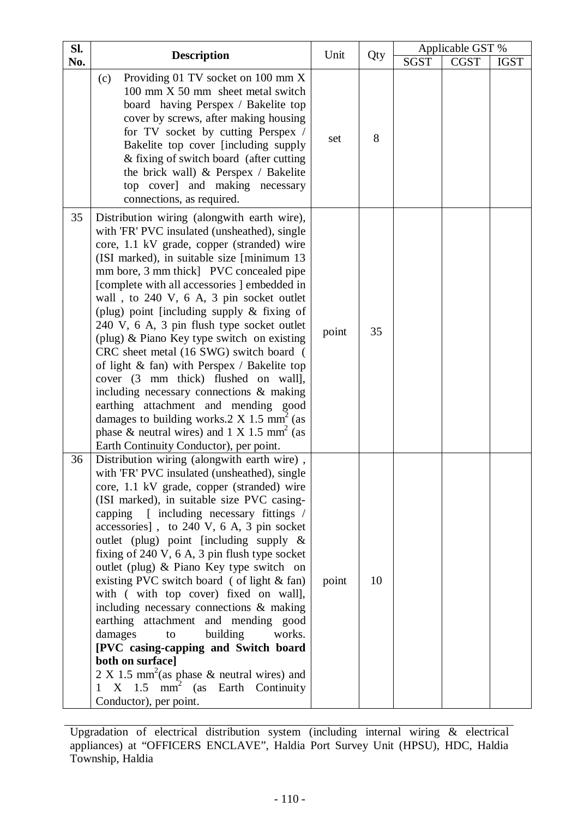| SI. |                                                                                                                                                                                                                                                                                                                                                                                                                                                                                                                                                                                                                                                                                                                                                                                                                                                                                        |       |     | Applicable GST % |             |             |
|-----|----------------------------------------------------------------------------------------------------------------------------------------------------------------------------------------------------------------------------------------------------------------------------------------------------------------------------------------------------------------------------------------------------------------------------------------------------------------------------------------------------------------------------------------------------------------------------------------------------------------------------------------------------------------------------------------------------------------------------------------------------------------------------------------------------------------------------------------------------------------------------------------|-------|-----|------------------|-------------|-------------|
| No. | <b>Description</b>                                                                                                                                                                                                                                                                                                                                                                                                                                                                                                                                                                                                                                                                                                                                                                                                                                                                     | Unit  | Qty | <b>SGST</b>      | <b>CGST</b> | <b>IGST</b> |
|     | Providing 01 TV socket on 100 mm X<br>(c)<br>100 mm X 50 mm sheet metal switch<br>board having Perspex / Bakelite top<br>cover by screws, after making housing<br>for TV socket by cutting Perspex /<br>Bakelite top cover [including supply<br>& fixing of switch board (after cutting<br>the brick wall) $\&$ Perspex / Bakelite<br>top cover] and making necessary<br>connections, as required.                                                                                                                                                                                                                                                                                                                                                                                                                                                                                     | set   | 8   |                  |             |             |
| 35  | Distribution wiring (alongwith earth wire),<br>with 'FR' PVC insulated (unsheathed), single<br>core, 1.1 kV grade, copper (stranded) wire<br>(ISI marked), in suitable size [minimum 13<br>mm bore, 3 mm thick] PVC concealed pipe<br>[complete with all accessories] embedded in<br>wall, to 240 V, 6 A, 3 pin socket outlet<br>(plug) point [including supply $\&$ fixing of<br>240 V, 6 A, 3 pin flush type socket outlet<br>(plug) $\&$ Piano Key type switch on existing<br>CRC sheet metal (16 SWG) switch board (<br>of light $\&$ fan) with Perspex / Bakelite top<br>cover (3 mm thick) flushed on wall],<br>including necessary connections $\&$ making<br>earthing attachment and mending good<br>damages to building works. $2 \times 1.5$ mm <sup>2</sup> (as<br>phase & neutral wires) and $1 \times 1.5$ mm <sup>2</sup> (as<br>Earth Continuity Conductor), per point. | point | 35  |                  |             |             |
| 36  | Distribution wiring (alongwith earth wire),<br>with 'FR' PVC insulated (unsheathed), single<br>core, 1.1 kV grade, copper (stranded) wire<br>(ISI marked), in suitable size PVC casing-<br>capping [ including necessary fittings /<br>accessories], to 240 V, 6 A, 3 pin socket<br>outlet (plug) point [including supply $\&$<br>fixing of $240$ V, 6 A, 3 pin flush type socket<br>outlet (plug) & Piano Key type switch on<br>existing PVC switch board (of light & fan)<br>with (with top cover) fixed on wall],<br>including necessary connections & making<br>earthing attachment and mending good<br>damages<br>building<br>works.<br>to<br>[PVC casing-capping and Switch board<br>both on surface]<br>$2 \text{ X } 1.5 \text{ mm}^2$ (as phase & neutral wires) and<br>1 X 1.5 $mm2$ (as Earth Continuity<br>Conductor), per point.                                          | point | 10  |                  |             |             |

Upgradation of electrical distribution system (including internal wiring & electrical appliances) at "OFFICERS ENCLAVE", Haldia Port Survey Unit (HPSU), HDC, Haldia Township, Haldia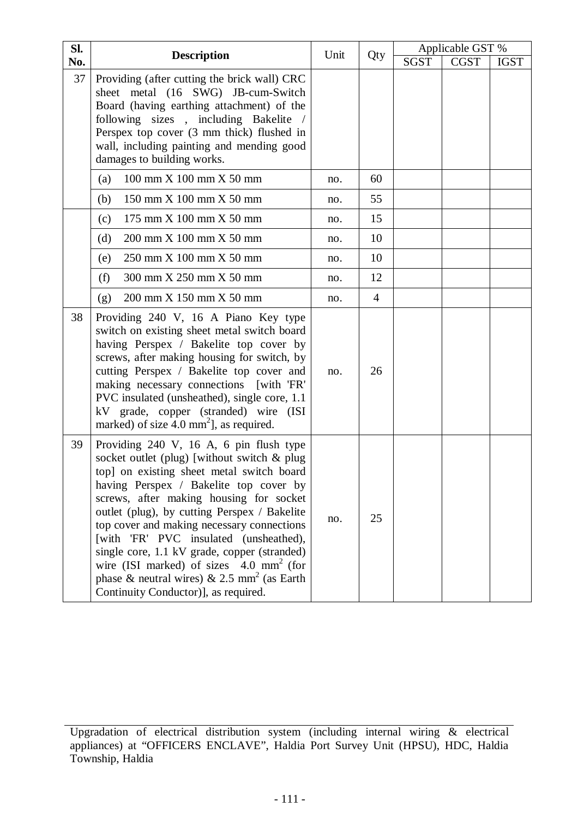| SI. | <b>Description</b>                                                                                                                                                                                                                                                                                                                                                                                                                                                                                                                                                       | Unit | Qty            |             | Applicable GST % |             |
|-----|--------------------------------------------------------------------------------------------------------------------------------------------------------------------------------------------------------------------------------------------------------------------------------------------------------------------------------------------------------------------------------------------------------------------------------------------------------------------------------------------------------------------------------------------------------------------------|------|----------------|-------------|------------------|-------------|
| No. |                                                                                                                                                                                                                                                                                                                                                                                                                                                                                                                                                                          |      |                | <b>SGST</b> | <b>CGST</b>      | <b>IGST</b> |
| 37  | Providing (after cutting the brick wall) CRC<br>sheet metal (16 SWG) JB-cum-Switch<br>Board (having earthing attachment) of the<br>following sizes, including Bakelite<br>Perspex top cover (3 mm thick) flushed in<br>wall, including painting and mending good<br>damages to building works.                                                                                                                                                                                                                                                                           |      |                |             |                  |             |
|     | 100 mm X 100 mm X 50 mm<br>(a)                                                                                                                                                                                                                                                                                                                                                                                                                                                                                                                                           | no.  | 60             |             |                  |             |
|     | 150 mm X 100 mm X 50 mm<br>(b)                                                                                                                                                                                                                                                                                                                                                                                                                                                                                                                                           | no.  | 55             |             |                  |             |
|     | $175$ mm $X$ 100 mm $X$ 50 mm<br>(c)                                                                                                                                                                                                                                                                                                                                                                                                                                                                                                                                     | no.  | 15             |             |                  |             |
|     | 200 mm X 100 mm X 50 mm<br>(d)                                                                                                                                                                                                                                                                                                                                                                                                                                                                                                                                           | no.  | 10             |             |                  |             |
|     | 250 mm X 100 mm X 50 mm<br>(e)                                                                                                                                                                                                                                                                                                                                                                                                                                                                                                                                           | no.  | 10             |             |                  |             |
|     | 300 mm X 250 mm X 50 mm<br>(f)                                                                                                                                                                                                                                                                                                                                                                                                                                                                                                                                           | no.  | 12             |             |                  |             |
|     | 200 mm X 150 mm X 50 mm<br>(g)                                                                                                                                                                                                                                                                                                                                                                                                                                                                                                                                           | no.  | $\overline{4}$ |             |                  |             |
| 38  | Providing 240 V, 16 A Piano Key type<br>switch on existing sheet metal switch board<br>having Perspex / Bakelite top cover by<br>screws, after making housing for switch, by<br>cutting Perspex / Bakelite top cover and<br>making necessary connections [with 'FR'<br>PVC insulated (unsheathed), single core, 1.1<br>kV grade, copper (stranded) wire (ISI<br>marked) of size 4.0 $mm2$ ], as required.                                                                                                                                                                | no.  | 26             |             |                  |             |
| 39  | Providing 240 V, 16 A, 6 pin flush type<br>socket outlet (plug) [without switch & plug<br>top] on existing sheet metal switch board<br>having Perspex / Bakelite top cover by<br>screws, after making housing for socket<br>outlet (plug), by cutting Perspex / Bakelite<br>top cover and making necessary connections<br>[with 'FR' PVC insulated (unsheathed),<br>single core, 1.1 kV grade, copper (stranded)<br>wire (ISI marked) of sizes $4.0 \text{ mm}^2$ (for<br>phase & neutral wires) & 2.5 mm <sup>2</sup> (as Earth<br>Continuity Conductor)], as required. | no.  | 25             |             |                  |             |

Upgradation of electrical distribution system (including internal wiring & electrical appliances) at "OFFICERS ENCLAVE", Haldia Port Survey Unit (HPSU), HDC, Haldia Township, Haldia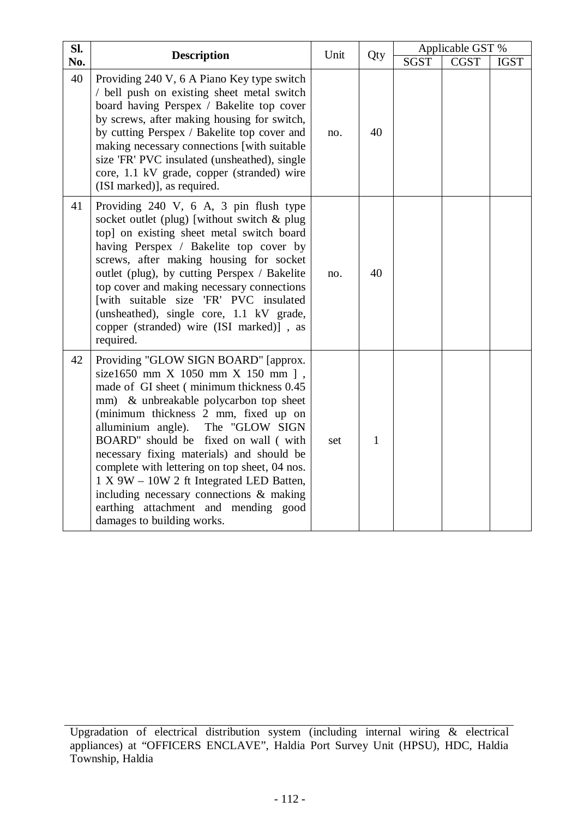| SI. | <b>Description</b>                                                                                                                                                                                                                                                                                                                                                                                                                                                                                                                                  | Unit |     |             | Applicable GST % |             |  |
|-----|-----------------------------------------------------------------------------------------------------------------------------------------------------------------------------------------------------------------------------------------------------------------------------------------------------------------------------------------------------------------------------------------------------------------------------------------------------------------------------------------------------------------------------------------------------|------|-----|-------------|------------------|-------------|--|
| No. |                                                                                                                                                                                                                                                                                                                                                                                                                                                                                                                                                     |      | Qty | <b>SGST</b> | <b>CGST</b>      | <b>IGST</b> |  |
| 40  | Providing 240 V, 6 A Piano Key type switch<br>bell push on existing sheet metal switch<br>board having Perspex / Bakelite top cover<br>by screws, after making housing for switch,<br>by cutting Perspex / Bakelite top cover and<br>making necessary connections [with suitable<br>size 'FR' PVC insulated (unsheathed), single<br>core, 1.1 kV grade, copper (stranded) wire<br>(ISI marked)], as required.                                                                                                                                       | no.  | 40  |             |                  |             |  |
| 41  | Providing 240 V, 6 A, 3 pin flush type<br>socket outlet (plug) [without switch $\&$ plug<br>top] on existing sheet metal switch board<br>having Perspex / Bakelite top cover by<br>screws, after making housing for socket<br>outlet (plug), by cutting Perspex / Bakelite<br>top cover and making necessary connections<br>[with suitable size 'FR' PVC insulated<br>(unsheathed), single core, 1.1 kV grade,<br>copper (stranded) wire (ISI marked)], as<br>required.                                                                             | no.  | 40  |             |                  |             |  |
| 42  | Providing "GLOW SIGN BOARD" [approx.<br>size1650 mm X 1050 mm X 150 mm ],<br>made of GI sheet (minimum thickness 0.45<br>mm) & unbreakable polycarbon top sheet<br>(minimum thickness 2 mm, fixed up on<br>The "GLOW SIGN<br>alluminium angle).<br>BOARD" should be fixed on wall (with<br>necessary fixing materials) and should be<br>complete with lettering on top sheet, 04 nos.<br>1 X 9W - 10W 2 ft Integrated LED Batten,<br>including necessary connections & making<br>earthing attachment and mending good<br>damages to building works. | set  | 1   |             |                  |             |  |

Upgradation of electrical distribution system (including internal wiring & electrical appliances) at "OFFICERS ENCLAVE", Haldia Port Survey Unit (HPSU), HDC, Haldia Township, Haldia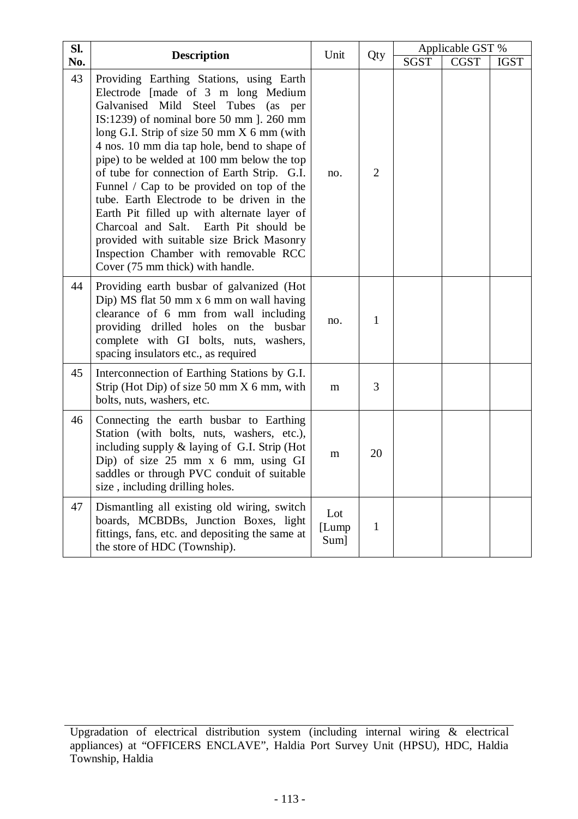| SI. |                                                                                                                                                                                                                                                                                                                                                                                                                                                                                                                                                                                                                                                                               | Unit                  | Qty            |             | Applicable GST % |             |  |
|-----|-------------------------------------------------------------------------------------------------------------------------------------------------------------------------------------------------------------------------------------------------------------------------------------------------------------------------------------------------------------------------------------------------------------------------------------------------------------------------------------------------------------------------------------------------------------------------------------------------------------------------------------------------------------------------------|-----------------------|----------------|-------------|------------------|-------------|--|
| No. | <b>Description</b>                                                                                                                                                                                                                                                                                                                                                                                                                                                                                                                                                                                                                                                            |                       |                | <b>SGST</b> | <b>CGST</b>      | <b>IGST</b> |  |
| 43  | Providing Earthing Stations, using Earth<br>Electrode [made of 3 m long Medium<br>Galvanised Mild Steel Tubes (as per<br>IS:1239) of nominal bore 50 mm ]. 260 mm<br>long G.I. Strip of size 50 mm $X$ 6 mm (with<br>4 nos. 10 mm dia tap hole, bend to shape of<br>pipe) to be welded at 100 mm below the top<br>of tube for connection of Earth Strip. G.I.<br>Funnel / Cap to be provided on top of the<br>tube. Earth Electrode to be driven in the<br>Earth Pit filled up with alternate layer of<br>Charcoal and Salt.<br>Earth Pit should be<br>provided with suitable size Brick Masonry<br>Inspection Chamber with removable RCC<br>Cover (75 mm thick) with handle. | no.                   | $\overline{2}$ |             |                  |             |  |
| 44  | Providing earth busbar of galvanized (Hot<br>Dip) MS flat 50 mm x 6 mm on wall having<br>clearance of 6 mm from wall including<br>providing drilled holes on the busbar<br>complete with GI bolts, nuts, washers,<br>spacing insulators etc., as required                                                                                                                                                                                                                                                                                                                                                                                                                     | no.                   | $\mathbf{1}$   |             |                  |             |  |
| 45  | Interconnection of Earthing Stations by G.I.<br>Strip (Hot Dip) of size 50 mm $X$ 6 mm, with<br>bolts, nuts, washers, etc.                                                                                                                                                                                                                                                                                                                                                                                                                                                                                                                                                    | m                     | 3              |             |                  |             |  |
| 46  | Connecting the earth busbar to Earthing<br>Station (with bolts, nuts, washers, etc.),<br>including supply & laying of G.I. Strip (Hot<br>Dip) of size $25 \text{ mm}$ x 6 mm, using GI<br>saddles or through PVC conduit of suitable<br>size, including drilling holes.                                                                                                                                                                                                                                                                                                                                                                                                       | m                     | 20             |             |                  |             |  |
| 47  | Dismantling all existing old wiring, switch<br>boards, MCBDBs, Junction Boxes, light<br>fittings, fans, etc. and depositing the same at<br>the store of HDC (Township).                                                                                                                                                                                                                                                                                                                                                                                                                                                                                                       | Lot<br>[Lump]<br>Sum] | $\mathbf{1}$   |             |                  |             |  |

Upgradation of electrical distribution system (including internal wiring & electrical appliances) at "OFFICERS ENCLAVE", Haldia Port Survey Unit (HPSU), HDC, Haldia Township, Haldia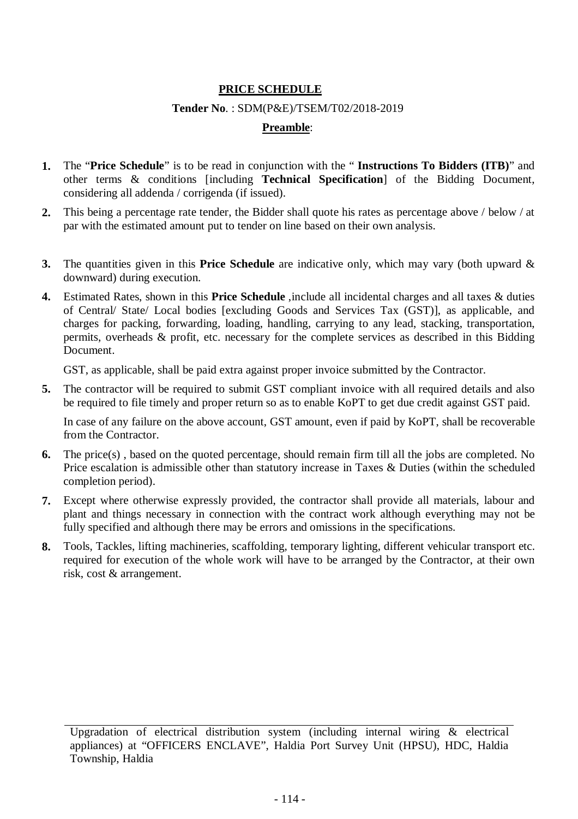#### **PRICE SCHEDULE**

#### **Tender No**. : SDM(P&E)/TSEM/T02/2018-2019

#### **Preamble**:

- **1.** The "**Price Schedule**" is to be read in conjunction with the " **Instructions To Bidders (ITB)**" and other terms & conditions [including **Technical Specification**] of the Bidding Document, considering all addenda / corrigenda (if issued).
- **2.** This being a percentage rate tender, the Bidder shall quote his rates as percentage above / below / at par with the estimated amount put to tender on line based on their own analysis.
- **3.** The quantities given in this **Price Schedule** are indicative only, which may vary (both upward & downward) during execution.
- **4.** Estimated Rates, shown in this **Price Schedule** ,include all incidental charges and all taxes & duties of Central/ State/ Local bodies [excluding Goods and Services Tax (GST)], as applicable, and charges for packing, forwarding, loading, handling, carrying to any lead, stacking, transportation, permits, overheads & profit, etc. necessary for the complete services as described in this Bidding Document.

GST, as applicable, shall be paid extra against proper invoice submitted by the Contractor.

**5.** The contractor will be required to submit GST compliant invoice with all required details and also be required to file timely and proper return so as to enable KoPT to get due credit against GST paid.

In case of any failure on the above account, GST amount, even if paid by KoPT, shall be recoverable from the Contractor.

- **6.** The price(s) , based on the quoted percentage, should remain firm till all the jobs are completed. No Price escalation is admissible other than statutory increase in Taxes & Duties (within the scheduled completion period).
- **7.** Except where otherwise expressly provided, the contractor shall provide all materials, labour and plant and things necessary in connection with the contract work although everything may not be fully specified and although there may be errors and omissions in the specifications.
- **8.** Tools, Tackles, lifting machineries, scaffolding, temporary lighting, different vehicular transport etc. required for execution of the whole work will have to be arranged by the Contractor, at their own risk, cost & arrangement.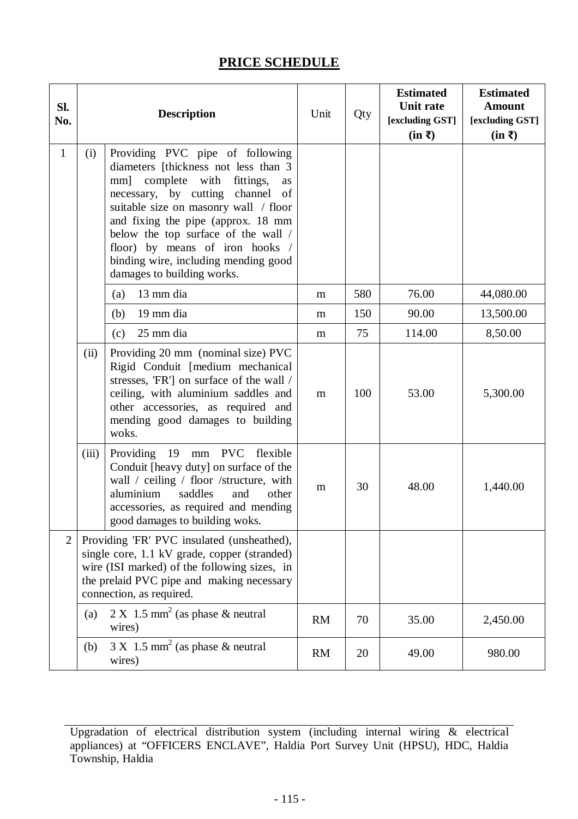# **PRICE SCHEDULE**

| Sl.<br>No.     |       | <b>Description</b>                                                                                                                                                                                                                                                                                                                                                                | Unit      | Qty | <b>Estimated</b><br>Unit rate<br>[excluding GST]<br>$(in \bar{z})$ | <b>Estimated</b><br><b>Amount</b><br>[excluding GST]<br>$(in \bar{z})$ |
|----------------|-------|-----------------------------------------------------------------------------------------------------------------------------------------------------------------------------------------------------------------------------------------------------------------------------------------------------------------------------------------------------------------------------------|-----------|-----|--------------------------------------------------------------------|------------------------------------------------------------------------|
| $\mathbf{1}$   | (i)   | Providing PVC pipe of following<br>diameters [thickness not less than 3<br>mm complete with<br>fittings,<br>as<br>necessary, by cutting channel of<br>suitable size on masonry wall / floor<br>and fixing the pipe (approx. 18 mm<br>below the top surface of the wall /<br>floor) by means of iron hooks /<br>binding wire, including mending good<br>damages to building works. |           |     |                                                                    |                                                                        |
|                |       | 13 mm dia<br>(a)                                                                                                                                                                                                                                                                                                                                                                  | m         | 580 | 76.00                                                              | 44,080.00                                                              |
|                |       | 19 mm dia<br>(b)                                                                                                                                                                                                                                                                                                                                                                  | m         | 150 | 90.00                                                              | 13,500.00                                                              |
|                |       | 25 mm dia<br>(c)                                                                                                                                                                                                                                                                                                                                                                  | m         | 75  | 114.00                                                             | 8,50.00                                                                |
|                | (ii)  | Providing 20 mm (nominal size) PVC<br>Rigid Conduit [medium mechanical<br>stresses, 'FR'] on surface of the wall /<br>ceiling, with aluminium saddles and<br>other accessories, as required and<br>mending good damages to building<br>woks.                                                                                                                                      | m         | 100 | 53.00                                                              | 5,300.00                                                               |
|                | (iii) | Providing 19 mm PVC flexible<br>Conduit [heavy duty] on surface of the<br>wall / ceiling / floor /structure, with<br>aluminium<br>saddles<br>and<br>other<br>accessories, as required and mending<br>good damages to building woks.                                                                                                                                               | m         | 30  | 48.00                                                              | 1,440.00                                                               |
| $\overline{2}$ |       | Providing 'FR' PVC insulated (unsheathed),<br>single core, 1.1 kV grade, copper (stranded)<br>wire (ISI marked) of the following sizes, in<br>the prelaid PVC pipe and making necessary<br>connection, as required.                                                                                                                                                               |           |     |                                                                    |                                                                        |
|                | (a)   | $2 X 1.5 mm2$ (as phase & neutral<br>wires)                                                                                                                                                                                                                                                                                                                                       | <b>RM</b> | 70  | 35.00                                                              | 2,450.00                                                               |
|                | (b)   | $3 X 1.5 mm2$ (as phase & neutral<br>wires)                                                                                                                                                                                                                                                                                                                                       | <b>RM</b> | 20  | 49.00                                                              | 980.00                                                                 |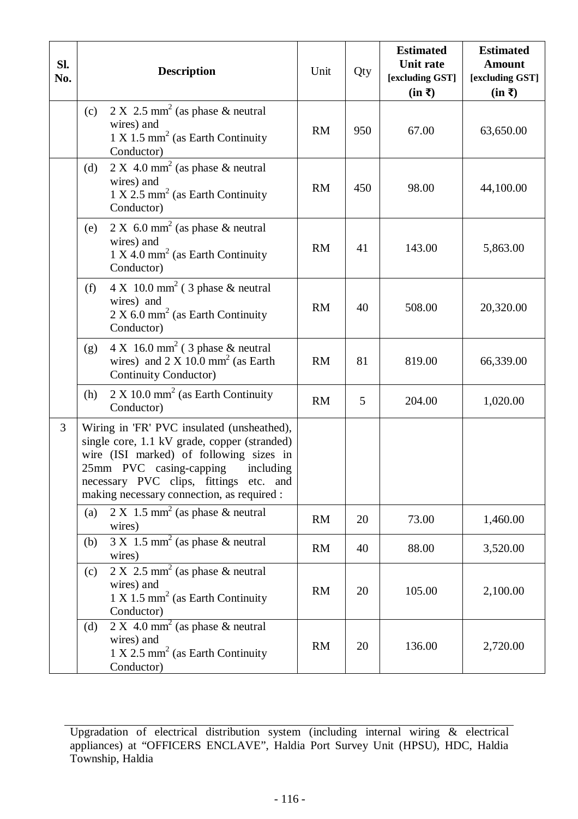| Sl.<br>No. | <b>Description</b>                                                                                                                                                                                                                                                    | Unit      | Qty | <b>Estimated</b><br><b>Unit rate</b><br>[excluding GST]<br>$(in \bar{z})$ | <b>Estimated</b><br><b>Amount</b><br>[excluding GST]<br>$(in \bar{z})$ |
|------------|-----------------------------------------------------------------------------------------------------------------------------------------------------------------------------------------------------------------------------------------------------------------------|-----------|-----|---------------------------------------------------------------------------|------------------------------------------------------------------------|
|            | $2 X 2.5$ mm <sup>2</sup> (as phase & neutral<br>(c)<br>wires) and<br>$1 X 1.5 mm2$ (as Earth Continuity<br>Conductor)                                                                                                                                                | <b>RM</b> | 950 | 67.00                                                                     | 63,650.00                                                              |
|            | $2 X 4.0$ mm <sup>2</sup> (as phase & neutral<br>(d)<br>wires) and<br>$1 X 2.5 mm2$ (as Earth Continuity<br>Conductor)                                                                                                                                                | RM        | 450 | 98.00                                                                     | 44,100.00                                                              |
|            | 2 X 6.0 mm <sup>2</sup> (as phase $&$ neutral<br>(e)<br>wires) and<br>$1 X 4.0 mm2$ (as Earth Continuity<br>Conductor)                                                                                                                                                | <b>RM</b> | 41  | 143.00                                                                    | 5,863.00                                                               |
|            | $4 \text{ X } 10.0 \text{ mm}^2$ (3 phase & neutral<br>(f)<br>wires) and<br>$2 X 6.0$ mm <sup>2</sup> (as Earth Continuity<br>Conductor)                                                                                                                              | <b>RM</b> | 40  | 508.00                                                                    | 20,320.00                                                              |
|            | $4 \text{ X } 16.0 \text{ mm}^2$ (3 phase & neutral<br>(g)<br>wires) and $2 \times 10.0$ mm <sup>2</sup> (as Earth<br>Continuity Conductor)                                                                                                                           | <b>RM</b> | 81  | 819.00                                                                    | 66,339.00                                                              |
|            | $2 \text{ X } 10.0 \text{ mm}^2$ (as Earth Continuity<br>(h)<br>Conductor)                                                                                                                                                                                            | <b>RM</b> | 5   | 204.00                                                                    | 1,020.00                                                               |
| 3          | Wiring in 'FR' PVC insulated (unsheathed),<br>single core, 1.1 kV grade, copper (stranded)<br>wire (ISI marked) of following sizes in<br>25mm PVC casing-capping<br>including<br>necessary PVC clips, fittings etc. and<br>making necessary connection, as required : |           |     |                                                                           |                                                                        |
|            | $2 X 1.5 mm2$ (as phase & neutral<br>(a)<br>wires)                                                                                                                                                                                                                    | <b>RM</b> | 20  | 73.00                                                                     | 1,460.00                                                               |
|            | $3 X 1.5 mm2$ (as phase & neutral<br>(b)<br>wires)                                                                                                                                                                                                                    | <b>RM</b> | 40  | 88.00                                                                     | 3,520.00                                                               |
|            | $2 X 2.5$ mm <sup>2</sup> (as phase & neutral<br>(c)<br>wires) and<br>$1 X 1.5 mm2$ (as Earth Continuity<br>Conductor)                                                                                                                                                | <b>RM</b> | 20  | 105.00                                                                    | 2,100.00                                                               |
|            | $2 X 4.0$ mm <sup>2</sup> (as phase & neutral<br>(d)<br>wires) and<br>$1 X 2.5 mm2$ (as Earth Continuity<br>Conductor)                                                                                                                                                | <b>RM</b> | 20  | 136.00                                                                    | 2,720.00                                                               |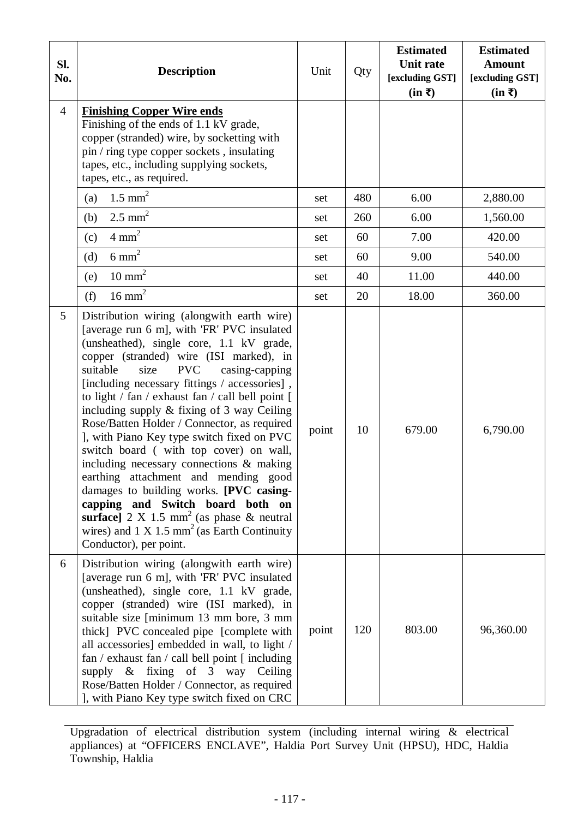| SI.<br>No.     | <b>Description</b>                                                                                                                                                                                                                                                                                                                                                                                                                                                                                                                                                                                                                                                                                                                                                                                                                                     | Unit  | Qty | <b>Estimated</b><br><b>Unit rate</b><br>[excluding GST]<br>$(in \bar{z})$ | <b>Estimated</b><br><b>Amount</b><br>[excluding GST]<br>$(in \bar{z})$ |
|----------------|--------------------------------------------------------------------------------------------------------------------------------------------------------------------------------------------------------------------------------------------------------------------------------------------------------------------------------------------------------------------------------------------------------------------------------------------------------------------------------------------------------------------------------------------------------------------------------------------------------------------------------------------------------------------------------------------------------------------------------------------------------------------------------------------------------------------------------------------------------|-------|-----|---------------------------------------------------------------------------|------------------------------------------------------------------------|
| $\overline{4}$ | <b>Finishing Copper Wire ends</b><br>Finishing of the ends of 1.1 kV grade,<br>copper (stranded) wire, by socketting with<br>pin / ring type copper sockets, insulating<br>tapes, etc., including supplying sockets,<br>tapes, etc., as required.                                                                                                                                                                                                                                                                                                                                                                                                                                                                                                                                                                                                      |       |     |                                                                           |                                                                        |
|                | $1.5~\mathrm{mm}^2$<br>(a)                                                                                                                                                                                                                                                                                                                                                                                                                                                                                                                                                                                                                                                                                                                                                                                                                             | set   | 480 | 6.00                                                                      | 2,880.00                                                               |
|                | $2.5$ mm <sup>2</sup><br>(b)                                                                                                                                                                                                                                                                                                                                                                                                                                                                                                                                                                                                                                                                                                                                                                                                                           | set   | 260 | 6.00                                                                      | 1,560.00                                                               |
|                | $4 \text{ mm}^2$<br>(c)                                                                                                                                                                                                                                                                                                                                                                                                                                                                                                                                                                                                                                                                                                                                                                                                                                | set   | 60  | 7.00                                                                      | 420.00                                                                 |
|                | $6 \text{ mm}^2$<br>(d)                                                                                                                                                                                                                                                                                                                                                                                                                                                                                                                                                                                                                                                                                                                                                                                                                                | set   | 60  | 9.00                                                                      | 540.00                                                                 |
|                | $10 \text{ mm}^2$<br>(e)                                                                                                                                                                                                                                                                                                                                                                                                                                                                                                                                                                                                                                                                                                                                                                                                                               | set   | 40  | 11.00                                                                     | 440.00                                                                 |
|                | $16$ mm <sup>2</sup><br>(f)                                                                                                                                                                                                                                                                                                                                                                                                                                                                                                                                                                                                                                                                                                                                                                                                                            | set   | 20  | 18.00                                                                     | 360.00                                                                 |
| 5              | Distribution wiring (alongwith earth wire)<br>[average run 6 m], with 'FR' PVC insulated<br>(unsheathed), single core, 1.1 kV grade,<br>copper (stranded) wire (ISI marked), in<br>suitable<br><b>PVC</b><br>size<br>casing-capping<br>[including necessary fittings / accessories],<br>to light / fan / exhaust fan / call bell point [<br>including supply $&$ fixing of 3 way Ceiling<br>Rose/Batten Holder / Connector, as required<br>], with Piano Key type switch fixed on PVC<br>switch board (with top cover) on wall,<br>including necessary connections & making<br>earthing attachment and mending good<br>damages to building works. [PVC casing-<br>capping and Switch board both on<br>surface] 2 X 1.5 mm <sup>2</sup> (as phase & neutral<br>wires) and $1 \times 1.5$ mm <sup>2</sup> (as Earth Continuity<br>Conductor), per point. | point | 10  | 679.00                                                                    | 6,790.00                                                               |
| 6              | Distribution wiring (alongwith earth wire)<br>[average run 6 m], with 'FR' PVC insulated<br>(unsheathed), single core, 1.1 kV grade,<br>copper (stranded) wire (ISI marked), in<br>suitable size [minimum 13 mm bore, 3 mm<br>thick] PVC concealed pipe [complete with]<br>all accessories] embedded in wall, to light /<br>fan / exhaust fan / call bell point $[$ including<br>supply $\&$ fixing of 3 way Ceiling<br>Rose/Batten Holder / Connector, as required<br>], with Piano Key type switch fixed on CRC                                                                                                                                                                                                                                                                                                                                      | point | 120 | 803.00                                                                    | 96,360.00                                                              |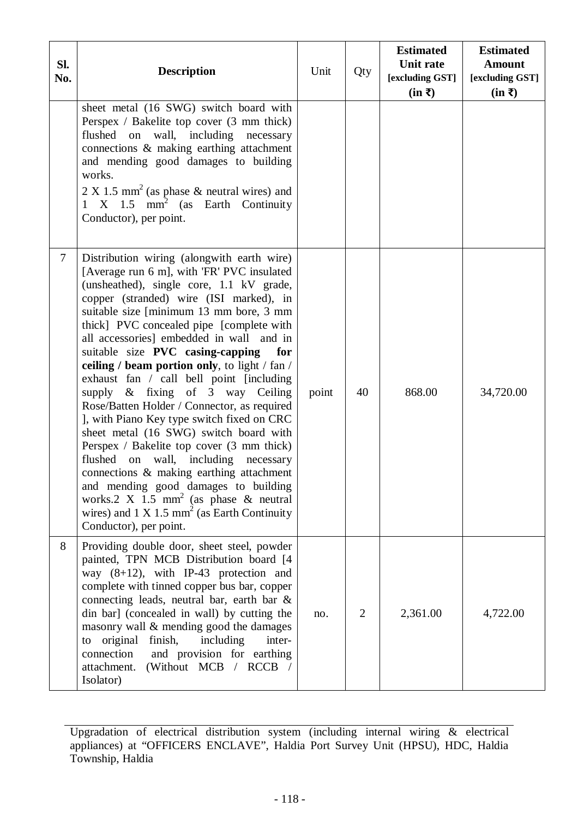| Sl.<br>No.     | <b>Description</b>                                                                                                                                                                                                                                                                                                                                                                                                                                                                                                                                                                                                                                                                                                                                                                                                                                                                                                                                                                | Unit  | Qty            | <b>Estimated</b><br><b>Unit rate</b><br>[excluding GST]<br>$(in \bar{z})$ | <b>Estimated</b><br><b>Amount</b><br>[excluding GST]<br>$(in \bar{z})$ |
|----------------|-----------------------------------------------------------------------------------------------------------------------------------------------------------------------------------------------------------------------------------------------------------------------------------------------------------------------------------------------------------------------------------------------------------------------------------------------------------------------------------------------------------------------------------------------------------------------------------------------------------------------------------------------------------------------------------------------------------------------------------------------------------------------------------------------------------------------------------------------------------------------------------------------------------------------------------------------------------------------------------|-------|----------------|---------------------------------------------------------------------------|------------------------------------------------------------------------|
|                | sheet metal (16 SWG) switch board with<br>Perspex / Bakelite top cover (3 mm thick)<br>flushed on wall, including<br>necessary<br>connections & making earthing attachment<br>and mending good damages to building<br>works.<br>$2 X 1.5 mm2$ (as phase & neutral wires) and<br>$X$ 1.5 mm <sup>2</sup> (as Earth Continuity<br>1<br>Conductor), per point.                                                                                                                                                                                                                                                                                                                                                                                                                                                                                                                                                                                                                       |       |                |                                                                           |                                                                        |
| $\overline{7}$ | Distribution wiring (alongwith earth wire)<br>[Average run 6 m], with 'FR' PVC insulated<br>(unsheathed), single core, 1.1 kV grade,<br>copper (stranded) wire (ISI marked), in<br>suitable size [minimum 13 mm bore, 3 mm<br>thick] PVC concealed pipe [complete with]<br>all accessories] embedded in wall and in<br>suitable size PVC casing-capping<br>for<br>ceiling / beam portion only, to light / fan /<br>exhaust fan / call bell point [including<br>supply $\&$ fixing of $\,3\,$ way Ceiling<br>Rose/Batten Holder / Connector, as required<br>], with Piano Key type switch fixed on CRC<br>sheet metal (16 SWG) switch board with<br>Perspex / Bakelite top cover (3 mm thick)<br>flushed on<br>wall, including<br>necessary<br>connections & making earthing attachment<br>and mending good damages to building<br>works.2 $X$ 1.5 mm <sup>2</sup> (as phase & neutral<br>wires) and $1 \times 1.5$ mm <sup>2</sup> (as Earth Continuity<br>Conductor), per point. | point | 40             | 868.00                                                                    | 34,720.00                                                              |
| 8              | Providing double door, sheet steel, powder<br>painted, TPN MCB Distribution board [4<br>way $(8+12)$ , with IP-43 protection and<br>complete with tinned copper bus bar, copper<br>connecting leads, neutral bar, earth bar &<br>din bar] (concealed in wall) by cutting the<br>masonry wall & mending good the damages<br>original<br>finish,<br>including<br>inter-<br>to<br>connection<br>and provision for earthing<br>(Without MCB / RCCB /<br>attachment.<br>Isolator)                                                                                                                                                                                                                                                                                                                                                                                                                                                                                                      | no.   | $\overline{2}$ | 2,361.00                                                                  | 4,722.00                                                               |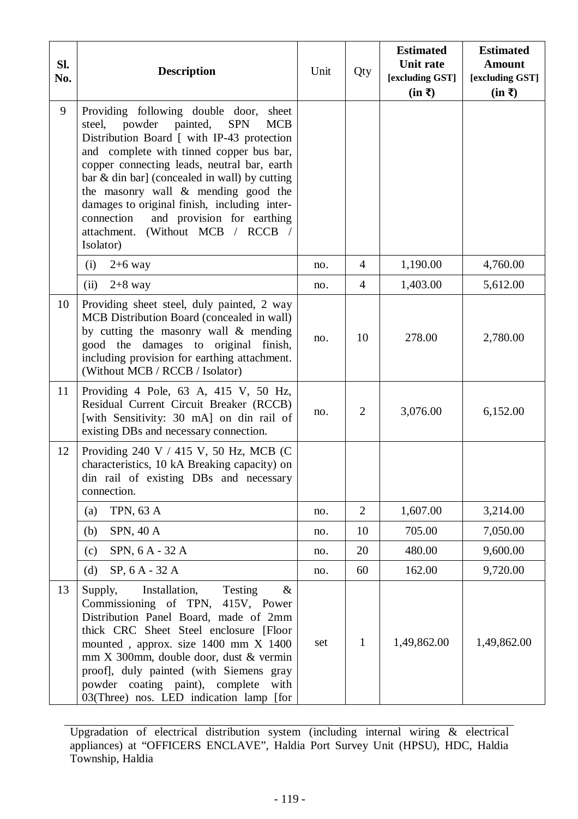| Sl.<br>No. | <b>Description</b>                                                                                                                                                                                                                                                                                                                                                                                                                                                                      | Unit | Qty            | <b>Estimated</b><br>Unit rate<br>[excluding GST]<br>$(in \bar{z})$ | <b>Estimated</b><br><b>Amount</b><br>[excluding GST]<br>$(in \bar{z})$ |
|------------|-----------------------------------------------------------------------------------------------------------------------------------------------------------------------------------------------------------------------------------------------------------------------------------------------------------------------------------------------------------------------------------------------------------------------------------------------------------------------------------------|------|----------------|--------------------------------------------------------------------|------------------------------------------------------------------------|
| 9          | Providing following double door,<br>sheet<br>powder painted,<br><b>SPN</b><br><b>MCB</b><br>steel,<br>Distribution Board [ with IP-43 protection<br>and complete with tinned copper bus bar,<br>copper connecting leads, neutral bar, earth<br>bar & din bar] (concealed in wall) by cutting<br>the masonry wall $\&$ mending good the<br>damages to original finish, including inter-<br>and provision for earthing<br>connection<br>(Without MCB / RCCB /<br>attachment.<br>Isolator) |      |                |                                                                    |                                                                        |
|            | $2+6$ way<br>(i)                                                                                                                                                                                                                                                                                                                                                                                                                                                                        | no.  | $\overline{4}$ | 1,190.00                                                           | 4,760.00                                                               |
|            | (ii)<br>$2+8$ way                                                                                                                                                                                                                                                                                                                                                                                                                                                                       | no.  | $\overline{4}$ | 1,403.00                                                           | 5,612.00                                                               |
| 10         | Providing sheet steel, duly painted, 2 way<br>MCB Distribution Board (concealed in wall)<br>by cutting the masonry wall & mending<br>damages to original<br>good the<br>finish,<br>including provision for earthing attachment.<br>(Without MCB / RCCB / Isolator)                                                                                                                                                                                                                      | no.  | 10             | 278.00                                                             | 2,780.00                                                               |
| 11         | Providing 4 Pole, $63$ A, $415$ V, $50$ Hz,<br>Residual Current Circuit Breaker (RCCB)<br>[with Sensitivity: 30 mA] on din rail of<br>existing DBs and necessary connection.                                                                                                                                                                                                                                                                                                            | no.  | $\overline{2}$ | 3,076.00                                                           | 6,152.00                                                               |
| 12         | Providing 240 V / 415 V, 50 Hz, MCB (C<br>characteristics, 10 kA Breaking capacity) on<br>din rail of existing DBs and necessary<br>connection.                                                                                                                                                                                                                                                                                                                                         |      |                |                                                                    |                                                                        |
|            | <b>TPN, 63 A</b><br>(a)                                                                                                                                                                                                                                                                                                                                                                                                                                                                 | no.  | $\overline{2}$ | 1,607.00                                                           | 3,214.00                                                               |
|            | SPN, 40 A<br>(b)                                                                                                                                                                                                                                                                                                                                                                                                                                                                        | no.  | 10             | 705.00                                                             | 7,050.00                                                               |
|            | SPN, 6 A - 32 A<br>(c)                                                                                                                                                                                                                                                                                                                                                                                                                                                                  | no.  | 20             | 480.00                                                             | 9,600.00                                                               |
|            | SP, 6 A - 32 A<br>(d)                                                                                                                                                                                                                                                                                                                                                                                                                                                                   | no.  | 60             | 162.00                                                             | 9,720.00                                                               |
| 13         | Installation,<br>Supply,<br>Testing<br>$\&$<br>Commissioning of TPN, 415V, Power<br>Distribution Panel Board, made of 2mm<br>thick CRC Sheet Steel enclosure [Floor<br>mounted, approx. size 1400 mm X 1400<br>mm X 300mm, double door, dust & vermin<br>proof], duly painted (with Siemens gray<br>powder coating paint), complete with<br>03(Three) nos. LED indication lamp [for                                                                                                     | set  | $\mathbf{1}$   | 1,49,862.00                                                        | 1,49,862.00                                                            |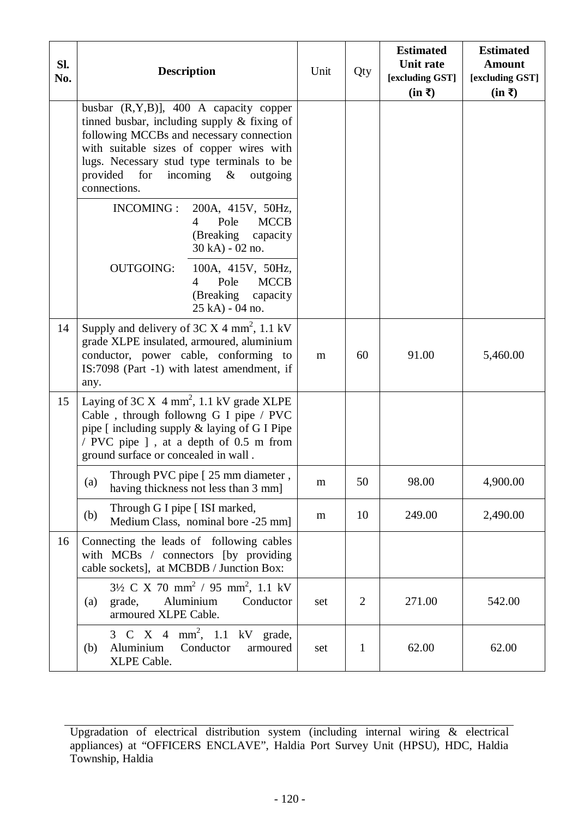| Sl.<br>No. | <b>Description</b>                                                                                                                                                                                                                                                                                 | Unit | Qty            | <b>Estimated</b><br>Unit rate<br>[excluding GST]<br>$(in \bar{z})$ | <b>Estimated</b><br><b>Amount</b><br>[excluding GST]<br>$(in \bar{z})$ |
|------------|----------------------------------------------------------------------------------------------------------------------------------------------------------------------------------------------------------------------------------------------------------------------------------------------------|------|----------------|--------------------------------------------------------------------|------------------------------------------------------------------------|
|            | busbar $(R, Y, B)$ ], 400 A capacity copper<br>tinned busbar, including supply $\&$ fixing of<br>following MCCBs and necessary connection<br>with suitable sizes of copper wires with<br>lugs. Necessary stud type terminals to be<br>provided for<br>incoming<br>$\&$<br>outgoing<br>connections. |      |                |                                                                    |                                                                        |
|            | <b>INCOMING:</b><br>200A, 415V, 50Hz,<br>Pole<br><b>MCCB</b><br>4<br>(Breaking<br>capacity<br>30 kA) - 02 no.                                                                                                                                                                                      |      |                |                                                                    |                                                                        |
|            | <b>OUTGOING:</b><br>100A, 415V, 50Hz,<br>Pole<br><b>MCCB</b><br>4<br>(Breaking)<br>capacity<br>25 kA) - 04 no.                                                                                                                                                                                     |      |                |                                                                    |                                                                        |
| 14         | Supply and delivery of $3C X 4 mm^2$ , 1.1 kV<br>grade XLPE insulated, armoured, aluminium<br>conductor, power cable, conforming to<br>IS:7098 (Part -1) with latest amendment, if<br>any.                                                                                                         | m    | 60             | 91.00                                                              | 5,460.00                                                               |
| 15         | Laying of $3C X 4 mm^2$ , 1.1 kV grade XLPE<br>Cable, through followng G I pipe / PVC<br>pipe [including supply & laying of G I Pipe<br>/ PVC pipe ], at a depth of 0.5 m from<br>ground surface or concealed in wall.                                                                             |      |                |                                                                    |                                                                        |
|            | Through PVC pipe [25 mm diameter,<br>(a)<br>having thickness not less than 3 mm                                                                                                                                                                                                                    | m    | 50             | 98.00                                                              | 4,900.00                                                               |
|            | Through G I pipe [ISI marked,<br>(b)<br>Medium Class, nominal bore -25 mm]                                                                                                                                                                                                                         | m    | 10             | 249.00                                                             | 2,490.00                                                               |
| 16         | Connecting the leads of following cables<br>with MCBs / connectors [by providing<br>cable sockets], at MCBDB / Junction Box:                                                                                                                                                                       |      |                |                                                                    |                                                                        |
|            | $3\frac{1}{2}$ C X 70 mm <sup>2</sup> / 95 mm <sup>2</sup> , 1.1 kV<br>Aluminium<br>Conductor<br>grade,<br>(a)<br>armoured XLPE Cable.                                                                                                                                                             | set  | $\overline{2}$ | 271.00                                                             | 542.00                                                                 |
|            | 3 C X 4 mm <sup>2</sup> , 1.1 kV grade,<br>Aluminium<br>Conductor<br>armoured<br>(b)<br><b>XLPE Cable.</b>                                                                                                                                                                                         | set  | 1              | 62.00                                                              | 62.00                                                                  |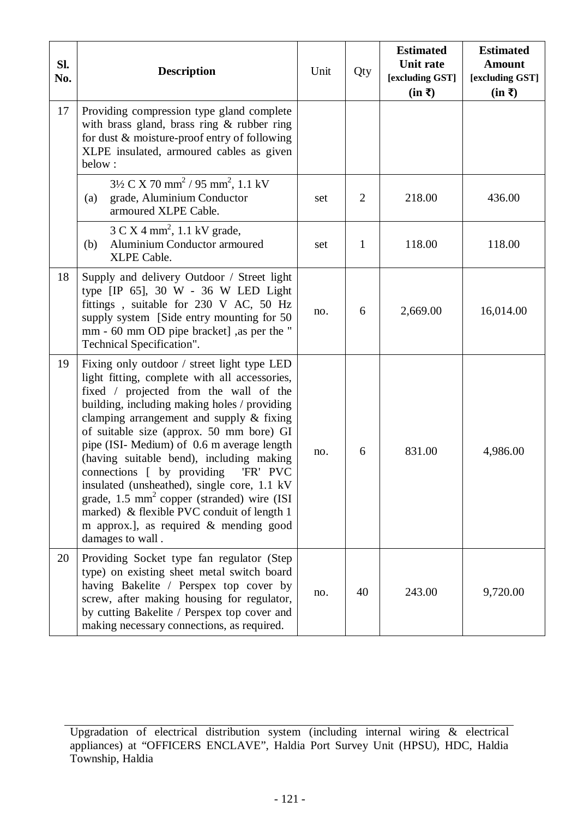| Sl.<br>No. | <b>Description</b>                                                                                                                                                                                                                                                                                                                                                                                                                                                                                                                                                                                                                           | Unit | Qty            | <b>Estimated</b><br><b>Unit rate</b><br>[excluding GST]<br>$(in \bar{z})$ | <b>Estimated</b><br><b>Amount</b><br>[excluding GST]<br>$(in \bar{z})$ |
|------------|----------------------------------------------------------------------------------------------------------------------------------------------------------------------------------------------------------------------------------------------------------------------------------------------------------------------------------------------------------------------------------------------------------------------------------------------------------------------------------------------------------------------------------------------------------------------------------------------------------------------------------------------|------|----------------|---------------------------------------------------------------------------|------------------------------------------------------------------------|
| 17         | Providing compression type gland complete<br>with brass gland, brass ring & rubber ring<br>for dust & moisture-proof entry of following<br>XLPE insulated, armoured cables as given<br>below:                                                                                                                                                                                                                                                                                                                                                                                                                                                |      |                |                                                                           |                                                                        |
|            | $3\frac{1}{2}$ C X 70 mm <sup>2</sup> / 95 mm <sup>2</sup> , 1.1 kV<br>grade, Aluminium Conductor<br>(a)<br>armoured XLPE Cable.                                                                                                                                                                                                                                                                                                                                                                                                                                                                                                             | set  | $\overline{2}$ | 218.00                                                                    | 436.00                                                                 |
|            | $3 \text{ C} \times 4 \text{ mm}^2$ , 1.1 kV grade,<br>Aluminium Conductor armoured<br>(b)<br><b>XLPE Cable.</b>                                                                                                                                                                                                                                                                                                                                                                                                                                                                                                                             | set  | 1              | 118.00                                                                    | 118.00                                                                 |
| 18         | Supply and delivery Outdoor / Street light<br>type [IP 65], 30 W - 36 W LED Light<br>fittings, suitable for 230 V AC, 50 Hz<br>supply system [Side entry mounting for 50]<br>mm - 60 mm OD pipe bracket] ,as per the "<br>Technical Specification".                                                                                                                                                                                                                                                                                                                                                                                          | no.  | 6              | 2,669.00                                                                  | 16,014.00                                                              |
| 19         | Fixing only outdoor / street light type LED<br>light fitting, complete with all accessories,<br>fixed / projected from the wall of the<br>building, including making holes / providing<br>clamping arrangement and supply $\&$ fixing<br>of suitable size (approx. 50 mm bore) GI<br>pipe (ISI- Medium) of 0.6 m average length<br>(having suitable bend), including making<br>connections [ by providing<br>'FR' PVC<br>insulated (unsheathed), single core, 1.1 kV<br>grade, $1.5 \text{ mm}^2$ copper (stranded) wire (ISI<br>marked) & flexible PVC conduit of length 1<br>m approx.], as required $\&$ mending good<br>damages to wall. | no.  | 6              | 831.00                                                                    | 4,986.00                                                               |
| 20         | Providing Socket type fan regulator (Step<br>type) on existing sheet metal switch board<br>having Bakelite / Perspex top cover by<br>screw, after making housing for regulator,<br>by cutting Bakelite / Perspex top cover and<br>making necessary connections, as required.                                                                                                                                                                                                                                                                                                                                                                 | no.  | 40             | 243.00                                                                    | 9,720.00                                                               |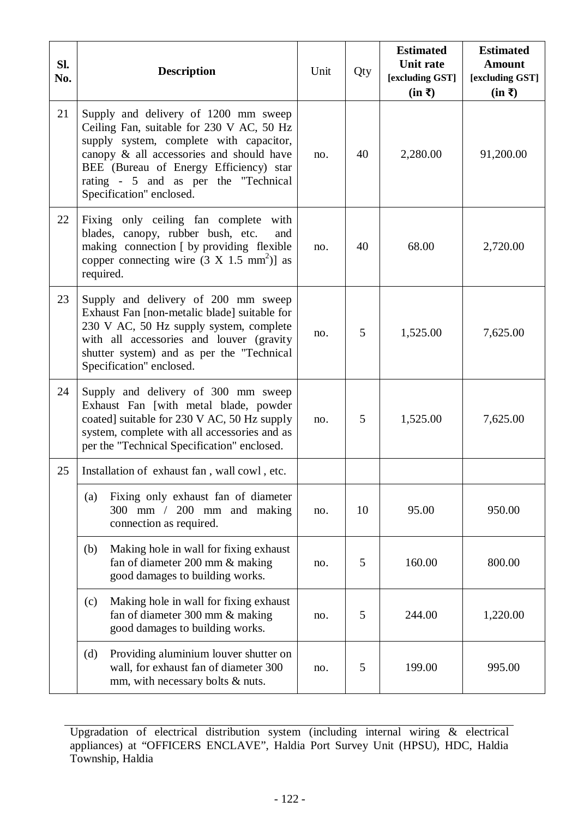| SI.<br>No. | <b>Description</b>                                                                                                                                                                                                                                                                      | Unit | Qty | <b>Estimated</b><br>Unit rate<br>[excluding GST]<br>$(in \bar{z})$ | <b>Estimated</b><br><b>Amount</b><br>[excluding GST]<br>$(in \bar{z})$ |
|------------|-----------------------------------------------------------------------------------------------------------------------------------------------------------------------------------------------------------------------------------------------------------------------------------------|------|-----|--------------------------------------------------------------------|------------------------------------------------------------------------|
| 21         | Supply and delivery of 1200 mm sweep<br>Ceiling Fan, suitable for 230 V AC, 50 Hz<br>supply system, complete with capacitor,<br>canopy & all accessories and should have<br>BEE (Bureau of Energy Efficiency) star<br>rating - 5 and as per the "Technical"<br>Specification" enclosed. | no.  | 40  | 2,280.00                                                           | 91,200.00                                                              |
| 22         | Fixing only ceiling fan complete with<br>blades, canopy, rubber bush, etc.<br>and<br>making connection [ by providing flexible<br>copper connecting wire $(3 \text{ X } 1.5 \text{ mm}^2)$ ] as<br>required.                                                                            | no.  | 40  | 68.00                                                              | 2,720.00                                                               |
| 23         | Supply and delivery of 200 mm sweep<br>Exhaust Fan [non-metalic blade] suitable for<br>230 V AC, 50 Hz supply system, complete<br>with all accessories and louver (gravity<br>shutter system) and as per the "Technical<br>Specification" enclosed.                                     | no.  | 5   | 1,525.00                                                           | 7,625.00                                                               |
| 24         | Supply and delivery of 300 mm sweep<br>Exhaust Fan [with metal blade, powder<br>coated] suitable for 230 V AC, 50 Hz supply<br>system, complete with all accessories and as<br>per the "Technical Specification" enclosed.                                                              | no.  | 5   | 1,525.00                                                           | 7,625.00                                                               |
| 25         | Installation of exhaust fan, wall cowl, etc.                                                                                                                                                                                                                                            |      |     |                                                                    |                                                                        |
|            | Fixing only exhaust fan of diameter<br>(a)<br>300 mm / 200 mm and making<br>connection as required.                                                                                                                                                                                     | no.  | 10  | 95.00                                                              | 950.00                                                                 |
|            | Making hole in wall for fixing exhaust<br>(b)<br>fan of diameter 200 mm & making<br>good damages to building works.                                                                                                                                                                     | no.  | 5   | 160.00                                                             | 800.00                                                                 |
|            | Making hole in wall for fixing exhaust<br>(c)<br>fan of diameter 300 mm & making<br>good damages to building works.                                                                                                                                                                     | no.  | 5   | 244.00                                                             | 1,220.00                                                               |
|            | (d)<br>Providing aluminium louver shutter on<br>wall, for exhaust fan of diameter 300<br>mm, with necessary bolts & nuts.                                                                                                                                                               | no.  | 5   | 199.00                                                             | 995.00                                                                 |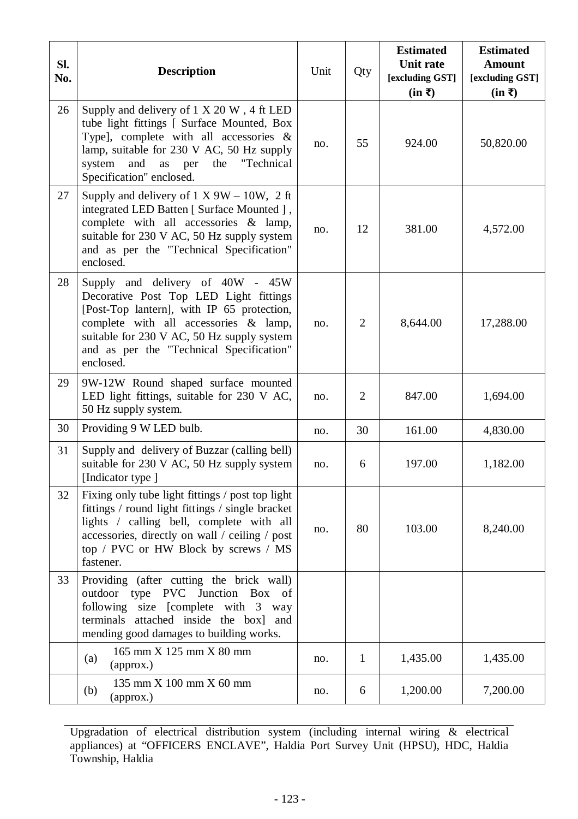| Sl.<br>No. | <b>Description</b>                                                                                                                                                                                                                                                                 | Unit | Qty            | <b>Estimated</b><br><b>Unit rate</b><br>[excluding GST]<br>$(in \bar{z})$ | <b>Estimated</b><br><b>Amount</b><br>[excluding GST]<br>$(in \bar{z})$ |
|------------|------------------------------------------------------------------------------------------------------------------------------------------------------------------------------------------------------------------------------------------------------------------------------------|------|----------------|---------------------------------------------------------------------------|------------------------------------------------------------------------|
| 26         | Supply and delivery of 1 X 20 W, 4 ft LED<br>tube light fittings [ Surface Mounted, Box<br>Type], complete with all accessories $\&$<br>lamp, suitable for $230 \text{ V AC}$ , $50 \text{ Hz}$ supply<br>"Technical<br>system<br>and<br>as per<br>the<br>Specification" enclosed. | no.  | 55             | 924.00                                                                    | 50,820.00                                                              |
| 27         | Supply and delivery of $1 \times 9W - 10W$ , $2 \text{ ft}$<br>integrated LED Batten [ Surface Mounted ],<br>complete with all accessories & lamp,<br>suitable for 230 V AC, 50 Hz supply system<br>and as per the "Technical Specification"<br>enclosed.                          | no.  | 12             | 381.00                                                                    | 4,572.00                                                               |
| 28         | Supply and delivery of 40W - 45W<br>Decorative Post Top LED Light fittings<br>[Post-Top lantern], with IP 65 protection,<br>complete with all accessories & lamp,<br>suitable for 230 V AC, 50 Hz supply system<br>and as per the "Technical Specification"<br>enclosed.           | no.  | $\overline{2}$ | 8,644.00                                                                  | 17,288.00                                                              |
| 29         | 9W-12W Round shaped surface mounted<br>LED light fittings, suitable for 230 V AC,<br>50 Hz supply system.                                                                                                                                                                          | no.  | $\overline{2}$ | 847.00                                                                    | 1,694.00                                                               |
| 30         | Providing 9 W LED bulb.                                                                                                                                                                                                                                                            | no.  | 30             | 161.00                                                                    | 4,830.00                                                               |
| 31         | Supply and delivery of Buzzar (calling bell)<br>suitable for 230 V AC, 50 Hz supply system<br>[Indicator type ]                                                                                                                                                                    | no.  | 6              | 197.00                                                                    | 1,182.00                                                               |
| 32         | Fixing only tube light fittings / post top light<br>fittings / round light fittings / single bracket<br>lights / calling bell, complete with all<br>accessories, directly on wall / ceiling / post<br>top / PVC or HW Block by screws / MS<br>fastener.                            | no.  | 80             | 103.00                                                                    | 8,240.00                                                               |
| 33         | Providing (after cutting the brick wall)<br>outdoor type PVC Junction Box of<br>following size [complete with 3 way<br>terminals attached inside the box] and<br>mending good damages to building works.                                                                           |      |                |                                                                           |                                                                        |
|            | 165 mm X 125 mm X 80 mm<br>(a)<br>$\left($ approx. $\right)$                                                                                                                                                                                                                       | no.  | 1              | 1,435.00                                                                  | 1,435.00                                                               |
|            | 135 mm X 100 mm X 60 mm<br>(b)<br>(approx.)                                                                                                                                                                                                                                        | no.  | 6              | 1,200.00                                                                  | 7,200.00                                                               |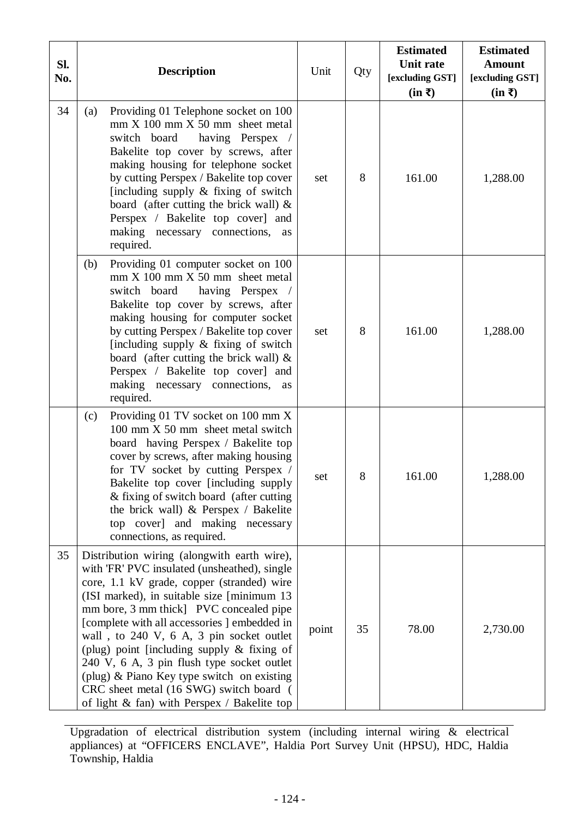| Sl.<br>No. | <b>Description</b>                                                                                                                                                                                                                                                                                                                                                                                                                                                                                                                                                      | Unit  | Qty | <b>Estimated</b><br><b>Unit rate</b><br>[excluding GST]<br>$(in \bar{z})$ | <b>Estimated</b><br><b>Amount</b><br>[excluding GST]<br>$(in \bar{z})$ |
|------------|-------------------------------------------------------------------------------------------------------------------------------------------------------------------------------------------------------------------------------------------------------------------------------------------------------------------------------------------------------------------------------------------------------------------------------------------------------------------------------------------------------------------------------------------------------------------------|-------|-----|---------------------------------------------------------------------------|------------------------------------------------------------------------|
| 34         | Providing 01 Telephone socket on 100<br>(a)<br>$mm X 100 mm X 50 mm$ sheet metal<br>switch board<br>having Perspex /<br>Bakelite top cover by screws, after<br>making housing for telephone socket<br>by cutting Perspex / Bakelite top cover<br>[including supply $\&$ fixing of switch<br>board (after cutting the brick wall) $\&$<br>Perspex / Bakelite top cover] and<br>making necessary connections,<br><b>as</b><br>required.                                                                                                                                   | set   | 8   | 161.00                                                                    | 1,288.00                                                               |
|            | Providing 01 computer socket on 100<br>(b)<br>$mm X 100 mm X 50 mm$ sheet metal<br>switch board<br>having Perspex /<br>Bakelite top cover by screws, after<br>making housing for computer socket<br>by cutting Perspex / Bakelite top cover<br>[including supply $\&$ fixing of switch<br>board (after cutting the brick wall) $\&$<br>Perspex / Bakelite top cover] and<br>making necessary connections,<br>as<br>required.                                                                                                                                            | set   | 8   | 161.00                                                                    | 1,288.00                                                               |
|            | Providing 01 TV socket on 100 mm X<br>(c)<br>100 mm X 50 mm sheet metal switch<br>board having Perspex / Bakelite top<br>cover by screws, after making housing<br>for TV socket by cutting Perspex /<br>Bakelite top cover [including supply<br>& fixing of switch board (after cutting<br>the brick wall) & Perspex / Bakelite<br>top cover] and making necessary<br>connections, as required.                                                                                                                                                                         | set   | 8   | 161.00                                                                    | 1,288.00                                                               |
| 35         | Distribution wiring (alongwith earth wire),<br>with 'FR' PVC insulated (unsheathed), single<br>core, 1.1 kV grade, copper (stranded) wire<br>(ISI marked), in suitable size [minimum 13<br>mm bore, 3 mm thick] PVC concealed pipe<br>[complete with all accessories] embedded in<br>wall, to 240 V, 6 A, 3 pin socket outlet<br>(plug) point [including supply $\&$ fixing of<br>240 V, 6 A, 3 pin flush type socket outlet<br>(plug) & Piano Key type switch on existing<br>CRC sheet metal (16 SWG) switch board (<br>of light $\&$ fan) with Perspex / Bakelite top | point | 35  | 78.00                                                                     | 2,730.00                                                               |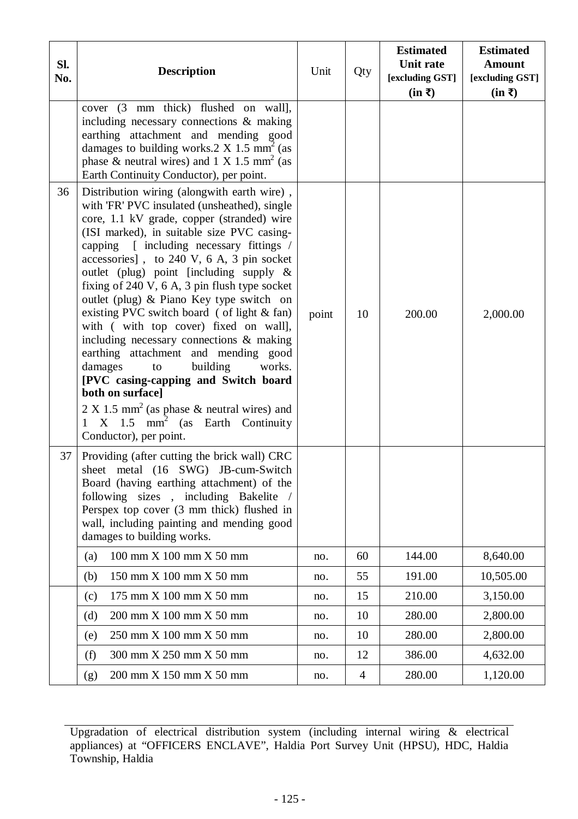| Sl.<br>No. | <b>Description</b>                                                                                                                                                                                                                                                                                                                                                                                                                                                                                                                                                                                                                                                                                                                                                                                                                                   | Unit  | Qty            | <b>Estimated</b><br>Unit rate<br>[excluding GST]<br>$(in \bar{z})$ | <b>Estimated</b><br><b>Amount</b><br>[excluding GST]<br>$(in \bar{z})$ |
|------------|------------------------------------------------------------------------------------------------------------------------------------------------------------------------------------------------------------------------------------------------------------------------------------------------------------------------------------------------------------------------------------------------------------------------------------------------------------------------------------------------------------------------------------------------------------------------------------------------------------------------------------------------------------------------------------------------------------------------------------------------------------------------------------------------------------------------------------------------------|-------|----------------|--------------------------------------------------------------------|------------------------------------------------------------------------|
|            | cover (3 mm thick) flushed on wall],<br>including necessary connections & making<br>earthing attachment and mending good<br>damages to building works. $2 \text{ X } 1.5 \text{ mm}^2$ (as<br>phase & neutral wires) and 1 X 1.5 mm <sup>2</sup> (as<br>Earth Continuity Conductor), per point.                                                                                                                                                                                                                                                                                                                                                                                                                                                                                                                                                      |       |                |                                                                    |                                                                        |
| 36         | Distribution wiring (alongwith earth wire),<br>with 'FR' PVC insulated (unsheathed), single<br>core, 1.1 kV grade, copper (stranded) wire<br>(ISI marked), in suitable size PVC casing-<br>capping [ including necessary fittings /<br>accessories], to 240 V, 6 A, 3 pin socket<br>outlet (plug) point [including supply &<br>fixing of 240 V, $6$ A, $3$ pin flush type socket<br>outlet (plug) & Piano Key type switch on<br>existing PVC switch board (of light & fan)<br>with (with top cover) fixed on wall],<br>including necessary connections & making<br>earthing attachment and mending good<br>building<br>damages<br>works.<br>to<br>[PVC casing-capping and Switch board<br>both on surface]<br>$2 X 1.5 mm2$ (as phase & neutral wires) and<br>$X$ 1.5 mm <sup>2</sup> (as Earth Continuity<br>$\mathbf{1}$<br>Conductor), per point. | point | 10             | 200.00                                                             | 2,000.00                                                               |
| 37         | Providing (after cutting the brick wall) CRC<br>sheet metal (16 SWG) JB-cum-Switch<br>Board (having earthing attachment) of the<br>following sizes, including Bakelite<br>Perspex top cover (3 mm thick) flushed in<br>wall, including painting and mending good<br>damages to building works.                                                                                                                                                                                                                                                                                                                                                                                                                                                                                                                                                       |       |                |                                                                    |                                                                        |
|            | 100 mm X 100 mm X 50 mm<br>(a)                                                                                                                                                                                                                                                                                                                                                                                                                                                                                                                                                                                                                                                                                                                                                                                                                       | no.   | 60             | 144.00                                                             | 8,640.00                                                               |
|            | 150 mm X 100 mm X 50 mm<br>(b)                                                                                                                                                                                                                                                                                                                                                                                                                                                                                                                                                                                                                                                                                                                                                                                                                       | no.   | 55             | 191.00                                                             | 10,505.00                                                              |
|            | 175 mm X 100 mm X 50 mm<br>(c)                                                                                                                                                                                                                                                                                                                                                                                                                                                                                                                                                                                                                                                                                                                                                                                                                       | no.   | 15             | 210.00                                                             | 3,150.00                                                               |
|            | 200 mm X 100 mm X 50 mm<br>(d)                                                                                                                                                                                                                                                                                                                                                                                                                                                                                                                                                                                                                                                                                                                                                                                                                       | no.   | 10             | 280.00                                                             | 2,800.00                                                               |
|            | 250 mm X 100 mm X 50 mm<br>(e)                                                                                                                                                                                                                                                                                                                                                                                                                                                                                                                                                                                                                                                                                                                                                                                                                       | no.   | 10             | 280.00                                                             | 2,800.00                                                               |
|            | 300 mm X 250 mm X 50 mm<br>(f)                                                                                                                                                                                                                                                                                                                                                                                                                                                                                                                                                                                                                                                                                                                                                                                                                       | no.   | 12             | 386.00                                                             | 4,632.00                                                               |
|            | 200 mm X 150 mm X 50 mm<br>(g)                                                                                                                                                                                                                                                                                                                                                                                                                                                                                                                                                                                                                                                                                                                                                                                                                       | no.   | $\overline{4}$ | 280.00                                                             | 1,120.00                                                               |

Upgradation of electrical distribution system (including internal wiring & electrical appliances) at "OFFICERS ENCLAVE", Haldia Port Survey Unit (HPSU), HDC, Haldia Township, Haldia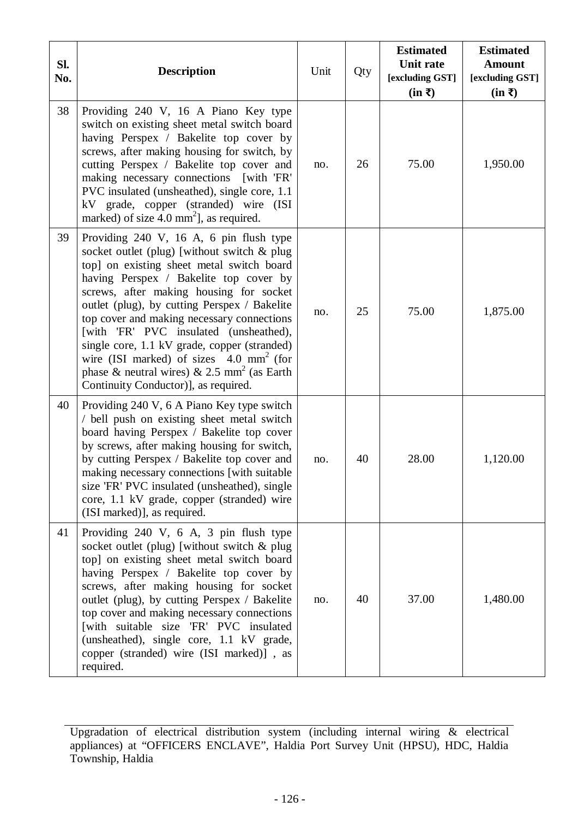| SI.<br>No. | <b>Description</b>                                                                                                                                                                                                                                                                                                                                                                                                                                                                                                                                                          | Unit | Qty | <b>Estimated</b><br><b>Unit rate</b><br>[excluding GST]<br>$(in \bar{z})$ | <b>Estimated</b><br><b>Amount</b><br>[excluding GST]<br>$(in \bar{z})$ |
|------------|-----------------------------------------------------------------------------------------------------------------------------------------------------------------------------------------------------------------------------------------------------------------------------------------------------------------------------------------------------------------------------------------------------------------------------------------------------------------------------------------------------------------------------------------------------------------------------|------|-----|---------------------------------------------------------------------------|------------------------------------------------------------------------|
| 38         | Providing 240 V, 16 A Piano Key type<br>switch on existing sheet metal switch board<br>having Perspex / Bakelite top cover by<br>screws, after making housing for switch, by<br>cutting Perspex / Bakelite top cover and<br>making necessary connections [with 'FR'<br>PVC insulated (unsheathed), single core, 1.1<br>kV grade, copper (stranded) wire (ISI<br>marked) of size $4.0 \text{ mm}^2$ ], as required.                                                                                                                                                          | no.  | 26  | 75.00                                                                     | 1,950.00                                                               |
| 39         | Providing 240 V, 16 A, 6 pin flush type<br>socket outlet (plug) [without switch $\&$ plug<br>top] on existing sheet metal switch board<br>having Perspex / Bakelite top cover by<br>screws, after making housing for socket<br>outlet (plug), by cutting Perspex / Bakelite<br>top cover and making necessary connections<br>[with 'FR' PVC insulated (unsheathed),<br>single core, 1.1 kV grade, copper (stranded)<br>wire (ISI marked) of sizes $4.0 \text{ mm}^2$ (for<br>phase & neutral wires) & 2.5 mm <sup>2</sup> (as Earth<br>Continuity Conductor)], as required. | no.  | 25  | 75.00                                                                     | 1,875.00                                                               |
| 40         | Providing 240 V, 6 A Piano Key type switch<br>bell push on existing sheet metal switch<br>board having Perspex / Bakelite top cover<br>by screws, after making housing for switch,<br>by cutting Perspex / Bakelite top cover and<br>making necessary connections [with suitable<br>size 'FR' PVC insulated (unsheathed), single<br>core, 1.1 kV grade, copper (stranded) wire<br>(ISI marked)], as required.                                                                                                                                                               | no.  | 40  | 28.00                                                                     | 1,120.00                                                               |
| 41         | Providing 240 V, 6 A, 3 pin flush type<br>socket outlet (plug) [without switch $\&$ plug<br>top] on existing sheet metal switch board<br>having Perspex / Bakelite top cover by<br>screws, after making housing for socket<br>outlet (plug), by cutting Perspex / Bakelite<br>top cover and making necessary connections<br>[with suitable size 'FR' PVC insulated<br>(unsheathed), single core, 1.1 kV grade,<br>copper (stranded) wire (ISI marked)], as<br>required.                                                                                                     | no.  | 40  | 37.00                                                                     | 1,480.00                                                               |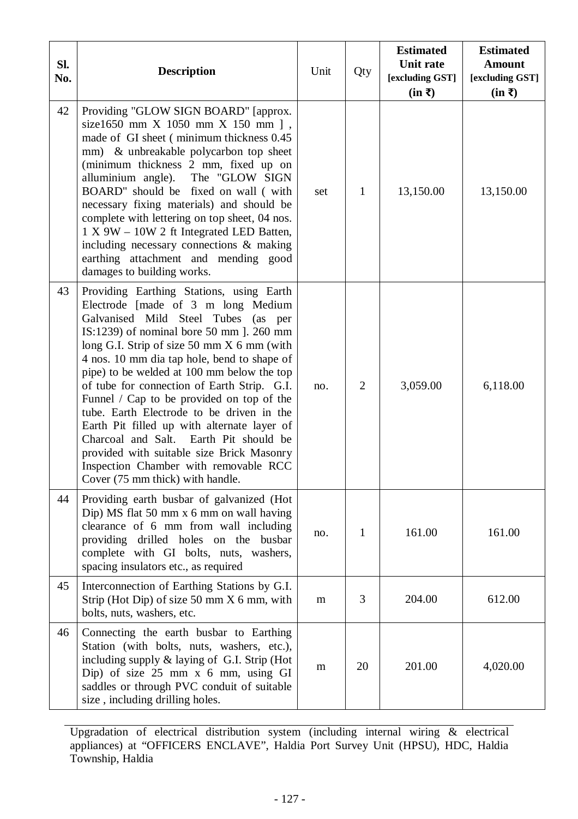| SI.<br>No. | <b>Description</b>                                                                                                                                                                                                                                                                                                                                                                                                                                                                                                                                                                                                                                                          | Unit | Qty            | <b>Estimated</b><br><b>Unit rate</b><br>[excluding GST]<br>$(in \bar{z})$ | <b>Estimated</b><br><b>Amount</b><br>[excluding GST]<br>$(in \bar{z})$ |
|------------|-----------------------------------------------------------------------------------------------------------------------------------------------------------------------------------------------------------------------------------------------------------------------------------------------------------------------------------------------------------------------------------------------------------------------------------------------------------------------------------------------------------------------------------------------------------------------------------------------------------------------------------------------------------------------------|------|----------------|---------------------------------------------------------------------------|------------------------------------------------------------------------|
| 42         | Providing "GLOW SIGN BOARD" [approx.<br>size1650 mm X 1050 mm X 150 mm ],<br>made of GI sheet (minimum thickness 0.45)<br>mm) & unbreakable polycarbon top sheet<br>(minimum thickness 2 mm, fixed up on<br>alluminium angle). The "GLOW SIGN<br>BOARD" should be fixed on wall (with<br>necessary fixing materials) and should be<br>complete with lettering on top sheet, 04 nos.<br>1 X 9W – 10W 2 ft Integrated LED Batten,<br>including necessary connections & making<br>earthing attachment and mending good<br>damages to building works.                                                                                                                           | set  | 1              | 13,150.00                                                                 | 13,150.00                                                              |
| 43         | Providing Earthing Stations, using Earth<br>Electrode [made of 3 m long Medium<br>Galvanised Mild Steel Tubes (as per<br>$IS:1239$ of nominal bore 50 mm ]. 260 mm<br>long G.I. Strip of size 50 mm $X$ 6 mm (with<br>4 nos. 10 mm dia tap hole, bend to shape of<br>pipe) to be welded at 100 mm below the top<br>of tube for connection of Earth Strip. G.I.<br>Funnel / Cap to be provided on top of the<br>tube. Earth Electrode to be driven in the<br>Earth Pit filled up with alternate layer of<br>Charcoal and Salt. Earth Pit should be<br>provided with suitable size Brick Masonry<br>Inspection Chamber with removable RCC<br>Cover (75 mm thick) with handle. | no.  | $\overline{2}$ | 3,059.00                                                                  | 6,118.00                                                               |
| 44         | Providing earth busbar of galvanized (Hot<br>Dip) MS flat 50 mm x 6 mm on wall having<br>clearance of 6 mm from wall including<br>providing drilled holes on the busbar<br>complete with GI bolts, nuts, washers,<br>spacing insulators etc., as required                                                                                                                                                                                                                                                                                                                                                                                                                   | no.  | 1              | 161.00                                                                    | 161.00                                                                 |
| 45         | Interconnection of Earthing Stations by G.I.<br>Strip (Hot Dip) of size 50 mm $X$ 6 mm, with<br>bolts, nuts, washers, etc.                                                                                                                                                                                                                                                                                                                                                                                                                                                                                                                                                  | m    | 3              | 204.00                                                                    | 612.00                                                                 |
| 46         | Connecting the earth busbar to Earthing<br>Station (with bolts, nuts, washers, etc.),<br>including supply $\&$ laying of G.I. Strip (Hot<br>Dip) of size $25 \text{ mm}$ x 6 mm, using GI<br>saddles or through PVC conduit of suitable<br>size, including drilling holes.                                                                                                                                                                                                                                                                                                                                                                                                  | m    | 20             | 201.00                                                                    | 4,020.00                                                               |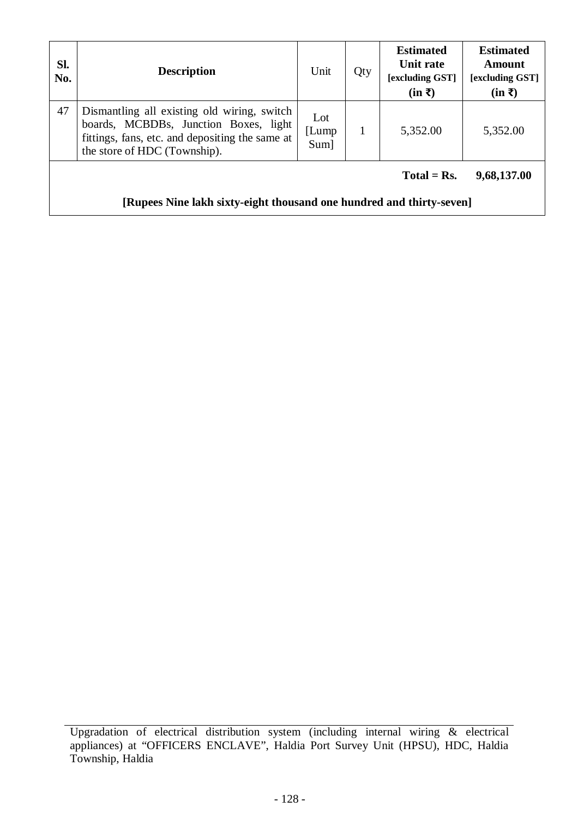| SI.<br>No.                                                           | <b>Description</b>                                                                                                                                                      | Unit                  | Qty | <b>Estimated</b><br>Unit rate<br>[excluding GST]<br>$(in \bar{z})$ | <b>Estimated</b><br><b>Amount</b><br>[excluding GST]<br>$(in \bar{z})$ |
|----------------------------------------------------------------------|-------------------------------------------------------------------------------------------------------------------------------------------------------------------------|-----------------------|-----|--------------------------------------------------------------------|------------------------------------------------------------------------|
| 47                                                                   | Dismantling all existing old wiring, switch<br>boards, MCBDBs, Junction Boxes, light<br>fittings, fans, etc. and depositing the same at<br>the store of HDC (Township). | Lot<br>[Lump]<br>Sum] |     | 5,352.00                                                           | 5,352.00                                                               |
|                                                                      |                                                                                                                                                                         |                       |     | $Total = Rs.$                                                      | 9,68,137.00                                                            |
| [Rupees Nine lakh sixty-eight thousand one hundred and thirty-seven] |                                                                                                                                                                         |                       |     |                                                                    |                                                                        |

Upgradation of electrical distribution system (including internal wiring & electrical appliances) at "OFFICERS ENCLAVE", Haldia Port Survey Unit (HPSU), HDC, Haldia Township, Haldia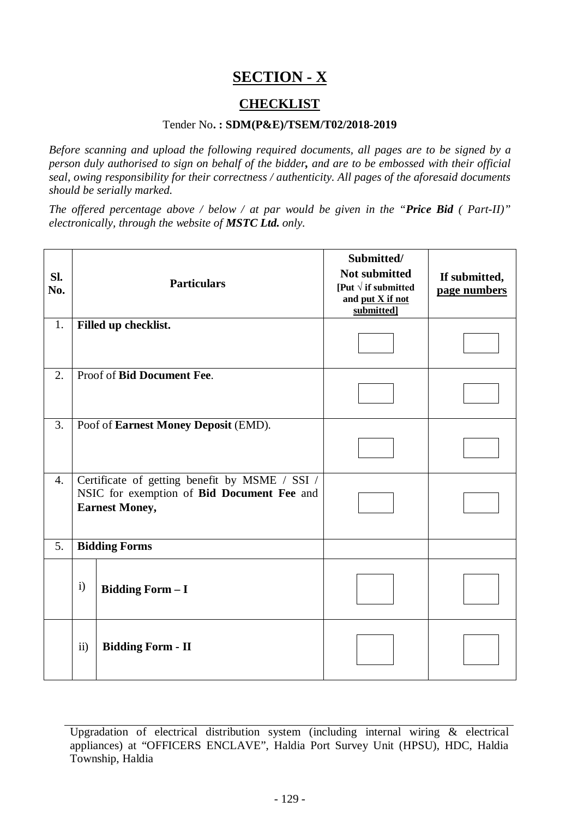# **SECTION - X**

## **CHECKLIST**

#### Tender No**. : SDM(P&E)/TSEM/T02/2018-2019**

*Before scanning and upload the following required documents, all pages are to be signed by a person duly authorised to sign on behalf of the bidder, and are to be embossed with their official seal, owing responsibility for their correctness / authenticity. All pages of the aforesaid documents should be serially marked.*

*The offered percentage above / below / at par would be given in the "Price Bid ( Part-II)" electronically, through the website of MSTC Ltd. only.*

| Sl.<br>No. |            | <b>Particulars</b>                                                                                                    | Submitted/<br><b>Not submitted</b><br>[Put $\sqrt{ }$ if submitted<br>and put X if not<br>submitted] | If submitted,<br>page numbers |
|------------|------------|-----------------------------------------------------------------------------------------------------------------------|------------------------------------------------------------------------------------------------------|-------------------------------|
| 1.         |            | Filled up checklist.                                                                                                  |                                                                                                      |                               |
| 2.         |            | Proof of Bid Document Fee.                                                                                            |                                                                                                      |                               |
| 3.         |            | Poof of Earnest Money Deposit (EMD).                                                                                  |                                                                                                      |                               |
| 4.         |            | Certificate of getting benefit by MSME / SSI /<br>NSIC for exemption of Bid Document Fee and<br><b>Earnest Money,</b> |                                                                                                      |                               |
| 5.         |            | <b>Bidding Forms</b>                                                                                                  |                                                                                                      |                               |
|            | $\ddot{i}$ | <b>Bidding Form - I</b>                                                                                               |                                                                                                      |                               |
|            | ii)        | <b>Bidding Form - II</b>                                                                                              |                                                                                                      |                               |

Upgradation of electrical distribution system (including internal wiring & electrical appliances) at "OFFICERS ENCLAVE", Haldia Port Survey Unit (HPSU), HDC, Haldia Township, Haldia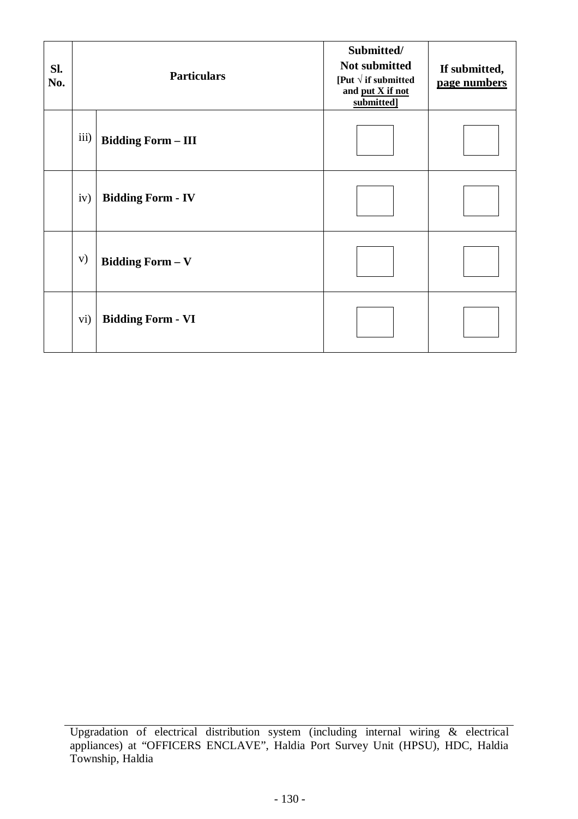| Sl.<br>No. |           | <b>Particulars</b>        | Submitted/<br>Not submitted<br>[Put $\sqrt{ }$ if submitted<br>and put X if not<br>submitted] | If submitted,<br>page numbers |
|------------|-----------|---------------------------|-----------------------------------------------------------------------------------------------|-------------------------------|
|            | iii)      | <b>Bidding Form - III</b> |                                                                                               |                               |
|            | iv)       | <b>Bidding Form - IV</b>  |                                                                                               |                               |
|            | V)        | <b>Bidding Form - V</b>   |                                                                                               |                               |
|            | $\rm vi)$ | <b>Bidding Form - VI</b>  |                                                                                               |                               |

Upgradation of electrical distribution system (including internal wiring & electrical appliances) at "OFFICERS ENCLAVE", Haldia Port Survey Unit (HPSU), HDC, Haldia Township, Haldia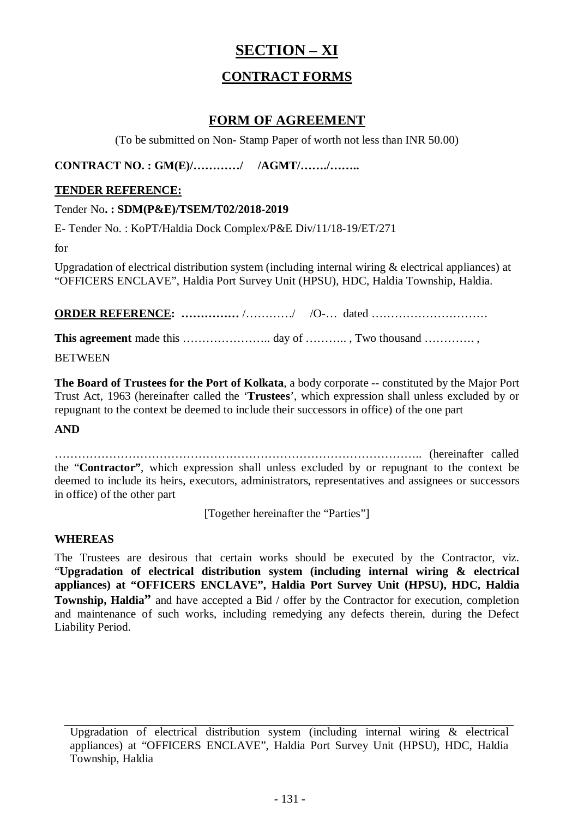# **SECTION – XI**

## **CONTRACT FORMS**

## **FORM OF AGREEMENT**

(To be submitted on Non- Stamp Paper of worth not less than INR 50.00)

**CONTRACT NO. : GM(E)/…………/ /AGMT/……./……..**

### **TENDER REFERENCE:**

### Tender No**. : SDM(P&E)/TSEM/T02/2018-2019**

E- Tender No. : KoPT/Haldia Dock Complex/P&E Div/11/18-19/ET/271

for

Upgradation of electrical distribution system (including internal wiring & electrical appliances) at "OFFICERS ENCLAVE", Haldia Port Survey Unit (HPSU), HDC, Haldia Township, Haldia.

**ORDER REFERENCE: ……………** /…………/ /O-… dated …………………………

**This agreement** made this ………………….. day of ……….. , Two thousand …………. ,

**BETWEEN** 

**The Board of Trustees for the Port of Kolkata**, a body corporate -- constituted by the Major Port Trust Act, 1963 (hereinafter called the '**Trustees**', which expression shall unless excluded by or repugnant to the context be deemed to include their successors in office) of the one part

## **AND**

………………………………………………………………………………….. (hereinafter called the "**Contractor"**, which expression shall unless excluded by or repugnant to the context be deemed to include its heirs, executors, administrators, representatives and assignees or successors in office) of the other part

[Together hereinafter the "Parties"]

## **WHEREAS**

The Trustees are desirous that certain works should be executed by the Contractor, viz. "**Upgradation of electrical distribution system (including internal wiring & electrical appliances) at "OFFICERS ENCLAVE", Haldia Port Survey Unit (HPSU), HDC, Haldia Township, Haldia"** and have accepted a Bid / offer by the Contractor for execution, completion and maintenance of such works, including remedying any defects therein, during the Defect Liability Period.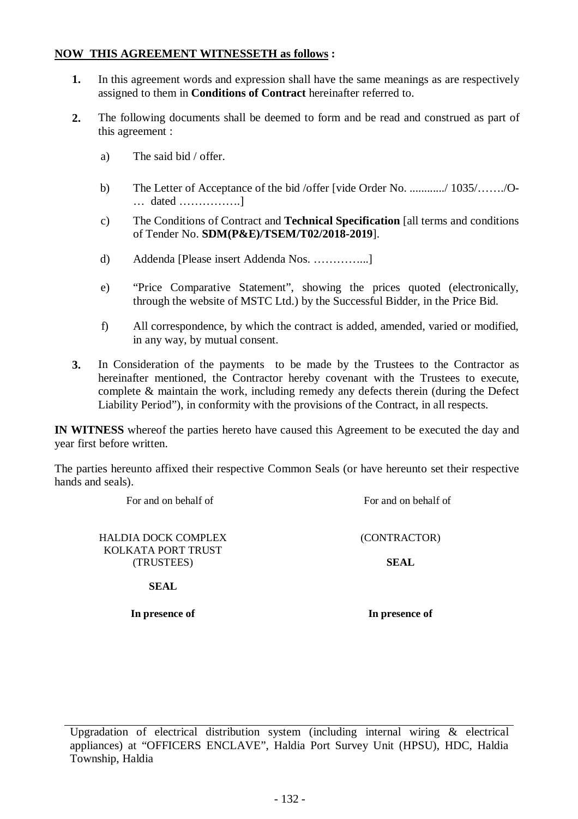#### **NOW THIS AGREEMENT WITNESSETH as follows :**

- **1.** In this agreement words and expression shall have the same meanings as are respectively assigned to them in **Conditions of Contract** hereinafter referred to.
- **2.** The following documents shall be deemed to form and be read and construed as part of this agreement :
	- a) The said bid / offer.
	- b) The Letter of Acceptance of the bid /offer [vide Order No. ............/ 1035/……./O- … dated …………….]
	- c) The Conditions of Contract and **Technical Specification** [all terms and conditions of Tender No. **SDM(P&E)/TSEM/T02/2018-2019**].
	- d) Addenda [Please insert Addenda Nos. …………...]
	- e) "Price Comparative Statement", showing the prices quoted (electronically, through the website of MSTC Ltd.) by the Successful Bidder, in the Price Bid.
	- f) All correspondence, by which the contract is added, amended, varied or modified, in any way, by mutual consent.
- **3.** In Consideration of the payments to be made by the Trustees to the Contractor as hereinafter mentioned, the Contractor hereby covenant with the Trustees to execute, complete & maintain the work, including remedy any defects therein (during the Defect Liability Period"), in conformity with the provisions of the Contract, in all respects.

**IN WITNESS** whereof the parties hereto have caused this Agreement to be executed the day and year first before written.

The parties hereunto affixed their respective Common Seals (or have hereunto set their respective hands and seals).

For and on behalf of For and on behalf of

HALDIA DOCK COMPLEX KOLKATA PORT TRUST (TRUSTEES)

(CONTRACTOR)

**SEAL**

**SEAL**

**In presence of In presence of**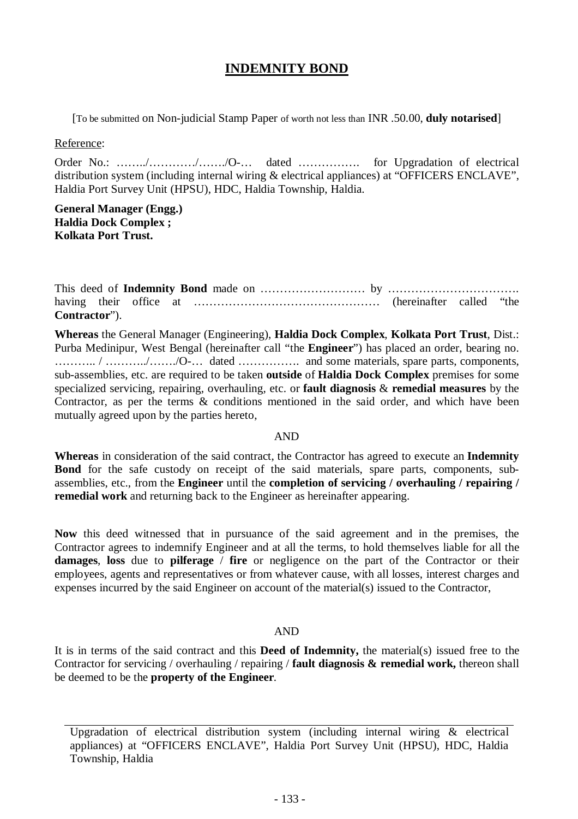## **INDEMNITY BOND**

[To be submitted on Non-judicial Stamp Paper of worth not less than INR .50.00, **duly notarised**]

Reference:

Order No.: ……../…………/……./O-… dated ……………. for Upgradation of electrical distribution system (including internal wiring & electrical appliances) at "OFFICERS ENCLAVE". Haldia Port Survey Unit (HPSU), HDC, Haldia Township, Haldia.

**General Manager (Engg.) Haldia Dock Complex ; Kolkata Port Trust.**

This deed of **Indemnity Bond** made on ……………………… by ……………………………. having their office at ………………………………………… (hereinafter called "the **Contractor**").

**Whereas** the General Manager (Engineering), **Haldia Dock Complex**, **Kolkata Port Trust**, Dist.: Purba Medinipur, West Bengal (hereinafter call "the **Engineer**") has placed an order, bearing no. ……….. / ………../……./O-… dated ……………. and some materials, spare parts, components, sub-assemblies, etc. are required to be taken **outside** of **Haldia Dock Complex** premises for some specialized servicing, repairing, overhauling, etc. or **fault diagnosis** & **remedial measures** by the Contractor, as per the terms & conditions mentioned in the said order, and which have been mutually agreed upon by the parties hereto,

#### AND

**Whereas** in consideration of the said contract, the Contractor has agreed to execute an **Indemnity Bond** for the safe custody on receipt of the said materials, spare parts, components, subassemblies, etc., from the **Engineer** until the **completion of servicing / overhauling / repairing / remedial work** and returning back to the Engineer as hereinafter appearing.

**Now** this deed witnessed that in pursuance of the said agreement and in the premises, the Contractor agrees to indemnify Engineer and at all the terms, to hold themselves liable for all the **damages**, **loss** due to **pilferage** / **fire** or negligence on the part of the Contractor or their employees, agents and representatives or from whatever cause, with all losses, interest charges and expenses incurred by the said Engineer on account of the material(s) issued to the Contractor,

#### AND

It is in terms of the said contract and this **Deed of Indemnity,** the material(s) issued free to the Contractor for servicing / overhauling / repairing / **fault diagnosis & remedial work,** thereon shall be deemed to be the **property of the Engineer**.

Upgradation of electrical distribution system (including internal wiring & electrical appliances) at "OFFICERS ENCLAVE", Haldia Port Survey Unit (HPSU), HDC, Haldia Township, Haldia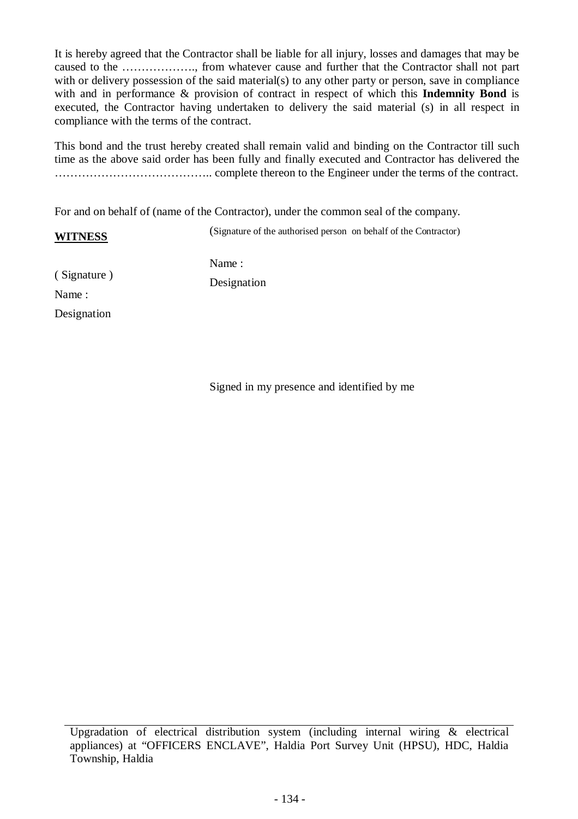It is hereby agreed that the Contractor shall be liable for all injury, losses and damages that may be caused to the ………………., from whatever cause and further that the Contractor shall not part with or delivery possession of the said material(s) to any other party or person, save in compliance with and in performance & provision of contract in respect of which this **Indemnity Bond** is executed, the Contractor having undertaken to delivery the said material (s) in all respect in compliance with the terms of the contract.

This bond and the trust hereby created shall remain valid and binding on the Contractor till such time as the above said order has been fully and finally executed and Contractor has delivered the ………………………………….. complete thereon to the Engineer under the terms of the contract.

For and on behalf of (name of the Contractor), under the common seal of the company.

#### **WITNESS**

( Signature )

Designation

Name :

(Signature of the authorised person on behalf of the Contractor) Name : Designation

Signed in my presence and identified by me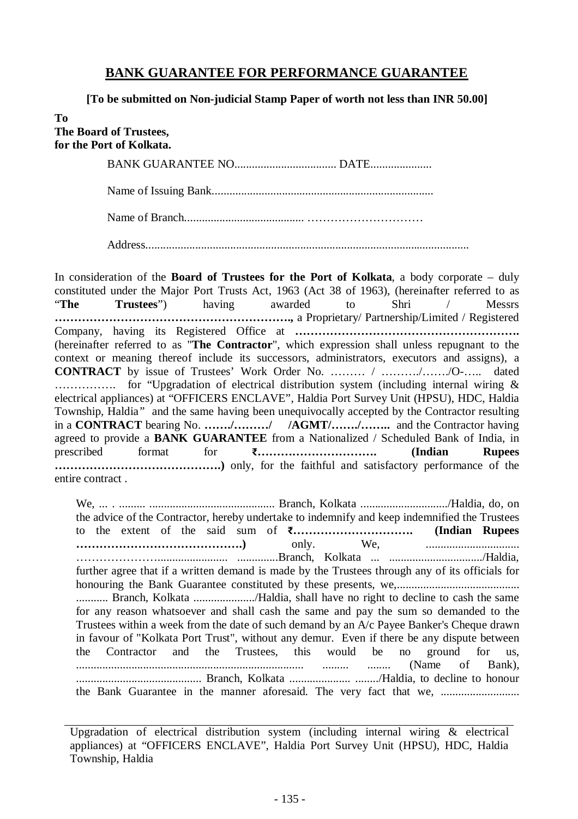## **BANK GUARANTEE FOR PERFORMANCE GUARANTEE**

#### **[To be submitted on Non-judicial Stamp Paper of worth not less than INR 50.00]**

**To The Board of Trustees, for the Port of Kolkata.** BANK GUARANTEE NO................................... DATE..................... Name of Issuing Bank............................................................................

Name of Branch......................................... …………………………

Address...............................................................................................................

In consideration of the **Board of Trustees for the Port of Kolkata**, a body corporate – duly constituted under the Major Port Trusts Act, 1963 (Act 38 of 1963), (hereinafter referred to as "**The Trustees**") having awarded to Shri / Messrs **…………………………………………………….,** a Proprietary/ Partnership/Limited / Registered Company, having its Registered Office at **………………………………………………….**  (hereinafter referred to as "**The Contractor**", which expression shall unless repugnant to the context or meaning thereof include its successors, administrators, executors and assigns), a **CONTRACT** by issue of Trustees' Work Order No. ……… / ………./……./O-….. dated ……………. for "Upgradation of electrical distribution system (including internal wiring & electrical appliances) at "OFFICERS ENCLAVE", Haldia Port Survey Unit (HPSU), HDC, Haldia Township, Haldia*"* and the same having been unequivocally accepted by the Contractor resulting in a **CONTRACT** bearing No. **……./………/** /**AGMT/……/……..** and the Contractor having agreed to provide a **BANK GUARANTEE** from a Nationalized / Scheduled Bank of India, in prescribed format for **₹…………………………. (Indian Rupees …………………………………….)** only, for the faithful and satisfactory performance of the entire contract .

We, ... . ......... ........................................... Branch, Kolkata ............................../Haldia, do, on the advice of the Contractor, hereby undertake to indemnify and keep indemnified the Trustees to the extent of the said sum of **₹…………………………. (Indian Rupees …………………………………….)** only. We, ................................ …………………........................ ..............Branch, Kolkata ... ................................/Haldia, further agree that if a written demand is made by the Trustees through any of its officials for honouring the Bank Guarantee constituted by these presents, we,.......................................... ........... Branch, Kolkata ...................../Haldia, shall have no right to decline to cash the same for any reason whatsoever and shall cash the same and pay the sum so demanded to the Trustees within a week from the date of such demand by an A/c Payee Banker's Cheque drawn in favour of "Kolkata Port Trust", without any demur. Even if there be any dispute between the Contractor and the Trustees, this would be no ground for us, .............................................................................. ......... ........ (Name of Bank), ........................................... Branch, Kolkata ..................... ......../Haldia, to decline to honour the Bank Guarantee in the manner aforesaid. The very fact that we, .................................

Upgradation of electrical distribution system (including internal wiring & electrical appliances) at "OFFICERS ENCLAVE", Haldia Port Survey Unit (HPSU), HDC, Haldia Township, Haldia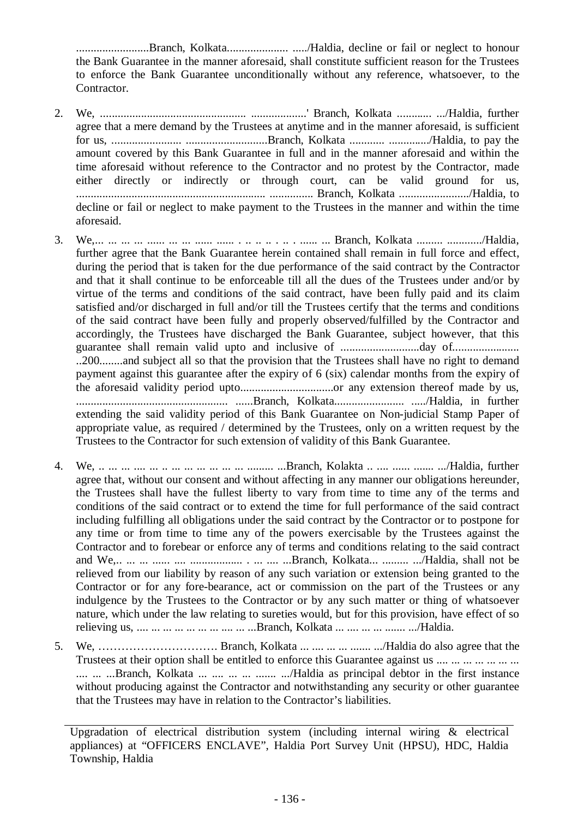.........................Branch, Kolkata..................... ...../Haldia, decline or fail or neglect to honour the Bank Guarantee in the manner aforesaid, shall constitute sufficient reason for the Trustees to enforce the Bank Guarantee unconditionally without any reference, whatsoever, to the Contractor.

- 2. We, .................................................. ...................' Branch, Kolkata ............ .../Haldia, further agree that a mere demand by the Trustees at anytime and in the manner aforesaid, is sufficient for us, ........................ ............................Branch, Kolkata ............ ............../Haldia, to pay the amount covered by this Bank Guarantee in full and in the manner aforesaid and within the time aforesaid without reference to the Contractor and no protest by the Contractor, made either directly or indirectly or through court, can be valid ground for us, ................................................................. ............... Branch, Kolkata ......................../Haldia, to decline or fail or neglect to make payment to the Trustees in the manner and within the time aforesaid.
- 3. We,... ... ... ... ...... ... ... ...... ...... . .. .. .. . .. . ...... ... Branch, Kolkata ......... ............/Haldia, further agree that the Bank Guarantee herein contained shall remain in full force and effect, during the period that is taken for the due performance of the said contract by the Contractor and that it shall continue to be enforceable till all the dues of the Trustees under and/or by virtue of the terms and conditions of the said contract, have been fully paid and its claim satisfied and/or discharged in full and/or till the Trustees certify that the terms and conditions of the said contract have been fully and properly observed/fulfilled by the Contractor and accordingly, the Trustees have discharged the Bank Guarantee, subject however, that this guarantee shall remain valid upto and inclusive of ...........................day of....................... ..200........and subject all so that the provision that the Trustees shall have no right to demand payment against this guarantee after the expiry of 6 (six) calendar months from the expiry of the aforesaid validity period upto................................or any extension thereof made by us, .................................................... ......Branch, Kolkata........................ ...../Haldia, in further extending the said validity period of this Bank Guarantee on Non-judicial Stamp Paper of appropriate value, as required / determined by the Trustees, only on a written request by the Trustees to the Contractor for such extension of validity of this Bank Guarantee.
- 4. We, .. ... ... .... ... .. ... ... ... ... ... ... ......... ...Branch, Kolakta .. .... ...... ....... .../Haldia, further agree that, without our consent and without affecting in any manner our obligations hereunder, the Trustees shall have the fullest liberty to vary from time to time any of the terms and conditions of the said contract or to extend the time for full performance of the said contract including fulfilling all obligations under the said contract by the Contractor or to postpone for any time or from time to time any of the powers exercisable by the Trustees against the Contractor and to forebear or enforce any of terms and conditions relating to the said contract and We,.. ... ... ...... .... .................. . ... .... ...Branch, Kolkata... ......... .../Haldia, shall not be relieved from our liability by reason of any such variation or extension being granted to the Contractor or for any fore-bearance, act or commission on the part of the Trustees or any indulgence by the Trustees to the Contractor or by any such matter or thing of whatsoever nature, which under the law relating to sureties would, but for this provision, have effect of so relieving us, .... ... ... ... ... ... ... .... ... ...Branch, Kolkata ... .... ... ... ....... .../Haldia.
- 5. We, …………………………. Branch, Kolkata ... .... ... ... ....... .../Haldia do also agree that the Trustees at their option shall be entitled to enforce this Guarantee against us .... ... ... ... ... ... ... .... ... ...Branch, Kolkata ... .... ... ... .... ..../Haldia as principal debtor in the first instance without producing against the Contractor and notwithstanding any security or other guarantee that the Trustees may have in relation to the Contractor's liabilities.

Upgradation of electrical distribution system (including internal wiring & electrical appliances) at "OFFICERS ENCLAVE", Haldia Port Survey Unit (HPSU), HDC, Haldia Township, Haldia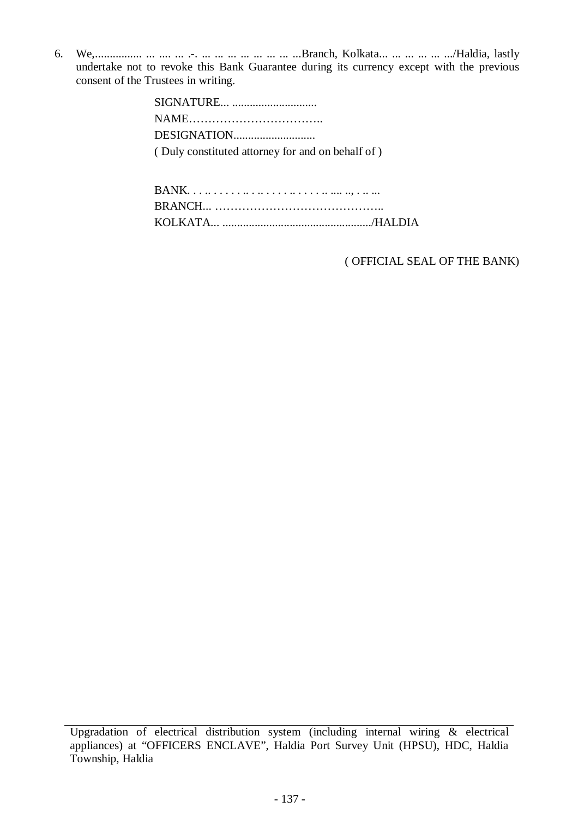6. We,................ ... .... ... .-. ... ... ... ... ... ... ... ...Branch, Kolkata... ... ... ... ... .../Haldia, lastly undertake not to revoke this Bank Guarantee during its currency except with the previous consent of the Trustees in writing.

| SIGNATURE                                        |
|--------------------------------------------------|
|                                                  |
| DESIGNATION                                      |
| (Duly constituted attorney for and on behalf of) |

( OFFICIAL SEAL OF THE BANK)

Upgradation of electrical distribution system (including internal wiring & electrical appliances) at "OFFICERS ENCLAVE", Haldia Port Survey Unit (HPSU), HDC, Haldia Township, Haldia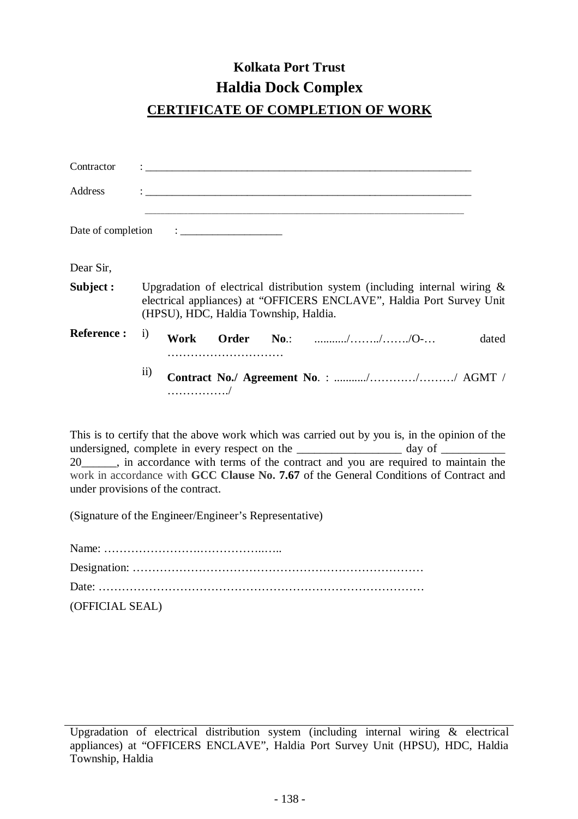# **Kolkata Port Trust Haldia Dock Complex CERTIFICATE OF COMPLETION OF WORK**

| Contractor        | $\mathbf{1}$ , and the contract of the contract of the contract of the contract of the contract of the contract of the contract of the contract of the contract of the contract of the contract of the contract of the contract o |
|-------------------|-----------------------------------------------------------------------------------------------------------------------------------------------------------------------------------------------------------------------------------|
| Address           |                                                                                                                                                                                                                                   |
|                   |                                                                                                                                                                                                                                   |
| Dear Sir,         |                                                                                                                                                                                                                                   |
| Subject :         | Upgradation of electrical distribution system (including internal wiring $\&$<br>electrical appliances) at "OFFICERS ENCLAVE", Haldia Port Survey Unit<br>(HPSU), HDC, Haldia Township, Haldia.                                   |
| <b>Reference:</b> | $\left( \frac{1}{2} \right)$<br>Order No.: ///O-<br>Work<br>dated                                                                                                                                                                 |
|                   | $\rm ii)$<br>Contract No./ Agreement No.: /// AGMT /<br>. /                                                                                                                                                                       |

This is to certify that the above work which was carried out by you is, in the opinion of the undersigned, complete in every respect on the \_\_\_\_\_\_\_\_\_\_\_\_\_\_\_\_\_\_ day of \_\_\_\_\_\_\_\_\_\_\_ 20\_\_\_\_\_\_, in accordance with terms of the contract and you are required to maintain the work in accordance with **GCC Clause No. 7.67** of the General Conditions of Contract and under provisions of the contract.

(Signature of the Engineer/Engineer's Representative)

Name: …………………….……………..….. Designation: ………………………………………………………………… Date: ………………………………………………………………………… (OFFICIAL SEAL)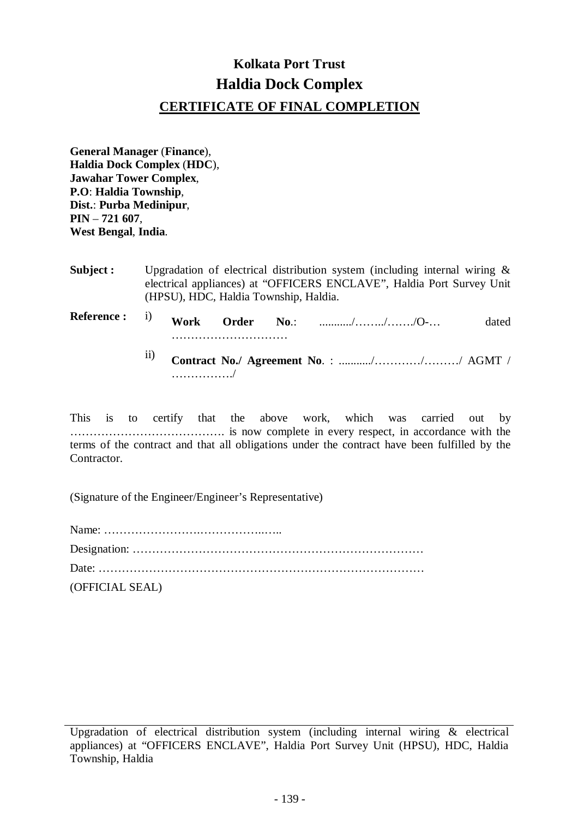# **Kolkata Port Trust Haldia Dock Complex CERTIFICATE OF FINAL COMPLETION**

**General Manager** (**Finance**), **Haldia Dock Complex** (**HDC**), **Jawahar Tower Complex**, **P.O**: **Haldia Township**, **Dist.**: **Purba Medinipur**, **PIN** – **721 607**, **West Bengal**, **India**.

**Subject :** Upgradation of electrical distribution system (including internal wiring & electrical appliances) at "OFFICERS ENCLAVE", Haldia Port Survey Unit (HPSU), HDC, Haldia Township, Haldia.

**Reference :** i) **Work Order No.: .........../……../……./O-…** dated ……………………………………… ii) **Contract No./ Agreement No**. : .........../…………/………/ AGMT / ……………./

This is to certify that the above work, which was carried out by …………………………………. is now complete in every respect, in accordance with the terms of the contract and that all obligations under the contract have been fulfilled by the Contractor.

(Signature of the Engineer/Engineer's Representative)

Name: …………………….……………..….. Designation: ………………………………………………………………… Date: ………………………………………………………………………… (OFFICIAL SEAL)